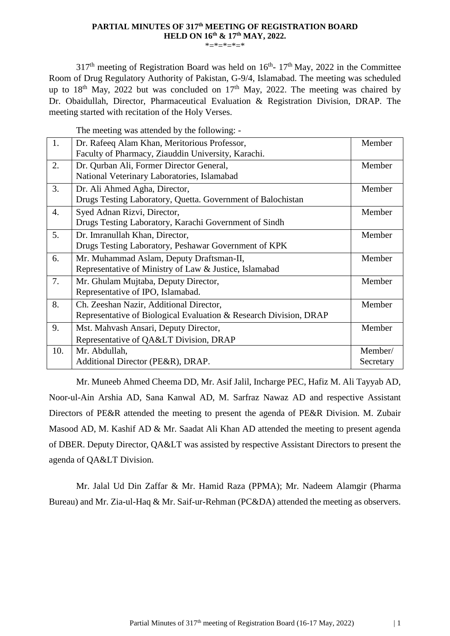# **PARTIAL MINUTES OF 317th MEETING OF REGISTRATION BOARD HELD ON 16th & 17th MAY, 2022.**

\*=\*=\*=\*=\*

 $317<sup>th</sup>$  meeting of Registration Board was held on  $16<sup>th</sup>$ -  $17<sup>th</sup>$  May, 2022 in the Committee Room of Drug Regulatory Authority of Pakistan, G-9/4, Islamabad. The meeting was scheduled up to  $18<sup>th</sup>$  May, 2022 but was concluded on  $17<sup>th</sup>$  May, 2022. The meeting was chaired by Dr. Obaidullah, Director, Pharmaceutical Evaluation & Registration Division, DRAP. The meeting started with recitation of the Holy Verses.

The meeting was attended by the following: -

| 1.  | Dr. Rafeeq Alam Khan, Meritorious Professor,                      | Member    |
|-----|-------------------------------------------------------------------|-----------|
|     | Faculty of Pharmacy, Ziauddin University, Karachi.                |           |
| 2.  | Dr. Qurban Ali, Former Director General,                          | Member    |
|     | National Veterinary Laboratories, Islamabad                       |           |
| 3.  | Dr. Ali Ahmed Agha, Director,                                     | Member    |
|     | Drugs Testing Laboratory, Quetta. Government of Balochistan       |           |
| 4.  | Syed Adnan Rizvi, Director,                                       | Member    |
|     | Drugs Testing Laboratory, Karachi Government of Sindh             |           |
| 5.  | Dr. Imranullah Khan, Director,                                    | Member    |
|     | Drugs Testing Laboratory, Peshawar Government of KPK              |           |
| 6.  | Mr. Muhammad Aslam, Deputy Draftsman-II,                          | Member    |
|     | Representative of Ministry of Law & Justice, Islamabad            |           |
| 7.  | Mr. Ghulam Mujtaba, Deputy Director,                              | Member    |
|     | Representative of IPO, Islamabad.                                 |           |
| 8.  | Ch. Zeeshan Nazir, Additional Director,                           | Member    |
|     | Representative of Biological Evaluation & Research Division, DRAP |           |
| 9.  | Mst. Mahvash Ansari, Deputy Director,                             | Member    |
|     | Representative of QA< Division, DRAP                              |           |
| 10. | Mr. Abdullah,                                                     | Member/   |
|     | Additional Director (PE&R), DRAP.                                 | Secretary |
|     |                                                                   |           |

Mr. Muneeb Ahmed Cheema DD, Mr. Asif Jalil, Incharge PEC, Hafiz M. Ali Tayyab AD, Noor-ul-Ain Arshia AD, Sana Kanwal AD, M. Sarfraz Nawaz AD and respective Assistant Directors of PE&R attended the meeting to present the agenda of PE&R Division. M. Zubair Masood AD, M. Kashif AD & Mr. Saadat Ali Khan AD attended the meeting to present agenda of DBER. Deputy Director, QA&LT was assisted by respective Assistant Directors to present the agenda of OA&LT Division.

Mr. Jalal Ud Din Zaffar & Mr. Hamid Raza (PPMA); Mr. Nadeem Alamgir (Pharma Bureau) and Mr. Zia-ul-Haq & Mr. Saif-ur-Rehman (PC&DA) attended the meeting as observers.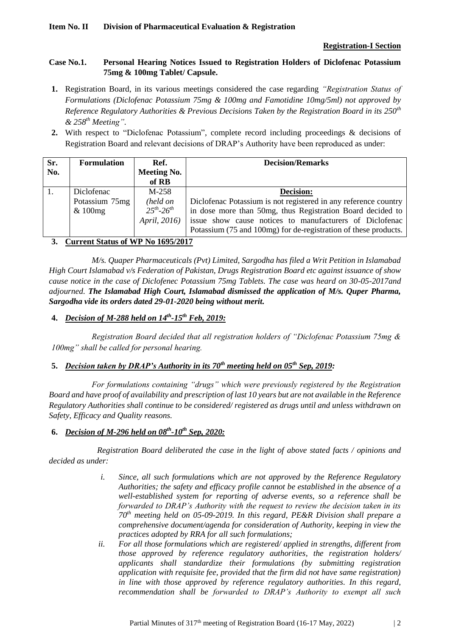## **Registration-I Section**

### **Case No.1. Personal Hearing Notices Issued to Registration Holders of Diclofenac Potassium 75mg & 100mg Tablet/ Capsule.**

- **1.** Registration Board, in its various meetings considered the case regarding *"Registration Status of Formulations (Diclofenac Potassium 75mg & 100mg and Famotidine 10mg/5ml) not approved by Reference Regulatory Authorities & Previous Decisions Taken by the Registration Board in its 250th & 258th Meeting"*.
- **2.** With respect to "Diclofenac Potassium", complete record including proceedings & decisions of Registration Board and relevant decisions of DRAP's Authority have been reproduced as under:

| Sr. | <b>Formulation</b> | Ref.                 | <b>Decision/Remarks</b>                                         |
|-----|--------------------|----------------------|-----------------------------------------------------------------|
| No. |                    | <b>Meeting No.</b>   |                                                                 |
|     |                    | of RB                |                                                                 |
|     | Diclofenac         | $M-258$              | <b>Decision:</b>                                                |
|     | Potassium 75mg     | (held on             | Diclofenac Potassium is not registered in any reference country |
|     | & 100mg            | $25^{th} - 26^{th}$  | in dose more than 50mg, thus Registration Board decided to      |
|     |                    | <i>April, 2016</i> ) | issue show cause notices to manufacturers of Diclofenac         |
|     |                    |                      | Potassium (75 and 100mg) for de-registration of these products. |

## **3. Current Status of WP No 1695/2017**

*M/s. Quaper Pharmaceuticals (Pvt) Limited, Sargodha has filed a Writ Petition in Islamabad High Court Islamabad v/s Federation of Pakistan, Drugs Registration Board etc against issuance of show cause notice in the case of Diclofenec Potassium 75mg Tablets. The case was heard on 30-05-2017and adjourned. The Islamabad High Court, Islamabad dismissed the application of M/s. Quper Pharma, Sargodha vide its orders dated 29-01-2020 being without merit.* 

## **4.** *Decision of M-288 held on 14th -15th Feb, 2019:*

*Registration Board decided that all registration holders of "Diclofenac Potassium 75mg & 100mg" shall be called for personal hearing.*

### **5.** *Decision taken by DRAP's Authority in its 70th meeting held on 05th Sep, 2019:*

*For formulations containing "drugs" which were previously registered by the Registration Board and have proof of availability and prescription of last 10 years but are not available in the Reference Regulatory Authorities shall continue to be considered/ registered as drugs until and unless withdrawn on Safety, Efficacy and Quality reasons.*

### **6.** *Decision of M-296 held on 08th -10th Sep, 2020:*

*Registration Board deliberated the case in the light of above stated facts / opinions and decided as under:* 

- *i.* Since, all such formulations which are not approved by the Reference Regulatory *Authorities; the safety and efficacy profile cannot be established in the absence of a well-established system for reporting of adverse events, so a reference shall be forwarded to DRAP's Authority with the request to review the decision taken in its 70th meeting held on 05-09-2019. In this regard, PE&R Division shall prepare a comprehensive document/agenda for consideration of Authority, keeping in view the practices adopted by RRA for all such formulations;*
- *ii. For all those formulations which are registered/ applied in strengths, different from those approved by reference regulatory authorities, the registration holders/ applicants shall standardize their formulations (by submitting registration application with requisite fee, provided that the firm did not have same registration) in line with those approved by reference regulatory authorities. In this regard, recommendation shall be forwarded to DRAP's Authority to exempt all such*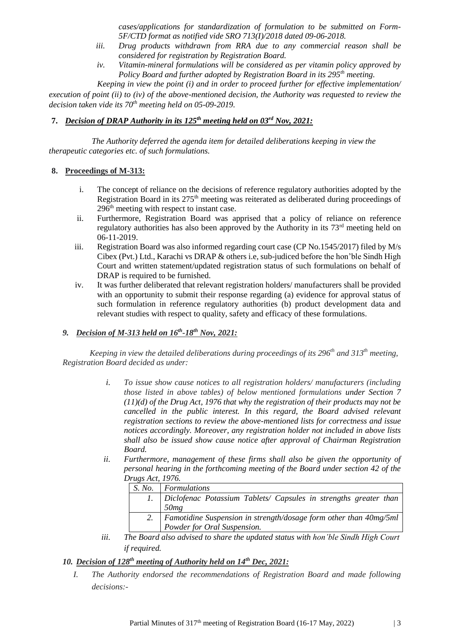*cases/applications for standardization of formulation to be submitted on Form-5F/CTD format as notified vide SRO 713(I)/2018 dated 09-06-2018.* 

- *iii. Drug products withdrawn from RRA due to any commercial reason shall be considered for registration by Registration Board.*
- *iv. Vitamin-mineral formulations will be considered as per vitamin policy approved by Policy Board and further adopted by Registration Board in its 295th meeting.*

*Keeping in view the point (i) and in order to proceed further for effective implementation/* 

*execution of point (ii) to (iv) of the above-mentioned decision, the Authority was requested to review the decision taken vide its 70th meeting held on 05-09-2019.*

# **7.** *Decision of DRAP Authority in its 125th meeting held on 03rd Nov, 2021:*

*The Authority deferred the agenda item for detailed deliberations keeping in view the therapeutic categories etc. of such formulations.*

#### **8. Proceedings of M-313:**

- i. The concept of reliance on the decisions of reference regulatory authorities adopted by the Registration Board in its 275<sup>th</sup> meeting was reiterated as deliberated during proceedings of 296th meeting with respect to instant case.
- ii. Furthermore, Registration Board was apprised that a policy of reliance on reference regulatory authorities has also been approved by the Authority in its  $73<sup>rd</sup>$  meeting held on 06-11-2019.
- iii. Registration Board was also informed regarding court case (CP No.1545/2017) filed by M/s Cibex (Pvt.) Ltd., Karachi vs DRAP & others i.e, sub-judiced before the hon'ble Sindh High Court and written statement/updated registration status of such formulations on behalf of DRAP is required to be furnished.
- iv. It was further deliberated that relevant registration holders/ manufacturers shall be provided with an opportunity to submit their response regarding (a) evidence for approval status of such formulation in reference regulatory authorities (b) product development data and relevant studies with respect to quality, safety and efficacy of these formulations.

#### *9. Decision of M-313 held on 16th -18th Nov, 2021:*

*Keeping in view the detailed deliberations during proceedings of its 296th and 313th meeting, Registration Board decided as under:* 

- *i. To issue show cause notices to all registration holders/ manufacturers (including those listed in above tables) of below mentioned formulations under Section 7 (11)(d) of the Drug Act, 1976 that why the registration of their products may not be cancelled in the public interest. In this regard, the Board advised relevant registration sections to review the above-mentioned lists for correctness and issue notices accordingly. Moreover, any registration holder not included in above lists shall also be issued show cause notice after approval of Chairman Registration Board.*
- ii. Furthermore, management of these firms shall also be given the opportunity of *personal hearing in the forthcoming meeting of the Board under section 42 of the Drugs Act, 1976.*

| S. No. | Formulations                                                      |
|--------|-------------------------------------------------------------------|
|        | Diclofenac Potassium Tablets/ Capsules in strengths greater than  |
|        | 50mg                                                              |
|        | Famotidine Suspension in strength/dosage form other than 40mg/5ml |
|        | Powder for Oral Suspension.                                       |

*iii. The Board also advised to share the updated status with hon'ble Sindh High Court if required.*

## *10. Decision of 128th meeting of Authority held on 14th Dec, 2021:*

*I. The Authority endorsed the recommendations of Registration Board and made following decisions:-*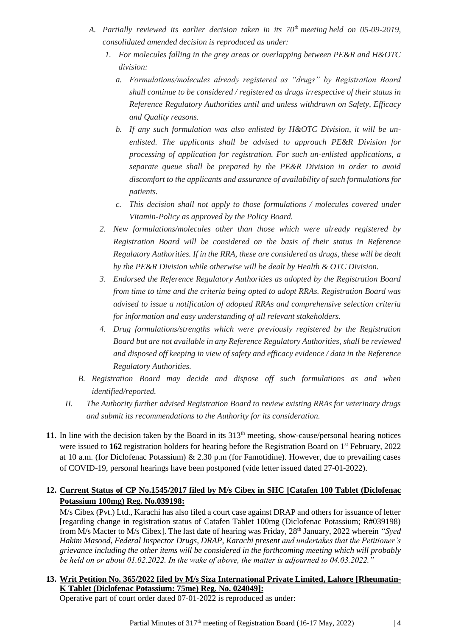- *A. Partially reviewed its earlier decision taken in its 70th meeting held on 05-09-2019, consolidated amended decision is reproduced as under:*
	- *1. For molecules falling in the grey areas or overlapping between PE&R and H&OTC division:*
		- *a. Formulations/molecules already registered as "drugs" by Registration Board shall continue to be considered / registered as drugs irrespective of their status in Reference Regulatory Authorities until and unless withdrawn on Safety, Efficacy and Quality reasons.*
		- *b. If any such formulation was also enlisted by H&OTC Division, it will be unenlisted. The applicants shall be advised to approach PE&R Division for processing of application for registration. For such un-enlisted applications, a separate queue shall be prepared by the PE&R Division in order to avoid discomfort to the applicants and assurance of availability of such formulations for patients.*
		- *c. This decision shall not apply to those formulations / molecules covered under Vitamin-Policy as approved by the Policy Board.*
	- *2. New formulations/molecules other than those which were already registered by Registration Board will be considered on the basis of their status in Reference Regulatory Authorities. If in the RRA, these are considered as drugs, these will be dealt by the PE&R Division while otherwise will be dealt by Health & OTC Division.*
	- *3. Endorsed the Reference Regulatory Authorities as adopted by the Registration Board from time to time and the criteria being opted to adopt RRAs. Registration Board was advised to issue a notification of adopted RRAs and comprehensive selection criteria for information and easy understanding of all relevant stakeholders.*
	- *4. Drug formulations/strengths which were previously registered by the Registration Board but are not available in any Reference Regulatory Authorities, shall be reviewed and disposed off keeping in view of safety and efficacy evidence / data in the Reference Regulatory Authorities.*
- *B. Registration Board may decide and dispose off such formulations as and when identified/reported.*
- *II. The Authority further advised Registration Board to review existing RRAs for veterinary drugs and submit its recommendations to the Authority for its consideration.*
- **11.** In line with the decision taken by the Board in its  $313<sup>th</sup>$  meeting, show-cause/personal hearing notices were issued to 162 registration holders for hearing before the Registration Board on 1<sup>st</sup> February, 2022 at 10 a.m. (for Diclofenac Potassium) & 2.30 p.m (for Famotidine). However, due to prevailing cases of COVID-19, personal hearings have been postponed (vide letter issued dated 27-01-2022).

# **12. Current Status of CP No.1545/2017 filed by M/s Cibex in SHC [Catafen 100 Tablet (Diclofenac Potassium 100mg) Reg. No.039198:**

M/s Cibex (Pvt.) Ltd., Karachi has also filed a court case against DRAP and others for issuance of letter [regarding change in registration status of Catafen Tablet 100mg (Diclofenac Potassium; R#039198) from M/s Macter to M/s Cibex]. The last date of hearing was Friday, 28<sup>th</sup> January, 2022 wherein *"Syed Hakim Masood, Federal Inspector Drugs, DRAP, Karachi present and undertakes that the Petitioner's grievance including the other items will be considered in the forthcoming meeting which will probably be held on or about 01.02.2022. In the wake of above, the matter is adjourned to 04.03.2022."*

# **13. Writ Petition No. 365/2022 filed by M/s Siza International Private Limited, Lahore [Rheumatin-K Tablet (Diclofenac Potassium: 75me) Reg. No. 024049]:**

Operative part of court order dated 07-01-2022 is reproduced as under: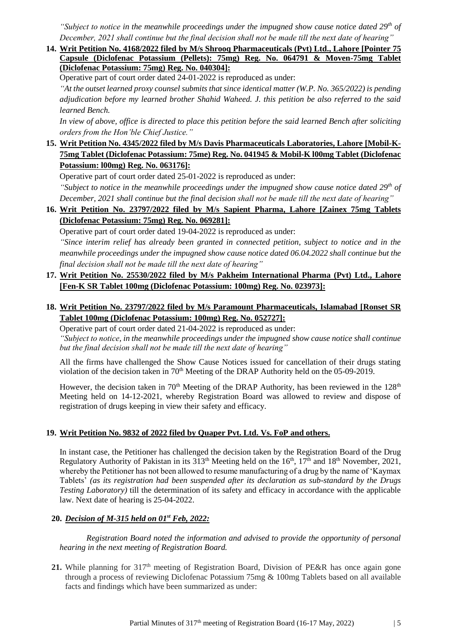*"Subject to notice in the meanwhile proceedings under the impugned show cause notice dated 29th of December, 2021 shall continue but the final decision shall not be made till the next date of hearing"* 

**14. Writ Petition No. 4168/2022 filed by M/s Shrooq Pharmaceuticals (Pvt) Ltd., Lahore [Pointer 75 Capsule (Diclofenac Potassium (Pellets): 75mg) Reg. No. 064791 & Moven-75mg Tablet (Diclofenac Potassium: 75mg) Reg. No. 040304]:**

Operative part of court order dated 24-01-2022 is reproduced as under:

*"At the outset learned proxy counsel submits that since identical matter (W.P. No. 365/2022) is pending adjudication before my learned brother Shahid Waheed. J. this petition be also referred to the said learned Bench.*

*In view of above, office is directed to place this petition before the said learned Bench after soliciting orders from the Hon'ble Chief Justice."*

**15. Writ Petition No. 4345/2022 filed by M/s Davis Pharmaceuticals Laboratories, Lahore [Mobil-K-75mg Tablet (Diclofenac Potassium: 75me) Reg. No. 041945 & Mobil-K l00mg Tablet (Diclofenac Potassium: l00mg) Reg. No. 063176]:**

Operative part of court order dated 25-01-2022 is reproduced as under:

*"Subject to notice in the meanwhile proceedings under the impugned show cause notice dated 29th of December, 2021 shall continue but the final decision shall not be made till the next date of hearing"* 

**16. Writ Petition No. 23797/2022 filed by M/s Sapient Pharma, Lahore [Zainex 75mg Tablets (Diclofenac Potassium: 75mg) Reg. No. 069281]:**

Operative part of court order dated 19-04-2022 is reproduced as under:

*"Since interim relief has already been granted in connected petition, subject to notice and in the meanwhile proceedings under the impugned show cause notice dated 06.04.2022 shall continue but the final decision shall not be made till the next date of hearing"*

- **17. Writ Petition No. 25530/2022 filed by M/s Pakheim International Pharma (Pvt) Ltd., Lahore [Fen-K SR Tablet 100mg (Diclofenac Potassium: 100mg) Reg. No. 023973]:**
- **18. Writ Petition No. 23797/2022 filed by M/s Paramount Pharmaceuticals, Islamabad [Ronset SR Tablet 100mg (Diclofenac Potassium: 100mg) Reg. No. 052727]:**

Operative part of court order dated 21-04-2022 is reproduced as under: *"Subject to notice, in the meanwhile proceedings under the impugned show cause notice shall continue but the final decision shall not be made till the next date of hearing"* 

All the firms have challenged the Show Cause Notices issued for cancellation of their drugs stating violation of the decision taken in 70<sup>th</sup> Meeting of the DRAP Authority held on the 05-09-2019.

However, the decision taken in  $70<sup>th</sup>$  Meeting of the DRAP Authority, has been reviewed in the  $128<sup>th</sup>$ Meeting held on 14-12-2021, whereby Registration Board was allowed to review and dispose of registration of drugs keeping in view their safety and efficacy.

### **19. Writ Petition No. 9832 of 2022 filed by Quaper Pvt. Ltd. Vs. FoP and others.**

In instant case, the Petitioner has challenged the decision taken by the Registration Board of the Drug Regulatory Authority of Pakistan in its  $313<sup>th</sup>$  Meeting held on the  $16<sup>th</sup>$ ,  $17<sup>th</sup>$  and  $18<sup>th</sup>$  November, 2021, whereby the Petitioner has not been allowed to resume manufacturing of a drug by the name of 'Kaymax Tablets' *(as its registration had been suspended after its declaration as sub-standard by the Drugs Testing Laboratory)* till the determination of its safety and efficacy in accordance with the applicable law. Next date of hearing is 25-04-2022.

### **20.** *Decision of M-315 held on 01st Feb, 2022:*

*Registration Board noted the information and advised to provide the opportunity of personal hearing in the next meeting of Registration Board.*

**21.** While planning for  $317<sup>th</sup>$  meeting of Registration Board, Division of PE&R has once again gone through a process of reviewing Diclofenac Potassium 75mg & 100mg Tablets based on all available facts and findings which have been summarized as under: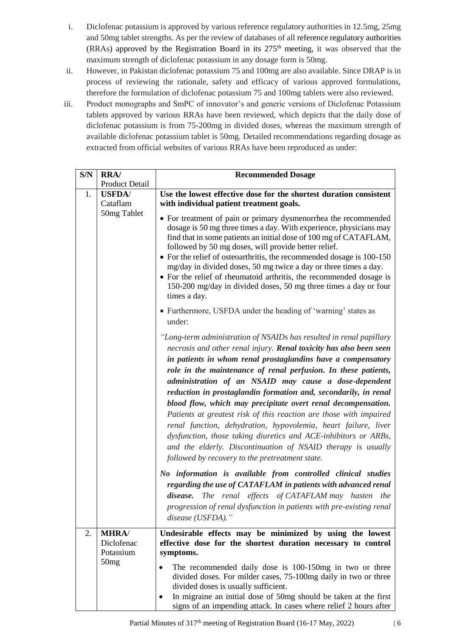- i. Diclofenac potassium is approved by various reference regulatory authorities in 12.5mg, 25mg and 50mg tablet strengths. As per the review of databases of all reference regulatory authorities (RRAs) approved by the Registration Board in its  $275<sup>th</sup>$  meeting, it was observed that the maximum strength of diclofenac potassium in any dosage form is 50mg.
- ii. However, in Pakistan diclofenac potassium 75 and 100mg are also available. Since DRAP is in process of reviewing the rationale, safety and efficacy of various approved formulations, therefore the formulation of diclofenac potassium 75 and 100mg tablets were also reviewed.
- iii. Product monographs and SmPC of innovator's and generic versions of Diclofenac Potassium tablets approved by various RRAs have been reviewed, which depicts that the daily dose of diclofenac potassium is from 75-200mg in divided doses, whereas the maximum strength of available diclofenac potassium tablet is 50mg. Detailed recommendations regarding dosage as extracted from official websites of various RRAs have been reproduced as under:

| S/N | <b>RRA/</b>                                     | <b>Recommended Dosage</b>                                                                                                                                                                                                                                                                                                                                                                                                                                                                                                                                                                                                                                                                                                                                                                                                                                                                                                                                                                                                                                                                     |  |  |
|-----|-------------------------------------------------|-----------------------------------------------------------------------------------------------------------------------------------------------------------------------------------------------------------------------------------------------------------------------------------------------------------------------------------------------------------------------------------------------------------------------------------------------------------------------------------------------------------------------------------------------------------------------------------------------------------------------------------------------------------------------------------------------------------------------------------------------------------------------------------------------------------------------------------------------------------------------------------------------------------------------------------------------------------------------------------------------------------------------------------------------------------------------------------------------|--|--|
|     | <b>Product Detail</b>                           |                                                                                                                                                                                                                                                                                                                                                                                                                                                                                                                                                                                                                                                                                                                                                                                                                                                                                                                                                                                                                                                                                               |  |  |
| 1.  | <b>USFDA</b> /<br>Cataflam                      | Use the lowest effective dose for the shortest duration consistent<br>with individual patient treatment goals.                                                                                                                                                                                                                                                                                                                                                                                                                                                                                                                                                                                                                                                                                                                                                                                                                                                                                                                                                                                |  |  |
|     | 50mg Tablet                                     | • For treatment of pain or primary dysmenorrhea the recommended<br>dosage is 50 mg three times a day. With experience, physicians may<br>find that in some patients an initial dose of 100 mg of CATAFLAM,<br>followed by 50 mg doses, will provide better relief.<br>• For the relief of osteoarthritis, the recommended dosage is 100-150<br>mg/day in divided doses, 50 mg twice a day or three times a day.<br>• For the relief of rheumatoid arthritis, the recommended dosage is<br>150-200 mg/day in divided doses, 50 mg three times a day or four<br>times a day.                                                                                                                                                                                                                                                                                                                                                                                                                                                                                                                    |  |  |
|     |                                                 | • Furthermore, USFDA under the heading of 'warning' states as<br>under:                                                                                                                                                                                                                                                                                                                                                                                                                                                                                                                                                                                                                                                                                                                                                                                                                                                                                                                                                                                                                       |  |  |
|     |                                                 | "Long-term administration of NSAIDs has resulted in renal papillary<br>necrosis and other renal injury. Renal toxicity has also been seen<br>in patients in whom renal prostaglandins have a compensatory<br>role in the maintenance of renal perfusion. In these patients,<br>administration of an NSAID may cause a dose-dependent<br>reduction in prostaglandin formation and, secondarily, in renal<br>blood flow, which may precipitate overt renal decompensation.<br>Patients at greatest risk of this reaction are those with impaired<br>renal function, dehydration, hypovolemia, heart failure, liver<br>dysfunction, those taking diuretics and ACE-inhibitors or ARBs,<br>and the elderly. Discontinuation of NSAID therapy is usually<br>followed by recovery to the pretreatment state.<br>No information is available from controlled clinical studies<br>regarding the use of CATAFLAM in patients with advanced renal<br>disease. The renal effects of CATAFLAM may hasten the<br>progression of renal dysfunction in patients with pre-existing renal<br>disease (USFDA)." |  |  |
| 2.  | <b>MHRA/</b><br>Diclofenac<br>Potassium<br>50mg | Undesirable effects may be minimized by using the lowest<br>effective dose for the shortest duration necessary to control<br>symptoms.<br>The recommended daily dose is 100-150mg in two or three<br>divided doses. For milder cases, 75-100mg daily in two or three                                                                                                                                                                                                                                                                                                                                                                                                                                                                                                                                                                                                                                                                                                                                                                                                                          |  |  |
|     |                                                 | divided doses is usually sufficient.<br>In migraine an initial dose of 50mg should be taken at the first<br>signs of an impending attack. In cases where relief 2 hours after                                                                                                                                                                                                                                                                                                                                                                                                                                                                                                                                                                                                                                                                                                                                                                                                                                                                                                                 |  |  |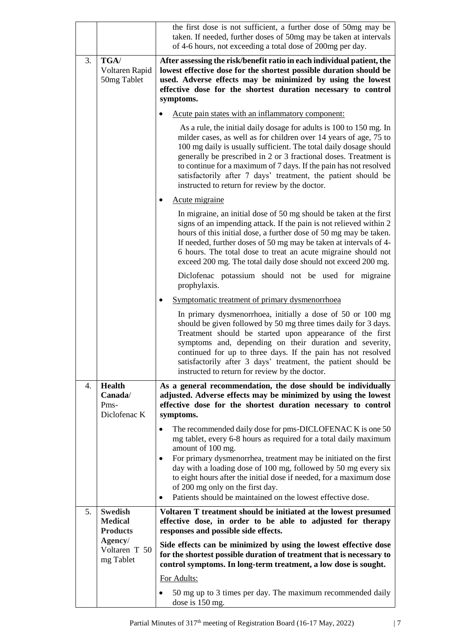|    |                                                     | the first dose is not sufficient, a further dose of 50mg may be<br>taken. If needed, further doses of 50mg may be taken at intervals<br>of 4-6 hours, not exceeding a total dose of 200mg per day.                                                                                                                                                                                                                                                                        |
|----|-----------------------------------------------------|---------------------------------------------------------------------------------------------------------------------------------------------------------------------------------------------------------------------------------------------------------------------------------------------------------------------------------------------------------------------------------------------------------------------------------------------------------------------------|
| 3. | TGA/<br>Voltaren Rapid<br>50mg Tablet               | After assessing the risk/benefit ratio in each individual patient, the<br>lowest effective dose for the shortest possible duration should be<br>used. Adverse effects may be minimized by using the lowest<br>effective dose for the shortest duration necessary to control<br>symptoms.                                                                                                                                                                                  |
|    |                                                     | Acute pain states with an inflammatory component:                                                                                                                                                                                                                                                                                                                                                                                                                         |
|    |                                                     | As a rule, the initial daily dosage for adults is 100 to 150 mg. In<br>milder cases, as well as for children over 14 years of age, 75 to<br>100 mg daily is usually sufficient. The total daily dosage should<br>generally be prescribed in 2 or 3 fractional doses. Treatment is<br>to continue for a maximum of 7 days. If the pain has not resolved<br>satisfactorily after 7 days' treatment, the patient should be<br>instructed to return for review by the doctor. |
|    |                                                     | Acute migraine                                                                                                                                                                                                                                                                                                                                                                                                                                                            |
|    |                                                     | In migraine, an initial dose of 50 mg should be taken at the first<br>signs of an impending attack. If the pain is not relieved within 2<br>hours of this initial dose, a further dose of 50 mg may be taken.<br>If needed, further doses of 50 mg may be taken at intervals of 4-<br>6 hours. The total dose to treat an acute migraine should not<br>exceed 200 mg. The total daily dose should not exceed 200 mg.                                                      |
|    |                                                     | Diclofenac potassium should not be used for migraine<br>prophylaxis.                                                                                                                                                                                                                                                                                                                                                                                                      |
|    |                                                     | Symptomatic treatment of primary dysmenorrhoea                                                                                                                                                                                                                                                                                                                                                                                                                            |
|    |                                                     | In primary dysmenorrhoea, initially a dose of 50 or 100 mg<br>should be given followed by 50 mg three times daily for 3 days.<br>Treatment should be started upon appearance of the first<br>symptoms and, depending on their duration and severity,<br>continued for up to three days. If the pain has not resolved<br>satisfactorily after 3 days' treatment, the patient should be<br>instructed to return for review by the doctor.                                   |
| 4. | <b>Health</b><br>Canada/<br>Pms-<br>Diclofenac K    | As a general recommendation, the dose should be individually<br>adjusted. Adverse effects may be minimized by using the lowest<br>effective dose for the shortest duration necessary to control<br>symptoms.                                                                                                                                                                                                                                                              |
|    |                                                     | The recommended daily dose for pms-DICLOFENAC K is one 50<br>mg tablet, every 6-8 hours as required for a total daily maximum<br>amount of 100 mg.<br>For primary dysmenorrhea, treatment may be initiated on the first<br>٠<br>day with a loading dose of 100 mg, followed by 50 mg every six<br>to eight hours after the initial dose if needed, for a maximum dose<br>of 200 mg only on the first day.<br>Patients should be maintained on the lowest effective dose.  |
| 5. | <b>Swedish</b><br><b>Medical</b><br><b>Products</b> | Voltaren T treatment should be initiated at the lowest presumed<br>effective dose, in order to be able to adjusted for therapy<br>responses and possible side effects.                                                                                                                                                                                                                                                                                                    |
|    | Agency/<br>Voltaren T 50<br>mg Tablet               | Side effects can be minimized by using the lowest effective dose<br>for the shortest possible duration of treatment that is necessary to<br>control symptoms. In long-term treatment, a low dose is sought.                                                                                                                                                                                                                                                               |
|    |                                                     | For Adults:                                                                                                                                                                                                                                                                                                                                                                                                                                                               |
|    |                                                     | 50 mg up to 3 times per day. The maximum recommended daily<br>dose is 150 mg.                                                                                                                                                                                                                                                                                                                                                                                             |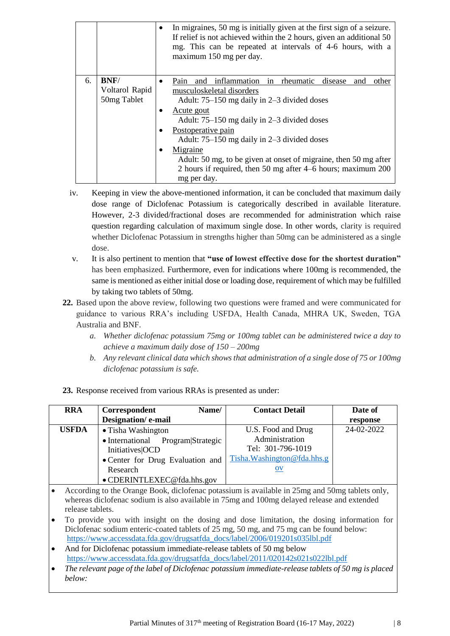|    |                               |           | In migraines, 50 mg is initially given at the first sign of a seizure.<br>If relief is not achieved within the 2 hours, given an additional 50<br>mg. This can be repeated at intervals of 4-6 hours, with a<br>maximum 150 mg per day. |  |  |
|----|-------------------------------|-----------|-----------------------------------------------------------------------------------------------------------------------------------------------------------------------------------------------------------------------------------------|--|--|
| 6. | <b>BNF/</b><br>Voltarol Rapid | $\bullet$ | in<br>inflammation<br>rheumatic<br>disease<br>Pain<br>and<br>other<br>and<br>musculoskeletal disorders                                                                                                                                  |  |  |
|    | 50mg Tablet                   |           | Adult: 75–150 mg daily in 2–3 divided doses                                                                                                                                                                                             |  |  |
|    |                               | $\bullet$ | Acute gout<br>Adult: 75–150 mg daily in 2–3 divided doses                                                                                                                                                                               |  |  |
|    |                               | $\bullet$ | Postoperative pain<br>Adult: 75–150 mg daily in 2–3 divided doses                                                                                                                                                                       |  |  |
|    |                               |           | Migraine                                                                                                                                                                                                                                |  |  |
|    |                               |           | Adult: 50 mg, to be given at onset of migraine, then 50 mg after                                                                                                                                                                        |  |  |
|    |                               |           | 2 hours if required, then 50 mg after 4–6 hours; maximum 200                                                                                                                                                                            |  |  |
|    |                               |           | mg per day.                                                                                                                                                                                                                             |  |  |

- iv. Keeping in view the above-mentioned information, it can be concluded that maximum daily dose range of Diclofenac Potassium is categorically described in available literature. However, 2-3 divided/fractional doses are recommended for administration which raise question regarding calculation of maximum single dose. In other words, clarity is required whether Diclofenac Potassium in strengths higher than 50mg can be administered as a single dose.
- v. It is also pertinent to mention that **"use of lowest effective dose for the shortest duration"** has been emphasized. Furthermore, even for indications where 100mg is recommended, the same is mentioned as either initial dose or loading dose, requirement of which may be fulfilled by taking two tablets of 50mg.
- **22.** Based upon the above review, following two questions were framed and were communicated for guidance to various RRA's including USFDA, Health Canada, MHRA UK, Sweden, TGA Australia and BNF.
	- *a. Whether diclofenac potassium 75mg or 100mg tablet can be administered twice a day to achieve a maximum daily dose of 150 – 200mg*
	- *b. Any relevant clinical data which shows that administration of a single dose of 75 or 100mg diclofenac potassium is safe.*

| <b>RRA</b>                                                                                                                                                                                                       | Name/<br>Correspondent                                                                                                                                                                                                                                              | <b>Contact Detail</b>         | Date of    |  |  |
|------------------------------------------------------------------------------------------------------------------------------------------------------------------------------------------------------------------|---------------------------------------------------------------------------------------------------------------------------------------------------------------------------------------------------------------------------------------------------------------------|-------------------------------|------------|--|--|
|                                                                                                                                                                                                                  | Designation/e-mail                                                                                                                                                                                                                                                  |                               | response   |  |  |
| <b>USFDA</b>                                                                                                                                                                                                     | • Tisha Washington                                                                                                                                                                                                                                                  | U.S. Food and Drug            | 24-02-2022 |  |  |
|                                                                                                                                                                                                                  | • International<br>Program Strategic                                                                                                                                                                                                                                | Administration                |            |  |  |
|                                                                                                                                                                                                                  | Initiatives OCD                                                                                                                                                                                                                                                     | Tel: 301-796-1019             |            |  |  |
|                                                                                                                                                                                                                  | • Center for Drug Evaluation and                                                                                                                                                                                                                                    | Tisha. Washington@fda.hhs.g   |            |  |  |
|                                                                                                                                                                                                                  | Research                                                                                                                                                                                                                                                            | $\overline{\text{O}}\text{V}$ |            |  |  |
|                                                                                                                                                                                                                  | · CDERINTLEXEC@fda.hhs.gov                                                                                                                                                                                                                                          |                               |            |  |  |
| According to the Orange Book, diclofenac potassium is available in 25mg and 50mg tablets only,<br>whereas diclofenac sodium is also available in 75mg and 100mg delayed release and extended<br>release tablets. |                                                                                                                                                                                                                                                                     |                               |            |  |  |
|                                                                                                                                                                                                                  | To provide you with insight on the dosing and dose limitation, the dosing information for<br>Diclofenac sodium enteric-coated tablets of 25 mg, 50 mg, and 75 mg can be found below:<br>https://www.accessdata.fda.gov/drugsatfda_docs/label/2006/019201s035lbl.pdf |                               |            |  |  |
|                                                                                                                                                                                                                  | And for Diclofenac potassium immediate-release tablets of 50 mg below                                                                                                                                                                                               |                               |            |  |  |
|                                                                                                                                                                                                                  | https://www.accessdata.fda.gov/drugsatfda_docs/label/2011/020142s021s022lbl.pdf                                                                                                                                                                                     |                               |            |  |  |
|                                                                                                                                                                                                                  | The relevant page of the label of Diclofenac potassium immediate-release tablets of 50 mg is placed                                                                                                                                                                 |                               |            |  |  |
| below:                                                                                                                                                                                                           |                                                                                                                                                                                                                                                                     |                               |            |  |  |

**23.** Response received from various RRAs is presented as under: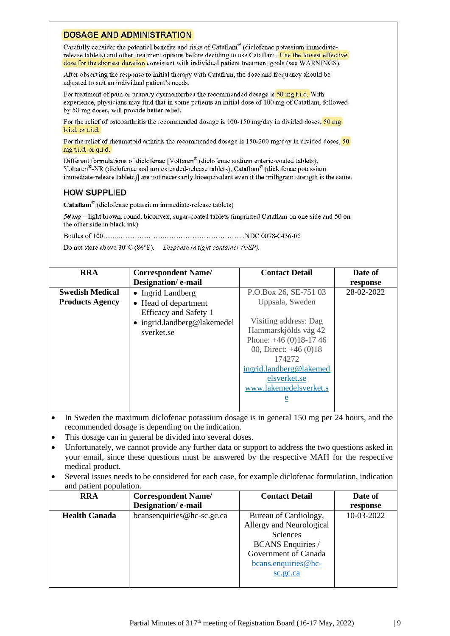#### **DOSAGE AND ADMINISTRATION**

Carefully consider the potential benefits and risks of Cataflam® (diclofenac potassium immediaterelease tablets) and other treatment options before deciding to use Cataflam. Use the lowest effective dose for the shortest duration consistent with individual patient treatment goals (see WARNINGS).

After observing the response to initial therapy with Cataflam, the dose and frequency should be adjusted to suit an individual patient's needs.

For treatment of pain or primary dysmenorrhea the recommended dosage is 50 mg t.i.d. With experience, physicians may find that in some patients an initial dose of 100 mg of Cataflam, followed by 50-mg doses, will provide better relief.

For the relief of osteoarthritis the recommended dosage is 100-150 mg/day in divided doses,  $\frac{50 \text{ mg}}{20 \text{ g}}$ b.i.d. or t.i.d.

For the relief of rheumatoid arthritis the recommended dosage is 150-200 mg/day in divided doses,  $\overline{50}$ mg t.i.d. or q.i.d.

Different formulations of diclofenac [Voltaren® (diclofenac sodium enteric-coated tablets); Voltaren<sup>®</sup>-XR (diclofenac sodium extended-release tablets); Cataflam<sup>®</sup> (diclofenac potassium immediate-release tablets)] are not necessarily bioequivalent even if the milligram strength is the same.

## **HOW SUPPLIED**

Cataflam<sup>®</sup> (diclofenac potassium immediate-release tablets)

50 mg – light brown, round, biconvex, sugar-coated tablets (imprinted Cataflam on one side and 50 on the other side in black ink)

Do not store above 30°C (86°F). Dispense in tight container (USP).

| <b>RRA</b>                                       | <b>Correspondent Name/</b><br>Designation/e-mail                                                                | <b>Contact Detail</b>                                                                                                                                                                                                                           | Date of<br>response |
|--------------------------------------------------|-----------------------------------------------------------------------------------------------------------------|-------------------------------------------------------------------------------------------------------------------------------------------------------------------------------------------------------------------------------------------------|---------------------|
| <b>Swedish Medical</b><br><b>Products Agency</b> | • Ingrid Landberg<br>• Head of department<br>Efficacy and Safety 1<br>• ingrid.landberg@lakemedel<br>sverket.se | P.O.Box 26, SE-751 03<br>Uppsala, Sweden<br>Visiting address: Dag<br>Hammarskjölds väg 42<br>Phone: $+46(0)18-1746$<br>00, Direct: $+46(0)18$<br>174272<br>ingrid.landberg@lakemed<br>elsverket.se<br>www.lakemedelsverket.s<br>$\underline{e}$ | 28-02-2022          |

- In Sweden the maximum diclofenac potassium dosage is in general 150 mg per 24 hours, and the recommended dosage is depending on the indication.
- This dosage can in general be divided into several doses.
- Unfortunately, we cannot provide any further data or support to address the two questions asked in your email, since these questions must be answered by the respective MAH for the respective medical product.
- Several issues needs to be considered for each case, for example diclofenac formulation, indication and patient population.

| <b>RRA</b>           | <b>Correspondent Name/</b> | <b>Contact Detail</b>    | Date of    |
|----------------------|----------------------------|--------------------------|------------|
|                      | Designation/e-mail         |                          | response   |
| <b>Health Canada</b> | bcansenquiries@hc-sc.gc.ca | Bureau of Cardiology,    | 10-03-2022 |
|                      |                            | Allergy and Neurological |            |
|                      |                            | Sciences                 |            |
|                      |                            | <b>BCANS</b> Enquiries / |            |
|                      |                            | Government of Canada     |            |
|                      |                            | $bcans.$ enquiries @hc-  |            |
|                      |                            | sc.gc.ca                 |            |
|                      |                            |                          |            |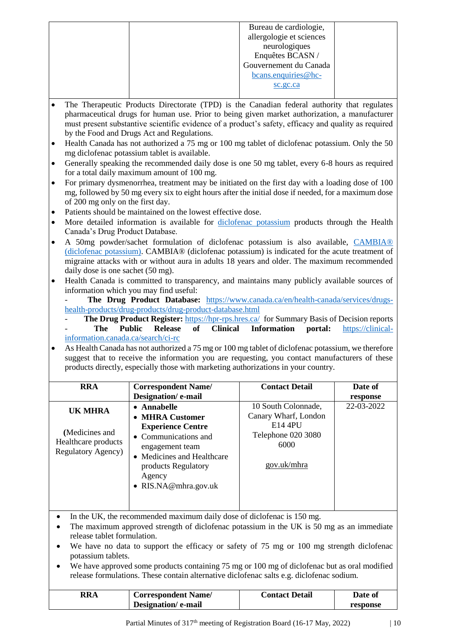|  | Bureau de cardiologie,   |  |
|--|--------------------------|--|
|  | allergologie et sciences |  |
|  | neurologiques            |  |
|  | Enquêtes BCASN/          |  |
|  | Gouvernement du Canada   |  |
|  | bcans.enquiries@hc-      |  |
|  | sc.gc.ca                 |  |
|  |                          |  |

- The Therapeutic Products Directorate (TPD) is the Canadian federal authority that regulates pharmaceutical drugs for human use. Prior to being given market authorization, a manufacturer must present substantive scientific evidence of a product's safety, efficacy and quality as required by the Food and Drugs Act and Regulations.
- Health Canada has not authorized a 75 mg or 100 mg tablet of diclofenac potassium. Only the 50 mg diclofenac potassium tablet is available.
- Generally speaking the recommended daily dose is one 50 mg tablet, every 6-8 hours as required for a total daily maximum amount of 100 mg.
- For primary dysmenorrhea, treatment may be initiated on the first day with a loading dose of 100 mg, followed by 50 mg every six to eight hours after the initial dose if needed, for a maximum dose of 200 mg only on the first day.
- Patients should be maintained on the lowest effective dose.
- More detailed information is available for [diclofenac potassium](https://can01.safelinks.protection.outlook.com/?url=https%3A%2F%2Fhealth-products.canada.ca%2Fdpd-bdpp%2Fdispatch-repartition.do%23results&data=04%7C01%7Cbcansenquiries%40hc-sc.gc.ca%7Cc2e3821dc6c346ffd51308da01e29c7a%7C42fd9015de4d4223a368baeacab48927%7C0%7C0%7C637824370044671720%7CUnknown%7CTWFpbGZsb3d8eyJWIjoiMC4wLjAwMDAiLCJQIjoiV2luMzIiLCJBTiI6Ik1haWwiLCJXVCI6Mn0%3D%7C3000&sdata=6m3eDfB%2B%2FrSzeEBA5oVmsnkh3XluSKd32%2FXdVwgaIgg%3D&reserved=0) products through the Health Canada's Drug Product Database.
- A 50mg powder/sachet formulation of diclofenac potassium is also available, [CAMBIA®](https://can01.safelinks.protection.outlook.com/?url=https%3A%2F%2Fpdf.hres.ca%2Fdpd_pm%2F00063848.PDF&data=04%7C01%7Cbcansenquiries%40hc-sc.gc.ca%7Cc2e3821dc6c346ffd51308da01e29c7a%7C42fd9015de4d4223a368baeacab48927%7C0%7C0%7C637824370044671720%7CUnknown%7CTWFpbGZsb3d8eyJWIjoiMC4wLjAwMDAiLCJQIjoiV2luMzIiLCJBTiI6Ik1haWwiLCJXVCI6Mn0%3D%7C3000&sdata=2si9cDfySQnlJY%2FP0H%2BcI3pzP6296U5uUl%2Biw2REksM%3D&reserved=0)  [\(diclofenac potassium\).](https://can01.safelinks.protection.outlook.com/?url=https%3A%2F%2Fpdf.hres.ca%2Fdpd_pm%2F00063848.PDF&data=04%7C01%7Cbcansenquiries%40hc-sc.gc.ca%7Cc2e3821dc6c346ffd51308da01e29c7a%7C42fd9015de4d4223a368baeacab48927%7C0%7C0%7C637824370044671720%7CUnknown%7CTWFpbGZsb3d8eyJWIjoiMC4wLjAwMDAiLCJQIjoiV2luMzIiLCJBTiI6Ik1haWwiLCJXVCI6Mn0%3D%7C3000&sdata=2si9cDfySQnlJY%2FP0H%2BcI3pzP6296U5uUl%2Biw2REksM%3D&reserved=0) CAMBIA® (diclofenac potassium) is indicated for the acute treatment of migraine attacks with or without aura in adults 18 years and older. The maximum recommended daily dose is one sachet (50 mg).
- Health Canada is committed to transparency, and maintains many publicly available sources of information which you may find useful:
	- **The Drug Product Database:** [https://www.canada.ca/en/health-canada/services/drugs](https://www.canada.ca/en/health-canada/services/drugs-health-products/drug-products/drug-product-database.html)[health-products/drug-products/drug-product-database.html](https://www.canada.ca/en/health-canada/services/drugs-health-products/drug-products/drug-product-database.html)
	- The Drug Product Register: <https://hpr-rps.hres.ca/> for Summary Basis of Decision reports - **The Public Release of Clinical Information portal:** [https://clinical](https://clinical-information.canada.ca/search/ci-rc)[information.canada.ca/search/ci-rc](https://clinical-information.canada.ca/search/ci-rc)
- As Health Canada has not authorized a 75 mg or 100 mg tablet of diclofenac potassium, we therefore suggest that to receive the information you are requesting, you contact manufacturers of these products directly, especially those with marketing authorizations in your country.

| <b>RRA</b>                                                                            | <b>Correspondent Name/</b><br>Designation/e-mail                                                                                                                                               | <b>Contact Detail</b>                                                                               | Date of<br>response |
|---------------------------------------------------------------------------------------|------------------------------------------------------------------------------------------------------------------------------------------------------------------------------------------------|-----------------------------------------------------------------------------------------------------|---------------------|
| <b>UK MHRA</b><br>(Medicines and<br>Healthcare products<br><b>Regulatory Agency</b> ) | • Annabelle<br>• MHRA Customer<br><b>Experience Centre</b><br>• Communications and<br>engagement team<br>• Medicines and Healthcare<br>products Regulatory<br>Agency<br>• $RIS.NA@mhra.gov.uk$ | 10 South Colonnade,<br>Canary Wharf, London<br>E14 4PU<br>Telephone 020 3080<br>6000<br>gov.uk/mhra | 22-03-2022          |

• In the UK, the recommended maximum daily dose of diclofenac is 150 mg.

- The maximum approved strength of diclofenac potassium in the UK is 50 mg as an immediate release tablet formulation.
- We have no data to support the efficacy or safety of 75 mg or 100 mg strength diclofenac potassium tablets.
- We have approved some products containing 75 mg or 100 mg of diclofenac but as oral modified release formulations. These contain alternative diclofenac salts e.g. diclofenac sodium.

| RRA | <b>Correspondent Name/</b> | <b>Contact Detail</b> | Date of  |
|-----|----------------------------|-----------------------|----------|
|     | Designation/e-mail         |                       | response |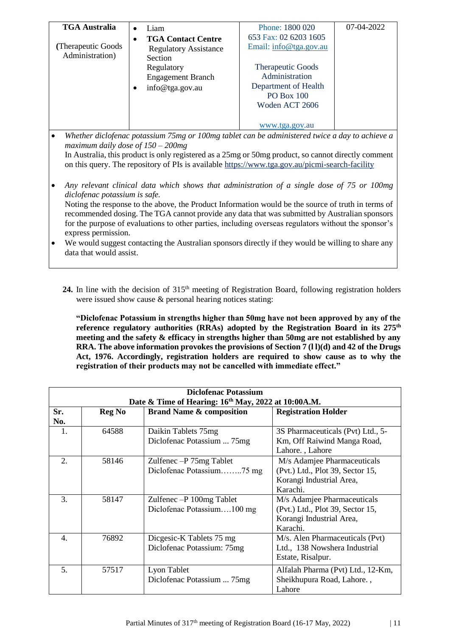| <b>TGA Australia</b>                                                                                                                                | Liam<br>$\bullet$            | Phone: 1800 020                                                                                     | 07-04-2022 |
|-----------------------------------------------------------------------------------------------------------------------------------------------------|------------------------------|-----------------------------------------------------------------------------------------------------|------------|
|                                                                                                                                                     | <b>TGA Contact Centre</b>    | 653 Fax: 02 6203 1605                                                                               |            |
| (Therapeutic Goods)                                                                                                                                 | <b>Regulatory Assistance</b> | Email: info@tga.gov.au                                                                              |            |
| Administration)                                                                                                                                     | Section                      |                                                                                                     |            |
|                                                                                                                                                     | Regulatory                   | <b>Therapeutic Goods</b>                                                                            |            |
|                                                                                                                                                     | <b>Engagement Branch</b>     | Administration                                                                                      |            |
|                                                                                                                                                     | info@tga.gov.au              | Department of Health                                                                                |            |
|                                                                                                                                                     |                              | <b>PO Box 100</b>                                                                                   |            |
|                                                                                                                                                     |                              | Woden ACT 2606                                                                                      |            |
|                                                                                                                                                     |                              |                                                                                                     |            |
|                                                                                                                                                     |                              | www.tga.gov.au                                                                                      |            |
| Whether diclofenac potassium 75mg or 100mg tablet can be administered twice a day to achieve a<br>$\bullet$<br>maximum daily dose of $150 - 200$ mg |                              |                                                                                                     |            |
|                                                                                                                                                     |                              | In Australia, this product is only registered as a 25mg or 50mg product, so cannot directly comment |            |
| on this query. The repository of PIs is available https://www.tga.gov.au/picmi-search-facility                                                      |                              |                                                                                                     |            |
|                                                                                                                                                     |                              |                                                                                                     |            |
| Any relevant clinical data which shows that administration of a single dose of 75 or 100mg<br>$\bullet$                                             |                              |                                                                                                     |            |
| diclofenac potassium is safe.                                                                                                                       |                              |                                                                                                     |            |
|                                                                                                                                                     |                              | Noting the response to the above, the Product Information would be the source of truth in terms of  |            |
| recommended dosing The TGA cannot provide any data that was submitted by Australian sponsors                                                        |                              |                                                                                                     |            |

ig. The TGA cannot provide any data that was submitted by Australian sponsors for the purpose of evaluations to other parties, including overseas regulators without the sponsor's express permission.

• We would suggest contacting the Australian sponsors directly if they would be willing to share any data that would assist.

24. In line with the decision of 315<sup>th</sup> meeting of Registration Board, following registration holders were issued show cause & personal hearing notices stating:

**"Diclofenac Potassium in strengths higher than 50mg have not been approved by any of the reference regulatory authorities (RRAs) adopted by the Registration Board in its 275th meeting and the safety & efficacy in strengths higher than 50mg are not established by any RRA. The above information provokes the provisions of Section 7 (l l)(d) and 42 of the Drugs Act, 1976. Accordingly, registration holders are required to show cause as to why the registration of their products may not be cancelled with immediate effect."**

| Diclofenac Potassium<br>Date & Time of Hearing: 16 <sup>th</sup> May, 2022 at 10:00A.M. |               |                                                           |                                                                                                         |
|-----------------------------------------------------------------------------------------|---------------|-----------------------------------------------------------|---------------------------------------------------------------------------------------------------------|
| Sr.<br>No.                                                                              | <b>Reg No</b> | <b>Brand Name &amp; composition</b>                       | <b>Registration Holder</b>                                                                              |
| 1.                                                                                      | 64588         | Daikin Tablets 75mg<br>Diclofenac Potassium  75mg         | 3S Pharmaceuticals (Pvt) Ltd., 5-<br>Km, Off Raiwind Manga Road,<br>Lahore., Lahore                     |
| 2.                                                                                      | 58146         | Zulfenec $-P$ 75 $mg$ Tablet<br>Diclofenac Potassium75 mg | M/s Adamjee Pharmaceuticals<br>(Pvt.) Ltd., Plot 39, Sector 15,<br>Korangi Industrial Area,<br>Karachi. |
| 3.                                                                                      | 58147         | Zulfenec - P 100mg Tablet<br>Diclofenac Potassium100 mg   | M/s Adamjee Pharmaceuticals<br>(Pvt.) Ltd., Plot 39, Sector 15,<br>Korangi Industrial Area,<br>Karachi. |
| 4.                                                                                      | 76892         | Dicgesic-K Tablets 75 mg<br>Diclofenac Potassium: 75mg    | M/s. Alen Pharmaceuticals (Pvt)<br>Ltd., 138 Nowshera Industrial<br>Estate, Risalpur.                   |
| 5.                                                                                      | 57517         | Lyon Tablet<br>Diclofenac Potassium  75mg                 | Alfalah Pharma (Pvt) Ltd., 12-Km,<br>Sheikhupura Road, Lahore.,<br>Lahore                               |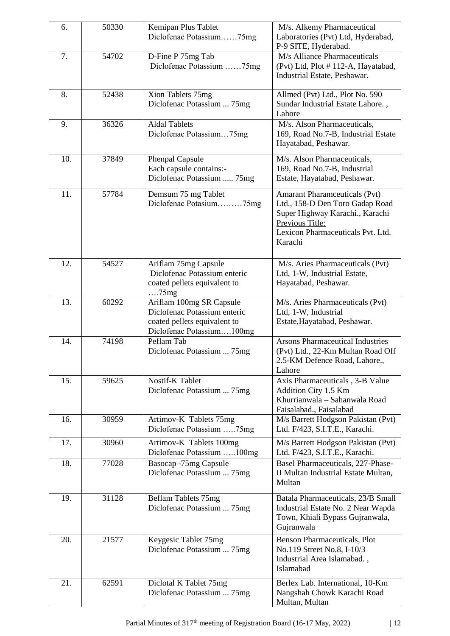| 6.  | 50330 | Kemipan Plus Tablet                     | M/s. Alkemy Pharmaceutical                                    |
|-----|-------|-----------------------------------------|---------------------------------------------------------------|
|     |       | Diclofenac Potassium75mg                | Laboratories (Pvt) Ltd, Hyderabad,                            |
|     |       |                                         | P-9 SITE, Hyderabad.                                          |
| 7.  | 54702 | D-Fine P 75mg Tab                       | M/s Alliance Pharmaceuticals                                  |
|     |       | Diclofenac Potassium 75mg               | (Pvt) Ltd, Plot #112-A, Hayatabad,                            |
|     |       |                                         | Industrial Estate, Peshawar.                                  |
| 8.  | 52438 | Xion Tablets 75mg                       | Allmed (Pvt) Ltd., Plot No. 590                               |
|     |       | Diclofenac Potassium  75mg              | Sundar Industrial Estate Lahore.,                             |
|     |       |                                         | Lahore                                                        |
| 9.  | 36326 | <b>Aldal Tablets</b>                    | M/s. Alson Pharmaceuticals,                                   |
|     |       | Diclofenac Potassium75mg                | 169, Road No.7-B, Industrial Estate                           |
|     |       |                                         | Hayatabad, Peshawar.                                          |
| 10. | 37849 | <b>Phenpal Capsule</b>                  | M/s. Alson Pharmaceuticals,                                   |
|     |       | Each capsule contains:-                 | 169, Road No.7-B, Industrial                                  |
|     |       | Diclofenac Potassium  75mg              | Estate, Hayatabad, Peshawar.                                  |
| 11. | 57784 | Demsum 75 mg Tablet                     | <b>Amarant Pharamceuticals (Pvt)</b>                          |
|     |       | Diclofenac Potasium75mg                 | Ltd., 158-D Den Toro Gadap Road                               |
|     |       |                                         | Super Highway Karachi., Karachi                               |
|     |       |                                         | Previous Title:                                               |
|     |       |                                         | Lexicon Pharmaceuticals Pvt. Ltd.                             |
|     |       |                                         | Karachi                                                       |
| 12. | 54527 | Ariflam 75mg Capsule                    | M/s. Aries Pharmaceuticals (Pvt)                              |
|     |       | Diclofenac Potassium enteric            | Ltd, 1-W, Industrial Estate,                                  |
|     |       | coated pellets equivalent to            | Hayatabad, Peshawar.                                          |
|     |       | $\dots$ 75 $mg$                         |                                                               |
| 13. | 60292 | Ariflam 100mg SR Capsule                | M/s. Aries Pharmaceuticals (Pvt)                              |
|     |       | Diclofenac Potassium enteric            | Ltd, 1-W, Industrial                                          |
|     |       | coated pellets equivalent to            | Estate, Hayatabad, Peshawar.                                  |
| 14. | 74198 | Diclofenac Potassium100mg<br>Peflam Tab | <b>Arsons Pharmaceutical Industries</b>                       |
|     |       | Diclofenac Potassium  75mg              | (Pvt) Ltd., 22-Km Multan Road Off                             |
|     |       |                                         | 2.5-KM Defence Road, Lahore.,                                 |
|     |       |                                         | Lahore                                                        |
| 15. | 59625 | <b>Nostif-K Tablet</b>                  | Axis Pharmaceuticals, 3-B Value                               |
|     |       | Diclofenac Potassium  75mg              | Addition City 1.5 Km                                          |
|     |       |                                         | Khurrianwala - Sahanwala Road                                 |
| 16. | 30959 | Artimov-K Tablets 75mg                  | Faisalabad., Faisalabad<br>M/s Barrett Hodgson Pakistan (Pvt) |
|     |       | Diclofenac Potassium 75mg               | Ltd. F/423, S.I.T.E., Karachi.                                |
| 17. | 30960 | Artimov-K Tablets 100mg                 | M/s Barrett Hodgson Pakistan (Pvt)                            |
|     |       | Diclofenac Potassium 100mg              | Ltd. F/423, S.I.T.E., Karachi.                                |
| 18. | 77028 | Basocap -75mg Capsule                   | Basel Pharmaceuticals, 227-Phase-                             |
|     |       | Diclofenac Potassium  75mg              | II Multan Industrial Estate Multan,                           |
|     |       |                                         | Multan                                                        |
| 19. | 31128 | Beflam Tablets 75mg                     | Batala Pharmaceuticals, 23/B Small                            |
|     |       | Diclofenac Potassium  75mg              | Industrial Estate No. 2 Near Wapda                            |
|     |       |                                         | Town, Khiali Bypass Gujranwala,                               |
|     |       |                                         | Gujranwala                                                    |
| 20. | 21577 | Keygesic Tablet 75mg                    | <b>Benson Pharmaceuticals, Plot</b>                           |
|     |       | Diclofenac Potassium  75mg              | No.119 Street No.8, I-10/3                                    |
|     |       |                                         | Industrial Area Islamabad.,<br>Islamabad                      |
|     |       |                                         |                                                               |
| 21. | 62591 | Diclotal K Tablet 75mg                  | Berlex Lab. International, 10-Km                              |
|     |       | Diclofenac Potassium  75mg              | Nangshah Chowk Karachi Road<br>Multan, Multan                 |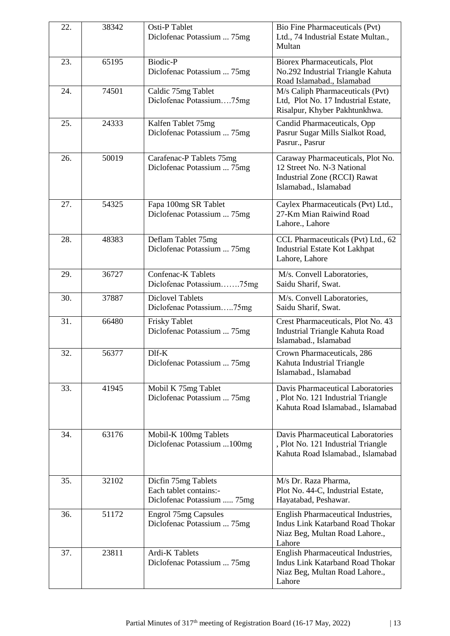| 22. | 38342 | Osti-P Tablet                                    | Bio Fine Pharmaceuticals (Pvt)                                       |
|-----|-------|--------------------------------------------------|----------------------------------------------------------------------|
|     |       | Diclofenac Potassium  75mg                       | Ltd., 74 Industrial Estate Multan.,                                  |
|     |       |                                                  | Multan                                                               |
| 23. | 65195 | <b>Biodic-P</b>                                  | <b>Biorex Pharmaceuticals, Plot</b>                                  |
|     |       | Diclofenac Potassium  75mg                       | No.292 Industrial Triangle Kahuta                                    |
|     |       |                                                  | Road Islamabad., Islamabad                                           |
| 24. | 74501 | Caldic 75mg Tablet                               | M/s Caliph Pharmaceuticals (Pvt)                                     |
|     |       | Diclofenac Potassium75mg                         | Ltd, Plot No. 17 Industrial Estate,<br>Risalpur, Khyber Pakhtunkhwa. |
|     |       |                                                  |                                                                      |
| 25. | 24333 | Kalfen Tablet 75mg<br>Diclofenac Potassium  75mg | Candid Pharmaceuticals, Opp                                          |
|     |       |                                                  | Pasrur Sugar Mills Sialkot Road,<br>Pasrur., Pasrur                  |
|     |       |                                                  |                                                                      |
| 26. | 50019 | Carafenac-P Tablets 75mg                         | Caraway Pharmaceuticals, Plot No.                                    |
|     |       | Diclofenac Potassium  75mg                       | 12 Street No. N-3 National<br><b>Industrial Zone (RCCI) Rawat</b>    |
|     |       |                                                  | Islamabad., Islamabad                                                |
|     |       |                                                  |                                                                      |
| 27. | 54325 | Fapa 100mg SR Tablet                             | Caylex Pharmaceuticals (Pvt) Ltd.,                                   |
|     |       | Diclofenac Potassium  75mg                       | 27-Km Mian Raiwind Road                                              |
|     |       |                                                  | Lahore., Lahore                                                      |
| 28. | 48383 | Deflam Tablet 75mg                               | CCL Pharmaceuticals (Pvt) Ltd., 62                                   |
|     |       | Diclofenac Potassium  75mg                       | <b>Industrial Estate Kot Lakhpat</b>                                 |
|     |       |                                                  | Lahore, Lahore                                                       |
| 29. | 36727 | <b>Confenac-K Tablets</b>                        | M/s. Convell Laboratories,                                           |
|     |       | Diclofenac Potassium75mg                         | Saidu Sharif, Swat.                                                  |
| 30. | 37887 | <b>Diclovel Tablets</b>                          | M/s. Convell Laboratories,                                           |
|     |       | Diclofenac Potassium75mg                         | Saidu Sharif, Swat.                                                  |
| 31. | 66480 | <b>Frisky Tablet</b>                             | Crest Pharmaceuticals, Plot No. 43                                   |
|     |       | Diclofenac Potassium  75mg                       | Industrial Triangle Kahuta Road                                      |
|     |       |                                                  | Islamabad., Islamabad                                                |
| 32. | 56377 | $D$ If- $K$                                      | Crown Pharmaceuticals, 286                                           |
|     |       | Diclofenac Potassium  75mg                       | Kahuta Industrial Triangle                                           |
|     |       |                                                  | Islamabad., Islamabad                                                |
| 33. | 41945 | Mobil K 75mg Tablet                              | Davis Pharmaceutical Laboratories                                    |
|     |       | Diclofenac Potassium  75mg                       | , Plot No. 121 Industrial Triangle                                   |
|     |       |                                                  | Kahuta Road Islamabad., Islamabad                                    |
|     |       |                                                  |                                                                      |
| 34. | 63176 | Mobil-K 100mg Tablets                            | Davis Pharmaceutical Laboratories                                    |
|     |       | Diclofenac Potassium  100mg                      | , Plot No. 121 Industrial Triangle                                   |
|     |       |                                                  | Kahuta Road Islamabad., Islamabad                                    |
|     |       |                                                  |                                                                      |
| 35. | 32102 | Dicfin 75mg Tablets                              | M/s Dr. Raza Pharma,                                                 |
|     |       | Each tablet contains:-                           | Plot No. 44-C, Industrial Estate,                                    |
|     |       | Diclofenac Potassium  75mg                       | Hayatabad, Peshawar.                                                 |
| 36. | 51172 | <b>Engrol 75mg Capsules</b>                      | English Pharmaceutical Industries,                                   |
|     |       | Diclofenac Potassium  75mg                       | <b>Indus Link Katarband Road Thokar</b>                              |
|     |       |                                                  | Niaz Beg, Multan Road Lahore.,                                       |
|     |       |                                                  | Lahore                                                               |
| 37. | 23811 | Ardi-K Tablets                                   | English Pharmaceutical Industries,                                   |
|     |       | Diclofenac Potassium  75mg                       | Indus Link Katarband Road Thokar<br>Niaz Beg, Multan Road Lahore.,   |
|     |       |                                                  | Lahore                                                               |
|     |       |                                                  |                                                                      |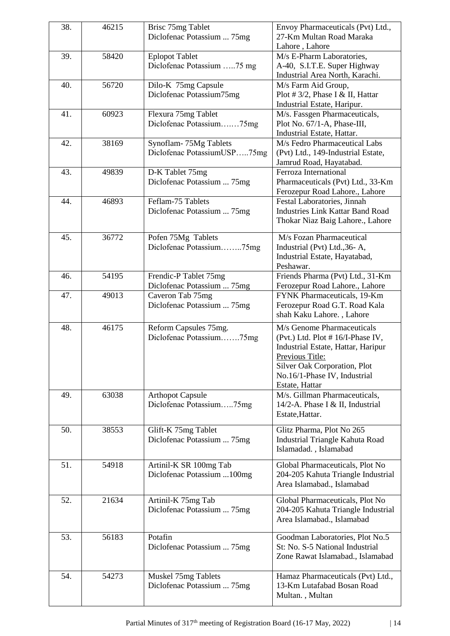| 38. | 46215 | Brisc 75mg Tablet                                   | Envoy Pharmaceuticals (Pvt) Ltd.,                              |
|-----|-------|-----------------------------------------------------|----------------------------------------------------------------|
|     |       | Diclofenac Potassium  75mg                          | 27-Km Multan Road Maraka                                       |
|     |       |                                                     | Lahore, Lahore                                                 |
| 39. | 58420 | <b>Eplopot Tablet</b>                               | M/s E-Pharm Laboratories,                                      |
|     |       | Diclofenac Potassium 75 mg                          | A-40, S.I.T.E. Super Highway                                   |
|     |       |                                                     | Industrial Area North, Karachi.                                |
| 40. | 56720 | Dilo-K 75mg Capsule                                 | M/s Farm Aid Group,                                            |
|     |       | Diclofenac Potassium75mg                            | Plot #3/2, Phase I & II, Hattar<br>Industrial Estate, Haripur. |
| 41. | 60923 | Flexura 75mg Tablet                                 | M/s. Fassgen Pharmaceuticals,                                  |
|     |       | Diclofenac Potassium75mg                            | Plot No. 67/1-A, Phase-III,                                    |
|     |       |                                                     | Industrial Estate, Hattar.                                     |
| 42. | 38169 | Synoflam-75Mg Tablets                               | M/s Fedro Pharmaceutical Labs                                  |
|     |       | Diclofenac PotassiumUSP75mg                         | (Pvt) Ltd., 149-Industrial Estate,                             |
|     |       |                                                     | Jamrud Road, Hayatabad.                                        |
| 43. | 49839 | D-K Tablet 75mg                                     | Ferroza International                                          |
|     |       | Diclofenac Potassium  75mg                          | Pharmaceuticals (Pvt) Ltd., 33-Km                              |
|     |       |                                                     | Ferozepur Road Lahore., Lahore                                 |
| 44. | 46893 | Feflam-75 Tablets                                   | Festal Laboratories, Jinnah                                    |
|     |       | Diclofenac Potassium  75mg                          | <b>Industries Link Kattar Band Road</b>                        |
|     |       |                                                     | Thokar Niaz Baig Lahore., Lahore                               |
| 45. | 36772 | Pofen 75Mg Tablets                                  | M/s Fozan Pharmaceutical                                       |
|     |       | Diclofenac Potassium75mg                            | Industrial (Pvt) Ltd., 36- A,                                  |
|     |       |                                                     | Industrial Estate, Hayatabad,                                  |
|     |       |                                                     | Peshawar.                                                      |
| 46. | 54195 | Frendic-P Tablet 75mg                               | Friends Pharma (Pvt) Ltd., 31-Km                               |
|     |       | Diclofenac Potassium  75mg                          | Ferozepur Road Lahore., Lahore                                 |
| 47. | 49013 | Caveron Tab 75mg                                    | FYNK Pharmaceuticals, 19-Km                                    |
|     |       | Diclofenac Potassium  75mg                          | Ferozepur Road G.T. Road Kala                                  |
|     |       |                                                     | shah Kaku Lahore., Lahore                                      |
| 48. | 46175 | Reform Capsules 75mg.                               | M/s Genome Pharmaceuticals                                     |
|     |       | Diclofenac Potassium75mg                            | (Pvt.) Ltd. Plot #16/I-Phase IV,                               |
|     |       |                                                     | Industrial Estate, Hattar, Haripur                             |
|     |       |                                                     | Previous Title:                                                |
|     |       |                                                     | Silver Oak Corporation, Plot                                   |
|     |       |                                                     | No.16/1-Phase IV, Industrial                                   |
| 49. | 63038 |                                                     | Estate, Hattar<br>M/s. Gillman Pharmaceuticals,                |
|     |       | <b>Arthopot Capsule</b><br>Diclofenac Potassium75mg | 14/2-A. Phase I & II, Industrial                               |
|     |       |                                                     | Estate, Hattar.                                                |
|     |       |                                                     |                                                                |
| 50. | 38553 | Glift-K 75mg Tablet                                 | Glitz Pharma, Plot No 265                                      |
|     |       | Diclofenac Potassium  75mg                          | <b>Industrial Triangle Kahuta Road</b>                         |
|     |       |                                                     | Islamadad., Islamabad                                          |
| 51. | 54918 | Artinil-K SR 100mg Tab                              | Global Pharmaceuticals, Plot No                                |
|     |       | Diclofenac Potassium  100mg                         | 204-205 Kahuta Triangle Industrial                             |
|     |       |                                                     | Area Islamabad., Islamabad                                     |
|     |       |                                                     |                                                                |
| 52. | 21634 | Artinil-K 75mg Tab                                  | Global Pharmaceuticals, Plot No                                |
|     |       | Diclofenac Potassium  75mg                          | 204-205 Kahuta Triangle Industrial                             |
|     |       |                                                     | Area Islamabad., Islamabad                                     |
| 53. | 56183 | Potafin                                             | Goodman Laboratories, Plot No.5                                |
|     |       | Diclofenac Potassium  75mg                          | St: No. S-5 National Industrial                                |
|     |       |                                                     | Zone Rawat Islamabad., Islamabad                               |
|     |       |                                                     |                                                                |
| 54. | 54273 | Muskel 75mg Tablets                                 | Hamaz Pharmaceuticals (Pvt) Ltd.,                              |
|     |       | Diclofenac Potassium  75mg                          | 13-Km Lutafabad Bosan Road                                     |
|     |       |                                                     | Multan., Multan                                                |
|     |       |                                                     |                                                                |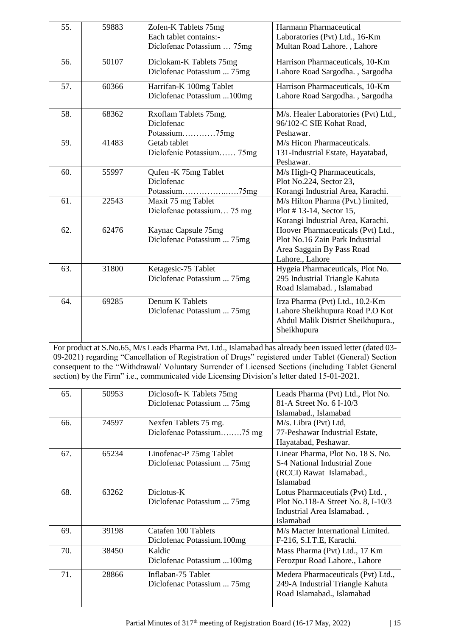| 55. | 59883 | Zofen-K Tablets 75mg<br>Each tablet contains:-                                                                                                                                                                                                                                                                                                                                                                      | Harmann Pharmaceutical<br>Laboratories (Pvt) Ltd., 16-Km                                                                |
|-----|-------|---------------------------------------------------------------------------------------------------------------------------------------------------------------------------------------------------------------------------------------------------------------------------------------------------------------------------------------------------------------------------------------------------------------------|-------------------------------------------------------------------------------------------------------------------------|
|     |       | Diclofenac Potassium  75mg                                                                                                                                                                                                                                                                                                                                                                                          | Multan Road Lahore., Lahore                                                                                             |
| 56. | 50107 | Diclokam-K Tablets 75mg<br>Diclofenac Potassium  75mg                                                                                                                                                                                                                                                                                                                                                               | Harrison Pharmaceuticals, 10-Km<br>Lahore Road Sargodha., Sargodha                                                      |
| 57. | 60366 | Harrifan-K 100mg Tablet<br>Diclofenac Potassium  100mg                                                                                                                                                                                                                                                                                                                                                              | Harrison Pharmaceuticals, 10-Km<br>Lahore Road Sargodha., Sargodha                                                      |
| 58. | 68362 | Rxoflam Tablets 75mg.<br>Diclofenac<br>Potassium75mg                                                                                                                                                                                                                                                                                                                                                                | M/s. Healer Laboratories (Pvt) Ltd.,<br>96/102-C SIE Kohat Road,<br>Peshawar.                                           |
| 59. | 41483 | Getab tablet<br>Diclofenic Potassium 75mg                                                                                                                                                                                                                                                                                                                                                                           | M/s Hicon Pharmaceuticals.<br>131-Industrial Estate, Hayatabad,<br>Peshawar.                                            |
| 60. | 55997 | Qufen - K 75mg Tablet<br>Diclofenac<br>Potassium75mg                                                                                                                                                                                                                                                                                                                                                                | M/s High-Q Pharmaceuticals,<br>Plot No.224, Sector 23,<br>Korangi Industrial Area, Karachi.                             |
| 61. | 22543 | Maxit 75 mg Tablet<br>Diclofenac potassium 75 mg                                                                                                                                                                                                                                                                                                                                                                    | M/s Hilton Pharma (Pvt.) limited,<br>Plot #13-14, Sector 15,<br>Korangi Industrial Area, Karachi.                       |
| 62. | 62476 | Kaynac Capsule 75mg<br>Diclofenac Potassium  75mg                                                                                                                                                                                                                                                                                                                                                                   | Hoover Pharmaceuticals (Pvt) Ltd.,<br>Plot No.16 Zain Park Industrial<br>Area Saggain By Pass Road<br>Lahore., Lahore   |
| 63. | 31800 | Ketagesic-75 Tablet<br>Diclofenac Potassium  75mg                                                                                                                                                                                                                                                                                                                                                                   | Hygeia Pharmaceuticals, Plot No.<br>295 Industrial Triangle Kahuta<br>Road Islamabad., Islamabad                        |
| 64. | 69285 | Denum K Tablets<br>Diclofenac Potassium  75mg                                                                                                                                                                                                                                                                                                                                                                       | Irza Pharma (Pvt) Ltd., 10.2-Km<br>Lahore Sheikhupura Road P.O Kot<br>Abdul Malik District Sheikhupura.,<br>Sheikhupura |
|     |       | For product at S.No.65, M/s Leads Pharma Pvt. Ltd., Islamabad has already been issued letter (dated 03-<br>09-2021) regarding "Cancellation of Registration of Drugs" registered under Tablet (General) Section<br>consequent to the "Withdrawal/ Voluntary Surrender of Licensed Sections (including Tablet General<br>section) by the Firm" i.e., communicated vide Licensing Division's letter dated 15-01-2021. |                                                                                                                         |
| 65. | 50953 | Diclosoft- K Tablets 75mg<br>Diclofenac Potassium  75mg                                                                                                                                                                                                                                                                                                                                                             | Leads Pharma (Pvt) Ltd., Plot No.<br>81-A Street No. 6 I-10/3<br>Islamabad., Islamabad                                  |
| 66. | 74597 | Nexfen Tablets 75 mg.<br>Diclofenac Potassium75 mg                                                                                                                                                                                                                                                                                                                                                                  | M/s. Libra (Pvt) Ltd,<br>77-Peshawar Industrial Estate,<br>Hayatabad, Peshawar.                                         |
| 67. | 65234 | Linofenac-P 75mg Tablet<br>Diclofenac Potassium  75mg                                                                                                                                                                                                                                                                                                                                                               | Linear Pharma, Plot No. 18 S. No.<br>S-4 National Industrial Zone<br>(RCCI) Rawat Islamabad.,<br>Islamabad              |
| 68. | 63262 | Diclotus-K<br>Diclofenac Potassium  75mg                                                                                                                                                                                                                                                                                                                                                                            | Lotus Pharmaceutials (Pvt) Ltd.,<br>Plot No.118-A Street No. 8, I-10/3<br>Industrial Area Islamabad.,<br>Islamabad      |
| 69. | 39198 | Catafen 100 Tablets<br>Diclofenac Potassium.100mg                                                                                                                                                                                                                                                                                                                                                                   | M/s Macter International Limited.<br>F-216, S.I.T.E, Karachi.                                                           |
| 70. | 38450 | Kaldic<br>Diclofenac Potassium 100mg                                                                                                                                                                                                                                                                                                                                                                                | Mass Pharma (Pvt) Ltd., 17 Km<br>Ferozpur Road Lahore., Lahore                                                          |
| 71. | 28866 | Inflaban-75 Tablet<br>Diclofenac Potassium  75mg                                                                                                                                                                                                                                                                                                                                                                    | Medera Pharmaceuticals (Pvt) Ltd.,<br>249-A Industrial Triangle Kahuta<br>Road Islamabad., Islamabad                    |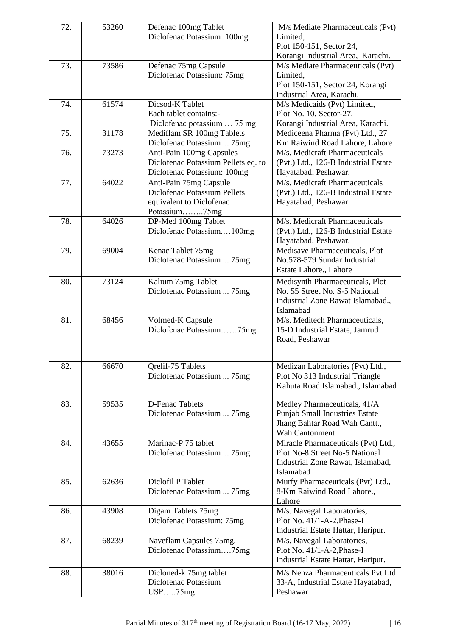| 72. | 53260 | Defenac 100mg Tablet                | M/s Mediate Pharmaceuticals (Pvt)     |
|-----|-------|-------------------------------------|---------------------------------------|
|     |       | Diclofenac Potassium : 100mg        | Limited,                              |
|     |       |                                     | Plot 150-151, Sector 24,              |
|     |       |                                     | Korangi Industrial Area, Karachi.     |
| 73. | 73586 | Defenac 75mg Capsule                | M/s Mediate Pharmaceuticals (Pvt)     |
|     |       | Diclofenac Potassium: 75mg          | Limited,                              |
|     |       |                                     | Plot 150-151, Sector 24, Korangi      |
|     |       |                                     | Industrial Area, Karachi.             |
| 74. | 61574 | Dicsod-K Tablet                     | M/s Medicaids (Pvt) Limited,          |
|     |       | Each tablet contains:-              | Plot No. 10, Sector-27,               |
|     |       | Diclofenac potassium  75 mg         | Korangi Industrial Area, Karachi.     |
| 75. | 31178 | Mediflam SR 100mg Tablets           | Mediceena Pharma (Pvt) Ltd., 27       |
|     |       | Diclofenac Potassium  75mg          | Km Raiwind Road Lahore, Lahore        |
| 76. | 73273 | Anti-Pain 100mg Capsules            | M/s. Medicraft Pharmaceuticals        |
|     |       | Diclofenac Potassium Pellets eq. to | (Pvt.) Ltd., 126-B Industrial Estate  |
|     |       |                                     |                                       |
|     |       | Diclofenac Potassium: 100mg         | Hayatabad, Peshawar.                  |
| 77. | 64022 | Anti-Pain 75mg Capsule              | M/s. Medicraft Pharmaceuticals        |
|     |       | Diclofenac Potassium Pellets        | (Pvt.) Ltd., 126-B Industrial Estate  |
|     |       | equivalent to Diclofenac            | Hayatabad, Peshawar.                  |
|     |       | Potassium75mg                       |                                       |
| 78. | 64026 | DP-Med 100mg Tablet                 | M/s. Medicraft Pharmaceuticals        |
|     |       | Diclofenac Potassium100mg           | (Pvt.) Ltd., 126-B Industrial Estate  |
|     |       |                                     | Hayatabad, Peshawar.                  |
| 79. | 69004 | Kenac Tablet 75mg                   | Medisave Pharmaceuticals, Plot        |
|     |       | Diclofenac Potassium  75mg          | No.578-579 Sundar Industrial          |
|     |       |                                     | Estate Lahore., Lahore                |
| 80. | 73124 | Kalium 75mg Tablet                  | Medisynth Pharmaceuticals, Plot       |
|     |       | Diclofenac Potassium  75mg          | No. 55 Street No. S-5 National        |
|     |       |                                     | Industrial Zone Rawat Islamabad.,     |
|     |       |                                     | Islamabad                             |
| 81. | 68456 | Volmed-K Capsule                    | M/s. Meditech Pharmaceuticals,        |
|     |       | Diclofenac Potassium75mg            | 15-D Industrial Estate, Jamrud        |
|     |       |                                     | Road, Peshawar                        |
|     |       |                                     |                                       |
|     |       |                                     |                                       |
| 82. | 66670 | Qrelif-75 Tablets                   | Medizan Laboratories (Pvt) Ltd.,      |
|     |       | Diclofenac Potassium  75mg          | Plot No 313 Industrial Triangle       |
|     |       |                                     | Kahuta Road Islamabad., Islamabad     |
|     |       |                                     |                                       |
| 83. | 59535 | <b>D-Fenac Tablets</b>              | Medley Pharmaceuticals, 41/A          |
|     |       | Diclofenac Potassium  75mg          | <b>Punjab Small Industries Estate</b> |
|     |       |                                     | Jhang Bahtar Road Wah Cantt.,         |
|     |       |                                     | Wah Cantonment                        |
| 84. | 43655 | Marinac-P 75 tablet                 | Miracle Pharmaceuticals (Pvt) Ltd.,   |
|     |       | Diclofenac Potassium  75mg          | Plot No-8 Street No-5 National        |
|     |       |                                     | Industrial Zone Rawat, Islamabad,     |
|     |       |                                     | Islamabad                             |
| 85. | 62636 | Diclofil P Tablet                   | Murfy Pharmaceuticals (Pvt) Ltd.,     |
|     |       | Diclofenac Potassium  75mg          | 8-Km Raiwind Road Lahore.,            |
|     |       |                                     | Lahore                                |
| 86. | 43908 | Digam Tablets 75mg                  | M/s. Navegal Laboratories,            |
|     |       | Diclofenac Potassium: 75mg          | Plot No. 41/1-A-2, Phase-I            |
|     |       |                                     | Industrial Estate Hattar, Haripur.    |
|     |       |                                     |                                       |
| 87. | 68239 | Naveflam Capsules 75mg.             | M/s. Navegal Laboratories,            |
|     |       | Diclofenac Potassium75mg            | Plot No. 41/1-A-2, Phase-I            |
|     |       |                                     | Industrial Estate Hattar, Haripur.    |
| 88. | 38016 | Dicloned-k 75mg tablet              | M/s Nenza Pharmaceuticals Pvt Ltd     |
|     |       | Diclofenac Potassium                | 33-A, Industrial Estate Hayatabad,    |
|     |       | USP75mg                             | Peshawar                              |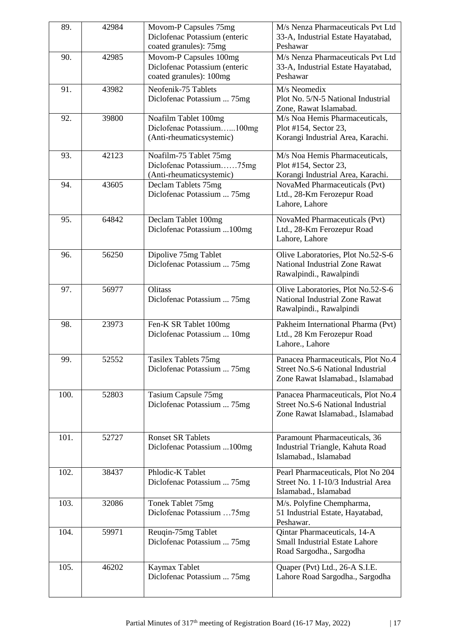| 89.  | 42984 | Movom-P Capsules 75mg<br>Diclofenac Potassium (enteric   | M/s Nenza Pharmaceuticals Pvt Ltd<br>33-A, Industrial Estate Hayatabad, |
|------|-------|----------------------------------------------------------|-------------------------------------------------------------------------|
|      |       | coated granules): 75mg                                   | Peshawar                                                                |
| 90.  | 42985 | Movom-P Capsules 100mg                                   | M/s Nenza Pharmaceuticals Pvt Ltd                                       |
|      |       | Diclofenac Potassium (enteric<br>coated granules): 100mg | 33-A, Industrial Estate Hayatabad,<br>Peshawar                          |
| 91.  | 43982 | Neofenik-75 Tablets                                      | M/s Neomedix                                                            |
|      |       | Diclofenac Potassium  75mg                               | Plot No. 5/N-5 National Industrial<br>Zone, Rawat Islamabad.            |
| 92.  | 39800 | Noafilm Tablet 100mg                                     | M/s Noa Hemis Pharmaceuticals,                                          |
|      |       | Diclofenac Potassium100mg<br>(Anti-rheumaticsystemic)    | Plot #154, Sector 23,<br>Korangi Industrial Area, Karachi.              |
| 93.  | 42123 | Noafilm-75 Tablet 75mg                                   | M/s Noa Hemis Pharmaceuticals,                                          |
|      |       | Diclofenac Potassium75mg<br>(Anti-rheumaticsystemic)     | Plot #154, Sector 23,<br>Korangi Industrial Area, Karachi.              |
| 94.  | 43605 | Declam Tablets 75mg                                      | NovaMed Pharmaceuticals (Pvt)                                           |
|      |       | Diclofenac Potassium  75mg                               | Ltd., 28-Km Ferozepur Road<br>Lahore, Lahore                            |
| 95.  | 64842 | Declam Tablet 100mg                                      | NovaMed Pharmaceuticals (Pvt)                                           |
|      |       | Diclofenac Potassium  100mg                              | Ltd., 28-Km Ferozepur Road<br>Lahore, Lahore                            |
| 96.  | 56250 | Dipolive 75mg Tablet                                     | Olive Laboratories, Plot No.52-S-6                                      |
|      |       | Diclofenac Potassium  75mg                               | National Industrial Zone Rawat<br>Rawalpindi., Rawalpindi               |
| 97.  | 56977 | Olitass                                                  | Olive Laboratories, Plot No.52-S-6                                      |
|      |       | Diclofenac Potassium  75mg                               | National Industrial Zone Rawat<br>Rawalpindi., Rawalpindi               |
| 98.  | 23973 | Fen-K SR Tablet 100mg                                    | Pakheim International Pharma (Pvt)                                      |
|      |       | Diclofenac Potassium  10mg                               | Ltd., 28 Km Ferozepur Road<br>Lahore., Lahore                           |
| 99.  | 52552 | Tasilex Tablets 75mg                                     | Panacea Pharmaceuticals, Plot No.4                                      |
|      |       | Diclofenac Potassium  75mg                               | Street No.S-6 National Industrial<br>Zone Rawat Islamabad., Islamabad   |
| 100. | 52803 | Tasium Capsule 75mg                                      | Panacea Pharmaceuticals, Plot No.4                                      |
|      |       | Diclofenac Potassium  75mg                               | Street No.S-6 National Industrial<br>Zone Rawat Islamabad., Islamabad   |
|      |       |                                                          |                                                                         |
| 101. | 52727 | <b>Ronset SR Tablets</b>                                 | Paramount Pharmaceuticals, 36                                           |
|      |       | Diclofenac Potassium  100mg                              | Industrial Triangle, Kahuta Road<br>Islamabad., Islamabad               |
| 102. | 38437 | Phlodic-K Tablet                                         | Pearl Pharmaceuticals, Plot No 204                                      |
|      |       | Diclofenac Potassium  75mg                               | Street No. 1 I-10/3 Industrial Area<br>Islamabad., Islamabad            |
| 103. | 32086 | Tonek Tablet 75mg<br>Diclofenac Potassium 75mg           | M/s. Polyfine Chempharma,<br>51 Industrial Estate, Hayatabad,           |
|      |       |                                                          | Peshawar.                                                               |
| 104. | 59971 | Reuqin-75mg Tablet                                       | Qintar Pharmaceuticals, 14-A<br><b>Small Industrial Estate Lahore</b>   |
|      |       | Diclofenac Potassium  75mg                               | Road Sargodha., Sargodha                                                |
| 105. | 46202 | Kaymax Tablet                                            | Quaper (Pvt) Ltd., 26-A S.I.E.                                          |
|      |       | Diclofenac Potassium  75mg                               | Lahore Road Sargodha., Sargodha                                         |
|      |       |                                                          |                                                                         |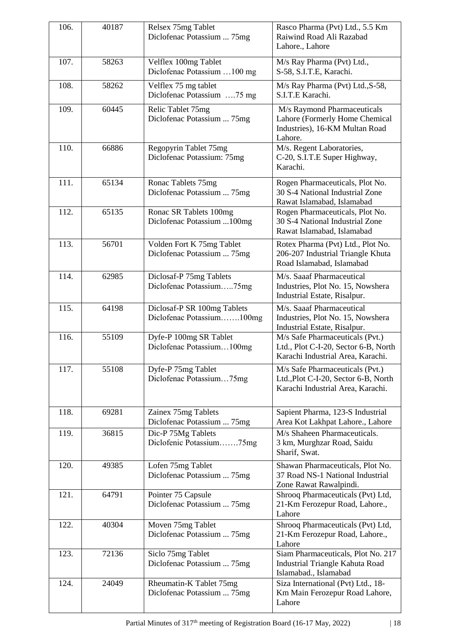| 106. | 40187 | Relsex 75mg Tablet<br>Diclofenac Potassium  75mg         | Rasco Pharma (Pvt) Ltd., 5.5 Km<br>Raiwind Road Ali Razabad<br>Lahore., Lahore                               |
|------|-------|----------------------------------------------------------|--------------------------------------------------------------------------------------------------------------|
| 107. | 58263 | Velflex 100mg Tablet<br>Diclofenac Potassium  100 mg     | M/s Ray Pharma (Pvt) Ltd.,<br>S-58, S.I.T.E, Karachi.                                                        |
| 108. | 58262 | Velflex 75 mg tablet<br>Diclofenac Potassium 75 mg       | M/s Ray Pharma (Pvt) Ltd., S-58,<br>S.I.T.E Karachi.                                                         |
| 109. | 60445 | Relic Tablet 75mg<br>Diclofenac Potassium  75mg          | M/s Raymond Pharmaceuticals<br>Lahore (Formerly Home Chemical<br>Industries), 16-KM Multan Road<br>Lahore.   |
| 110. | 66886 | Regopyrin Tablet 75mg<br>Diclofenac Potassium: 75mg      | M/s. Regent Laboratories,<br>C-20, S.I.T.E Super Highway,<br>Karachi.                                        |
| 111. | 65134 | Ronac Tablets 75mg<br>Diclofenac Potassium  75mg         | Rogen Pharmaceuticals, Plot No.<br>30 S-4 National Industrial Zone<br>Rawat Islamabad, Islamabad             |
| 112. | 65135 | Ronac SR Tablets 100mg<br>Diclofenac Potassium  100mg    | Rogen Pharmaceuticals, Plot No.<br>30 S-4 National Industrial Zone<br>Rawat Islamabad, Islamabad             |
| 113. | 56701 | Volden Fort K 75mg Tablet<br>Diclofenac Potassium  75mg  | Rotex Pharma (Pvt) Ltd., Plot No.<br>206-207 Industrial Triangle Khuta<br>Road Islamabad, Islamabad          |
| 114. | 62985 | Diclosaf-P 75mg Tablets<br>Diclofenac Potassium75mg      | M/s. Saaaf Pharmaceutical<br>Industries, Plot No. 15, Nowshera<br>Industrial Estate, Risalpur.               |
| 115. | 64198 | Diclosaf-P SR 100mg Tablets<br>Diclofenac Potassium100mg | M/s. Saaaf Pharmaceutical<br>Industries, Plot No. 15, Nowshera<br>Industrial Estate, Risalpur.               |
| 116. | 55109 | Dyfe-P 100mg SR Tablet<br>Diclofenac Potassium100mg      | M/s Safe Pharmaceuticals (Pvt.)<br>Ltd., Plot C-I-20, Sector 6-B, North<br>Karachi Industrial Area, Karachi. |
| 117. | 55108 | Dyfe-P 75mg Tablet<br>Diclofenac Potassium75mg           | M/s Safe Pharmaceuticals (Pvt.)<br>Ltd., Plot C-I-20, Sector 6-B, North<br>Karachi Industrial Area, Karachi. |
| 118. | 69281 | Zainex 75mg Tablets<br>Diclofenac Potassium  75mg        | Sapient Pharma, 123-S Industrial<br>Area Kot Lakhpat Lahore., Lahore                                         |
| 119. | 36815 | Dic-P 75Mg Tablets<br>Diclofenic Potassium75mg           | M/s Shaheen Pharmaceuticals.<br>3 km, Murghzar Road, Saidu<br>Sharif, Swat.                                  |
| 120. | 49385 | Lofen 75mg Tablet<br>Diclofenac Potassium  75mg          | Shawan Pharmaceuticals, Plot No.<br>37 Road NS-1 National Industrial<br>Zone Rawat Rawalpindi.               |
| 121. | 64791 | Pointer 75 Capsule<br>Diclofenac Potassium  75mg         | Shrooq Pharmaceuticals (Pvt) Ltd,<br>21-Km Ferozepur Road, Lahore.,<br>Lahore                                |
| 122. | 40304 | Moven 75mg Tablet<br>Diclofenac Potassium  75mg          | Shrooq Pharmaceuticals (Pvt) Ltd,<br>21-Km Ferozepur Road, Lahore.,<br>Lahore                                |
| 123. | 72136 | Siclo 75mg Tablet<br>Diclofenac Potassium  75mg          | Siam Pharmaceuticals, Plot No. 217<br>Industrial Triangle Kahuta Road<br>Islamabad., Islamabad               |
| 124. | 24049 | Rheumatin-K Tablet 75mg<br>Diclofenac Potassium  75mg    | Siza International (Pvt) Ltd., 18-<br>Km Main Ferozepur Road Lahore,<br>Lahore                               |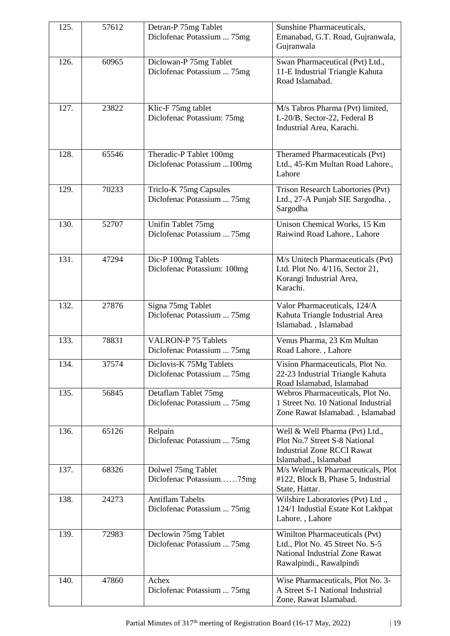| 125. | 57612 | Detran-P 75mg Tablet<br>Diclofenac Potassium  75mg       | Sunshine Pharmaceuticals,<br>Emanabad, G.T. Road, Gujranwala,                                                                   |
|------|-------|----------------------------------------------------------|---------------------------------------------------------------------------------------------------------------------------------|
|      |       |                                                          | Gujranwala                                                                                                                      |
| 126. | 60965 | Diclowan-P 75mg Tablet<br>Diclofenac Potassium  75mg     | Swan Pharmaceutical (Pvt) Ltd.,<br>11-E Industrial Triangle Kahuta<br>Road Islamabad.                                           |
| 127. | 23822 | Klic-F 75mg tablet<br>Diclofenac Potassium: 75mg         | M/s Tabros Pharma (Pvt) limited,<br>L-20/B, Sector-22, Federal B<br>Industrial Area, Karachi.                                   |
| 128. | 65546 | Theradic-P Tablet 100mg<br>Diclofenac Potassium  100mg   | Theramed Pharmaceuticals (Pvt)<br>Ltd., 45-Km Multan Road Lahore.,<br>Lahore                                                    |
| 129. | 70233 | Triclo-K 75mg Capsules<br>Diclofenac Potassium  75mg     | Trison Research Labortories (Pvt)<br>Ltd., 27-A Punjab SIE Sargodha.,<br>Sargodha                                               |
| 130. | 52707 | Unifin Tablet 75mg<br>Diclofenac Potassium  75mg         | Unison Chemical Works, 15 Km<br>Raiwind Road Lahore., Lahore                                                                    |
| 131. | 47294 | Dic-P 100mg Tablets<br>Diclofenac Potassium: 100mg       | M/s Unitech Pharmaceuticals (Pvt)<br>Ltd. Plot No. 4/116, Sector 21,<br>Korangi Industrial Area,<br>Karachi.                    |
| 132. | 27876 | Signa 75mg Tablet<br>Diclofenac Potassium  75mg          | Valor Pharmaceuticals, 124/A<br>Kahuta Triangle Industrial Area<br>Islamabad., Islamabad                                        |
| 133. | 78831 | <b>VALRON-P 75 Tablets</b><br>Diclofenac Potassium  75mg | Venus Pharma, 23 Km Multan<br>Road Lahore., Lahore                                                                              |
| 134. | 37574 | Diclovis-K 75Mg Tablets<br>Diclofenac Potassium  75mg    | Vision Pharmaceuticals, Plot No.<br>22-23 Industrial Triangle Kahuta<br>Road Islamabad, Islamabad                               |
| 135. | 56845 | Detaflam Tablet 75mg<br>Diclofenac Potassium  75mg       | Webros Pharmaceuticals, Plot No.<br>1 Street No. 10 National Industrial<br>Zone Rawat Islamabad., Islamabad                     |
| 136. | 65126 | Relpain<br>Diclofenac Potassium  75mg                    | Well & Well Pharma (Pvt) Ltd.,<br>Plot No.7 Street S-8 National<br><b>Industrial Zone RCCI Rawat</b><br>Islamabad., Islamabad   |
| 137. | 68326 | Dolwel 75mg Tablet<br>Diclofenac Potassium75mg           | M/s Welmark Pharmaceuticals, Plot<br>#122, Block B, Phase 5, Industrial<br>State, Hattar.                                       |
| 138. | 24273 | <b>Antiflam Tabelts</b><br>Diclofenac Potassium  75mg    | Wilshire Laboratories (Pvt) Ltd.,<br>124/1 Industial Estate Kot Lakhpat<br>Lahore., Lahore                                      |
| 139. | 72983 | Declowin 75mg Tablet<br>Diclofenac Potassium  75mg       | Winilton Pharmaceuticals (Pvt)<br>Ltd., Plot No. 45 Street No. S-5<br>National Industrial Zone Rawat<br>Rawalpindi., Rawalpindi |
| 140. | 47860 | Achex<br>Diclofenac Potassium  75mg                      | Wise Pharmaceuticals, Plot No. 3-<br>A Street S-1 National Industrial<br>Zone, Rawat Islamabad.                                 |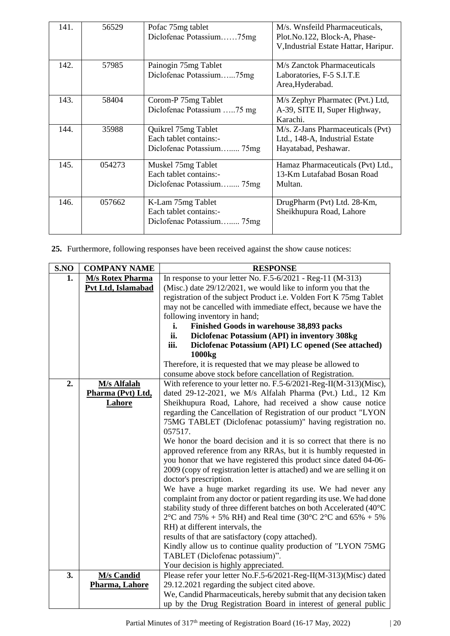| 141. | 56529  | Pofac 75mg tablet<br>Diclofenac Potassium75mg                              | M/s. Wnsfeild Pharmaceuticals,<br>Plot.No.122, Block-A, Phase-<br>V, Industrial Estate Hattar, Haripur. |
|------|--------|----------------------------------------------------------------------------|---------------------------------------------------------------------------------------------------------|
| 142. | 57985  | Painogin 75mg Tablet<br>Diclofenac Potassium75mg                           | M/s Zanctok Pharmaceuticals<br>Laboratories, F-5 S.I.T.E<br>Area, Hyderabad.                            |
| 143. | 58404  | Corom-P 75mg Tablet<br>Diclofenac Potassium 75 mg                          | M/s Zephyr Pharmatec (Pvt.) Ltd,<br>A-39, SITE II, Super Highway,<br>Karachi.                           |
| 144. | 35988  | Quikrel 75mg Tablet<br>Each tablet contains:-<br>Diclofenac Potassium 75mg | M/s. Z-Jans Pharmaceuticals (Pvt)<br>Ltd., 148-A, Industrial Estate<br>Hayatabad, Peshawar.             |
| 145. | 054273 | Muskel 75mg Tablet<br>Each tablet contains:-<br>Diclofenac Potassium 75mg  | Hamaz Pharmaceuticals (Pvt) Ltd.,<br>13-Km Lutafabad Bosan Road<br>Multan.                              |
| 146. | 057662 | K-Lam 75mg Tablet<br>Each tablet contains:-<br>Diclofenac Potassium 75mg   | DrugPharm (Pvt) Ltd. 28-Km,<br>Sheikhupura Road, Lahore                                                 |

**25.** Furthermore, following responses have been received against the show cause notices:

| S.NO | <b>COMPANY NAME</b>     | <b>RESPONSE</b>                                                         |  |
|------|-------------------------|-------------------------------------------------------------------------|--|
| 1.   | <b>M/s Rotex Pharma</b> | In response to your letter No. $F.5-6/2021$ - Reg-11 (M-313)            |  |
|      | Pvt Ltd, Islamabad      | (Misc.) date $29/12/2021$ , we would like to inform you that the        |  |
|      |                         | registration of the subject Product i.e. Volden Fort K 75mg Tablet      |  |
|      |                         | may not be cancelled with immediate effect, because we have the         |  |
|      |                         | following inventory in hand;                                            |  |
|      |                         | i.<br>Finished Goods in warehouse 38,893 packs                          |  |
|      |                         | ii.<br>Diclofenac Potassium (API) in inventory 308kg                    |  |
|      |                         | Diclofenac Potassium (API) LC opened (See attached)<br>iii.             |  |
|      |                         | 1000kg                                                                  |  |
|      |                         | Therefore, it is requested that we may please be allowed to             |  |
|      |                         | consume above stock before cancellation of Registration.                |  |
| 2.   | <b>M/s Alfalah</b>      | With reference to your letter no. F.5-6/2021-Reg-II(M-313)(Misc),       |  |
|      | Pharma (Pvt) Ltd,       | dated 29-12-2021, we M/s Alfalah Pharma (Pvt.) Ltd., 12 Km              |  |
|      | Lahore                  | Sheikhupura Road, Lahore, had received a show cause notice              |  |
|      |                         | regarding the Cancellation of Registration of our product "LYON         |  |
|      |                         | 75MG TABLET (Diclofenac potassium)" having registration no.             |  |
|      |                         | 057517.                                                                 |  |
|      |                         | We honor the board decision and it is so correct that there is no       |  |
|      |                         | approved reference from any RRAs, but it is humbly requested in         |  |
|      |                         | you honor that we have registered this product since dated 04-06-       |  |
|      |                         | 2009 (copy of registration letter is attached) and we are selling it on |  |
|      |                         | doctor's prescription.                                                  |  |
|      |                         | We have a huge market regarding its use. We had never any               |  |
|      |                         | complaint from any doctor or patient regarding its use. We had done     |  |
|      |                         | stability study of three different batches on both Accelerated (40°C    |  |
|      |                         | $2^{\circ}$ C and 75% + 5% RH) and Real time (30°C 2°C and 65% + 5%     |  |
|      |                         | RH) at different intervals, the                                         |  |
|      |                         | results of that are satisfactory (copy attached).                       |  |
|      |                         | Kindly allow us to continue quality production of "LYON 75MG            |  |
|      |                         | TABLET (Diclofenac potassium)".                                         |  |
|      |                         | Your decision is highly appreciated.                                    |  |
| 3.   | <b>M/s Candid</b>       | Please refer your letter No.F.5-6/2021-Reg-II(M-313)(Misc) dated        |  |
|      | Pharma, Lahore          | 29.12.2021 regarding the subject cited above.                           |  |
|      |                         | We, Candid Pharmaceuticals, hereby submit that any decision taken       |  |
|      |                         | up by the Drug Registration Board in interest of general public         |  |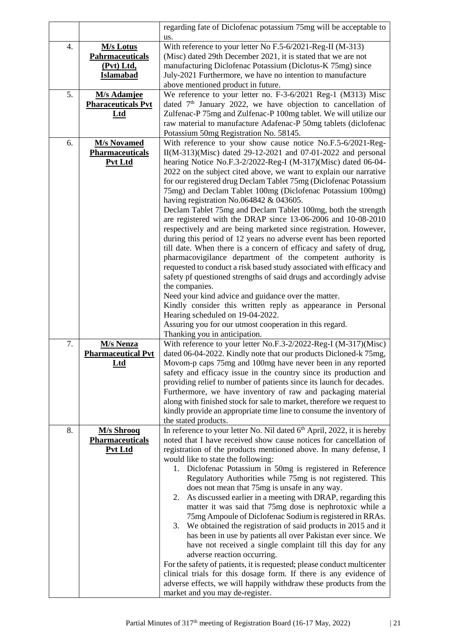|    |                                      | regarding fate of Diclofenac potassium 75mg will be acceptable to                                                                      |  |  |  |
|----|--------------------------------------|----------------------------------------------------------------------------------------------------------------------------------------|--|--|--|
|    |                                      | us.                                                                                                                                    |  |  |  |
| 4. | <b>M/s Lotus</b>                     | With reference to your letter No F.5-6/2021-Reg-II (M-313)<br>(Misc) dated 29th December 2021, it is stated that we are not            |  |  |  |
|    | <b>Pahrmaceuticals</b><br>(Pvt) Ltd, | manufacturing Diclofenac Potassium (Diclotus-K 75mg) since                                                                             |  |  |  |
|    | <b>Islamabad</b>                     | July-2021 Furthermore, we have no intention to manufacture                                                                             |  |  |  |
|    |                                      | above mentioned product in future.                                                                                                     |  |  |  |
| 5. | <b>M/s Adamjee</b>                   | We reference to your letter no. F-3-6/2021 Reg-1 (M313) Misc                                                                           |  |  |  |
|    | <b>Pharaceuticals Pvt</b>            | dated 7 <sup>th</sup> January 2022, we have objection to cancellation of                                                               |  |  |  |
|    | Ltd                                  | Zulfenac-P 75mg and Zulfenac-P 100mg tablet. We will utilize our                                                                       |  |  |  |
|    |                                      | raw material to manufacture Adafenac-P 50mg tablets (diclofenac<br>Potassium 50mg Registration No. 58145.                              |  |  |  |
| 6. | <b>M/s Novamed</b>                   | With reference to your show cause notice No.F.5-6/2021-Reg-                                                                            |  |  |  |
|    | <b>Pharmaceuticals</b>               | II(M-313)(Misc) dated 29-12-2021 and 07-01-2022 and personal                                                                           |  |  |  |
|    | Pvt Ltd                              | hearing Notice No.F.3-2/2022-Reg-I (M-317)(Misc) dated 06-04-                                                                          |  |  |  |
|    |                                      | 2022 on the subject cited above, we want to explain our narrative                                                                      |  |  |  |
|    |                                      | for our registered drug Declam Tablet 75mg (Diclofenac Potassium                                                                       |  |  |  |
|    |                                      | 75mg) and Declam Tablet 100mg (Diclofenac Potassium 100mg)                                                                             |  |  |  |
|    |                                      | having registration No.064842 $& 043605$ .                                                                                             |  |  |  |
|    |                                      | Declam Tablet 75mg and Declam Tablet 100mg, both the strength                                                                          |  |  |  |
|    |                                      | are registered with the DRAP since 13-06-2006 and 10-08-2010                                                                           |  |  |  |
|    |                                      | respectively and are being marketed since registration. However,<br>during this period of 12 years no adverse event has been reported  |  |  |  |
|    |                                      | till date. When there is a concern of efficacy and safety of drug,                                                                     |  |  |  |
|    |                                      | pharmacovigilance department of the competent authority is                                                                             |  |  |  |
|    |                                      | requested to conduct a risk based study associated with efficacy and                                                                   |  |  |  |
|    |                                      | safety pf questioned strengths of said drugs and accordingly advise                                                                    |  |  |  |
|    |                                      | the companies.                                                                                                                         |  |  |  |
|    |                                      | Need your kind advice and guidance over the matter.                                                                                    |  |  |  |
|    |                                      | Kindly consider this written reply as appearance in Personal                                                                           |  |  |  |
|    |                                      | Hearing scheduled on 19-04-2022.<br>Assuring you for our utmost cooperation in this regard.                                            |  |  |  |
|    |                                      | Thanking you in anticipation.                                                                                                          |  |  |  |
| 7. | <b>M/s Nenza</b>                     | With reference to your letter No.F.3-2/2022-Reg-I (M-317)(Misc)                                                                        |  |  |  |
|    | <b>Pharmaceutical Pvt</b>            | dated 06-04-2022. Kindly note that our products Dicloned-k 75mg,                                                                       |  |  |  |
|    | <u>Ltd</u>                           | Movom-p caps 75mg and 100mg have never been in any reported                                                                            |  |  |  |
|    |                                      | safety and efficacy issue in the country since its production and                                                                      |  |  |  |
|    |                                      | providing relief to number of patients since its launch for decades.                                                                   |  |  |  |
|    |                                      | Furthermore, we have inventory of raw and packaging material<br>along with finished stock for sale to market, therefore we request to  |  |  |  |
|    |                                      | kindly provide an appropriate time line to consume the inventory of                                                                    |  |  |  |
|    |                                      | the stated products.                                                                                                                   |  |  |  |
| 8. | <b>M/s Shrooq</b>                    | In reference to your letter No. Nil dated 6 <sup>th</sup> April, 2022, it is hereby                                                    |  |  |  |
|    | <b>Pharmaceuticals</b>               | noted that I have received show cause notices for cancellation of                                                                      |  |  |  |
|    | <b>Pvt Ltd</b>                       | registration of the products mentioned above. In many defense, I                                                                       |  |  |  |
|    |                                      | would like to state the following:                                                                                                     |  |  |  |
|    |                                      | 1. Diclofenac Potassium in 50mg is registered in Reference<br>Regulatory Authorities while 75mg is not registered. This                |  |  |  |
|    |                                      | does not mean that 75mg is unsafe in any way.                                                                                          |  |  |  |
|    |                                      | As discussed earlier in a meeting with DRAP, regarding this<br>2.                                                                      |  |  |  |
|    |                                      | matter it was said that 75mg dose is nephrotoxic while a                                                                               |  |  |  |
|    |                                      | 75mg Ampoule of Diclofenac Sodium is registered in RRAs.                                                                               |  |  |  |
|    |                                      | We obtained the registration of said products in 2015 and it<br>3.                                                                     |  |  |  |
|    |                                      | has been in use by patients all over Pakistan ever since. We                                                                           |  |  |  |
|    |                                      | have not received a single complaint till this day for any                                                                             |  |  |  |
|    |                                      | adverse reaction occurring.                                                                                                            |  |  |  |
|    |                                      | For the safety of patients, it is requested; please conduct multicenter                                                                |  |  |  |
|    |                                      | clinical trials for this dosage form. If there is any evidence of<br>adverse effects, we will happily withdraw these products from the |  |  |  |
|    |                                      | market and you may de-register.                                                                                                        |  |  |  |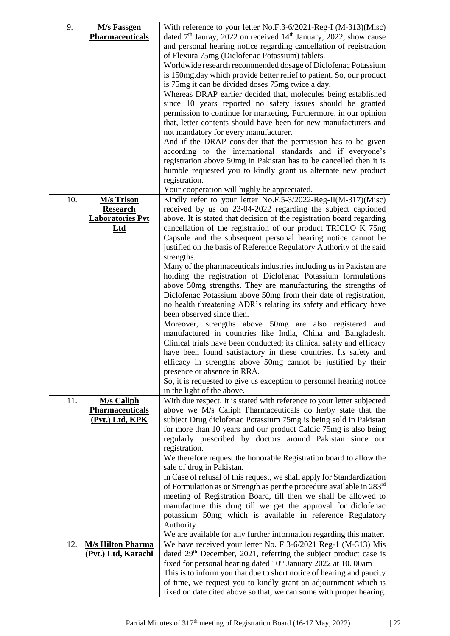| 9.  | <b>M</b> /s Fassgen      | With reference to your letter No.F.3-6/2021-Reg-I (M-313)(Misc)                                     |
|-----|--------------------------|-----------------------------------------------------------------------------------------------------|
|     | <b>Pharmaceuticals</b>   | dated $7th$ Jauray, 2022 on received 14 <sup>th</sup> January, 2022, show cause                     |
|     |                          | and personal hearing notice regarding cancellation of registration                                  |
|     |                          | of Flexura 75mg (Diclofenac Potassium) tablets.                                                     |
|     |                          | Worldwide research recommended dosage of Diclofenac Potassium                                       |
|     |                          | is 150mg.day which provide better relief to patient. So, our product                                |
|     |                          | is 75mg it can be divided doses 75mg twice a day.                                                   |
|     |                          |                                                                                                     |
|     |                          | Whereas DRAP earlier decided that, molecules being established                                      |
|     |                          | since 10 years reported no safety issues should be granted                                          |
|     |                          | permission to continue for marketing. Furthermore, in our opinion                                   |
|     |                          | that, letter contents should have been for new manufacturers and                                    |
|     |                          | not mandatory for every manufacturer.                                                               |
|     |                          | And if the DRAP consider that the permission has to be given                                        |
|     |                          | according to the international standards and if everyone's                                          |
|     |                          | registration above 50mg in Pakistan has to be cancelled then it is                                  |
|     |                          | humble requested you to kindly grant us alternate new product                                       |
|     |                          | registration.                                                                                       |
|     |                          | Your cooperation will highly be appreciated.                                                        |
| 10. | <b>M/s Trison</b>        | Kindly refer to your letter No.F.5-3/2022-Reg-II(M-317)(Misc)                                       |
|     | <b>Research</b>          | received by us on 23-04-2022 regarding the subject captioned                                        |
|     | <b>Laboratories Pvt</b>  | above. It is stated that decision of the registration board regarding                               |
|     | $Ltd$                    | cancellation of the registration of our product TRICLO K 75ng                                       |
|     |                          | Capsule and the subsequent personal hearing notice cannot be                                        |
|     |                          | justified on the basis of Reference Regulatory Authority of the said                                |
|     |                          | strengths.                                                                                          |
|     |                          | Many of the pharmaceuticals industries including us in Pakistan are                                 |
|     |                          | holding the registration of Diclofenac Potassium formulations                                       |
|     |                          | above 50mg strengths. They are manufacturing the strengths of                                       |
|     |                          | Diclofenac Potassium above 50mg from their date of registration,                                    |
|     |                          | no health threatening ADR's relating its safety and efficacy have                                   |
|     |                          | been observed since then.                                                                           |
|     |                          | Moreover, strengths above 50mg are also registered and                                              |
|     |                          | manufactured in countries like India, China and Bangladesh.                                         |
|     |                          | Clinical trials have been conducted; its clinical safety and efficacy                               |
|     |                          | have been found satisfactory in these countries. Its safety and                                     |
|     |                          | efficacy in strengths above 50mg cannot be justified by their                                       |
|     |                          | presence or absence in RRA.                                                                         |
|     |                          | So, it is requested to give us exception to personnel hearing notice                                |
|     |                          | in the light of the above.                                                                          |
| 11. | <b>M/s Caliph</b>        | With due respect, It is stated with reference to your letter subjected                              |
|     | <b>Pharmaceuticals</b>   | above we M/s Caliph Pharmaceuticals do herby state that the                                         |
|     | (Pvt.) Ltd, KPK          | subject Drug diclofenac Potassium 75mg is being sold in Pakistan                                    |
|     |                          | for more than 10 years and our product Caldic 75mg is also being                                    |
|     |                          | regularly prescribed by doctors around Pakistan since our                                           |
|     |                          | registration.                                                                                       |
|     |                          |                                                                                                     |
|     |                          | We therefore request the honorable Registration board to allow the                                  |
|     |                          | sale of drug in Pakistan.<br>In Case of refusal of this request, we shall apply for Standardization |
|     |                          |                                                                                                     |
|     |                          | of Formulation as or Strength as per the procedure available in 283 <sup>rd</sup>                   |
|     |                          | meeting of Registration Board, till then we shall be allowed to                                     |
|     |                          | manufacture this drug till we get the approval for diclofenac                                       |
|     |                          | potassium 50mg which is available in reference Regulatory                                           |
|     |                          | Authority.                                                                                          |
|     |                          | We are available for any further information regarding this matter.                                 |
| 12. | <b>M/s Hilton Pharma</b> | We have received your letter No. F 3-6/2021 Reg-1 (M-313) Mis                                       |
|     | (Pvt.) Ltd, Karachi      | dated 29 <sup>th</sup> December, 2021, referring the subject product case is                        |
|     |                          | fixed for personal hearing dated 10 <sup>th</sup> January 2022 at 10.00am                           |
|     |                          | This is to inform you that due to short notice of hearing and paucity                               |
|     |                          | of time, we request you to kindly grant an adjournment which is                                     |
|     |                          | fixed on date cited above so that, we can some with proper hearing.                                 |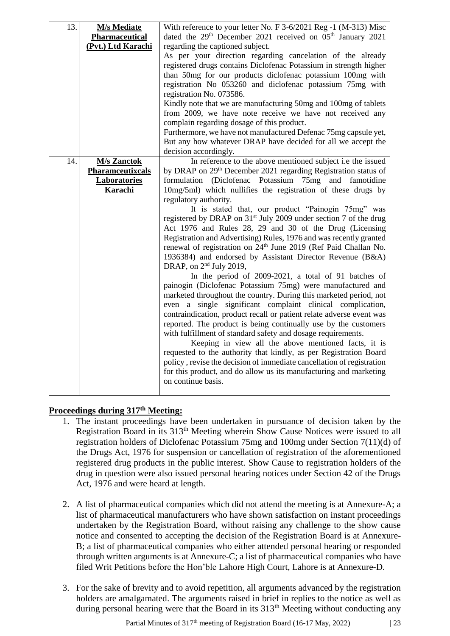| 13. | <b>M/s Mediate</b>      | With reference to your letter No. F 3-6/2021 Reg -1 (M-313) Misc                   |  |  |
|-----|-------------------------|------------------------------------------------------------------------------------|--|--|
|     | <b>Pharmaceutical</b>   | dated the 29 <sup>th</sup> December 2021 received on 05 <sup>th</sup> January 2021 |  |  |
|     | (Pvt.) Ltd Karachi      | regarding the captioned subject.                                                   |  |  |
|     |                         | As per your direction regarding cancelation of the already                         |  |  |
|     |                         | registered drugs contains Diclofenac Potassium in strength higher                  |  |  |
|     |                         | than 50mg for our products diclofenac potassium 100mg with                         |  |  |
|     |                         | registration No 053260 and diclofenac potassium 75mg with                          |  |  |
|     |                         | registration No. 073586.                                                           |  |  |
|     |                         |                                                                                    |  |  |
|     |                         | Kindly note that we are manufacturing 50mg and 100mg of tablets                    |  |  |
|     |                         | from 2009, we have note receive we have not received any                           |  |  |
|     |                         | complain regarding dosage of this product.                                         |  |  |
|     |                         | Furthermore, we have not manufactured Defenac 75mg capsule yet,                    |  |  |
|     |                         | But any how whatever DRAP have decided for all we accept the                       |  |  |
|     |                         | decision accordingly.                                                              |  |  |
| 14. | <b>M/s Zanctok</b>      | In reference to the above mentioned subject i.e the issued                         |  |  |
|     | <b>Pharamceutixcals</b> | by DRAP on 29 <sup>th</sup> December 2021 regarding Registration status of         |  |  |
|     | <b>Laboratories</b>     | formulation (Diclofenac Potassium 75mg and famotidine                              |  |  |
|     | Karachi                 | 10mg/5ml) which nullifies the registration of these drugs by                       |  |  |
|     |                         | regulatory authority.                                                              |  |  |
|     |                         | It is stated that, our product "Painogin 75mg" was                                 |  |  |
|     |                         |                                                                                    |  |  |
|     |                         | registered by DRAP on 31 <sup>st</sup> July 2009 under section 7 of the drug       |  |  |
|     |                         | Act 1976 and Rules 28, 29 and 30 of the Drug (Licensing                            |  |  |
|     |                         | Registration and Advertising) Rules, 1976 and was recently granted                 |  |  |
|     |                         | renewal of registration on 24 <sup>th</sup> June 2019 (Ref Paid Challan No.        |  |  |
|     |                         | 1936384) and endorsed by Assistant Director Revenue (B&A)                          |  |  |
|     |                         | DRAP, on 2 <sup>nd</sup> July 2019,                                                |  |  |
|     |                         | In the period of 2009-2021, a total of 91 batches of                               |  |  |
|     |                         | painogin (Diclofenac Potassium 75mg) were manufactured and                         |  |  |
|     |                         | marketed throughout the country. During this marketed period, not                  |  |  |
|     |                         | even a single significant complaint clinical complication,                         |  |  |
|     |                         |                                                                                    |  |  |
|     |                         | contraindication, product recall or patient relate adverse event was               |  |  |
|     |                         | reported. The product is being continually use by the customers                    |  |  |
|     |                         | with fulfillment of standard safety and dosage requirements.                       |  |  |
|     |                         | Keeping in view all the above mentioned facts, it is                               |  |  |
|     |                         | requested to the authority that kindly, as per Registration Board                  |  |  |
|     |                         | policy, revise the decision of immediate cancellation of registration              |  |  |
|     |                         | for this product, and do allow us its manufacturing and marketing                  |  |  |
|     |                         | on continue basis.                                                                 |  |  |
|     |                         |                                                                                    |  |  |

# **Proceedings during 317th Meeting:**

- 1. The instant proceedings have been undertaken in pursuance of decision taken by the Registration Board in its 313th Meeting wherein Show Cause Notices were issued to all registration holders of Diclofenac Potassium 75mg and 100mg under Section 7(11)(d) of the Drugs Act, 1976 for suspension or cancellation of registration of the aforementioned registered drug products in the public interest. Show Cause to registration holders of the drug in question were also issued personal hearing notices under Section 42 of the Drugs Act, 1976 and were heard at length.
- 2. A list of pharmaceutical companies which did not attend the meeting is at Annexure-A; a list of pharmaceutical manufacturers who have shown satisfaction on instant proceedings undertaken by the Registration Board, without raising any challenge to the show cause notice and consented to accepting the decision of the Registration Board is at Annexure-B; a list of pharmaceutical companies who either attended personal hearing or responded through written arguments is at Annexure-C; a list of pharmaceutical companies who have filed Writ Petitions before the Hon'ble Lahore High Court, Lahore is at Annexure-D.
- 3. For the sake of brevity and to avoid repetition, all arguments advanced by the registration holders are amalgamated. The arguments raised in brief in replies to the notice as well as during personal hearing were that the Board in its  $313<sup>th</sup>$  Meeting without conducting any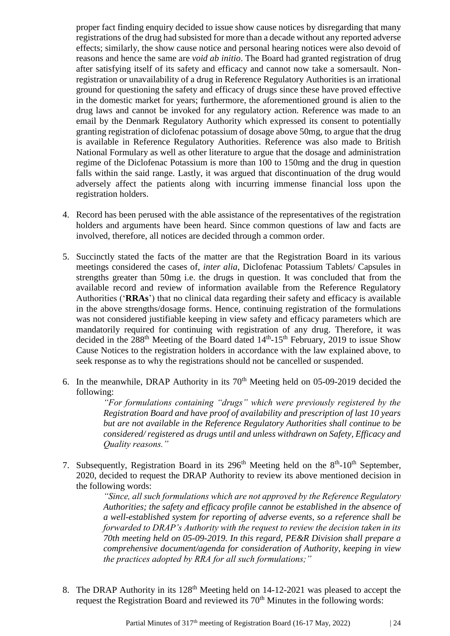proper fact finding enquiry decided to issue show cause notices by disregarding that many registrations of the drug had subsisted for more than a decade without any reported adverse effects; similarly, the show cause notice and personal hearing notices were also devoid of reasons and hence the same are *void ab initio*. The Board had granted registration of drug after satisfying itself of its safety and efficacy and cannot now take a somersault. Nonregistration or unavailability of a drug in Reference Regulatory Authorities is an irrational ground for questioning the safety and efficacy of drugs since these have proved effective in the domestic market for years; furthermore, the aforementioned ground is alien to the drug laws and cannot be invoked for any regulatory action. Reference was made to an email by the Denmark Regulatory Authority which expressed its consent to potentially granting registration of diclofenac potassium of dosage above 50mg, to argue that the drug is available in Reference Regulatory Authorities. Reference was also made to British National Formulary as well as other literature to argue that the dosage and administration regime of the Diclofenac Potassium is more than 100 to 150mg and the drug in question falls within the said range. Lastly, it was argued that discontinuation of the drug would adversely affect the patients along with incurring immense financial loss upon the registration holders.

- 4. Record has been perused with the able assistance of the representatives of the registration holders and arguments have been heard. Since common questions of law and facts are involved, therefore, all notices are decided through a common order.
- 5. Succinctly stated the facts of the matter are that the Registration Board in its various meetings considered the cases of, *inter alia*, Diclofenac Potassium Tablets/ Capsules in strengths greater than 50mg i.e. the drugs in question. It was concluded that from the available record and review of information available from the Reference Regulatory Authorities ('**RRAs**') that no clinical data regarding their safety and efficacy is available in the above strengths/dosage forms. Hence, continuing registration of the formulations was not considered justifiable keeping in view safety and efficacy parameters which are mandatorily required for continuing with registration of any drug. Therefore, it was decided in the  $288<sup>th</sup>$  Meeting of the Board dated  $14<sup>th</sup>$ -15<sup>th</sup> February, 2019 to issue Show Cause Notices to the registration holders in accordance with the law explained above, to seek response as to why the registrations should not be cancelled or suspended.
- 6. In the meanwhile, DRAP Authority in its  $70<sup>th</sup>$  Meeting held on 05-09-2019 decided the following:

*"For formulations containing "drugs" which were previously registered by the Registration Board and have proof of availability and prescription of last 10 years but are not available in the Reference Regulatory Authorities shall continue to be considered/ registered as drugs until and unless withdrawn on Safety, Efficacy and Quality reasons."*

7. Subsequently, Registration Board in its  $296<sup>th</sup>$  Meeting held on the  $8<sup>th</sup>$ -10<sup>th</sup> September, 2020, decided to request the DRAP Authority to review its above mentioned decision in the following words:

> *"Since, all such formulations which are not approved by the Reference Regulatory Authorities; the safety and efficacy profile cannot be established in the absence of a well-established system for reporting of adverse events, so a reference shall be forwarded to DRAP's Authority with the request to review the decision taken in its 70th meeting held on 05-09-2019. In this regard, PE&R Division shall prepare a comprehensive document/agenda for consideration of Authority, keeping in view the practices adopted by RRA for all such formulations;"*

8. The DRAP Authority in its 128<sup>th</sup> Meeting held on 14-12-2021 was pleased to accept the request the Registration Board and reviewed its 70<sup>th</sup> Minutes in the following words: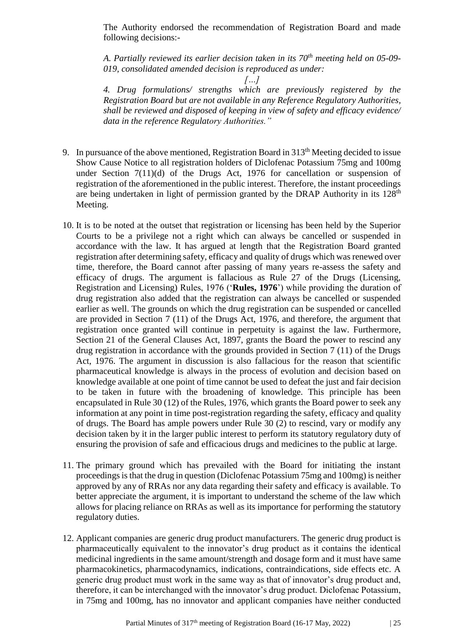The Authority endorsed the recommendation of Registration Board and made following decisions:-

*A. Partially reviewed its earlier decision taken in its 70th meeting held on 05-09- 019, consolidated amended decision is reproduced as under:*

*[…]*

*4. Drug formulations/ strengths which are previously registered by the Registration Board but are not available in any Reference Regulatory Authorities, shall be reviewed and disposed of keeping in view of safety and efficacy evidence/ data in the reference Regulatory Authorities."*

- 9. In pursuance of the above mentioned, Registration Board in  $313<sup>th</sup>$  Meeting decided to issue Show Cause Notice to all registration holders of Diclofenac Potassium 75mg and 100mg under Section 7(11)(d) of the Drugs Act, 1976 for cancellation or suspension of registration of the aforementioned in the public interest. Therefore, the instant proceedings are being undertaken in light of permission granted by the DRAP Authority in its  $128<sup>th</sup>$ Meeting.
- 10. It is to be noted at the outset that registration or licensing has been held by the Superior Courts to be a privilege not a right which can always be cancelled or suspended in accordance with the law. It has argued at length that the Registration Board granted registration after determining safety, efficacy and quality of drugs which was renewed over time, therefore, the Board cannot after passing of many years re-assess the safety and efficacy of drugs. The argument is fallacious as Rule 27 of the Drugs (Licensing, Registration and Licensing) Rules, 1976 ('**Rules, 1976**') while providing the duration of drug registration also added that the registration can always be cancelled or suspended earlier as well. The grounds on which the drug registration can be suspended or cancelled are provided in Section 7 (11) of the Drugs Act, 1976, and therefore, the argument that registration once granted will continue in perpetuity is against the law. Furthermore, Section 21 of the General Clauses Act, 1897, grants the Board the power to rescind any drug registration in accordance with the grounds provided in Section 7 (11) of the Drugs Act, 1976. The argument in discussion is also fallacious for the reason that scientific pharmaceutical knowledge is always in the process of evolution and decision based on knowledge available at one point of time cannot be used to defeat the just and fair decision to be taken in future with the broadening of knowledge. This principle has been encapsulated in Rule 30 (12) of the Rules, 1976, which grants the Board power to seek any information at any point in time post-registration regarding the safety, efficacy and quality of drugs. The Board has ample powers under Rule 30 (2) to rescind, vary or modify any decision taken by it in the larger public interest to perform its statutory regulatory duty of ensuring the provision of safe and efficacious drugs and medicines to the public at large.
- 11. The primary ground which has prevailed with the Board for initiating the instant proceedings is that the drug in question (Diclofenac Potassium 75mg and 100mg) is neither approved by any of RRAs nor any data regarding their safety and efficacy is available. To better appreciate the argument, it is important to understand the scheme of the law which allows for placing reliance on RRAs as well as its importance for performing the statutory regulatory duties.
- 12. Applicant companies are generic drug product manufacturers. The generic drug product is pharmaceutically equivalent to the innovator's drug product as it contains the identical medicinal ingredients in the same amount/strength and dosage form and it must have same pharmacokinetics, pharmacodynamics, indications, contraindications, side effects etc. A generic drug product must work in the same way as that of innovator's drug product and, therefore, it can be interchanged with the innovator's drug product. Diclofenac Potassium, in 75mg and 100mg, has no innovator and applicant companies have neither conducted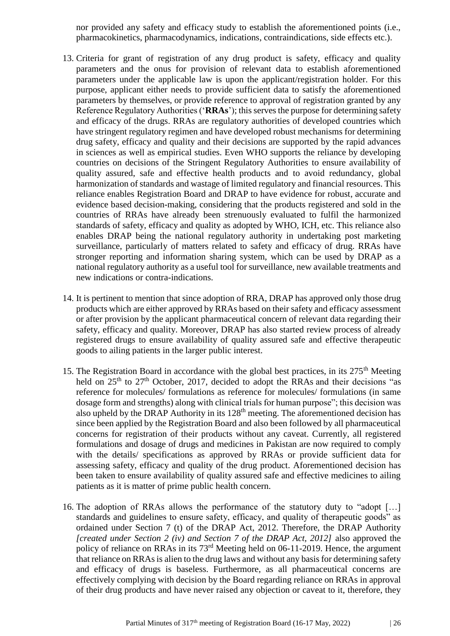nor provided any safety and efficacy study to establish the aforementioned points (i.e., pharmacokinetics, pharmacodynamics, indications, contraindications, side effects etc.).

- 13. Criteria for grant of registration of any drug product is safety, efficacy and quality parameters and the onus for provision of relevant data to establish aforementioned parameters under the applicable law is upon the applicant/registration holder. For this purpose, applicant either needs to provide sufficient data to satisfy the aforementioned parameters by themselves, or provide reference to approval of registration granted by any Reference Regulatory Authorities ('**RRAs**'); this serves the purpose for determining safety and efficacy of the drugs. RRAs are regulatory authorities of developed countries which have stringent regulatory regimen and have developed robust mechanisms for determining drug safety, efficacy and quality and their decisions are supported by the rapid advances in sciences as well as empirical studies. Even WHO supports the reliance by developing countries on decisions of the Stringent Regulatory Authorities to ensure availability of quality assured, safe and effective health products and to avoid redundancy, global harmonization of standards and wastage of limited regulatory and financial resources. This reliance enables Registration Board and DRAP to have evidence for robust, accurate and evidence based decision-making, considering that the products registered and sold in the countries of RRAs have already been strenuously evaluated to fulfil the harmonized standards of safety, efficacy and quality as adopted by WHO, ICH, etc. This reliance also enables DRAP being the national regulatory authority in undertaking post marketing surveillance, particularly of matters related to safety and efficacy of drug. RRAs have stronger reporting and information sharing system, which can be used by DRAP as a national regulatory authority as a useful tool for surveillance, new available treatments and new indications or contra-indications.
- 14. It is pertinent to mention that since adoption of RRA, DRAP has approved only those drug products which are either approved by RRAs based on their safety and efficacy assessment or after provision by the applicant pharmaceutical concern of relevant data regarding their safety, efficacy and quality. Moreover, DRAP has also started review process of already registered drugs to ensure availability of quality assured safe and effective therapeutic goods to ailing patients in the larger public interest.
- 15. The Registration Board in accordance with the global best practices, in its  $275<sup>th</sup>$  Meeting held on 25<sup>th</sup> to 27<sup>th</sup> October, 2017, decided to adopt the RRAs and their decisions "as reference for molecules/ formulations as reference for molecules/ formulations (in same dosage form and strengths) along with clinical trials for human purpose"; this decision was also upheld by the DRAP Authority in its 128<sup>th</sup> meeting. The aforementioned decision has since been applied by the Registration Board and also been followed by all pharmaceutical concerns for registration of their products without any caveat. Currently, all registered formulations and dosage of drugs and medicines in Pakistan are now required to comply with the details/ specifications as approved by RRAs or provide sufficient data for assessing safety, efficacy and quality of the drug product. Aforementioned decision has been taken to ensure availability of quality assured safe and effective medicines to ailing patients as it is matter of prime public health concern.
- 16. The adoption of RRAs allows the performance of the statutory duty to "adopt […] standards and guidelines to ensure safety, efficacy, and quality of therapeutic goods" as ordained under Section 7 (t) of the DRAP Act, 2012. Therefore, the DRAP Authority *[created under Section 2 (iv) and Section 7 of the DRAP Act, 2012]* also approved the policy of reliance on RRAs in its 73rd Meeting held on 06-11-2019. Hence, the argument that reliance on RRAs is alien to the drug laws and without any basis for determining safety and efficacy of drugs is baseless. Furthermore, as all pharmaceutical concerns are effectively complying with decision by the Board regarding reliance on RRAs in approval of their drug products and have never raised any objection or caveat to it, therefore, they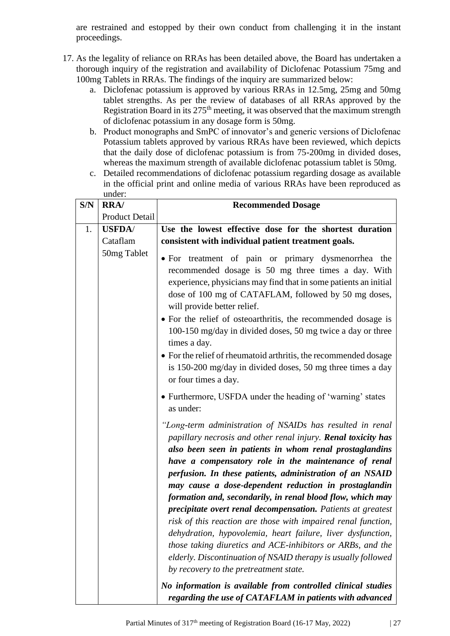are restrained and estopped by their own conduct from challenging it in the instant proceedings.

- 17. As the legality of reliance on RRAs has been detailed above, the Board has undertaken a thorough inquiry of the registration and availability of Diclofenac Potassium 75mg and 100mg Tablets in RRAs. The findings of the inquiry are summarized below:
	- a. Diclofenac potassium is approved by various RRAs in 12.5mg, 25mg and 50mg tablet strengths. As per the review of databases of all RRAs approved by the Registration Board in its  $275<sup>th</sup>$  meeting, it was observed that the maximum strength of diclofenac potassium in any dosage form is 50mg.
	- b. Product monographs and SmPC of innovator's and generic versions of Diclofenac Potassium tablets approved by various RRAs have been reviewed, which depicts that the daily dose of diclofenac potassium is from 75-200mg in divided doses, whereas the maximum strength of available diclofenac potassium tablet is 50mg.
	- c. Detailed recommendations of diclofenac potassium regarding dosage as available in the official print and online media of various RRAs have been reproduced as under:

| S/N | RRA/           | <b>Recommended Dosage</b>                                                                                                                                                                                                                                                                                                                                                                                                                                                                                                                                                                                                                                                                                                                                                                                                                                                                                                                         |  |  |
|-----|----------------|---------------------------------------------------------------------------------------------------------------------------------------------------------------------------------------------------------------------------------------------------------------------------------------------------------------------------------------------------------------------------------------------------------------------------------------------------------------------------------------------------------------------------------------------------------------------------------------------------------------------------------------------------------------------------------------------------------------------------------------------------------------------------------------------------------------------------------------------------------------------------------------------------------------------------------------------------|--|--|
|     | Product Detail |                                                                                                                                                                                                                                                                                                                                                                                                                                                                                                                                                                                                                                                                                                                                                                                                                                                                                                                                                   |  |  |
| 1.  | <b>USFDA/</b>  | Use the lowest effective dose for the shortest duration                                                                                                                                                                                                                                                                                                                                                                                                                                                                                                                                                                                                                                                                                                                                                                                                                                                                                           |  |  |
|     | Cataflam       | consistent with individual patient treatment goals.                                                                                                                                                                                                                                                                                                                                                                                                                                                                                                                                                                                                                                                                                                                                                                                                                                                                                               |  |  |
|     | 50mg Tablet    | • For treatment of pain or primary dysmenorrhea the<br>recommended dosage is 50 mg three times a day. With<br>experience, physicians may find that in some patients an initial<br>dose of 100 mg of CATAFLAM, followed by 50 mg doses,<br>will provide better relief.<br>• For the relief of osteoarthritis, the recommended dosage is<br>100-150 mg/day in divided doses, 50 mg twice a day or three<br>times a day.<br>• For the relief of rheumatoid arthritis, the recommended dosage<br>is 150-200 mg/day in divided doses, 50 mg three times a day<br>or four times a day.<br>• Furthermore, USFDA under the heading of 'warning' states                                                                                                                                                                                                                                                                                                    |  |  |
|     |                | as under:<br>"Long-term administration of NSAIDs has resulted in renal<br>papillary necrosis and other renal injury. Renal toxicity has<br>also been seen in patients in whom renal prostaglandins<br>have a compensatory role in the maintenance of renal<br>perfusion. In these patients, administration of an NSAID<br>may cause a dose-dependent reduction in prostaglandin<br>formation and, secondarily, in renal blood flow, which may<br>precipitate overt renal decompensation. Patients at greatest<br>risk of this reaction are those with impaired renal function,<br>dehydration, hypovolemia, heart failure, liver dysfunction,<br>those taking diuretics and ACE-inhibitors or ARBs, and the<br>elderly. Discontinuation of NSAID therapy is usually followed<br>by recovery to the pretreatment state.<br>No information is available from controlled clinical studies<br>regarding the use of CATAFLAM in patients with advanced |  |  |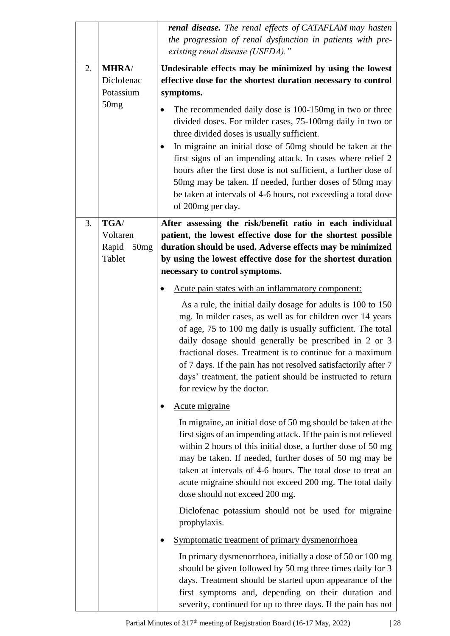|    |               | renal disease. The renal effects of CATAFLAM may hasten<br>the progression of renal dysfunction in patients with pre-                                                                                                                                                                                                                                                                                                                                                        |  |
|----|---------------|------------------------------------------------------------------------------------------------------------------------------------------------------------------------------------------------------------------------------------------------------------------------------------------------------------------------------------------------------------------------------------------------------------------------------------------------------------------------------|--|
|    |               | existing renal disease (USFDA)."                                                                                                                                                                                                                                                                                                                                                                                                                                             |  |
| 2. | <b>MHRA</b>   | Undesirable effects may be minimized by using the lowest                                                                                                                                                                                                                                                                                                                                                                                                                     |  |
|    | Diclofenac    | effective dose for the shortest duration necessary to control                                                                                                                                                                                                                                                                                                                                                                                                                |  |
|    | Potassium     | symptoms.                                                                                                                                                                                                                                                                                                                                                                                                                                                                    |  |
|    | 50mg          | The recommended daily dose is 100-150mg in two or three<br>divided doses. For milder cases, 75-100mg daily in two or<br>three divided doses is usually sufficient.<br>In migraine an initial dose of 50mg should be taken at the<br>٠<br>first signs of an impending attack. In cases where relief 2<br>hours after the first dose is not sufficient, a further dose of                                                                                                      |  |
|    |               | 50mg may be taken. If needed, further doses of 50mg may<br>be taken at intervals of 4-6 hours, not exceeding a total dose<br>of 200mg per day.                                                                                                                                                                                                                                                                                                                               |  |
| 3. | TGA/          | After assessing the risk/benefit ratio in each individual                                                                                                                                                                                                                                                                                                                                                                                                                    |  |
|    | Voltaren      | patient, the lowest effective dose for the shortest possible                                                                                                                                                                                                                                                                                                                                                                                                                 |  |
|    | Rapid<br>50mg | duration should be used. Adverse effects may be minimized                                                                                                                                                                                                                                                                                                                                                                                                                    |  |
|    | Tablet        | by using the lowest effective dose for the shortest duration                                                                                                                                                                                                                                                                                                                                                                                                                 |  |
|    |               | necessary to control symptoms.                                                                                                                                                                                                                                                                                                                                                                                                                                               |  |
|    |               | Acute pain states with an inflammatory component:                                                                                                                                                                                                                                                                                                                                                                                                                            |  |
|    |               | As a rule, the initial daily dosage for adults is 100 to 150<br>mg. In milder cases, as well as for children over 14 years<br>of age, 75 to 100 mg daily is usually sufficient. The total<br>daily dosage should generally be prescribed in 2 or 3<br>fractional doses. Treatment is to continue for a maximum<br>of 7 days. If the pain has not resolved satisfactorily after 7<br>days' treatment, the patient should be instructed to return<br>for review by the doctor. |  |
|    |               | Acute migraine                                                                                                                                                                                                                                                                                                                                                                                                                                                               |  |
|    |               | In migraine, an initial dose of 50 mg should be taken at the<br>first signs of an impending attack. If the pain is not relieved<br>within 2 hours of this initial dose, a further dose of 50 mg<br>may be taken. If needed, further doses of 50 mg may be<br>taken at intervals of 4-6 hours. The total dose to treat an<br>acute migraine should not exceed 200 mg. The total daily<br>dose should not exceed 200 mg.                                                       |  |
|    |               | Diclofenac potassium should not be used for migraine<br>prophylaxis.                                                                                                                                                                                                                                                                                                                                                                                                         |  |
|    |               | Symptomatic treatment of primary dysmenorrhoea                                                                                                                                                                                                                                                                                                                                                                                                                               |  |
|    |               | In primary dysmenorrhoea, initially a dose of 50 or 100 mg<br>should be given followed by 50 mg three times daily for 3<br>days. Treatment should be started upon appearance of the<br>first symptoms and, depending on their duration and<br>severity, continued for up to three days. If the pain has not                                                                                                                                                                  |  |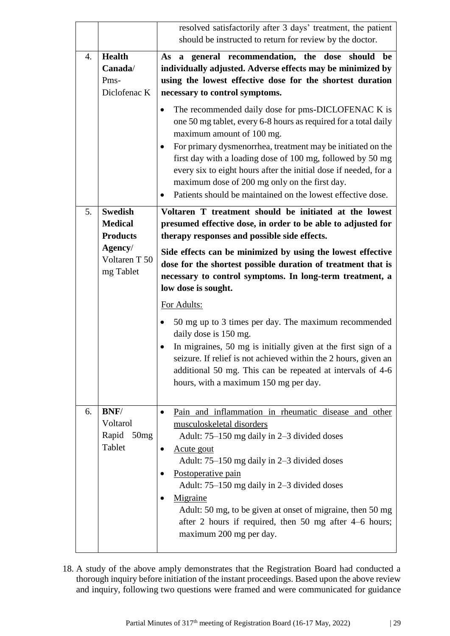|                                                          |                                                     | resolved satisfactorily after 3 days' treatment, the patient<br>should be instructed to return for review by the doctor.                                                                                                                                                                                                                                                                                                                                                                                                                                                                                                             |  |  |
|----------------------------------------------------------|-----------------------------------------------------|--------------------------------------------------------------------------------------------------------------------------------------------------------------------------------------------------------------------------------------------------------------------------------------------------------------------------------------------------------------------------------------------------------------------------------------------------------------------------------------------------------------------------------------------------------------------------------------------------------------------------------------|--|--|
| 4.                                                       | <b>Health</b><br>Canada/<br>Pms-<br>Diclofenac K    | As a general recommendation, the dose<br>should<br>be<br>individually adjusted. Adverse effects may be minimized by<br>using the lowest effective dose for the shortest duration<br>necessary to control symptoms.<br>The recommended daily dose for pms-DICLOFENAC K is<br>٠<br>one 50 mg tablet, every 6-8 hours as required for a total daily<br>maximum amount of 100 mg.<br>For primary dysmenorrhea, treatment may be initiated on the<br>٠<br>first day with a loading dose of 100 mg, followed by 50 mg<br>every six to eight hours after the initial dose if needed, for a<br>maximum dose of 200 mg only on the first day. |  |  |
| 5.                                                       | <b>Swedish</b><br><b>Medical</b>                    | Patients should be maintained on the lowest effective dose.<br>٠<br>Voltaren T treatment should be initiated at the lowest                                                                                                                                                                                                                                                                                                                                                                                                                                                                                                           |  |  |
| <b>Products</b><br>Agency/<br>Voltaren T 50<br>mg Tablet |                                                     | presumed effective dose, in order to be able to adjusted for<br>therapy responses and possible side effects.<br>Side effects can be minimized by using the lowest effective<br>dose for the shortest possible duration of treatment that is<br>necessary to control symptoms. In long-term treatment, a<br>low dose is sought.<br>For Adults:<br>50 mg up to 3 times per day. The maximum recommended<br>daily dose is 150 mg.<br>In migraines, 50 mg is initially given at the first sign of a<br>٠                                                                                                                                 |  |  |
|                                                          |                                                     | seizure. If relief is not achieved within the 2 hours, given an<br>additional 50 mg. This can be repeated at intervals of 4-6<br>hours, with a maximum 150 mg per day.                                                                                                                                                                                                                                                                                                                                                                                                                                                               |  |  |
| 6.                                                       | <b>BNF</b> /<br>Voltarol<br>Rapid<br>50mg<br>Tablet | Pain and inflammation in rheumatic disease and other<br>$\bullet$<br>musculoskeletal disorders<br>Adult: 75–150 mg daily in 2–3 divided doses<br>Acute gout<br>Adult: 75–150 mg daily in 2–3 divided doses<br>Postoperative pain<br>Adult: 75–150 mg daily in 2–3 divided doses<br>Migraine<br>Adult: 50 mg, to be given at onset of migraine, then 50 mg<br>after 2 hours if required, then 50 mg after $4-6$ hours;<br>maximum 200 mg per day.                                                                                                                                                                                     |  |  |

18. A study of the above amply demonstrates that the Registration Board had conducted a thorough inquiry before initiation of the instant proceedings. Based upon the above review and inquiry, following two questions were framed and were communicated for guidance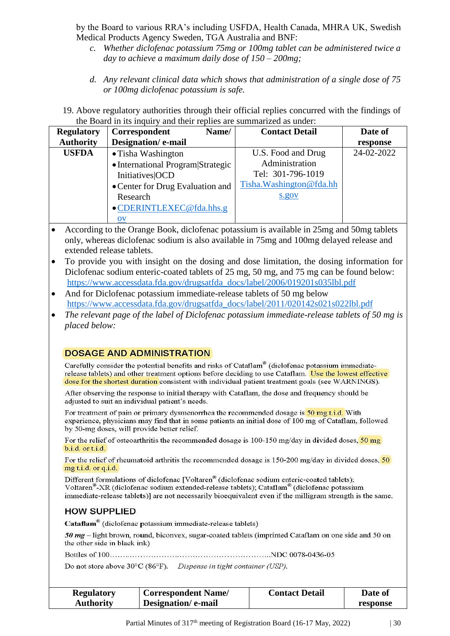by the Board to various RRA's including USFDA, Health Canada, MHRA UK, Swedish Medical Products Agency Sweden, TGA Australia and BNF:

- *c. Whether diclofenac potassium 75mg or 100mg tablet can be administered twice a day to achieve a maximum daily dose of 150 – 200mg;*
- *d. Any relevant clinical data which shows that administration of a single dose of 75 or 100mg diclofenac potassium is safe.*
- 19. Above regulatory authorities through their official replies concurred with the findings of the Board in its inquiry and their replies are summarized as under:

| <b>Regulatory</b> | Name/<br>Correspondent            | <b>Contact Detail</b>    | Date of    |
|-------------------|-----------------------------------|--------------------------|------------|
| <b>Authority</b>  | Designation/e-mail                |                          | response   |
| <b>USFDA</b>      | • Tisha Washington                | U.S. Food and Drug       | 24-02-2022 |
|                   | • International Program Strategic | Administration           |            |
|                   | <b>Initiatives</b> OCD            | Tel: 301-796-1019        |            |
|                   | • Center for Drug Evaluation and  | Tisha. Washington@fda.hh |            |
|                   | Research                          | s.gov                    |            |
|                   | •CDERINTLEXEC@fda.hhs.g           |                          |            |
|                   | $\overline{\text{O}}\text{V}$     |                          |            |

- According to the Orange Book, diclofenac potassium is available in 25mg and 50mg tablets only, whereas diclofenac sodium is also available in 75mg and 100mg delayed release and extended release tablets.
- To provide you with insight on the dosing and dose limitation, the dosing information for Diclofenac sodium enteric-coated tablets of 25 mg, 50 mg, and 75 mg can be found below: [https://www.accessdata.fda.gov/drugsatfda\\_docs/label/2006/019201s035lbl.pdf](https://www.accessdata.fda.gov/drugsatfda_docs/label/2006/019201s035lbl.pdf)
- And for Diclofenac potassium immediate-release tablets of 50 mg below [https://www.accessdata.fda.gov/drugsatfda\\_docs/label/2011/020142s021s022lbl.pdf](https://www.accessdata.fda.gov/drugsatfda_docs/label/2011/020142s021s022lbl.pdf)
- *The relevant page of the label of Diclofenac potassium immediate-release tablets of 50 mg is placed below:*

### **DOSAGE AND ADMINISTRATION**

Carefully consider the potential benefits and risks of Cataflam® (diclofenac potassium immediaterelease tablets) and other treatment options before deciding to use Cataflam. Use the lowest effective dose for the shortest duration consistent with individual patient treatment goals (see WARNINGS).

After observing the response to initial therapy with Cataflam, the dose and frequency should be adjusted to suit an individual patient's needs.

For treatment of pain or primary dysmenorrhea the recommended dosage is 50 mg t.i.d. With experience, physicians may find that in some patients an initial dose of 100 mg of Cataflam, followed by 50-mg doses, will provide better relief.

For the relief of osteoarthritis the recommended dosage is  $100-150$  mg/day in divided doses,  $50$  mg b.i.d. or t.i.d.

For the relief of rheumatoid arthritis the recommended dosage is 150-200 mg/day in divided doses, 50 mg t.i.d. or q.i.d.

Different formulations of diclofenac [Voltaren<sup>®</sup> (diclofenac sodium enteric-coated tablets); Voltaren<sup>®</sup>-XR (diclofenac sodium extended-release tablets); Cataflam<sup>®</sup> (diclofenac potassium immediate-release tablets)] are not necessarily bioequivalent even if the milligram strength is the same.

# **HOW SUPPLIED**

Cataflam<sup>®</sup> (diclofenac potassium immediate-release tablets)

50 mg - light brown, round, biconvex, sugar-coated tablets (imprinted Cataflam on one side and 50 on the other side in black ink)

Do not store above 30°C (86°F). Dispense in tight container (USP).

| <b>Regulatory</b> | <b>Correspondent Name/</b> | <b>Contact Detail</b> | <b>Date of</b> |
|-------------------|----------------------------|-----------------------|----------------|
| <b>Authority</b>  | Designation/e-mail         |                       | response       |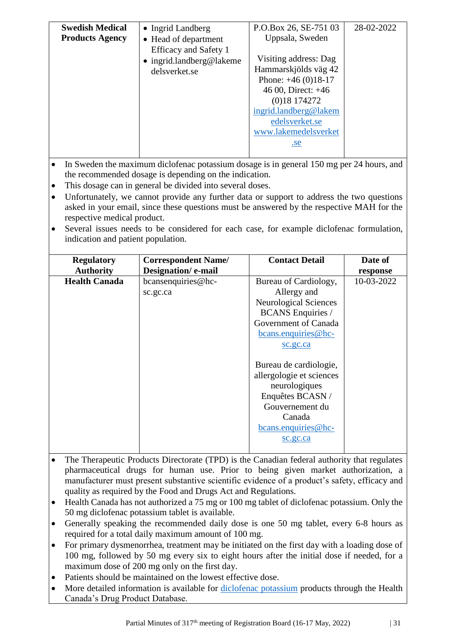| <b>Swedish Medical</b> | • Ingrid Landberg        | P.O.Box 26, SE-751 03 | 28-02-2022 |
|------------------------|--------------------------|-----------------------|------------|
| <b>Products Agency</b> | • Head of department     | Uppsala, Sweden       |            |
|                        | Efficacy and Safety 1    |                       |            |
|                        | • ingrid.landberg@lakeme | Visiting address: Dag |            |
|                        | delsverket.se            | Hammarskjölds väg 42  |            |
|                        |                          | Phone: $+46(0)18-17$  |            |
|                        |                          | 46 00, Direct: $+46$  |            |
|                        |                          | (0)18174272           |            |
|                        |                          | ingrid.landberg@lakem |            |
|                        |                          | edelsverket.se        |            |
|                        |                          | www.lakemedelsverket  |            |
|                        |                          | .se                   |            |
|                        |                          |                       |            |

- In Sweden the maximum diclofenac potassium dosage is in general 150 mg per 24 hours, and the recommended dosage is depending on the indication.
- This dosage can in general be divided into several doses.
- Unfortunately, we cannot provide any further data or support to address the two questions asked in your email, since these questions must be answered by the respective MAH for the respective medical product.
- Several issues needs to be considered for each case, for example diclofenac formulation, indication and patient population.

| <b>Regulatory</b>    | <b>Correspondent Name/</b> | <b>Contact Detail</b>        | Date of    |
|----------------------|----------------------------|------------------------------|------------|
| <b>Authority</b>     | Designation/e-mail         |                              | response   |
| <b>Health Canada</b> | bcansenquiries@hc-         | Bureau of Cardiology,        | 10-03-2022 |
|                      | sc.gc.ca                   | Allergy and                  |            |
|                      |                            | <b>Neurological Sciences</b> |            |
|                      |                            | <b>BCANS</b> Enquiries /     |            |
|                      |                            | Government of Canada         |            |
|                      |                            | $bcans.$ enquiries @hc-      |            |
|                      |                            | sc.gc.ca                     |            |
|                      |                            |                              |            |
|                      |                            | Bureau de cardiologie,       |            |
|                      |                            | allergologie et sciences     |            |
|                      |                            | neurologiques                |            |
|                      |                            | Enquêtes BCASN /             |            |
|                      |                            | Gouvernement du              |            |
|                      |                            | Canada                       |            |
|                      |                            | bcans.enquiries@hc-          |            |
|                      |                            | sc.gc.ca                     |            |
|                      |                            |                              |            |

- The Therapeutic Products Directorate (TPD) is the Canadian federal authority that regulates pharmaceutical drugs for human use. Prior to being given market authorization, a manufacturer must present substantive scientific evidence of a product's safety, efficacy and quality as required by the Food and Drugs Act and Regulations.
- Health Canada has not authorized a 75 mg or 100 mg tablet of diclofenac potassium. Only the 50 mg diclofenac potassium tablet is available.
- Generally speaking the recommended daily dose is one 50 mg tablet, every 6-8 hours as required for a total daily maximum amount of 100 mg.
- For primary dysmenorrhea, treatment may be initiated on the first day with a loading dose of 100 mg, followed by 50 mg every six to eight hours after the initial dose if needed, for a maximum dose of 200 mg only on the first day.
- Patients should be maintained on the lowest effective dose.
- More detailed information is available for [diclofenac potassium](https://can01.safelinks.protection.outlook.com/?url=https%3A%2F%2Fhealth-products.canada.ca%2Fdpd-bdpp%2Fdispatch-repartition.do%23results&data=04%7C01%7Cbcansenquiries%40hc-sc.gc.ca%7Cc2e3821dc6c346ffd51308da01e29c7a%7C42fd9015de4d4223a368baeacab48927%7C0%7C0%7C637824370044671720%7CUnknown%7CTWFpbGZsb3d8eyJWIjoiMC4wLjAwMDAiLCJQIjoiV2luMzIiLCJBTiI6Ik1haWwiLCJXVCI6Mn0%3D%7C3000&sdata=6m3eDfB%2B%2FrSzeEBA5oVmsnkh3XluSKd32%2FXdVwgaIgg%3D&reserved=0) products through the Health Canada's Drug Product Database.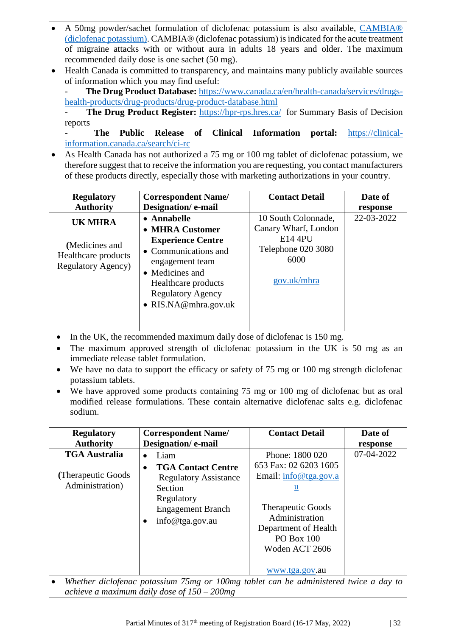- A 50mg powder/sachet formulation of diclofenac potassium is also available, [CAMBIA®](https://can01.safelinks.protection.outlook.com/?url=https%3A%2F%2Fpdf.hres.ca%2Fdpd_pm%2F00063848.PDF&data=04%7C01%7Cbcansenquiries%40hc-sc.gc.ca%7Cc2e3821dc6c346ffd51308da01e29c7a%7C42fd9015de4d4223a368baeacab48927%7C0%7C0%7C637824370044671720%7CUnknown%7CTWFpbGZsb3d8eyJWIjoiMC4wLjAwMDAiLCJQIjoiV2luMzIiLCJBTiI6Ik1haWwiLCJXVCI6Mn0%3D%7C3000&sdata=2si9cDfySQnlJY%2FP0H%2BcI3pzP6296U5uUl%2Biw2REksM%3D&reserved=0)  [\(diclofenac potassium\).](https://can01.safelinks.protection.outlook.com/?url=https%3A%2F%2Fpdf.hres.ca%2Fdpd_pm%2F00063848.PDF&data=04%7C01%7Cbcansenquiries%40hc-sc.gc.ca%7Cc2e3821dc6c346ffd51308da01e29c7a%7C42fd9015de4d4223a368baeacab48927%7C0%7C0%7C637824370044671720%7CUnknown%7CTWFpbGZsb3d8eyJWIjoiMC4wLjAwMDAiLCJQIjoiV2luMzIiLCJBTiI6Ik1haWwiLCJXVCI6Mn0%3D%7C3000&sdata=2si9cDfySQnlJY%2FP0H%2BcI3pzP6296U5uUl%2Biw2REksM%3D&reserved=0) CAMBIA® (diclofenac potassium) is indicated for the acute treatment of migraine attacks with or without aura in adults 18 years and older. The maximum recommended daily dose is one sachet (50 mg).
- Health Canada is committed to transparency, and maintains many publicly available sources of information which you may find useful:

The Drug Product Database: [https://www.canada.ca/en/health-canada/services/drugs](https://www.canada.ca/en/health-canada/services/drugs-health-products/drug-products/drug-product-database.html)[health-products/drug-products/drug-product-database.html](https://www.canada.ca/en/health-canada/services/drugs-health-products/drug-products/drug-product-database.html)

The Drug Product Register: <https://hpr-rps.hres.ca/> for Summary Basis of Decision reports

- **The Public Release of Clinical Information portal:** [https://clinical](https://clinical-information.canada.ca/search/ci-rc)[information.canada.ca/search/ci-rc](https://clinical-information.canada.ca/search/ci-rc)

• As Health Canada has not authorized a 75 mg or 100 mg tablet of diclofenac potassium, we therefore suggest that to receive the information you are requesting, you contact manufacturers of these products directly, especially those with marketing authorizations in your country.

| <b>Regulatory</b>                                                              | <b>Correspondent Name/</b>                                                                                                                                                                            | <b>Contact Detail</b>                                                                               | Date of    |
|--------------------------------------------------------------------------------|-------------------------------------------------------------------------------------------------------------------------------------------------------------------------------------------------------|-----------------------------------------------------------------------------------------------------|------------|
| <b>Authority</b>                                                               | Designation/e-mail                                                                                                                                                                                    |                                                                                                     | response   |
| UK MHRA<br>(Medicines and<br>Healthcare products<br><b>Regulatory Agency</b> ) | • Annabelle<br>• MHRA Customer<br><b>Experience Centre</b><br>• Communications and<br>engagement team<br>• Medicines and<br>Healthcare products<br><b>Regulatory Agency</b><br>• $RIS.NA@mhra.gov.uk$ | 10 South Colonnade,<br>Canary Wharf, London<br>E14 4PU<br>Telephone 020 3080<br>6000<br>gov.uk/mhra | 22-03-2022 |

- In the UK, the recommended maximum daily dose of diclofenac is 150 mg.
- The maximum approved strength of diclofenac potassium in the UK is 50 mg as an immediate release tablet formulation.
- We have no data to support the efficacy or safety of 75 mg or 100 mg strength diclofenac potassium tablets.
- We have approved some products containing 75 mg or 100 mg of diclofenac but as oral modified release formulations. These contain alternative diclofenac salts e.g. diclofenac sodium.

| <b>Regulatory</b>                                                                   | <b>Correspondent Name/</b>                                                                                                                                                                                                                  | <b>Contact Detail</b>                                                                                                                                                                                                                                | Date of                                                                                 |
|-------------------------------------------------------------------------------------|---------------------------------------------------------------------------------------------------------------------------------------------------------------------------------------------------------------------------------------------|------------------------------------------------------------------------------------------------------------------------------------------------------------------------------------------------------------------------------------------------------|-----------------------------------------------------------------------------------------|
| <b>Authority</b>                                                                    | Designation/e-mail                                                                                                                                                                                                                          |                                                                                                                                                                                                                                                      | response                                                                                |
| <b>TGA Australia</b><br>(Therapeutic Goods)<br>Administration)<br>$TT111$ $T1$ $T2$ | Liam<br>$\bullet$<br><b>TGA Contact Centre</b><br>$\bullet$<br><b>Regulatory Assistance</b><br>Section<br>Regulatory<br><b>Engagement Branch</b><br>info@tga.gov.au<br>100<br>and the state of the state of the<br>$\overline{\phantom{a}}$ | Phone: 1800 020<br>653 Fax: 02 6203 1605<br>Email: info@tga.gov.a<br>$u$<br><b>Therapeutic Goods</b><br>Administration<br>Department of Health<br><b>PO Box 100</b><br>Woden ACT 2606<br>www.tga.gov.au<br>$\ldots$ , $\ldots$ , $\ldots$ , $\ldots$ | 07-04-2022<br>$\mathbf{1}$ , $\mathbf{1}$<br><b>Contract Contract Contract Contract</b> |

• *Whether diclofenac potassium 75mg or 100mg tablet can be administered twice a day to achieve a maximum daily dose of 150 – 200mg*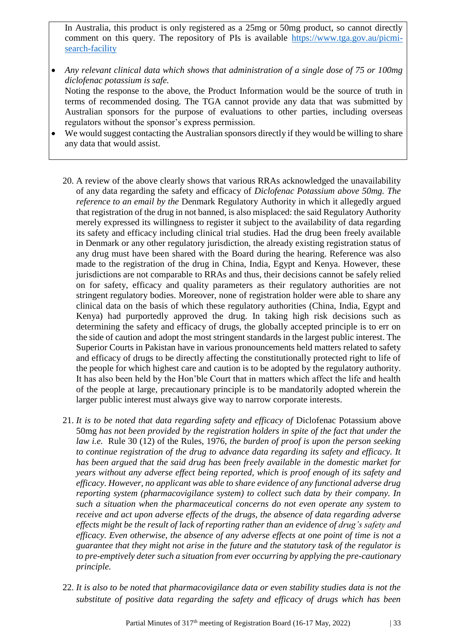In Australia, this product is only registered as a 25mg or 50mg product, so cannot directly comment on this query. The repository of PIs is available [https://www.tga.gov.au/picmi](https://www.tga.gov.au/picmi-search-facility)[search-facility](https://www.tga.gov.au/picmi-search-facility)

- *Any relevant clinical data which shows that administration of a single dose of 75 or 100mg diclofenac potassium is safe.* Noting the response to the above, the Product Information would be the source of truth in terms of recommended dosing. The TGA cannot provide any data that was submitted by Australian sponsors for the purpose of evaluations to other parties, including overseas
- regulators without the sponsor's express permission. We would suggest contacting the Australian sponsors directly if they would be willing to share any data that would assist.
	- 20. A review of the above clearly shows that various RRAs acknowledged the unavailability of any data regarding the safety and efficacy of *Diclofenac Potassium above 50mg. The reference to an email by the* Denmark Regulatory Authority in which it allegedly argued that registration of the drug in not banned, is also misplaced: the said Regulatory Authority merely expressed its willingness to register it subject to the availability of data regarding its safety and efficacy including clinical trial studies. Had the drug been freely available in Denmark or any other regulatory jurisdiction, the already existing registration status of any drug must have been shared with the Board during the hearing. Reference was also made to the registration of the drug in China, India, Egypt and Kenya. However, these jurisdictions are not comparable to RRAs and thus, their decisions cannot be safely relied on for safety, efficacy and quality parameters as their regulatory authorities are not stringent regulatory bodies. Moreover, none of registration holder were able to share any clinical data on the basis of which these regulatory authorities (China, India, Egypt and Kenya) had purportedly approved the drug. In taking high risk decisions such as determining the safety and efficacy of drugs, the globally accepted principle is to err on the side of caution and adopt the most stringent standards in the largest public interest. The Superior Courts in Pakistan have in various pronouncements held matters related to safety and efficacy of drugs to be directly affecting the constitutionally protected right to life of the people for which highest care and caution is to be adopted by the regulatory authority. It has also been held by the Hon'ble Court that in matters which affect the life and health of the people at large, precautionary principle is to be mandatorily adopted wherein the larger public interest must always give way to narrow corporate interests.
	- 21. *It is to be noted that data regarding safety and efficacy of* Diclofenac Potassium above 50mg *has not been provided by the registration holders in spite of the fact that under the law i.e.* Rule 30 (12) of the Rules, 1976, *the burden of proof is upon the person seeking to continue registration of the drug to advance data regarding its safety and efficacy. It has been argued that the said drug has been freely available in the domestic market for years without any adverse effect being reported, which is proof enough of its safety and efficacy. However, no applicant was able to share evidence of any functional adverse drug reporting system (pharmacovigilance system) to collect such data by their company. In such a situation when the pharmaceutical concerns do not even operate any system to receive and act upon adverse effects of the drugs, the absence of data regarding adverse effects might be the result of lack of reporting rather than an evidence of drug's safety and efficacy. Even otherwise, the absence of any adverse effects at one point of time is not a guarantee that they might not arise in the future and the statutory task of the regulator is to pre-emptively deter such a situation from ever occurring by applying the pre-cautionary principle.*
	- 22. *It is also to be noted that pharmacovigilance data or even stability studies data is not the substitute of positive data regarding the safety and efficacy of drugs which has been*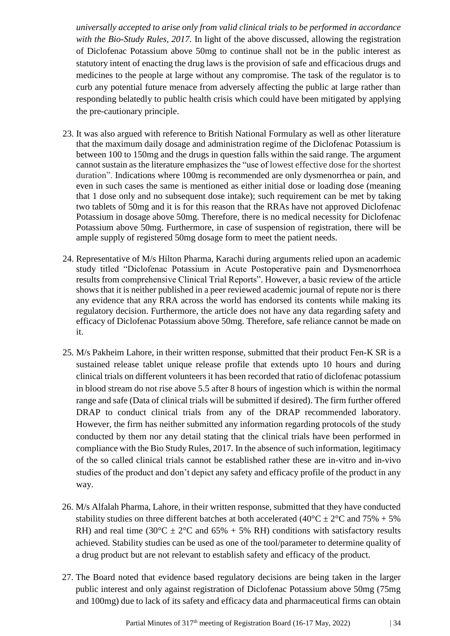*universally accepted to arise only from valid clinical trials to be performed in accordance with the Bio-Study Rules, 2017.* In light of the above discussed, allowing the registration of Diclofenac Potassium above 50mg to continue shall not be in the public interest as statutory intent of enacting the drug laws is the provision of safe and efficacious drugs and medicines to the people at large without any compromise. The task of the regulator is to curb any potential future menace from adversely affecting the public at large rather than responding belatedly to public health crisis which could have been mitigated by applying the pre-cautionary principle.

- 23. It was also argued with reference to British National Formulary as well as other literature that the maximum daily dosage and administration regime of the Diclofenac Potassium is between 100 to 150mg and the drugs in question falls within the said range. The argument cannot sustain as the literature emphasizes the "use of lowest effective dose for the shortest duration". Indications where 100mg is recommended are only dysmenorrhea or pain, and even in such cases the same is mentioned as either initial dose or loading dose (meaning that 1 dose only and no subsequent dose intake); such requirement can be met by taking two tablets of 50mg and it is for this reason that the RRAs have not approved Diclofenac Potassium in dosage above 50mg. Therefore, there is no medical necessity for Diclofenac Potassium above 50mg. Furthermore, in case of suspension of registration, there will be ample supply of registered 50mg dosage form to meet the patient needs.
- 24. Representative of M/s Hilton Pharma, Karachi during arguments relied upon an academic study titled "Diclofenac Potassium in Acute Postoperative pain and Dysmenorrhoea results from comprehensive Clinical Trial Reports". However, a basic review of the article shows that it is neither published in a peer reviewed academic journal of repute nor is there any evidence that any RRA across the world has endorsed its contents while making its regulatory decision. Furthermore, the article does not have any data regarding safety and efficacy of Diclofenac Potassium above 50mg. Therefore, safe reliance cannot be made on it.
- 25. M/s Pakheim Lahore, in their written response, submitted that their product Fen-K SR is a sustained release tablet unique release profile that extends upto 10 hours and during clinical trials on different volunteers it has been recorded that ratio of diclofenac potassium in blood stream do not rise above 5.5 after 8 hours of ingestion which is within the normal range and safe (Data of clinical trials will be submitted if desired). The firm further offered DRAP to conduct clinical trials from any of the DRAP recommended laboratory. However, the firm has neither submitted any information regarding protocols of the study conducted by them nor any detail stating that the clinical trials have been performed in compliance with the Bio Study Rules, 2017. In the absence of such information, legitimacy of the so called clinical trials cannot be established rather these are in-vitro and in-vivo studies of the product and don't depict any safety and efficacy profile of the product in any way.
- 26. M/s Alfalah Pharma, Lahore, in their written response, submitted that they have conducted stability studies on three different batches at both accelerated (40 $^{\circ}$ C  $\pm$  2 $^{\circ}$ C and 75% + 5% RH) and real time (30°C  $\pm$  2°C and 65% + 5% RH) conditions with satisfactory results achieved. Stability studies can be used as one of the tool/parameter to determine quality of a drug product but are not relevant to establish safety and efficacy of the product.
- 27. The Board noted that evidence based regulatory decisions are being taken in the larger public interest and only against registration of Diclofenac Potassium above 50mg (75mg and 100mg) due to lack of its safety and efficacy data and pharmaceutical firms can obtain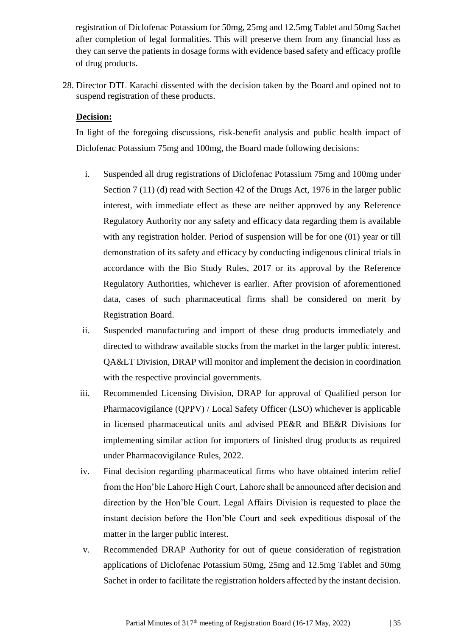registration of Diclofenac Potassium for 50mg, 25mg and 12.5mg Tablet and 50mg Sachet after completion of legal formalities. This will preserve them from any financial loss as they can serve the patients in dosage forms with evidence based safety and efficacy profile of drug products.

28. Director DTL Karachi dissented with the decision taken by the Board and opined not to suspend registration of these products.

## **Decision:**

In light of the foregoing discussions, risk-benefit analysis and public health impact of Diclofenac Potassium 75mg and 100mg, the Board made following decisions:

- i. Suspended all drug registrations of Diclofenac Potassium 75mg and 100mg under Section 7 (11) (d) read with Section 42 of the Drugs Act, 1976 in the larger public interest, with immediate effect as these are neither approved by any Reference Regulatory Authority nor any safety and efficacy data regarding them is available with any registration holder. Period of suspension will be for one (01) year or till demonstration of its safety and efficacy by conducting indigenous clinical trials in accordance with the Bio Study Rules, 2017 or its approval by the Reference Regulatory Authorities, whichever is earlier. After provision of aforementioned data, cases of such pharmaceutical firms shall be considered on merit by Registration Board.
- ii. Suspended manufacturing and import of these drug products immediately and directed to withdraw available stocks from the market in the larger public interest. QA&LT Division, DRAP will monitor and implement the decision in coordination with the respective provincial governments.
- iii. Recommended Licensing Division, DRAP for approval of Qualified person for Pharmacovigilance (QPPV) / Local Safety Officer (LSO) whichever is applicable in licensed pharmaceutical units and advised PE&R and BE&R Divisions for implementing similar action for importers of finished drug products as required under Pharmacovigilance Rules, 2022.
- iv. Final decision regarding pharmaceutical firms who have obtained interim relief from the Hon'ble Lahore High Court, Lahore shall be announced after decision and direction by the Hon'ble Court. Legal Affairs Division is requested to place the instant decision before the Hon'ble Court and seek expeditious disposal of the matter in the larger public interest.
- v. Recommended DRAP Authority for out of queue consideration of registration applications of Diclofenac Potassium 50mg, 25mg and 12.5mg Tablet and 50mg Sachet in order to facilitate the registration holders affected by the instant decision.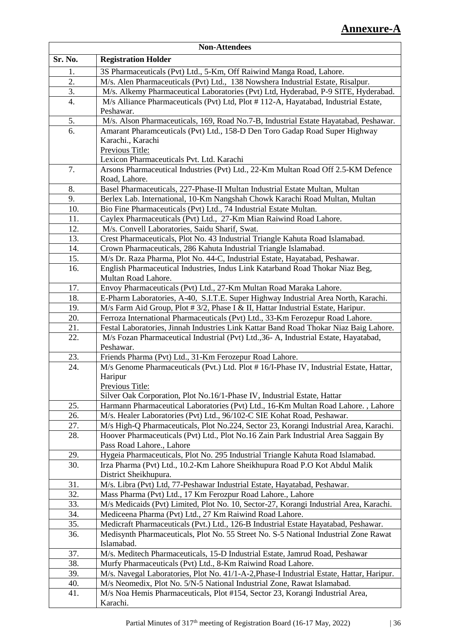| <b>Non-Attendees</b> |                                                                                                                                                                |
|----------------------|----------------------------------------------------------------------------------------------------------------------------------------------------------------|
| Sr. No.              | <b>Registration Holder</b>                                                                                                                                     |
| 1.                   | 3S Pharmaceuticals (Pvt) Ltd., 5-Km, Off Raiwind Manga Road, Lahore.                                                                                           |
| 2.                   | M/s. Alen Pharmaceuticals (Pvt) Ltd., 138 Nowshera Industrial Estate, Risalpur.                                                                                |
| 3.                   | M/s. Alkemy Pharmaceutical Laboratories (Pvt) Ltd, Hyderabad, P-9 SITE, Hyderabad.                                                                             |
| 4.                   | M/s Alliance Pharmaceuticals (Pvt) Ltd, Plot #112-A, Hayatabad, Industrial Estate,                                                                             |
|                      | Peshawar.                                                                                                                                                      |
| 5.                   | M/s. Alson Pharmaceuticals, 169, Road No.7-B, Industrial Estate Hayatabad, Peshawar.                                                                           |
| 6.                   | Amarant Pharamceuticals (Pvt) Ltd., 158-D Den Toro Gadap Road Super Highway                                                                                    |
|                      | Karachi., Karachi                                                                                                                                              |
|                      | Previous Title:                                                                                                                                                |
|                      | Lexicon Pharmaceuticals Pvt. Ltd. Karachi                                                                                                                      |
| 7.                   | Arsons Pharmaceutical Industries (Pvt) Ltd., 22-Km Multan Road Off 2.5-KM Defence                                                                              |
|                      | Road, Lahore.                                                                                                                                                  |
| 8.                   | Basel Pharmaceuticals, 227-Phase-II Multan Industrial Estate Multan, Multan                                                                                    |
| 9.                   | Berlex Lab. International, 10-Km Nangshah Chowk Karachi Road Multan, Multan                                                                                    |
| 10.                  | Bio Fine Pharmaceuticals (Pvt) Ltd., 74 Industrial Estate Multan.                                                                                              |
| 11.                  | Caylex Pharmaceuticals (Pvt) Ltd., 27-Km Mian Raiwind Road Lahore.                                                                                             |
| 12.                  | M/s. Convell Laboratories, Saidu Sharif, Swat.                                                                                                                 |
| 13.                  | Crest Pharmaceuticals, Plot No. 43 Industrial Triangle Kahuta Road Islamabad.                                                                                  |
| 14.                  | Crown Pharmaceuticals, 286 Kahuta Industrial Triangle Islamabad.                                                                                               |
| 15.                  | M/s Dr. Raza Pharma, Plot No. 44-C, Industrial Estate, Hayatabad, Peshawar.                                                                                    |
| 16.                  | English Pharmaceutical Industries, Indus Link Katarband Road Thokar Niaz Beg,                                                                                  |
| 17.                  | Multan Road Lahore.<br>Envoy Pharmaceuticals (Pvt) Ltd., 27-Km Multan Road Maraka Lahore.                                                                      |
| 18.                  | E-Pharm Laboratories, A-40, S.I.T.E. Super Highway Industrial Area North, Karachi.                                                                             |
| 19.                  | M/s Farm Aid Group, Plot # $3/2$ , Phase I & II, Hattar Industrial Estate, Haripur.                                                                            |
| 20.                  | Ferroza International Pharmaceuticals (Pvt) Ltd., 33-Km Ferozepur Road Lahore.                                                                                 |
| 21.                  | Festal Laboratories, Jinnah Industries Link Kattar Band Road Thokar Niaz Baig Lahore.                                                                          |
| 22.                  | M/s Fozan Pharmaceutical Industrial (Pvt) Ltd., 36- A, Industrial Estate, Hayatabad,                                                                           |
|                      | Peshawar.                                                                                                                                                      |
| 23.                  | Friends Pharma (Pvt) Ltd., 31-Km Ferozepur Road Lahore.                                                                                                        |
| 24.                  | M/s Genome Pharmaceuticals (Pvt.) Ltd. Plot #16/I-Phase IV, Industrial Estate, Hattar,                                                                         |
|                      | Haripur                                                                                                                                                        |
|                      | Previous Title:                                                                                                                                                |
|                      | Silver Oak Corporation, Plot No.16/1-Phase IV, Industrial Estate, Hattar                                                                                       |
| 25.                  | Harmann Pharmaceutical Laboratories (Pvt) Ltd., 16-Km Multan Road Lahore., Lahore                                                                              |
| 26.                  | M/s. Healer Laboratories (Pvt) Ltd., 96/102-C SIE Kohat Road, Peshawar.                                                                                        |
| 27.                  | M/s High-Q Pharmaceuticals, Plot No.224, Sector 23, Korangi Industrial Area, Karachi.                                                                          |
| 28.                  | Hoover Pharmaceuticals (Pvt) Ltd., Plot No.16 Zain Park Industrial Area Saggain By                                                                             |
|                      | Pass Road Lahore., Lahore                                                                                                                                      |
| 29.<br>30.           | Hygeia Pharmaceuticals, Plot No. 295 Industrial Triangle Kahuta Road Islamabad.<br>Irza Pharma (Pvt) Ltd., 10.2-Km Lahore Sheikhupura Road P.O Kot Abdul Malik |
|                      | District Sheikhupura.                                                                                                                                          |
| 31.                  | M/s. Libra (Pvt) Ltd, 77-Peshawar Industrial Estate, Hayatabad, Peshawar.                                                                                      |
| 32.                  | Mass Pharma (Pvt) Ltd., 17 Km Ferozpur Road Lahore., Lahore                                                                                                    |
| 33.                  | M/s Medicaids (Pvt) Limited, Plot No. 10, Sector-27, Korangi Industrial Area, Karachi.                                                                         |
| 34.                  | Mediceena Pharma (Pvt) Ltd., 27 Km Raiwind Road Lahore.                                                                                                        |
| 35.                  | Medicraft Pharmaceuticals (Pvt.) Ltd., 126-B Industrial Estate Hayatabad, Peshawar.                                                                            |
| 36.                  | Medisynth Pharmaceuticals, Plot No. 55 Street No. S-5 National Industrial Zone Rawat                                                                           |
|                      | Islamabad.                                                                                                                                                     |
| 37.                  | M/s. Meditech Pharmaceuticals, 15-D Industrial Estate, Jamrud Road, Peshawar                                                                                   |
| 38.                  | Murfy Pharmaceuticals (Pvt) Ltd., 8-Km Raiwind Road Lahore.                                                                                                    |
| 39.                  | M/s. Navegal Laboratories, Plot No. 41/1-A-2, Phase-I Industrial Estate, Hattar, Haripur.                                                                      |
| 40.                  | M/s Neomedix, Plot No. 5/N-5 National Industrial Zone, Rawat Islamabad.                                                                                        |
| 41.                  | M/s Noa Hemis Pharmaceuticals, Plot #154, Sector 23, Korangi Industrial Area,                                                                                  |
|                      | Karachi.                                                                                                                                                       |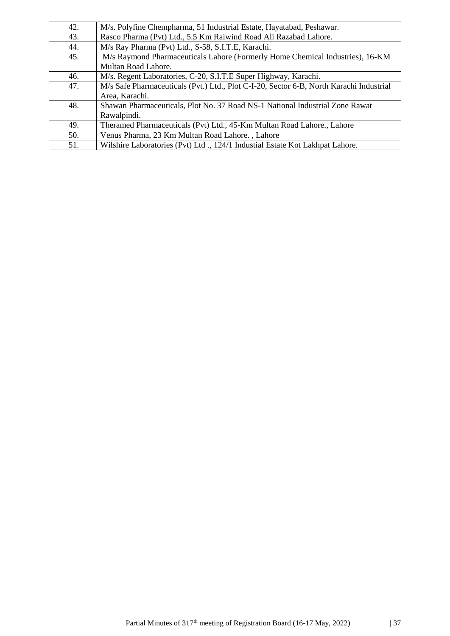| 42. | M/s. Polyfine Chempharma, 51 Industrial Estate, Hayatabad, Peshawar.                                      |
|-----|-----------------------------------------------------------------------------------------------------------|
| 43. | Rasco Pharma (Pvt) Ltd., 5.5 Km Raiwind Road Ali Razabad Lahore.                                          |
| 44. | M/s Ray Pharma (Pvt) Ltd., S-58, S.I.T.E, Karachi.                                                        |
| 45. | M/s Raymond Pharmaceuticals Lahore (Formerly Home Chemical Industries), 16-KM<br>Multan Road Lahore.      |
| 46. | M/s. Regent Laboratories, C-20, S.I.T.E Super Highway, Karachi.                                           |
| 47. | M/s Safe Pharmaceuticals (Pvt.) Ltd., Plot C-I-20, Sector 6-B, North Karachi Industrial<br>Area, Karachi. |
| 48. | Shawan Pharmaceuticals, Plot No. 37 Road NS-1 National Industrial Zone Rawat<br>Rawalpindi.               |
| 49. | Theramed Pharmaceuticals (Pvt) Ltd., 45-Km Multan Road Lahore., Lahore                                    |
| 50. | Venus Pharma, 23 Km Multan Road Lahore., Lahore                                                           |
| 51. | Wilshire Laboratories (Pvt) Ltd., 124/1 Industial Estate Kot Lakhpat Lahore.                              |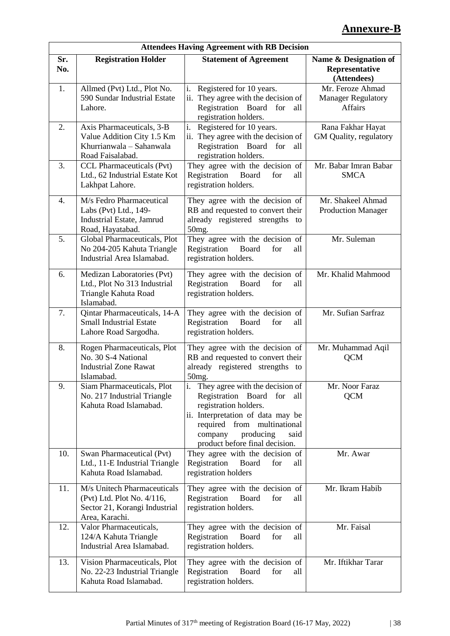# **Annexure-B**

|            | <b>Attendees Having Agreement with RB Decision</b>                                                           |                                                                                                                                                                                                                                                   |                                                                 |  |
|------------|--------------------------------------------------------------------------------------------------------------|---------------------------------------------------------------------------------------------------------------------------------------------------------------------------------------------------------------------------------------------------|-----------------------------------------------------------------|--|
| Sr.<br>No. | <b>Registration Holder</b>                                                                                   | <b>Statement of Agreement</b>                                                                                                                                                                                                                     | Name & Designation of<br>Representative<br>(Attendees)          |  |
| 1.         | Allmed (Pvt) Ltd., Plot No.<br>590 Sundar Industrial Estate<br>Lahore.                                       | i.<br>Registered for 10 years.<br>ii. They agree with the decision of<br>Registration Board<br>for<br>all<br>registration holders.                                                                                                                | Mr. Feroze Ahmad<br><b>Manager Regulatory</b><br><b>Affairs</b> |  |
| 2.         | Axis Pharmaceuticals, 3-B<br>Value Addition City 1.5 Km<br>Khurrianwala - Sahanwala<br>Road Faisalabad.      | i. Registered for 10 years.<br>ii. They agree with the decision of<br>Registration Board for<br>all<br>registration holders.                                                                                                                      | Rana Fakhar Hayat<br>GM Quality, regulatory                     |  |
| 3.         | CCL Pharmaceuticals (Pvt)<br>Ltd., 62 Industrial Estate Kot<br>Lakhpat Lahore.                               | They agree with the decision of<br>Board<br>Registration<br>for<br>all<br>registration holders.                                                                                                                                                   | Mr. Babar Imran Babar<br><b>SMCA</b>                            |  |
| 4.         | M/s Fedro Pharmaceutical<br>Labs (Pvt) Ltd., 149-<br>Industrial Estate, Jamrud<br>Road, Hayatabad.           | They agree with the decision of<br>RB and requested to convert their<br>already registered strengths to<br>50 <sub>mg</sub> .                                                                                                                     | Mr. Shakeel Ahmad<br><b>Production Manager</b>                  |  |
| 5.         | Global Pharmaceuticals, Plot<br>No 204-205 Kahuta Triangle<br>Industrial Area Islamabad.                     | They agree with the decision of<br>Board<br>Registration<br>for<br>all<br>registration holders.                                                                                                                                                   | Mr. Suleman                                                     |  |
| 6.         | Medizan Laboratories (Pvt)<br>Ltd., Plot No 313 Industrial<br>Triangle Kahuta Road<br>Islamabad.             | They agree with the decision of<br>Board<br>for<br>Registration<br>all<br>registration holders.                                                                                                                                                   | Mr. Khalid Mahmood                                              |  |
| 7.         | Qintar Pharmaceuticals, 14-A<br><b>Small Industrial Estate</b><br>Lahore Road Sargodha.                      | They agree with the decision of<br>Board<br>Registration<br>for<br>all<br>registration holders.                                                                                                                                                   | Mr. Sufian Sarfraz                                              |  |
| 8.         | Rogen Pharmaceuticals, Plot<br>No. 30 S-4 National<br><b>Industrial Zone Rawat</b><br>Islamabad.             | They agree with the decision of<br>RB and requested to convert their<br>already registered strengths to<br>50 <sub>mg</sub> .                                                                                                                     | Mr. Muhammad Aqil<br><b>QCM</b>                                 |  |
| 9.         | Siam Pharmaceuticals, Plot<br>No. 217 Industrial Triangle<br>Kahuta Road Islamabad.                          | They agree with the decision of<br>$\mathbf{1}$ .<br>Registration Board for<br>all<br>registration holders.<br>ii. Interpretation of data may be<br>required from multinational<br>company<br>producing<br>said<br>product before final decision. | Mr. Noor Faraz<br><b>QCM</b>                                    |  |
| 10.        | Swan Pharmaceutical (Pvt)<br>Ltd., 11-E Industrial Triangle<br>Kahuta Road Islamabad.                        | They agree with the decision of<br>Registration<br>Board<br>for<br>all<br>registration holders                                                                                                                                                    | Mr. Awar                                                        |  |
| 11.        | M/s Unitech Pharmaceuticals<br>(Pvt) Ltd. Plot No. 4/116,<br>Sector 21, Korangi Industrial<br>Area, Karachi. | They agree with the decision of<br>Registration<br>Board<br>for<br>all<br>registration holders.                                                                                                                                                   | Mr. Ikram Habib                                                 |  |
| 12.        | Valor Pharmaceuticals,<br>124/A Kahuta Triangle<br>Industrial Area Islamabad.                                | They agree with the decision of<br>Registration<br>Board<br>for<br>all<br>registration holders.                                                                                                                                                   | Mr. Faisal                                                      |  |
| 13.        | Vision Pharmaceuticals, Plot<br>No. 22-23 Industrial Triangle<br>Kahuta Road Islamabad.                      | They agree with the decision of<br>Registration<br>Board<br>for<br>all<br>registration holders.                                                                                                                                                   | Mr. Iftikhar Tarar                                              |  |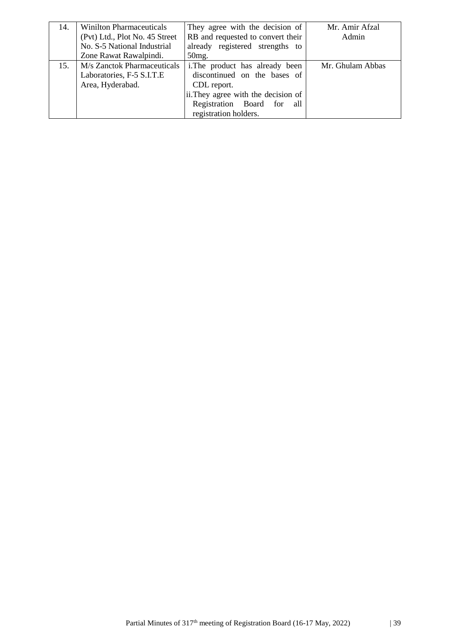| 14. | <b>Winilton Pharmaceuticals</b> | They agree with the decision of     | Mr. Amir Afzal   |
|-----|---------------------------------|-------------------------------------|------------------|
|     | (Pvt) Ltd., Plot No. 45 Street  | RB and requested to convert their   | Admin            |
|     | No. S-5 National Industrial     | already registered strengths to     |                  |
|     | Zone Rawat Rawalpindi.          | 50 <sub>mg</sub> .                  |                  |
| 15. | M/s Zanctok Pharmaceuticals     | i. The product has already been     | Mr. Ghulam Abbas |
|     | Laboratories, F-5 S.I.T.E       | discontinued on the bases of        |                  |
|     | Area, Hyderabad.                | CDL report.                         |                  |
|     |                                 | ii. They agree with the decision of |                  |
|     |                                 | Registration Board<br>for<br>all    |                  |
|     |                                 | registration holders.               |                  |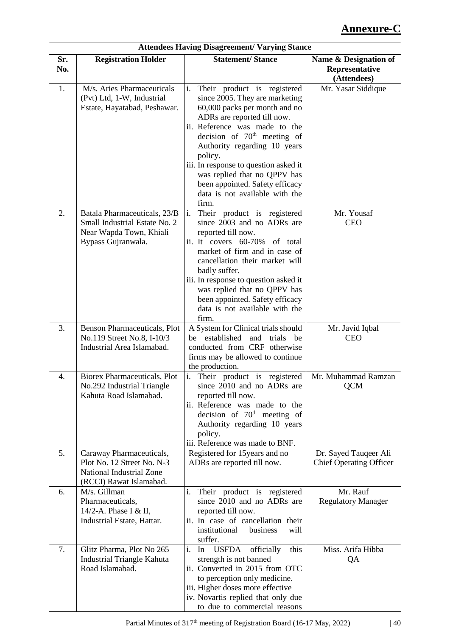## **Annexure-C**

| <b>Attendees Having Disagreement/ Varying Stance</b> |                                                                                                                      |                                                                                                                                                                                                                                                                                                                                                                                                                     |                                                         |
|------------------------------------------------------|----------------------------------------------------------------------------------------------------------------------|---------------------------------------------------------------------------------------------------------------------------------------------------------------------------------------------------------------------------------------------------------------------------------------------------------------------------------------------------------------------------------------------------------------------|---------------------------------------------------------|
| Sr.<br>No.                                           | <b>Registration Holder</b>                                                                                           | <b>Statement/Stance</b>                                                                                                                                                                                                                                                                                                                                                                                             | Name & Designation of<br>Representative<br>(Attendees)  |
| 1.                                                   | M/s. Aries Pharmaceuticals<br>(Pvt) Ltd, 1-W, Industrial<br>Estate, Hayatabad, Peshawar.                             | Their product is registered<br>$\mathbf{i}$ .<br>since 2005. They are marketing<br>60,000 packs per month and no<br>ADRs are reported till now.<br>ii. Reference was made to the<br>decision of $70th$ meeting of<br>Authority regarding 10 years<br>policy.<br>iii. In response to question asked it<br>was replied that no QPPV has<br>been appointed. Safety efficacy<br>data is not available with the<br>firm. | Mr. Yasar Siddique                                      |
| 2.                                                   | Batala Pharmaceuticals, 23/B<br>Small Industrial Estate No. 2<br>Near Wapda Town, Khiali<br>Bypass Gujranwala.       | Their product is registered<br>$\mathbf{i}$ .<br>since 2003 and no ADRs are<br>reported till now.<br>ii. It covers 60-70% of total<br>market of firm and in case of<br>cancellation their market will<br>badly suffer.<br>iii. In response to question asked it<br>was replied that no QPPV has<br>been appointed. Safety efficacy<br>data is not available with the<br>firm.                                       | Mr. Yousaf<br><b>CEO</b>                                |
| 3.                                                   | <b>Benson Pharmaceuticals, Plot</b><br>No.119 Street No.8, I-10/3<br>Industrial Area Islamabad.                      | A System for Clinical trials should<br>be established and trials be<br>conducted from CRF otherwise<br>firms may be allowed to continue<br>the production.                                                                                                                                                                                                                                                          | Mr. Javid Iqbal<br><b>CEO</b>                           |
| 4.                                                   | <b>Biorex Pharmaceuticals, Plot</b><br>No.292 Industrial Triangle<br>Kahuta Road Islamabad.                          | i. Their product is registered<br>since 2010 and no ADRs are<br>reported till now.<br>ii. Reference was made to the<br>decision of 70 <sup>th</sup> meeting of<br>Authority regarding 10 years<br>policy.<br>iii. Reference was made to BNF.                                                                                                                                                                        | Mr. Muhammad Ramzan<br><b>QCM</b>                       |
| 5.                                                   | Caraway Pharmaceuticals,<br>Plot No. 12 Street No. N-3<br><b>National Industrial Zone</b><br>(RCCI) Rawat Islamabad. | Registered for 15 years and no<br>ADRs are reported till now.                                                                                                                                                                                                                                                                                                                                                       | Dr. Sayed Tauqeer Ali<br><b>Chief Operating Officer</b> |
| 6.                                                   | M/s. Gillman<br>Pharmaceuticals,<br>14/2-A. Phase I & II,<br>Industrial Estate, Hattar.                              | i. Their product is registered<br>since 2010 and no ADRs are<br>reported till now.<br>ii. In case of cancellation their<br>institutional<br>business<br>will<br>suffer.                                                                                                                                                                                                                                             | Mr. Rauf<br><b>Regulatory Manager</b>                   |
| 7.                                                   | Glitz Pharma, Plot No 265<br><b>Industrial Triangle Kahuta</b><br>Road Islamabad.                                    | i. In<br>USFDA<br>officially<br>this<br>strength is not banned<br>ii. Converted in 2015 from OTC<br>to perception only medicine.<br>iii. Higher doses more effective<br>iv. Novartis replied that only due<br>to due to commercial reasons                                                                                                                                                                          | Miss. Arifa Hibba<br>QA                                 |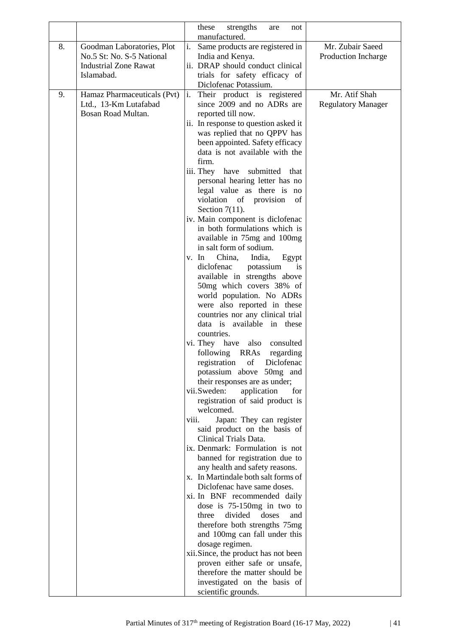|    |                              |       | these<br>strengths<br>not<br>are                                      |                           |
|----|------------------------------|-------|-----------------------------------------------------------------------|---------------------------|
| 8. | Goodman Laboratories, Plot   | i.    | manufactured.                                                         | Mr. Zubair Saeed          |
|    | No.5 St: No. S-5 National    |       | Same products are registered in<br>India and Kenya.                   | Production Incharge       |
|    | <b>Industrial Zone Rawat</b> |       | ii. DRAP should conduct clinical                                      |                           |
|    | Islamabad.                   |       | trials for safety efficacy of                                         |                           |
|    |                              |       | Diclofenac Potassium.                                                 |                           |
| 9. | Hamaz Pharmaceuticals (Pvt)  | i.    | Their product is registered                                           | Mr. Atif Shah             |
|    | Ltd., 13-Km Lutafabad        |       | since 2009 and no ADRs are                                            | <b>Regulatory Manager</b> |
|    | Bosan Road Multan.           |       | reported till now.                                                    |                           |
|    |                              |       | ii. In response to question asked it                                  |                           |
|    |                              |       | was replied that no QPPV has                                          |                           |
|    |                              |       | been appointed. Safety efficacy<br>data is not available with the     |                           |
|    |                              |       | firm.                                                                 |                           |
|    |                              |       | iii. They have submitted that                                         |                           |
|    |                              |       | personal hearing letter has no                                        |                           |
|    |                              |       | legal value as there is no                                            |                           |
|    |                              |       | violation of provision<br>of                                          |                           |
|    |                              |       | Section $7(11)$ .                                                     |                           |
|    |                              |       | iv. Main component is diclofenac                                      |                           |
|    |                              |       | in both formulations which is<br>available in 75mg and 100mg          |                           |
|    |                              |       | in salt form of sodium.                                               |                           |
|    |                              |       | China,<br>India,<br>v. In<br>Egypt                                    |                           |
|    |                              |       | diclofenac<br>potassium<br><i>is</i>                                  |                           |
|    |                              |       | available in strengths above                                          |                           |
|    |                              |       | 50mg which covers 38% of                                              |                           |
|    |                              |       | world population. No ADRs                                             |                           |
|    |                              |       | were also reported in these                                           |                           |
|    |                              |       | countries nor any clinical trial<br>data is available in these        |                           |
|    |                              |       | countries.                                                            |                           |
|    |                              |       | vi. They have also consulted                                          |                           |
|    |                              |       | following RRAs regarding                                              |                           |
|    |                              |       | registration of Diclofenac                                            |                           |
|    |                              |       | potassium above 50mg and                                              |                           |
|    |                              |       | their responses are as under;                                         |                           |
|    |                              |       | vii.Sweden:<br>application<br>for                                     |                           |
|    |                              |       | registration of said product is<br>welcomed.                          |                           |
|    |                              | viii. | Japan: They can register                                              |                           |
|    |                              |       | said product on the basis of                                          |                           |
|    |                              |       | Clinical Trials Data.                                                 |                           |
|    |                              |       | ix. Denmark: Formulation is not                                       |                           |
|    |                              |       | banned for registration due to                                        |                           |
|    |                              |       | any health and safety reasons.<br>x. In Martindale both salt forms of |                           |
|    |                              |       | Diclofenac have same doses.                                           |                           |
|    |                              |       | xi. In BNF recommended daily                                          |                           |
|    |                              |       | dose is 75-150mg in two to                                            |                           |
|    |                              |       | divided<br>three<br>doses<br>and                                      |                           |
|    |                              |       | therefore both strengths 75mg                                         |                           |
|    |                              |       | and 100mg can fall under this                                         |                           |
|    |                              |       | dosage regimen.                                                       |                           |
|    |                              |       | xii.Since, the product has not been<br>proven either safe or unsafe,  |                           |
|    |                              |       | therefore the matter should be                                        |                           |
|    |                              |       | investigated on the basis of                                          |                           |
|    |                              |       | scientific grounds.                                                   |                           |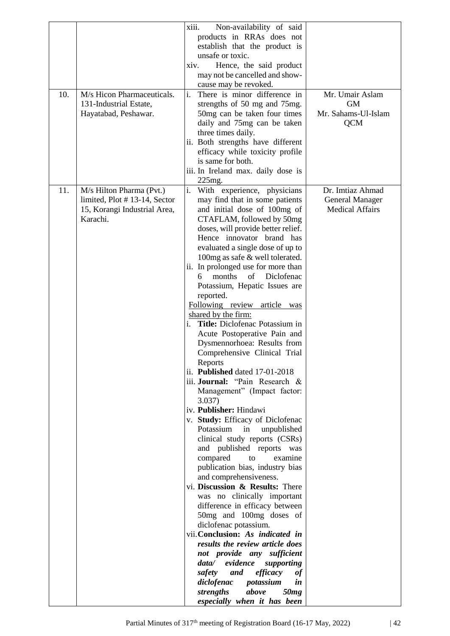|     |                              | xiii.<br>Non-availability of said  |                        |
|-----|------------------------------|------------------------------------|------------------------|
|     |                              | products in RRAs does not          |                        |
|     |                              | establish that the product is      |                        |
|     |                              | unsafe or toxic.                   |                        |
|     |                              | xiv.                               |                        |
|     |                              | Hence, the said product            |                        |
|     |                              | may not be cancelled and show-     |                        |
|     |                              | cause may be revoked.              |                        |
| 10. | M/s Hicon Pharmaceuticals.   | There is minor difference in       | Mr. Umair Aslam        |
|     | 131-Industrial Estate,       | strengths of 50 mg and 75mg.       | <b>GM</b>              |
|     | Hayatabad, Peshawar.         | 50mg can be taken four times       | Mr. Sahams-Ul-Islam    |
|     |                              | daily and 75mg can be taken        | <b>QCM</b>             |
|     |                              | three times daily.                 |                        |
|     |                              | ii. Both strengths have different  |                        |
|     |                              |                                    |                        |
|     |                              | efficacy while toxicity profile    |                        |
|     |                              | is same for both.                  |                        |
|     |                              | iii. In Ireland max. daily dose is |                        |
|     |                              | 225mg.                             |                        |
| 11. | M/s Hilton Pharma (Pvt.)     | i.<br>With experience, physicians  | Dr. Imtiaz Ahmad       |
|     | limited, Plot #13-14, Sector | may find that in some patients     | <b>General Manager</b> |
|     | 15, Korangi Industrial Area, | and initial dose of 100mg of       | <b>Medical Affairs</b> |
|     | Karachi.                     | CTAFLAM, followed by 50mg          |                        |
|     |                              |                                    |                        |
|     |                              | doses, will provide better relief. |                        |
|     |                              | Hence innovator brand has          |                        |
|     |                              | evaluated a single dose of up to   |                        |
|     |                              | 100mg as safe & well tolerated.    |                        |
|     |                              | ii. In prolonged use for more than |                        |
|     |                              | months<br>Diclofenac<br>of<br>6    |                        |
|     |                              | Potassium, Hepatic Issues are      |                        |
|     |                              | reported.                          |                        |
|     |                              | Following review article was       |                        |
|     |                              | shared by the firm:                |                        |
|     |                              | Title: Diclofenac Potassium in     |                        |
|     |                              | 1.                                 |                        |
|     |                              | Acute Postoperative Pain and       |                        |
|     |                              | Dysmennorhoea: Results from        |                        |
|     |                              | Comprehensive Clinical Trial       |                        |
|     |                              | Reports                            |                        |
|     |                              | ii. Published dated 17-01-2018     |                        |
|     |                              | iii. Journal: "Pain Research &     |                        |
|     |                              | Management" (Impact factor:        |                        |
|     |                              | 3.037)                             |                        |
|     |                              | iv. Publisher: Hindawi             |                        |
|     |                              | v. Study: Efficacy of Diclofenac   |                        |
|     |                              | Potassium                          |                        |
|     |                              | in<br>unpublished                  |                        |
|     |                              | clinical study reports (CSRs)      |                        |
|     |                              | and published reports was          |                        |
|     |                              | compared<br>examine<br>to          |                        |
|     |                              | publication bias, industry bias    |                        |
|     |                              | and comprehensiveness.             |                        |
|     |                              | vi. Discussion & Results: There    |                        |
|     |                              | was no clinically important        |                        |
|     |                              | difference in efficacy between     |                        |
|     |                              | 50mg and 100mg doses of            |                        |
|     |                              | diclofenac potassium.              |                        |
|     |                              | vii. Conclusion: As indicated in   |                        |
|     |                              |                                    |                        |
|     |                              | results the review article does    |                        |
|     |                              | not provide any sufficient         |                        |
|     |                              | evidence<br>data/<br>supporting    |                        |
|     |                              | safety<br>and<br>efficacy<br>of    |                        |
|     |                              | diclofenac<br>potassium<br>in      |                        |
|     |                              | above<br>strengths<br>50mg         |                        |
|     |                              | especially when it has been        |                        |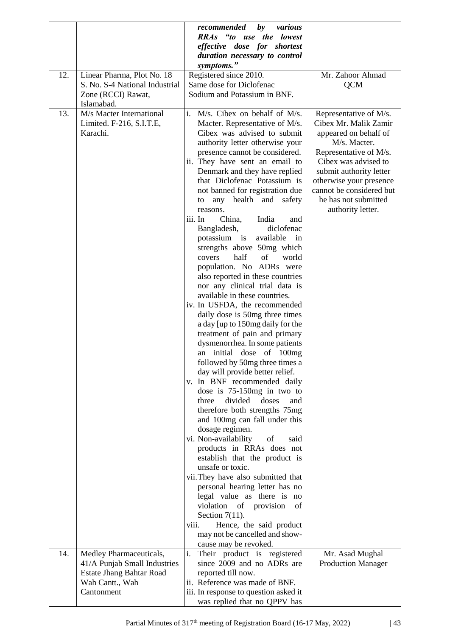|     |                                                                                                                             | by<br>recommended<br>various<br>RRAs "to use the lowest<br>effective dose for shortest                                                                                                                                                                                                                                                                                                                                                                                                                                                                                                                                                                                                                                                                                                                                                                                                                                                                                                                                                                                                                                                                                                                                                    |                                                                                                                                                                                                                                                                           |
|-----|-----------------------------------------------------------------------------------------------------------------------------|-------------------------------------------------------------------------------------------------------------------------------------------------------------------------------------------------------------------------------------------------------------------------------------------------------------------------------------------------------------------------------------------------------------------------------------------------------------------------------------------------------------------------------------------------------------------------------------------------------------------------------------------------------------------------------------------------------------------------------------------------------------------------------------------------------------------------------------------------------------------------------------------------------------------------------------------------------------------------------------------------------------------------------------------------------------------------------------------------------------------------------------------------------------------------------------------------------------------------------------------|---------------------------------------------------------------------------------------------------------------------------------------------------------------------------------------------------------------------------------------------------------------------------|
|     |                                                                                                                             | duration necessary to control<br>symptoms."                                                                                                                                                                                                                                                                                                                                                                                                                                                                                                                                                                                                                                                                                                                                                                                                                                                                                                                                                                                                                                                                                                                                                                                               |                                                                                                                                                                                                                                                                           |
| 12. | Linear Pharma, Plot No. 18<br>S. No. S-4 National Industrial<br>Zone (RCCI) Rawat,                                          | Registered since 2010.<br>Same dose for Diclofenac<br>Sodium and Potassium in BNF.                                                                                                                                                                                                                                                                                                                                                                                                                                                                                                                                                                                                                                                                                                                                                                                                                                                                                                                                                                                                                                                                                                                                                        | Mr. Zahoor Ahmad<br><b>QCM</b>                                                                                                                                                                                                                                            |
| 13. | Islamabad.<br>M/s Macter International<br>Limited. F-216, S.I.T.E,<br>Karachi.                                              | i. M/s. Cibex on behalf of M/s.<br>Macter. Representative of M/s.<br>Cibex was advised to submit<br>authority letter otherwise your<br>presence cannot be considered.<br>ii. They have sent an email to<br>Denmark and they have replied<br>that Diclofenac Potassium is<br>not banned for registration due<br>any health and safety<br>to<br>reasons.<br>iii. In<br>China,<br>India<br>and<br>Bangladesh,<br>diclofenac<br>potassium is<br>available<br>$\sin$<br>strengths above 50mg which<br>half<br>of<br>world<br>covers<br>population. No ADRs were<br>also reported in these countries<br>nor any clinical trial data is<br>available in these countries.<br>iv. In USFDA, the recommended<br>daily dose is 50mg three times<br>a day [up to 150mg daily for the<br>treatment of pain and primary<br>dysmenorrhea. In some patients<br>an initial dose of 100mg<br>followed by 50mg three times a<br>day will provide better relief.<br>v. In BNF recommended daily<br>dose is $75-150$ mg in two to<br>divided<br>three<br>doses<br>and<br>therefore both strengths 75mg<br>and 100mg can fall under this<br>dosage regimen.<br>vi. Non-availability<br>of<br>said<br>products in RRAs does not<br>establish that the product is | Representative of M/s.<br>Cibex Mr. Malik Zamir<br>appeared on behalf of<br>M/s. Macter.<br>Representative of M/s.<br>Cibex was advised to<br>submit authority letter<br>otherwise your presence<br>cannot be considered but<br>he has not submitted<br>authority letter. |
|     |                                                                                                                             | unsafe or toxic.<br>vii. They have also submitted that<br>personal hearing letter has no<br>legal value as there is no                                                                                                                                                                                                                                                                                                                                                                                                                                                                                                                                                                                                                                                                                                                                                                                                                                                                                                                                                                                                                                                                                                                    |                                                                                                                                                                                                                                                                           |
|     |                                                                                                                             | violation of provision<br>$\sigma f$<br>Section $7(11)$ .<br>Hence, the said product<br>viii.<br>may not be cancelled and show-<br>cause may be revoked.                                                                                                                                                                                                                                                                                                                                                                                                                                                                                                                                                                                                                                                                                                                                                                                                                                                                                                                                                                                                                                                                                  |                                                                                                                                                                                                                                                                           |
| 14. | Medley Pharmaceuticals,<br>41/A Punjab Small Industries<br><b>Estate Jhang Bahtar Road</b><br>Wah Cantt., Wah<br>Cantonment | i.<br>Their product is registered<br>since 2009 and no ADRs are<br>reported till now.<br>ii. Reference was made of BNF.<br>iii. In response to question asked it<br>was replied that no QPPV has                                                                                                                                                                                                                                                                                                                                                                                                                                                                                                                                                                                                                                                                                                                                                                                                                                                                                                                                                                                                                                          | Mr. Asad Mughal<br><b>Production Manager</b>                                                                                                                                                                                                                              |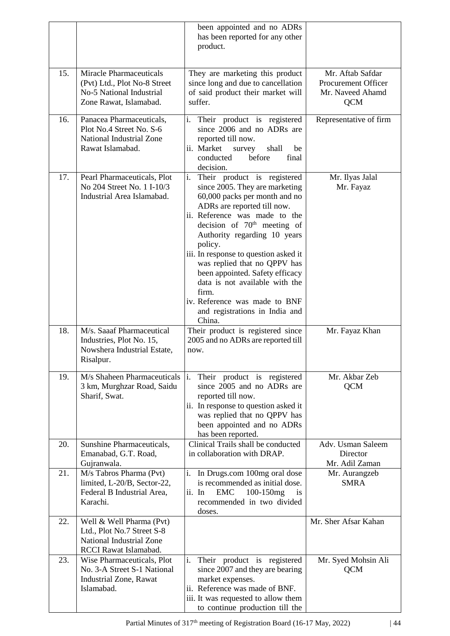|     |                                                                                                                      | been appointed and no ADRs<br>has been reported for any other<br>product.                                                                                                                                                                                                                                                                                                                                                                                                         |                                                                           |
|-----|----------------------------------------------------------------------------------------------------------------------|-----------------------------------------------------------------------------------------------------------------------------------------------------------------------------------------------------------------------------------------------------------------------------------------------------------------------------------------------------------------------------------------------------------------------------------------------------------------------------------|---------------------------------------------------------------------------|
| 15. | <b>Miracle Pharmaceuticals</b><br>(Pvt) Ltd., Plot No-8 Street<br>No-5 National Industrial<br>Zone Rawat, Islamabad. | They are marketing this product<br>since long and due to cancellation<br>of said product their market will<br>suffer.                                                                                                                                                                                                                                                                                                                                                             | Mr. Aftab Safdar<br>Procurement Officer<br>Mr. Naveed Ahamd<br><b>QCM</b> |
| 16. | Panacea Pharmaceuticals,<br>Plot No.4 Street No. S-6<br><b>National Industrial Zone</b><br>Rawat Islamabad.          | i. Their product is registered<br>since 2006 and no ADRs are<br>reported till now.<br>ii. Market<br>survey<br>shall<br>be<br>before<br>conducted<br>final<br>decision.                                                                                                                                                                                                                                                                                                            | Representative of firm                                                    |
| 17. | Pearl Pharmaceuticals, Plot<br>No 204 Street No. 1 I-10/3<br>Industrial Area Islamabad.                              | i. Their product is registered<br>since 2005. They are marketing<br>60,000 packs per month and no<br>ADRs are reported till now.<br>ii. Reference was made to the<br>decision of $70th$ meeting of<br>Authority regarding 10 years<br>policy.<br>iii. In response to question asked it<br>was replied that no QPPV has<br>been appointed. Safety efficacy<br>data is not available with the<br>firm.<br>iv. Reference was made to BNF<br>and registrations in India and<br>China. | Mr. Ilyas Jalal<br>Mr. Fayaz                                              |
| 18. | M/s. Saaaf Pharmaceutical<br>Industries, Plot No. 15,<br>Nowshera Industrial Estate,<br>Risalpur.                    | Their product is registered since<br>2005 and no ADRs are reported till<br>now.                                                                                                                                                                                                                                                                                                                                                                                                   | Mr. Fayaz Khan                                                            |
| 19. | M/s Shaheen Pharmaceuticals<br>3 km, Murghzar Road, Saidu<br>Sharif, Swat.                                           | Their product is registered<br>$\vert i \rangle$<br>since 2005 and no ADRs are<br>reported till now.<br>ii. In response to question asked it<br>was replied that no QPPV has<br>been appointed and no ADRs<br>has been reported.                                                                                                                                                                                                                                                  | Mr. Akbar Zeb<br><b>QCM</b>                                               |
| 20. | Sunshine Pharmaceuticals,<br>Emanabad, G.T. Road,<br>Gujranwala.                                                     | Clinical Trails shall be conducted<br>in collaboration with DRAP.                                                                                                                                                                                                                                                                                                                                                                                                                 | Adv. Usman Saleem<br>Director<br>Mr. Adil Zaman                           |
| 21. | M/s Tabros Pharma (Pvt)<br>limited, L-20/B, Sector-22,<br>Federal B Industrial Area,<br>Karachi.                     | $i$ .<br>In Drugs.com 100mg oral dose<br>is recommended as initial dose.<br>$100 - 150$ mg<br><b>EMC</b><br>is<br>$ii.$ In<br>recommended in two divided<br>doses.                                                                                                                                                                                                                                                                                                                | Mr. Aurangzeb<br><b>SMRA</b>                                              |
| 22. | Well & Well Pharma (Pvt)<br>Ltd., Plot No.7 Street S-8<br>National Industrial Zone<br>RCCI Rawat Islamabad.          |                                                                                                                                                                                                                                                                                                                                                                                                                                                                                   | Mr. Sher Afsar Kahan                                                      |
| 23. | Wise Pharmaceuticals, Plot<br>No. 3-A Street S-1 National<br><b>Industrial Zone, Rawat</b><br>Islamabad.             | i. Their product is registered<br>since 2007 and they are bearing<br>market expenses.<br>ii. Reference was made of BNF.<br>iii. It was requested to allow them<br>to continue production till the                                                                                                                                                                                                                                                                                 | Mr. Syed Mohsin Ali<br><b>QCM</b>                                         |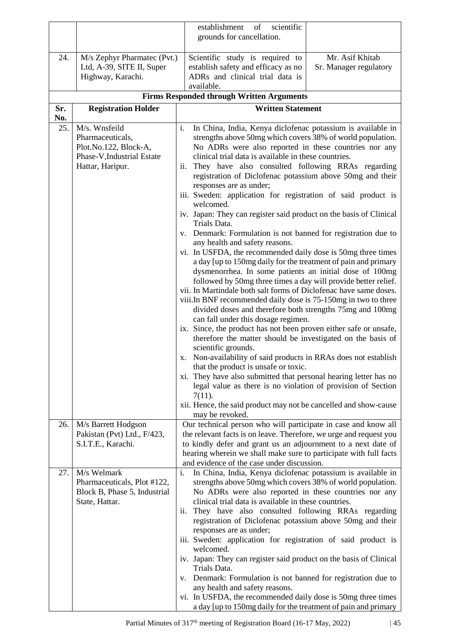|            |                                                                                                              | scientific<br>establishment<br>of                                                                                                                                                                                                                                                                                                                                                                                                                                                                                                                                                                                                                                                                                                                                                                                                                                                                                                                                                                                                                                                                                                                                                                                                                                                                                                                                                                                                                                                                                                                                                                                                                                               |
|------------|--------------------------------------------------------------------------------------------------------------|---------------------------------------------------------------------------------------------------------------------------------------------------------------------------------------------------------------------------------------------------------------------------------------------------------------------------------------------------------------------------------------------------------------------------------------------------------------------------------------------------------------------------------------------------------------------------------------------------------------------------------------------------------------------------------------------------------------------------------------------------------------------------------------------------------------------------------------------------------------------------------------------------------------------------------------------------------------------------------------------------------------------------------------------------------------------------------------------------------------------------------------------------------------------------------------------------------------------------------------------------------------------------------------------------------------------------------------------------------------------------------------------------------------------------------------------------------------------------------------------------------------------------------------------------------------------------------------------------------------------------------------------------------------------------------|
|            |                                                                                                              | grounds for cancellation.                                                                                                                                                                                                                                                                                                                                                                                                                                                                                                                                                                                                                                                                                                                                                                                                                                                                                                                                                                                                                                                                                                                                                                                                                                                                                                                                                                                                                                                                                                                                                                                                                                                       |
| 24.        | M/s Zephyr Pharmatec (Pvt.)<br>Ltd, A-39, SITE II, Super<br>Highway, Karachi.                                | Mr. Asif Khitab<br>Scientific study is required to<br>establish safety and efficacy as no<br>Sr. Manager regulatory<br>ADRs and clinical trial data is<br>available.                                                                                                                                                                                                                                                                                                                                                                                                                                                                                                                                                                                                                                                                                                                                                                                                                                                                                                                                                                                                                                                                                                                                                                                                                                                                                                                                                                                                                                                                                                            |
|            |                                                                                                              | <b>Firms Responded through Written Arguments</b>                                                                                                                                                                                                                                                                                                                                                                                                                                                                                                                                                                                                                                                                                                                                                                                                                                                                                                                                                                                                                                                                                                                                                                                                                                                                                                                                                                                                                                                                                                                                                                                                                                |
| Sr.        | <b>Registration Holder</b>                                                                                   | <b>Written Statement</b>                                                                                                                                                                                                                                                                                                                                                                                                                                                                                                                                                                                                                                                                                                                                                                                                                                                                                                                                                                                                                                                                                                                                                                                                                                                                                                                                                                                                                                                                                                                                                                                                                                                        |
| No.<br>25. | M/s. Wnsfeild<br>Pharmaceuticals,<br>Plot.No.122, Block-A,<br>Phase-V, Industrial Estate<br>Hattar, Haripur. | i.<br>In China, India, Kenya diclofenac potassium is available in<br>strengths above 50mg which covers 38% of world population.<br>No ADRs were also reported in these countries nor any<br>clinical trial data is available in these countries.<br>ii. They have also consulted following RRAs regarding<br>registration of Diclofenac potassium above 50mg and their<br>responses are as under;<br>iii. Sweden: application for registration of said product is<br>welcomed.<br>iv. Japan: They can register said product on the basis of Clinical<br>Trials Data.<br>Denmark: Formulation is not banned for registration due to<br>V.<br>any health and safety reasons.<br>vi. In USFDA, the recommended daily dose is 50mg three times<br>a day [up to 150mg daily for the treatment of pain and primary<br>dysmenorrhea. In some patients an initial dose of 100mg<br>followed by 50mg three times a day will provide better relief.<br>vii. In Martindale both salt forms of Diclofenac have same doses.<br>viii.In BNF recommended daily dose is 75-150mg in two to three<br>divided doses and therefore both strengths 75mg and 100mg<br>can fall under this dosage regimen.<br>ix. Since, the product has not been proven either safe or unsafe,<br>therefore the matter should be investigated on the basis of<br>scientific grounds.<br>x. Non-availability of said products in RRAs does not establish<br>that the product is unsafe or toxic.<br>xi. They have also submitted that personal hearing letter has no<br>legal value as there is no violation of provision of Section<br>$7(11)$ .<br>xii. Hence, the said product may not be cancelled and show-cause |
| 26.        | M/s Barrett Hodgson                                                                                          | may be revoked.<br>Our technical person who will participate in case and know all                                                                                                                                                                                                                                                                                                                                                                                                                                                                                                                                                                                                                                                                                                                                                                                                                                                                                                                                                                                                                                                                                                                                                                                                                                                                                                                                                                                                                                                                                                                                                                                               |
|            | Pakistan (Pvt) Ltd., F/423,<br>S.I.T.E., Karachi.                                                            | the relevant facts is on leave. Therefore, we urge and request you<br>to kindly defer and grant us an adjournment to a next date of<br>hearing wherein we shall make sure to participate with full facts<br>and evidence of the case under discussion.                                                                                                                                                                                                                                                                                                                                                                                                                                                                                                                                                                                                                                                                                                                                                                                                                                                                                                                                                                                                                                                                                                                                                                                                                                                                                                                                                                                                                          |
| 27.        | M/s Welmark<br>Pharmaceuticals, Plot #122,<br>Block B, Phase 5, Industrial<br>State, Hattar.                 | In China, India, Kenya diclofenac potassium is available in<br>i.<br>strengths above 50mg which covers 38% of world population.<br>No ADRs were also reported in these countries nor any<br>clinical trial data is available in these countries.<br>They have also consulted following RRAs regarding<br>ii.<br>registration of Diclofenac potassium above 50mg and their<br>responses are as under;<br>iii. Sweden: application for registration of said product is<br>welcomed.<br>iv. Japan: They can register said product on the basis of Clinical<br>Trials Data.<br>v. Denmark: Formulation is not banned for registration due to<br>any health and safety reasons.<br>vi. In USFDA, the recommended daily dose is 50mg three times<br>a day [up to 150mg daily for the treatment of pain and primary                                                                                                                                                                                                                                                                                                                                                                                                                                                                                                                                                                                                                                                                                                                                                                                                                                                                    |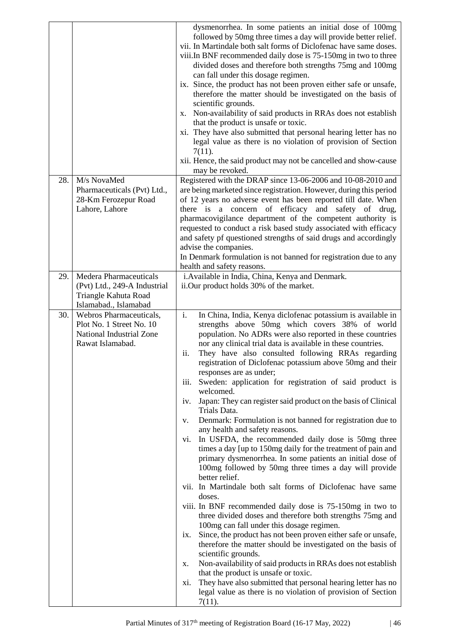|                                                                                                                   | dysmenorrhea. In some patients an initial dose of 100mg<br>followed by 50mg three times a day will provide better relief.<br>vii. In Martindale both salt forms of Diclofenac have same doses.<br>viii.In BNF recommended daily dose is 75-150mg in two to three<br>divided doses and therefore both strengths 75mg and 100mg<br>can fall under this dosage regimen.<br>ix. Since, the product has not been proven either safe or unsafe,<br>therefore the matter should be investigated on the basis of<br>scientific grounds.<br>x. Non-availability of said products in RRAs does not establish<br>that the product is unsafe or toxic.<br>xi. They have also submitted that personal hearing letter has no<br>legal value as there is no violation of provision of Section<br>$7(11)$ .<br>xii. Hence, the said product may not be cancelled and show-cause<br>may be revoked.                                                                                                                                                                                                                                                                                                                                                                                                                                                                                                                                                          |
|-------------------------------------------------------------------------------------------------------------------|---------------------------------------------------------------------------------------------------------------------------------------------------------------------------------------------------------------------------------------------------------------------------------------------------------------------------------------------------------------------------------------------------------------------------------------------------------------------------------------------------------------------------------------------------------------------------------------------------------------------------------------------------------------------------------------------------------------------------------------------------------------------------------------------------------------------------------------------------------------------------------------------------------------------------------------------------------------------------------------------------------------------------------------------------------------------------------------------------------------------------------------------------------------------------------------------------------------------------------------------------------------------------------------------------------------------------------------------------------------------------------------------------------------------------------------------|
| M/s NovaMed<br>28.<br>Pharmaceuticals (Pvt) Ltd.,                                                                 | Registered with the DRAP since 13-06-2006 and 10-08-2010 and<br>are being marketed since registration. However, during this period                                                                                                                                                                                                                                                                                                                                                                                                                                                                                                                                                                                                                                                                                                                                                                                                                                                                                                                                                                                                                                                                                                                                                                                                                                                                                                          |
| 28-Km Ferozepur Road                                                                                              | of 12 years no adverse event has been reported till date. When                                                                                                                                                                                                                                                                                                                                                                                                                                                                                                                                                                                                                                                                                                                                                                                                                                                                                                                                                                                                                                                                                                                                                                                                                                                                                                                                                                              |
| Lahore, Lahore                                                                                                    | there is a concern of efficacy and safety of drug,<br>pharmacovigilance department of the competent authority is                                                                                                                                                                                                                                                                                                                                                                                                                                                                                                                                                                                                                                                                                                                                                                                                                                                                                                                                                                                                                                                                                                                                                                                                                                                                                                                            |
|                                                                                                                   | requested to conduct a risk based study associated with efficacy<br>and safety pf questioned strengths of said drugs and accordingly                                                                                                                                                                                                                                                                                                                                                                                                                                                                                                                                                                                                                                                                                                                                                                                                                                                                                                                                                                                                                                                                                                                                                                                                                                                                                                        |
|                                                                                                                   | advise the companies.                                                                                                                                                                                                                                                                                                                                                                                                                                                                                                                                                                                                                                                                                                                                                                                                                                                                                                                                                                                                                                                                                                                                                                                                                                                                                                                                                                                                                       |
|                                                                                                                   | In Denmark formulation is not banned for registration due to any<br>health and safety reasons.                                                                                                                                                                                                                                                                                                                                                                                                                                                                                                                                                                                                                                                                                                                                                                                                                                                                                                                                                                                                                                                                                                                                                                                                                                                                                                                                              |
| <b>Medera Pharmaceuticals</b><br>29.                                                                              | i. Available in India, China, Kenya and Denmark.                                                                                                                                                                                                                                                                                                                                                                                                                                                                                                                                                                                                                                                                                                                                                                                                                                                                                                                                                                                                                                                                                                                                                                                                                                                                                                                                                                                            |
| (Pvt) Ltd., 249-A Industrial<br>Triangle Kahuta Road                                                              | ii.Our product holds 30% of the market.                                                                                                                                                                                                                                                                                                                                                                                                                                                                                                                                                                                                                                                                                                                                                                                                                                                                                                                                                                                                                                                                                                                                                                                                                                                                                                                                                                                                     |
| Islamabad., Islamabad                                                                                             |                                                                                                                                                                                                                                                                                                                                                                                                                                                                                                                                                                                                                                                                                                                                                                                                                                                                                                                                                                                                                                                                                                                                                                                                                                                                                                                                                                                                                                             |
| 30.<br>Webros Pharmaceuticals,<br>Plot No. 1 Street No. 10<br><b>National Industrial Zone</b><br>Rawat Islamabad. | i.<br>In China, India, Kenya diclofenac potassium is available in<br>strengths above 50mg which covers 38% of world<br>population. No ADRs were also reported in these countries<br>nor any clinical trial data is available in these countries.<br>ii.<br>They have also consulted following RRAs regarding<br>registration of Diclofenac potassium above 50mg and their<br>responses are as under;<br>Sweden: application for registration of said product is<br>iii.<br>welcomed.<br>Japan: They can register said product on the basis of Clinical<br>iv.<br>Trials Data.<br>Denmark: Formulation is not banned for registration due to<br>V.<br>any health and safety reasons.<br>In USFDA, the recommended daily dose is 50mg three<br>VI.<br>times a day [up to 150mg daily for the treatment of pain and<br>primary dysmenorrhea. In some patients an initial dose of<br>100mg followed by 50mg three times a day will provide<br>better relief.<br>vii. In Martindale both salt forms of Diclofenac have same<br>doses.<br>viii. In BNF recommended daily dose is 75-150mg in two to<br>three divided doses and therefore both strengths 75mg and<br>100mg can fall under this dosage regimen.<br>Since, the product has not been proven either safe or unsafe,<br>1X.<br>therefore the matter should be investigated on the basis of<br>scientific grounds.<br>Non-availability of said products in RRAs does not establish<br>X. |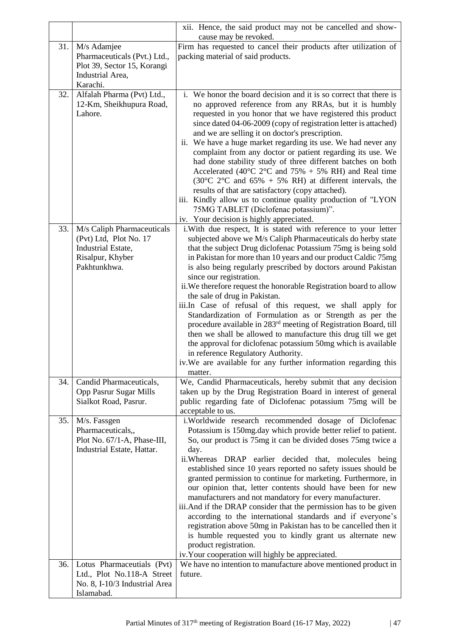|     |                                                                                                                | xii. Hence, the said product may not be cancelled and show-<br>cause may be revoked.                                                                                                                                                                                                                                                                                                                                                                                                                                                                                                                                                                                                                                                                                                                                                                                                                                                  |
|-----|----------------------------------------------------------------------------------------------------------------|---------------------------------------------------------------------------------------------------------------------------------------------------------------------------------------------------------------------------------------------------------------------------------------------------------------------------------------------------------------------------------------------------------------------------------------------------------------------------------------------------------------------------------------------------------------------------------------------------------------------------------------------------------------------------------------------------------------------------------------------------------------------------------------------------------------------------------------------------------------------------------------------------------------------------------------|
| 31. | M/s Adamjee<br>Pharmaceuticals (Pvt.) Ltd.,<br>Plot 39, Sector 15, Korangi<br>Industrial Area,                 | Firm has requested to cancel their products after utilization of<br>packing material of said products.                                                                                                                                                                                                                                                                                                                                                                                                                                                                                                                                                                                                                                                                                                                                                                                                                                |
| 32. | Karachi.<br>Alfalah Pharma (Pvt) Ltd.,<br>12-Km, Sheikhupura Road,<br>Lahore.                                  | i. We honor the board decision and it is so correct that there is<br>no approved reference from any RRAs, but it is humbly<br>requested in you honor that we have registered this product<br>since dated 04-06-2009 (copy of registration letter is attached)<br>and we are selling it on doctor's prescription.<br>ii. We have a huge market regarding its use. We had never any<br>complaint from any doctor or patient regarding its use. We<br>had done stability study of three different batches on both<br>Accelerated (40 $^{\circ}$ C 2 $^{\circ}$ C and 75% + 5% RH) and Real time<br>$(30^{\circ}C \t2^{\circ}C$ and $65\% + 5\%$ RH) at different intervals, the<br>results of that are satisfactory (copy attached).<br>iii. Kindly allow us to continue quality production of "LYON<br>75MG TABLET (Diclofenac potassium)".<br>iv. Your decision is highly appreciated.                                                 |
| 33. | M/s Caliph Pharmaceuticals<br>(Pvt) Ltd, Plot No. 17<br>Industrial Estate,<br>Risalpur, Khyber<br>Pakhtunkhwa. | i. With due respect, It is stated with reference to your letter<br>subjected above we M/s Caliph Pharmaceuticals do herby state<br>that the subject Drug diclofenac Potassium 75mg is being sold<br>in Pakistan for more than 10 years and our product Caldic 75mg<br>is also being regularly prescribed by doctors around Pakistan<br>since our registration.<br>ii. We therefore request the honorable Registration board to allow<br>the sale of drug in Pakistan.<br>iii.In Case of refusal of this request, we shall apply for<br>Standardization of Formulation as or Strength as per the<br>procedure available in 283 <sup>rd</sup> meeting of Registration Board, till<br>then we shall be allowed to manufacture this drug till we get<br>the approval for diclofenac potassium 50mg which is available<br>in reference Regulatory Authority.<br>iv. We are available for any further information regarding this<br>matter. |
| 34. | Candid Pharmaceuticals,<br>Opp Pasrur Sugar Mills<br>Sialkot Road, Pasrur.                                     | We, Candid Pharmaceuticals, hereby submit that any decision<br>taken up by the Drug Registration Board in interest of general<br>public regarding fate of Diclofenac potassium 75mg will be<br>acceptable to us.                                                                                                                                                                                                                                                                                                                                                                                                                                                                                                                                                                                                                                                                                                                      |
| 35. | M/s. Fassgen<br>Pharmaceuticals,,<br>Plot No. 67/1-A, Phase-III,<br>Industrial Estate, Hattar.                 | i.Worldwide research recommended dosage of Diclofenac<br>Potassium is 150mg.day which provide better relief to patient.<br>So, our product is 75mg it can be divided doses 75mg twice a<br>day.<br>ii.Whereas DRAP earlier decided that, molecules being<br>established since 10 years reported no safety issues should be<br>granted permission to continue for marketing. Furthermore, in<br>our opinion that, letter contents should have been for new<br>manufacturers and not mandatory for every manufacturer.<br>iii. And if the DRAP consider that the permission has to be given<br>according to the international standards and if everyone's<br>registration above 50mg in Pakistan has to be cancelled then it<br>is humble requested you to kindly grant us alternate new<br>product registration.<br>iv. Your cooperation will highly be appreciated.                                                                   |
| 36. | Lotus Pharmaceutials (Pvt)<br>Ltd., Plot No.118-A Street<br>No. 8, I-10/3 Industrial Area<br>Islamabad.        | We have no intention to manufacture above mentioned product in<br>future.                                                                                                                                                                                                                                                                                                                                                                                                                                                                                                                                                                                                                                                                                                                                                                                                                                                             |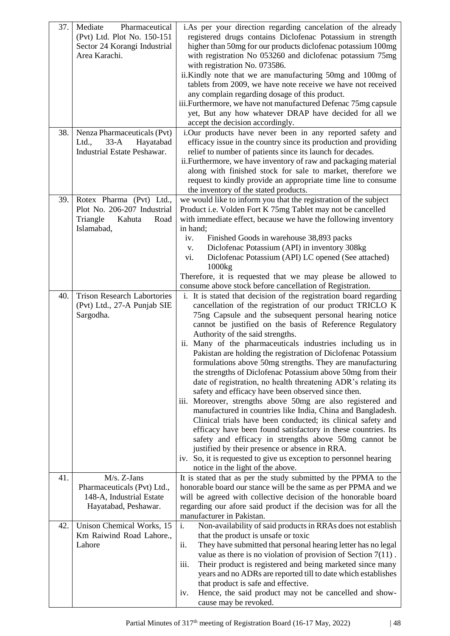| 37. | Mediate<br>Pharmaceutical<br>(Pvt) Ltd. Plot No. 150-151<br>Sector 24 Korangi Industrial<br>Area Karachi. | i. As per your direction regarding cancelation of the already<br>registered drugs contains Diclofenac Potassium in strength<br>higher than 50mg for our products diclofenac potassium 100mg<br>with registration No 053260 and diclofenac potassium 75mg<br>with registration No. 073586.<br>ii.Kindly note that we are manufacturing 50mg and 100mg of<br>tablets from 2009, we have note receive we have not received<br>any complain regarding dosage of this product.<br>iii. Furthermore, we have not manufactured Defenac 75mg capsule<br>yet, But any how whatever DRAP have decided for all we<br>accept the decision accordingly.                                                                                                                                                                                                                                                                                                                                                                                                                                                                                                                      |
|-----|-----------------------------------------------------------------------------------------------------------|-----------------------------------------------------------------------------------------------------------------------------------------------------------------------------------------------------------------------------------------------------------------------------------------------------------------------------------------------------------------------------------------------------------------------------------------------------------------------------------------------------------------------------------------------------------------------------------------------------------------------------------------------------------------------------------------------------------------------------------------------------------------------------------------------------------------------------------------------------------------------------------------------------------------------------------------------------------------------------------------------------------------------------------------------------------------------------------------------------------------------------------------------------------------|
| 38. | Nenza Pharmaceuticals (Pvt)<br>Ltd.,<br>$33-A$<br>Hayatabad<br><b>Industrial Estate Peshawar.</b>         | i.Our products have never been in any reported safety and<br>efficacy issue in the country since its production and providing<br>relief to number of patients since its launch for decades.<br>ii. Furthermore, we have inventory of raw and packaging material<br>along with finished stock for sale to market, therefore we<br>request to kindly provide an appropriate time line to consume<br>the inventory of the stated products.                                                                                                                                                                                                                                                                                                                                                                                                                                                                                                                                                                                                                                                                                                                         |
| 39. | Rotex Pharma (Pvt) Ltd.,<br>Plot No. 206-207 Industrial<br>Triangle<br>Kahuta<br>Road<br>Islamabad,       | we would like to inform you that the registration of the subject<br>Product i.e. Volden Fort K 75mg Tablet may not be cancelled<br>with immediate effect, because we have the following inventory<br>in hand;<br>Finished Goods in warehouse 38,893 packs<br>iv.<br>Diclofenac Potassium (API) in inventory 308kg<br>V.<br>Diclofenac Potassium (API) LC opened (See attached)<br>vi.<br>1000kg<br>Therefore, it is requested that we may please be allowed to<br>consume above stock before cancellation of Registration.                                                                                                                                                                                                                                                                                                                                                                                                                                                                                                                                                                                                                                      |
| 40. | <b>Trison Research Labortories</b><br>(Pvt) Ltd., 27-A Punjab SIE<br>Sargodha.                            | i. It is stated that decision of the registration board regarding<br>cancellation of the registration of our product TRICLO K<br>75ng Capsule and the subsequent personal hearing notice<br>cannot be justified on the basis of Reference Regulatory<br>Authority of the said strengths.<br>ii. Many of the pharmaceuticals industries including us in<br>Pakistan are holding the registration of Diclofenac Potassium<br>formulations above 50mg strengths. They are manufacturing<br>the strengths of Diclofenac Potassium above 50mg from their<br>date of registration, no health threatening ADR's relating its<br>safety and efficacy have been observed since then.<br>iii. Moreover, strengths above 50mg are also registered and<br>manufactured in countries like India, China and Bangladesh.<br>Clinical trials have been conducted; its clinical safety and<br>efficacy have been found satisfactory in these countries. Its<br>safety and efficacy in strengths above 50mg cannot be<br>justified by their presence or absence in RRA.<br>iv. So, it is requested to give us exception to personnel hearing<br>notice in the light of the above. |
| 41. | M/s. Z-Jans<br>Pharmaceuticals (Pvt) Ltd.,<br>148-A, Industrial Estate<br>Hayatabad, Peshawar.            | It is stated that as per the study submitted by the PPMA to the<br>honorable board our stance will be the same as per PPMA and we<br>will be agreed with collective decision of the honorable board<br>regarding our afore said product if the decision was for all the<br>manufacturer in Pakistan.                                                                                                                                                                                                                                                                                                                                                                                                                                                                                                                                                                                                                                                                                                                                                                                                                                                            |
| 42. | Unison Chemical Works, 15<br>Km Raiwind Road Lahore.,<br>Lahore                                           | i.<br>Non-availability of said products in RRAs does not establish<br>that the product is unsafe or toxic<br>They have submitted that personal hearing letter has no legal<br>ii.<br>value as there is no violation of provision of Section $7(11)$ .<br>Their product is registered and being marketed since many<br>iii.<br>years and no ADRs are reported till to date which establishes<br>that product is safe and effective.<br>Hence, the said product may not be cancelled and show-<br>iv.<br>cause may be revoked.                                                                                                                                                                                                                                                                                                                                                                                                                                                                                                                                                                                                                                    |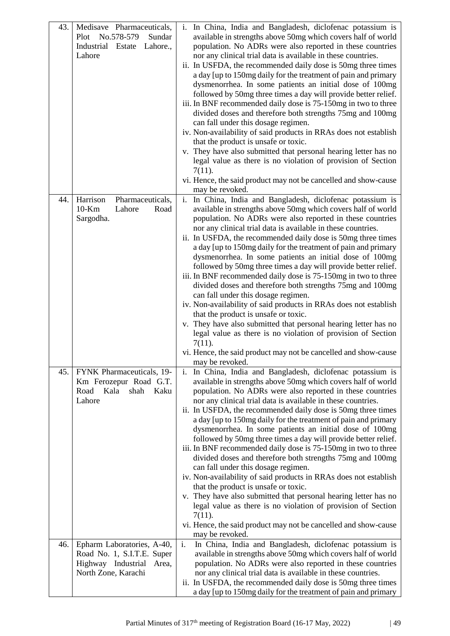| 43. | Medisave Pharmaceuticals,<br>No.578-579<br>Sundar<br>Plot<br>Industrial Estate Lahore.,<br>Lahore              | In China, India and Bangladesh, diclofenac potassium is<br>$\mathbf{i}$ .<br>available in strengths above 50mg which covers half of world<br>population. No ADRs were also reported in these countries<br>nor any clinical trial data is available in these countries.<br>ii. In USFDA, the recommended daily dose is 50mg three times<br>a day [up to 150mg daily for the treatment of pain and primary<br>dysmenorrhea. In some patients an initial dose of 100mg<br>followed by 50mg three times a day will provide better relief.<br>iii. In BNF recommended daily dose is 75-150mg in two to three<br>divided doses and therefore both strengths 75mg and 100mg<br>can fall under this dosage regimen.<br>iv. Non-availability of said products in RRAs does not establish<br>that the product is unsafe or toxic.<br>v. They have also submitted that personal hearing letter has no<br>legal value as there is no violation of provision of Section<br>$7(11)$ .<br>vi. Hence, the said product may not be cancelled and show-cause<br>may be revoked. |
|-----|----------------------------------------------------------------------------------------------------------------|---------------------------------------------------------------------------------------------------------------------------------------------------------------------------------------------------------------------------------------------------------------------------------------------------------------------------------------------------------------------------------------------------------------------------------------------------------------------------------------------------------------------------------------------------------------------------------------------------------------------------------------------------------------------------------------------------------------------------------------------------------------------------------------------------------------------------------------------------------------------------------------------------------------------------------------------------------------------------------------------------------------------------------------------------------------|
| 44. | Harrison<br>Pharmaceuticals,<br>$10-Km$<br>Lahore<br>Road<br>Sargodha.                                         | i.<br>In China, India and Bangladesh, diclofenac potassium is<br>available in strengths above 50mg which covers half of world<br>population. No ADRs were also reported in these countries<br>nor any clinical trial data is available in these countries.<br>ii. In USFDA, the recommended daily dose is 50mg three times<br>a day [up to 150mg daily for the treatment of pain and primary<br>dysmenorrhea. In some patients an initial dose of 100mg<br>followed by 50mg three times a day will provide better relief.<br>iii. In BNF recommended daily dose is 75-150mg in two to three<br>divided doses and therefore both strengths 75mg and 100mg<br>can fall under this dosage regimen.<br>iv. Non-availability of said products in RRAs does not establish<br>that the product is unsafe or toxic.<br>v. They have also submitted that personal hearing letter has no<br>legal value as there is no violation of provision of Section<br>$7(11)$ .<br>vi. Hence, the said product may not be cancelled and show-cause<br>may be revoked.             |
| 45. | FYNK Pharmaceuticals, 19-<br>Km Ferozepur Road G.T.<br>Kala<br>Kaku<br>Road<br>shah<br>Lahore                  | i. In China, India and Bangladesh, diclofenac potassium is<br>available in strengths above 50mg which covers half of world<br>population. No ADRs were also reported in these countries<br>nor any clinical trial data is available in these countries.<br>ii. In USFDA, the recommended daily dose is 50mg three times<br>a day [up to 150mg daily for the treatment of pain and primary<br>dysmenorrhea. In some patients an initial dose of 100mg<br>followed by 50mg three times a day will provide better relief.<br>iii. In BNF recommended daily dose is 75-150mg in two to three<br>divided doses and therefore both strengths 75mg and 100mg<br>can fall under this dosage regimen.<br>iv. Non-availability of said products in RRAs does not establish<br>that the product is unsafe or toxic.<br>v. They have also submitted that personal hearing letter has no<br>legal value as there is no violation of provision of Section<br>$7(11)$ .<br>vi. Hence, the said product may not be cancelled and show-cause<br>may be revoked.                |
| 46. | Epharm Laboratories, A-40,<br>Road No. 1, S.I.T.E. Super<br>Highway Industrial<br>Area,<br>North Zone, Karachi | $i$ .<br>In China, India and Bangladesh, diclofenac potassium is<br>available in strengths above 50mg which covers half of world<br>population. No ADRs were also reported in these countries<br>nor any clinical trial data is available in these countries.<br>ii. In USFDA, the recommended daily dose is 50mg three times<br>a day [up to 150mg daily for the treatment of pain and primary                                                                                                                                                                                                                                                                                                                                                                                                                                                                                                                                                                                                                                                               |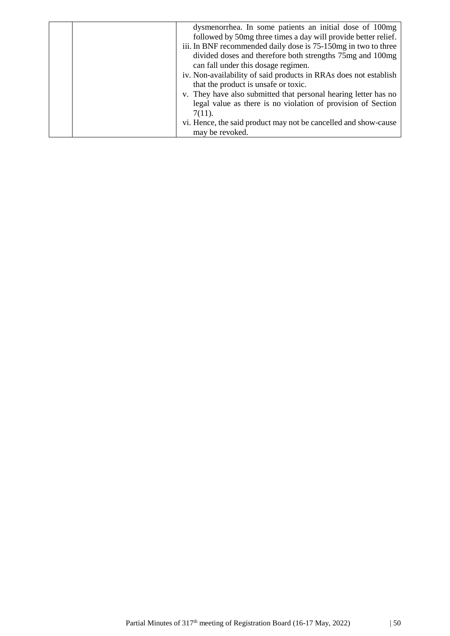| dysmenorrhea. In some patients an initial dose of 100mg          |
|------------------------------------------------------------------|
| followed by 50mg three times a day will provide better relief.   |
| iii. In BNF recommended daily dose is 75-150 mg in two to three  |
| divided doses and therefore both strengths 75mg and 100mg        |
| can fall under this dosage regimen.                              |
| iv. Non-availability of said products in RRAs does not establish |
| that the product is unsafe or toxic.                             |
| v. They have also submitted that personal hearing letter has no  |
| legal value as there is no violation of provision of Section     |
| $7(11)$ .                                                        |
| vi. Hence, the said product may not be cancelled and show-cause  |
| may be revoked.                                                  |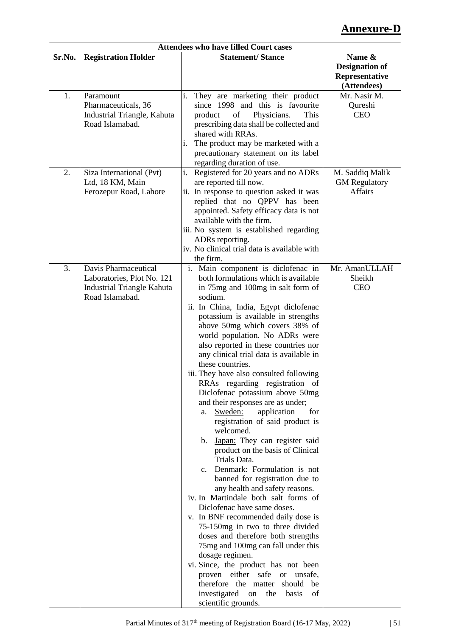# **Annexure-D**

|        |                                               | <b>Attendees who have filled Court cases</b>                                 |                       |
|--------|-----------------------------------------------|------------------------------------------------------------------------------|-----------------------|
| Sr.No. | <b>Registration Holder</b>                    | <b>Statement/Stance</b>                                                      | Name &                |
|        |                                               |                                                                              | <b>Designation of</b> |
|        |                                               |                                                                              | Representative        |
|        |                                               |                                                                              | (Attendees)           |
| 1.     | Paramount                                     | They are marketing their product<br>i.                                       | Mr. Nasir M.          |
|        | Pharmaceuticals, 36                           | since 1998 and this is favourite                                             | Qureshi               |
|        | Industrial Triangle, Kahuta                   | of<br>Physicians.<br>product<br>This                                         | <b>CEO</b>            |
|        | Road Islamabad.                               | prescribing data shall be collected and                                      |                       |
|        |                                               | shared with RRAs.                                                            |                       |
|        |                                               | The product may be marketed with a<br>i.                                     |                       |
|        |                                               | precautionary statement on its label                                         |                       |
|        |                                               | regarding duration of use.                                                   |                       |
| 2.     | Siza International (Pvt)                      | i.<br>Registered for 20 years and no ADRs                                    | M. Saddiq Malik       |
|        | Ltd, 18 KM, Main                              | are reported till now.                                                       | <b>GM</b> Regulatory  |
|        | Ferozepur Road, Lahore                        | ii. In response to question asked it was                                     | <b>Affairs</b>        |
|        |                                               | replied that no QPPV has been                                                |                       |
|        |                                               | appointed. Safety efficacy data is not                                       |                       |
|        |                                               | available with the firm.                                                     |                       |
|        |                                               | iii. No system is established regarding                                      |                       |
|        |                                               | ADRs reporting.                                                              |                       |
|        |                                               | iv. No clinical trial data is available with                                 |                       |
|        |                                               | the firm.                                                                    |                       |
| 3.     | Davis Pharmaceutical                          | i. Main component is diclofenac in                                           | Mr. AmanULLAH         |
|        | Laboratories, Plot No. 121                    | both formulations which is available                                         | Sheikh                |
|        | Industrial Triangle Kahuta<br>Road Islamabad. | in 75mg and 100mg in salt form of<br>sodium.                                 | <b>CEO</b>            |
|        |                                               |                                                                              |                       |
|        |                                               | ii. In China, India, Egypt diclofenac<br>potassium is available in strengths |                       |
|        |                                               | above 50mg which covers 38% of                                               |                       |
|        |                                               | world population. No ADRs were                                               |                       |
|        |                                               | also reported in these countries nor                                         |                       |
|        |                                               | any clinical trial data is available in                                      |                       |
|        |                                               | these countries.                                                             |                       |
|        |                                               | iii. They have also consulted following                                      |                       |
|        |                                               | RRAs regarding registration of                                               |                       |
|        |                                               | Diclofenac potassium above 50mg                                              |                       |
|        |                                               | and their responses are as under;                                            |                       |
|        |                                               | Sweden:<br>application<br>for<br>a.                                          |                       |
|        |                                               | registration of said product is                                              |                       |
|        |                                               | welcomed.                                                                    |                       |
|        |                                               | b. Japan: They can register said                                             |                       |
|        |                                               | product on the basis of Clinical                                             |                       |
|        |                                               | Trials Data.                                                                 |                       |
|        |                                               | Denmark: Formulation is not<br>$\mathbf{c}$ .                                |                       |
|        |                                               | banned for registration due to                                               |                       |
|        |                                               | any health and safety reasons.                                               |                       |
|        |                                               | iv. In Martindale both salt forms of                                         |                       |
|        |                                               | Diclofenac have same doses.                                                  |                       |
|        |                                               | v. In BNF recommended daily dose is                                          |                       |
|        |                                               | 75-150mg in two to three divided                                             |                       |
|        |                                               | doses and therefore both strengths                                           |                       |
|        |                                               | 75mg and 100mg can fall under this                                           |                       |
|        |                                               | dosage regimen.<br>vi. Since, the product has not been                       |                       |
|        |                                               | proven either<br>safe<br>or unsafe,                                          |                       |
|        |                                               | therefore the matter<br>should<br>be                                         |                       |
|        |                                               | investigated<br>the<br>basis<br>of<br>on                                     |                       |
|        |                                               | scientific grounds.                                                          |                       |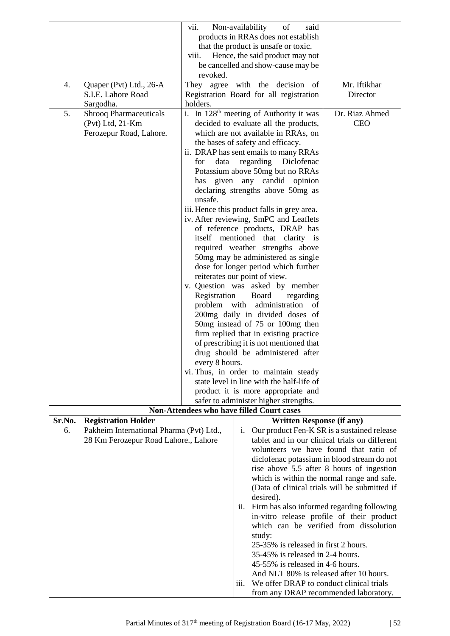|        |                                          | vii.                                 | Non-availability<br>of<br>said                                                     |                                                                                         |
|--------|------------------------------------------|--------------------------------------|------------------------------------------------------------------------------------|-----------------------------------------------------------------------------------------|
|        |                                          |                                      | products in RRAs does not establish                                                |                                                                                         |
|        |                                          | that the product is unsafe or toxic. |                                                                                    |                                                                                         |
|        |                                          | viii.                                | Hence, the said product may not<br>be cancelled and show-cause may be              |                                                                                         |
|        |                                          | revoked.                             |                                                                                    |                                                                                         |
| 4.     | Quaper (Pvt) Ltd., 26-A                  |                                      | They agree with the decision of                                                    | Mr. Iftikhar                                                                            |
|        | S.I.E. Lahore Road                       |                                      | Registration Board for all registration                                            | Director                                                                                |
|        | Sargodha.                                | holders.                             |                                                                                    |                                                                                         |
| 5.     | <b>Shrooq Pharmaceuticals</b>            |                                      | i. In 128 <sup>th</sup> meeting of Authority it was                                | Dr. Riaz Ahmed                                                                          |
|        | (Pvt) Ltd, 21-Km                         |                                      | decided to evaluate all the products,                                              | <b>CEO</b>                                                                              |
|        | Ferozepur Road, Lahore.                  |                                      | which are not available in RRAs, on<br>the bases of safety and efficacy.           |                                                                                         |
|        |                                          |                                      | ii. DRAP has sent emails to many RRAs                                              |                                                                                         |
|        |                                          | for<br>data                          | regarding Diclofenac                                                               |                                                                                         |
|        |                                          |                                      | Potassium above 50mg but no RRAs                                                   |                                                                                         |
|        |                                          |                                      | has given any candid opinion                                                       |                                                                                         |
|        |                                          |                                      | declaring strengths above 50mg as                                                  |                                                                                         |
|        |                                          | unsafe.                              | iii. Hence this product falls in grey area.                                        |                                                                                         |
|        |                                          |                                      | iv. After reviewing, SmPC and Leaflets                                             |                                                                                         |
|        |                                          |                                      | of reference products, DRAP has                                                    |                                                                                         |
|        |                                          |                                      | itself mentioned that clarity is                                                   |                                                                                         |
|        |                                          |                                      | required weather strengths above                                                   |                                                                                         |
|        |                                          |                                      | 50mg may be administered as single                                                 |                                                                                         |
|        |                                          |                                      | dose for longer period which further<br>reiterates our point of view.              |                                                                                         |
|        |                                          |                                      | v. Question was asked by member                                                    |                                                                                         |
|        |                                          | Registration                         | Board<br>regarding                                                                 |                                                                                         |
|        |                                          | problem with                         | administration<br>of                                                               |                                                                                         |
|        |                                          |                                      | 200mg daily in divided doses of                                                    |                                                                                         |
|        |                                          |                                      | 50mg instead of 75 or 100mg then                                                   |                                                                                         |
|        |                                          |                                      | firm replied that in existing practice<br>of prescribing it is not mentioned that  |                                                                                         |
|        |                                          |                                      | drug should be administered after                                                  |                                                                                         |
|        |                                          | every 8 hours.                       |                                                                                    |                                                                                         |
|        |                                          |                                      | vi. Thus, in order to maintain steady                                              |                                                                                         |
|        |                                          |                                      | state level in line with the half-life of                                          |                                                                                         |
|        |                                          |                                      | product it is more appropriate and                                                 |                                                                                         |
|        |                                          |                                      | safer to administer higher strengths.<br>Non-Attendees who have filled Court cases |                                                                                         |
| Sr.No. | <b>Registration Holder</b>               |                                      | <b>Written Response (if any)</b>                                                   |                                                                                         |
| 6.     | Pakheim International Pharma (Pvt) Ltd., |                                      | $\mathbf{i}$ .                                                                     | Our product Fen-K SR is a sustained release                                             |
|        | 28 Km Ferozepur Road Lahore., Lahore     |                                      |                                                                                    | tablet and in our clinical trials on different                                          |
|        |                                          |                                      |                                                                                    | volunteers we have found that ratio of                                                  |
|        |                                          |                                      |                                                                                    | diclofenac potassium in blood stream do not                                             |
|        |                                          |                                      |                                                                                    | rise above 5.5 after 8 hours of ingestion<br>which is within the normal range and safe. |
|        |                                          |                                      |                                                                                    | (Data of clinical trials will be submitted if                                           |
|        |                                          |                                      | desired).                                                                          |                                                                                         |
|        |                                          |                                      | ii.                                                                                | Firm has also informed regarding following                                              |
|        |                                          |                                      |                                                                                    | in-vitro release profile of their product                                               |
|        |                                          |                                      |                                                                                    | which can be verified from dissolution                                                  |
|        |                                          |                                      | study:<br>25-35% is released in first 2 hours.                                     |                                                                                         |
|        |                                          |                                      | 35-45% is released in 2-4 hours.                                                   |                                                                                         |
|        |                                          |                                      | 45-55% is released in 4-6 hours.                                                   |                                                                                         |
|        |                                          |                                      | And NLT 80% is released after 10 hours.                                            |                                                                                         |
|        |                                          |                                      | iii.<br>We offer DRAP to conduct clinical trials                                   |                                                                                         |
|        |                                          |                                      |                                                                                    | from any DRAP recommended laboratory.                                                   |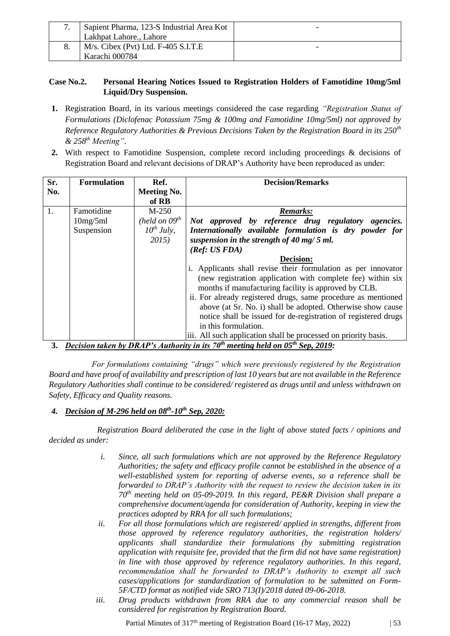| Sapient Pharma, 123-S Industrial Area Kot | - |
|-------------------------------------------|---|
| Lakhpat Lahore., Lahore                   |   |
| $M/s$ . Cibex (Pvt) Ltd. F-405 S.I.T.E    |   |
| Karachi 000784                            |   |

#### **Case No.2. Personal Hearing Notices Issued to Registration Holders of Famotidine 10mg/5ml Liquid/Dry Suspension.**

- **1.** Registration Board, in its various meetings considered the case regarding *"Registration Status of Formulations (Diclofenac Potassium 75mg & 100mg and Famotidine 10mg/5ml) not approved by Reference Regulatory Authorities & Previous Decisions Taken by the Registration Board in its 250th & 258th Meeting"*.
- **2.** With respect to Famotidine Suspension, complete record including proceedings & decisions of Registration Board and relevant decisions of DRAP's Authority have been reproduced as under:

| Sr. | <b>Formulation</b>           | Ref.               | <b>Decision/Remarks</b>                                         |  |
|-----|------------------------------|--------------------|-----------------------------------------------------------------|--|
| No. |                              | <b>Meeting No.</b> |                                                                 |  |
|     |                              | of RB              |                                                                 |  |
| 1.  | Famotidine                   | $M-250$            | <b>Remarks:</b>                                                 |  |
|     | 10mg/5ml                     | (held on $09^{th}$ | Not approved by reference drug regulatory agencies.             |  |
|     | Suspension                   | $10^{th}$ July,    | Internationally available formulation is dry powder for         |  |
|     |                              | 2015)              | suspension in the strength of 40 mg/ $5$ ml.                    |  |
|     |                              |                    | (Ref: US FDA)                                                   |  |
|     |                              |                    | <b>Decision:</b>                                                |  |
|     |                              |                    | i. Applicants shall revise their formulation as per innovator   |  |
|     |                              |                    | (new registration application with complete fee) within six     |  |
|     |                              |                    | months if manufacturing facility is approved by CLB.            |  |
|     |                              |                    | ii. For already registered drugs, same procedure as mentioned   |  |
|     |                              |                    | above (at Sr. No. i) shall be adopted. Otherwise show cause     |  |
|     |                              |                    | notice shall be issued for de-registration of registered drugs  |  |
|     |                              |                    | in this formulation.                                            |  |
|     | $\mathbf{r}$ in $\mathbf{r}$ | .                  | iii. All such application shall be processed on priority basis. |  |

**3.** *Decision taken by DRAP's Authority in its 70th meeting held on 05th Sep, 2019:*

*For formulations containing "drugs" which were previously registered by the Registration Board and have proof of availability and prescription of last 10 years but are not available in the Reference Regulatory Authorities shall continue to be considered/ registered as drugs until and unless withdrawn on Safety, Efficacy and Quality reasons.*

#### *4. Decision of M-296 held on 08th -10th Sep, 2020:*

*Registration Board deliberated the case in the light of above stated facts / opinions and decided as under:* 

- *i. Since, all such formulations which are not approved by the Reference Regulatory Authorities; the safety and efficacy profile cannot be established in the absence of a well-established system for reporting of adverse events, so a reference shall be forwarded to DRAP's Authority with the request to review the decision taken in its 70th meeting held on 05-09-2019. In this regard, PE&R Division shall prepare a comprehensive document/agenda for consideration of Authority, keeping in view the practices adopted by RRA for all such formulations;*
- *ii. For all those formulations which are registered/ applied in strengths, different from those approved by reference regulatory authorities, the registration holders/ applicants shall standardize their formulations (by submitting registration application with requisite fee, provided that the firm did not have same registration) in line with those approved by reference regulatory authorities. In this regard, recommendation shall be forwarded to DRAP's Authority to exempt all such cases/applications for standardization of formulation to be submitted on Form-5F/CTD format as notified vide SRO 713(I)/2018 dated 09-06-2018.*
- *iii. Drug products withdrawn from RRA due to any commercial reason shall be considered for registration by Registration Board.*

Partial Minutes of  $317<sup>th</sup>$  meeting of Registration Board (16-17 May, 2022) | 53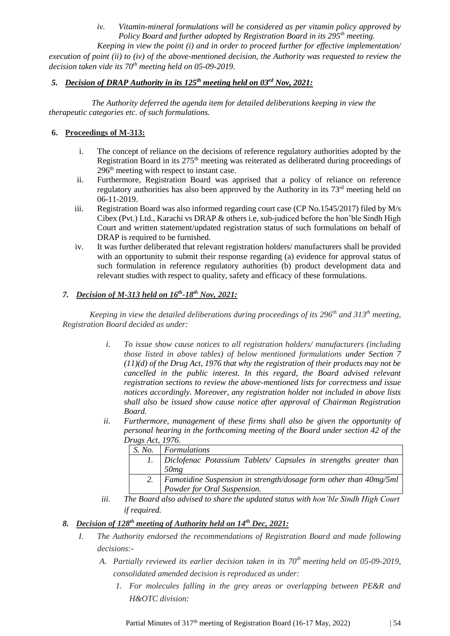*iv. Vitamin-mineral formulations will be considered as per vitamin policy approved by Policy Board and further adopted by Registration Board in its 295th meeting.*

*Keeping in view the point (i) and in order to proceed further for effective implementation/ execution of point (ii) to (iv) of the above-mentioned decision, the Authority was requested to review the decision taken vide its 70th meeting held on 05-09-2019.*

#### *5. Decision of DRAP Authority in its 125th meeting held on 03rd Nov, 2021:*

*The Authority deferred the agenda item for detailed deliberations keeping in view the therapeutic categories etc. of such formulations.*

#### **6. Proceedings of M-313:**

- i. The concept of reliance on the decisions of reference regulatory authorities adopted by the Registration Board in its 275<sup>th</sup> meeting was reiterated as deliberated during proceedings of 296th meeting with respect to instant case.
- ii. Furthermore, Registration Board was apprised that a policy of reliance on reference regulatory authorities has also been approved by the Authority in its 73<sup>rd</sup> meeting held on 06-11-2019.
- iii. Registration Board was also informed regarding court case (CP No.1545/2017) filed by M/s Cibex (Pvt.) Ltd., Karachi vs DRAP & others i.e, sub-judiced before the hon'ble Sindh High Court and written statement/updated registration status of such formulations on behalf of DRAP is required to be furnished.
- iv. It was further deliberated that relevant registration holders/ manufacturers shall be provided with an opportunity to submit their response regarding (a) evidence for approval status of such formulation in reference regulatory authorities (b) product development data and relevant studies with respect to quality, safety and efficacy of these formulations.

#### *7. Decision of M-313 held on 16th -18th Nov, 2021:*

*Keeping in view the detailed deliberations during proceedings of its 296th and 313th meeting, Registration Board decided as under:* 

- *i. To issue show cause notices to all registration holders/ manufacturers (including those listed in above tables) of below mentioned formulations under Section 7 (11)(d) of the Drug Act, 1976 that why the registration of their products may not be cancelled in the public interest. In this regard, the Board advised relevant registration sections to review the above-mentioned lists for correctness and issue notices accordingly. Moreover, any registration holder not included in above lists shall also be issued show cause notice after approval of Chairman Registration Board.*
- *ii. Furthermore, management of these firms shall also be given the opportunity of personal hearing in the forthcoming meeting of the Board under section 42 of the Drugs Act, 1976.*

| 1.00012001222213221 |                                                                   |
|---------------------|-------------------------------------------------------------------|
| S. No.              | Formulations                                                      |
|                     | Diclofenac Potassium Tablets/ Capsules in strengths greater than  |
|                     | 50mg                                                              |
|                     | Famotidine Suspension in strength/dosage form other than 40mg/5ml |
|                     | Powder for Oral Suspension.                                       |

*iii. The Board also advised to share the updated status with hon'ble Sindh High Court if required.*

### *8. Decision of 128th meeting of Authority held on 14th Dec, 2021:*

- *I. The Authority endorsed the recommendations of Registration Board and made following decisions:-*
	- *A. Partially reviewed its earlier decision taken in its 70th meeting held on 05-09-2019, consolidated amended decision is reproduced as under:*
		- *1. For molecules falling in the grey areas or overlapping between PE&R and H&OTC division:*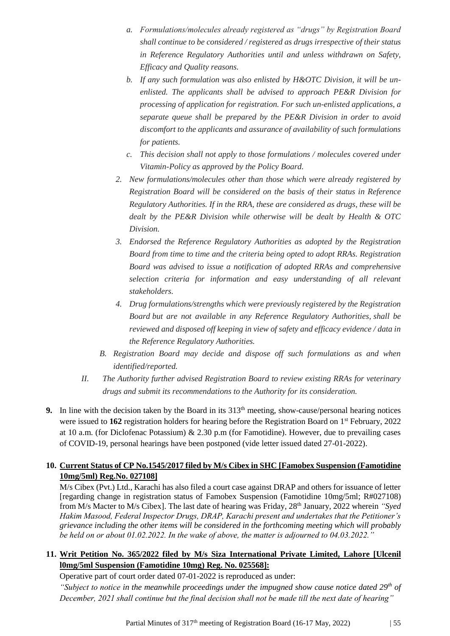- *a. Formulations/molecules already registered as "drugs" by Registration Board shall continue to be considered / registered as drugs irrespective of their status in Reference Regulatory Authorities until and unless withdrawn on Safety, Efficacy and Quality reasons.*
- *b. If any such formulation was also enlisted by H&OTC Division, it will be unenlisted. The applicants shall be advised to approach PE&R Division for processing of application for registration. For such un-enlisted applications, a separate queue shall be prepared by the PE&R Division in order to avoid discomfort to the applicants and assurance of availability of such formulations for patients.*
- *c. This decision shall not apply to those formulations / molecules covered under Vitamin-Policy as approved by the Policy Board.*
- *2. New formulations/molecules other than those which were already registered by Registration Board will be considered on the basis of their status in Reference Regulatory Authorities. If in the RRA, these are considered as drugs, these will be dealt by the PE&R Division while otherwise will be dealt by Health & OTC Division.*
- *3. Endorsed the Reference Regulatory Authorities as adopted by the Registration Board from time to time and the criteria being opted to adopt RRAs. Registration Board was advised to issue a notification of adopted RRAs and comprehensive selection criteria for information and easy understanding of all relevant stakeholders.*
- *4. Drug formulations/strengths which were previously registered by the Registration Board but are not available in any Reference Regulatory Authorities, shall be reviewed and disposed off keeping in view of safety and efficacy evidence / data in the Reference Regulatory Authorities.*
- *B. Registration Board may decide and dispose off such formulations as and when identified/reported.*
- *II. The Authority further advised Registration Board to review existing RRAs for veterinary drugs and submit its recommendations to the Authority for its consideration.*
- **9.** In line with the decision taken by the Board in its  $313<sup>th</sup>$  meeting, show-cause/personal hearing notices were issued to 162 registration holders for hearing before the Registration Board on 1<sup>st</sup> February, 2022 at 10 a.m. (for Diclofenac Potassium) & 2.30 p.m (for Famotidine). However, due to prevailing cases of COVID-19, personal hearings have been postponed (vide letter issued dated 27-01-2022).

### **10. Current Status of CP No.1545/2017 filed by M/s Cibex in SHC [Famobex Suspension (Famotidine 10mg/5ml) Reg.No. 027108]**

M/s Cibex (Pvt.) Ltd., Karachi has also filed a court case against DRAP and others for issuance of letter [regarding change in registration status of Famobex Suspension (Famotidine 10mg/5ml; R#027108) from M/s Macter to M/s Cibex]. The last date of hearing was Friday, 28<sup>th</sup> January, 2022 wherein *"Syed Hakim Masood, Federal Inspector Drugs, DRAP, Karachi present and undertakes that the Petitioner's grievance including the other items will be considered in the forthcoming meeting which will probably be held on or about 01.02.2022. In the wake of above, the matter is adjourned to 04.03.2022."*

### **11. Writ Petition No. 365/2022 filed by M/s Siza International Private Limited, Lahore [Ulcenil l0mg/5ml Suspension (Famotidine 10mg) Reg. No. 025568]:**

Operative part of court order dated 07-01-2022 is reproduced as under:

*"Subject to notice in the meanwhile proceedings under the impugned show cause notice dated 29th of December, 2021 shall continue but the final decision shall not be made till the next date of hearing"*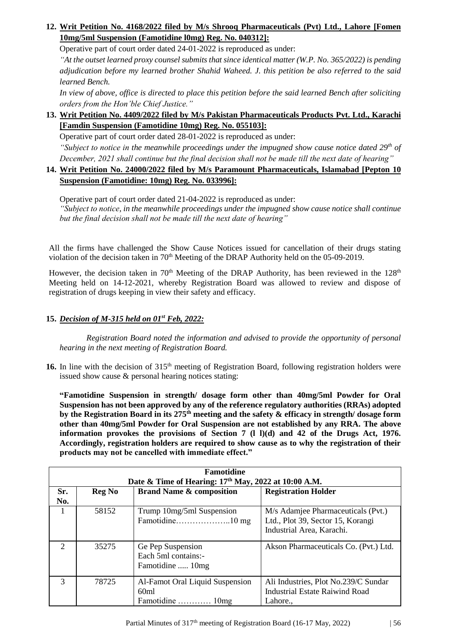### **12. Writ Petition No. 4168/2022 filed by M/s Shrooq Pharmaceuticals (Pvt) Ltd., Lahore [Fomen 10mg/5ml Suspension (Famotidine l0mg) Reg. No. 040312]:**

Operative part of court order dated 24-01-2022 is reproduced as under:

*"At the outset learned proxy counsel submits that since identical matter (W.P. No. 365/2022) is pending adjudication before my learned brother Shahid Waheed. J. this petition be also referred to the said learned Bench.*

*In view of above, office is directed to place this petition before the said learned Bench after soliciting orders from the Hon'ble Chief Justice."*

### **13. Writ Petition No. 4409/2022 filed by M/s Pakistan Pharmaceuticals Products Pvt. Ltd., Karachi [Famdin Suspension (Famotidine 10mg) Reg. No. 055103]:**

Operative part of court order dated 28-01-2022 is reproduced as under:

*"Subject to notice in the meanwhile proceedings under the impugned show cause notice dated 29th of December, 2021 shall continue but the final decision shall not be made till the next date of hearing"* 

### **14. Writ Petition No. 24000/2022 filed by M/s Paramount Pharmaceuticals, Islamabad [Pepton 10 Suspension (Famotidine: 10mg) Reg. No. 033996]:**

Operative part of court order dated 21-04-2022 is reproduced as under: *"Subject to notice, in the meanwhile proceedings under the impugned show cause notice shall continue but the final decision shall not be made till the next date of hearing"* 

All the firms have challenged the Show Cause Notices issued for cancellation of their drugs stating violation of the decision taken in 70<sup>th</sup> Meeting of the DRAP Authority held on the 05-09-2019.

However, the decision taken in  $70<sup>th</sup>$  Meeting of the DRAP Authority, has been reviewed in the 128<sup>th</sup> Meeting held on 14-12-2021, whereby Registration Board was allowed to review and dispose of registration of drugs keeping in view their safety and efficacy.

### **15.** *Decision of M-315 held on 01st Feb, 2022:*

*Registration Board noted the information and advised to provide the opportunity of personal hearing in the next meeting of Registration Board.*

16. In line with the decision of 315<sup>th</sup> meeting of Registration Board, following registration holders were issued show cause & personal hearing notices stating:

**"Famotidine Suspension in strength/ dosage form other than 40mg/5ml Powder for Oral Suspension has not been approved by any of the reference regulatory authorities (RRAs) adopted by the Registration Board in its 275th meeting and the safety & efficacy in strength/ dosage form other than 40mg/5ml Powder for Oral Suspension are not established by any RRA. The above information provokes the provisions of Section 7 (l l)(d) and 42 of the Drugs Act, 1976. Accordingly, registration holders are required to show cause as to why the registration of their products may not be cancelled with immediate effect."**

| <b>Famotidine</b><br>Date & Time of Hearing: 17 <sup>th</sup> May, 2022 at 10:00 A.M. |               |                                                              |                                                                                                      |  |
|---------------------------------------------------------------------------------------|---------------|--------------------------------------------------------------|------------------------------------------------------------------------------------------------------|--|
| Sr.<br>No.                                                                            | <b>Reg No</b> | <b>Brand Name &amp; composition</b>                          | <b>Registration Holder</b>                                                                           |  |
|                                                                                       | 58152         | Trump 10mg/5ml Suspension                                    | M/s Adamjee Pharmaceuticals (Pvt.)<br>Ltd., Plot 39, Sector 15, Korangi<br>Industrial Area, Karachi. |  |
| $\mathcal{D}_{\mathcal{L}}$                                                           | 35275         | Ge Pep Suspension<br>Each 5ml contains:-<br>Famotidine  10mg | Akson Pharmaceuticals Co. (Pvt.) Ltd.                                                                |  |
| $\mathcal{R}$                                                                         | 78725         | Al-Famot Oral Liquid Suspension<br>60ml<br>Famotidine  10mg  | Ali Industries, Plot No.239/C Sundar<br><b>Industrial Estate Raiwind Road</b><br>Lahore.,            |  |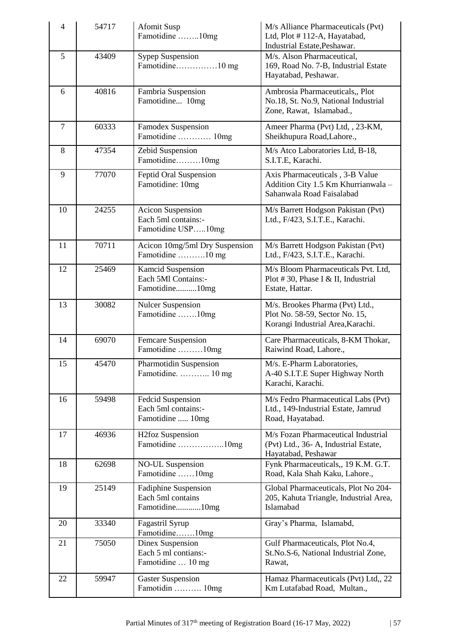| $\overline{4}$ | 54717 | <b>Afomit Susp</b><br>Famotidine 10mg                                 | M/s Alliance Pharmaceuticals (Pvt)<br>Ltd, Plot #112-A, Hayatabad,<br>Industrial Estate, Peshawar.     |
|----------------|-------|-----------------------------------------------------------------------|--------------------------------------------------------------------------------------------------------|
| 5              | 43409 | <b>Sypep Suspension</b><br>Famotidine10 mg                            | M/s. Alson Pharmaceutical,<br>169, Road No. 7-B, Industrial Estate<br>Hayatabad, Peshawar.             |
| 6              | 40816 | Fambria Suspension<br>Famotidine 10mg                                 | Ambrosia Pharmaceuticals,, Plot<br>No.18, St. No.9, National Industrial<br>Zone, Rawat, Islamabad.,    |
| $\tau$         | 60333 | Famodex Suspension<br>Famotidine  10mg                                | Ameer Pharma (Pvt) Ltd, , 23-KM,<br>Sheikhupura Road,Lahore.,                                          |
| 8              | 47354 | Zebid Suspension<br>Famotidine10mg                                    | M/s Atco Laboratories Ltd, B-18,<br>S.I.T.E, Karachi.                                                  |
| 9              | 77070 | Feptid Oral Suspension<br>Famotidine: 10mg                            | Axis Pharmaceuticals, 3-B Value<br>Addition City 1.5 Km Khurrianwala -<br>Sahanwala Road Faisalabad    |
| 10             | 24255 | <b>Acicon Suspension</b><br>Each 5ml contains:-<br>Famotidine USP10mg | M/s Barrett Hodgson Pakistan (Pvt)<br>Ltd., F/423, S.I.T.E., Karachi.                                  |
| 11             | 70711 | Acicon 10mg/5ml Dry Suspension<br>Famotidine 10 mg                    | M/s Barrett Hodgson Pakistan (Pvt)<br>Ltd., F/423, S.I.T.E., Karachi.                                  |
| 12             | 25469 | <b>Kamcid Suspension</b><br>Each 5Ml Contains:-<br>Famotidine10mg     | M/s Bloom Pharmaceuticals Pvt. Ltd,<br>Plot #30, Phase I & II, Industrial<br>Estate, Hattar.           |
| 13             | 30082 | <b>Nulcer Suspension</b><br>Famotidine 10mg                           | M/s. Brookes Pharma (Pvt) Ltd.,<br>Plot No. 58-59, Sector No. 15,<br>Korangi Industrial Area, Karachi. |
| 14             | 69070 | Femcare Suspension<br>Famotidine 10mg                                 | Care Pharmaceuticals, 8-KM Thokar,<br>Raiwind Road, Lahore.,                                           |
| 15             | 45470 | Pharmotidin Suspension<br>Famotidine.  10 mg                          | M/s. E-Pharm Laboratories,<br>A-40 S.I.T.E Super Highway North<br>Karachi, Karachi.                    |
| 16             | 59498 | Fedcid Suspension<br>Each 5ml contains:-<br>Famotidine  10mg          | M/s Fedro Pharmaceutical Labs (Pvt)<br>Ltd., 149-Industrial Estate, Jamrud<br>Road, Hayatabad.         |
| 17             | 46936 | <b>H2foz Suspension</b><br>Famotidine 10mg                            | M/s Fozan Pharmaceutical Industrial<br>(Pvt) Ltd., 36- A, Industrial Estate,<br>Hayatabad, Peshawar    |
| 18             | 62698 | <b>NO-UL Suspension</b><br>Famotidine 10mg                            | Fynk Pharmaceuticals,, 19 K.M. G.T.<br>Road, Kala Shah Kaku, Lahore.,                                  |
| 19             | 25149 | <b>Fadiphine Suspension</b><br>Each 5ml contains<br>Famotidine10mg    | Global Pharmaceuticals, Plot No 204-<br>205, Kahuta Triangle, Industrial Area,<br>Islamabad            |
| 20             | 33340 | Fagastril Syrup<br>Famotidine10mg                                     | Gray's Pharma, Islamabd,                                                                               |
| 21             | 75050 | Dinex Suspension<br>Each 5 ml contians:-<br>Famotidine  10 mg         | Gulf Pharmaceuticals, Plot No.4,<br>St.No.S-6, National Industrial Zone,<br>Rawat,                     |
| 22             | 59947 | <b>Gaster Suspension</b><br>Famotidin  10mg                           | Hamaz Pharmaceuticals (Pvt) Ltd,, 22<br>Km Lutafabad Road, Multan.,                                    |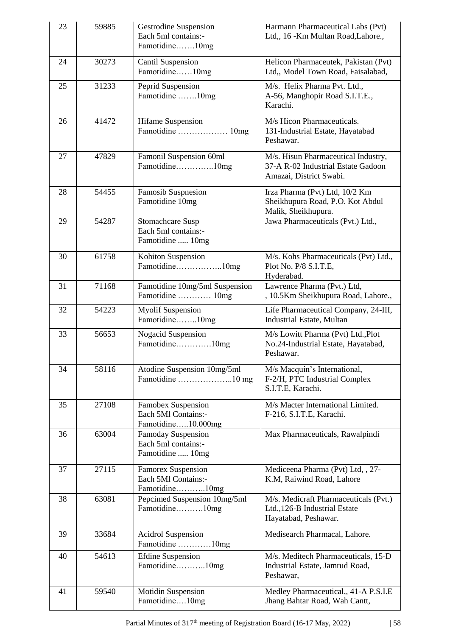| 23 | 59885 | Gestrodine Suspension<br>Each 5ml contains:-<br>Famotidine10mg     | Harmann Pharmaceutical Labs (Pvt)<br>Ltd,, 16 - Km Multan Road, Lahore.,                             |
|----|-------|--------------------------------------------------------------------|------------------------------------------------------------------------------------------------------|
| 24 | 30273 | Cantil Suspension<br>Famotidine10mg                                | Helicon Pharmaceutek, Pakistan (Pvt)<br>Ltd., Model Town Road, Faisalabad,                           |
| 25 | 31233 | Peprid Suspension<br>Famotidine 10mg                               | M/s. Helix Pharma Pvt. Ltd.,<br>A-56, Manghopir Road S.I.T.E.,<br>Karachi.                           |
| 26 | 41472 | Hifame Suspension<br>Famotidine  10mg                              | M/s Hicon Pharmaceuticals.<br>131-Industrial Estate, Hayatabad<br>Peshawar.                          |
| 27 | 47829 | Famonil Suspension 60ml<br>Famotidine10mg                          | M/s. Hisun Pharmaceutical Industry,<br>37-A R-02 Industrial Estate Gadoon<br>Amazai, District Swabi. |
| 28 | 54455 | Famosib Suspnesion<br>Famotidine 10mg                              | Irza Pharma (Pvt) Ltd, 10/2 Km<br>Sheikhupura Road, P.O. Kot Abdul<br>Malik, Sheikhupura.            |
| 29 | 54287 | Stomachcare Susp<br>Each 5ml contains:-<br>Famotidine  10mg        | Jawa Pharmaceuticals (Pvt.) Ltd.,                                                                    |
| 30 | 61758 | Kohiton Suspension                                                 | M/s. Kohs Pharmaceuticals (Pvt) Ltd.,<br>Plot No. P/8 S.I.T.E,<br>Hyderabad.                         |
| 31 | 71168 | Famotidine 10mg/5ml Suspension<br>Famotidine  10mg                 | Lawrence Pharma (Pvt.) Ltd,<br>, 10.5Km Sheikhupura Road, Lahore.,                                   |
| 32 | 54223 | <b>Myolif Suspension</b><br>Famotidine10mg                         | Life Pharmaceutical Company, 24-III,<br>Industrial Estate, Multan                                    |
| 33 | 56653 | <b>Nogacid Suspension</b><br>Famotidine10mg                        | M/s Lowitt Pharma (Pvt) Ltd., Plot<br>No.24-Industrial Estate, Hayatabad,<br>Peshawar.               |
| 34 | 58116 | Atodine Suspension 10mg/5ml                                        | M/s Macquin's International,<br>F-2/H, PTC Industrial Complex<br>S.I.T.E, Karachi.                   |
| 35 | 27108 | Famobex Suspension<br>Each 5Ml Contains:-<br>Famotidine10.000mg    | M/s Macter International Limited.<br>F-216, S.I.T.E, Karachi.                                        |
| 36 | 63004 | Famoday Suspension<br>Each 5ml contains:-<br>Famotidine  10mg      | Max Pharmaceuticals, Rawalpindi                                                                      |
| 37 | 27115 | <b>Famorex Suspension</b><br>Each 5Ml Contains:-<br>Famotidine10mg | Mediceena Pharma (Pvt) Ltd, , 27-<br>K.M, Raiwind Road, Lahore                                       |
| 38 | 63081 | Pepcimed Suspension 10mg/5ml<br>Famotidine10mg                     | M/s. Medicraft Pharmaceuticals (Pvt.)<br>Ltd., 126-B Industrial Estate<br>Hayatabad, Peshawar.       |
| 39 | 33684 | <b>Acidrol Suspension</b><br>Famotidine 10mg                       | Medisearch Pharmacal, Lahore.                                                                        |
| 40 | 54613 | <b>Efdine Suspension</b><br>Famotidine10mg                         | M/s. Meditech Pharmaceuticals, 15-D<br>Industrial Estate, Jamrud Road,<br>Peshawar,                  |
| 41 | 59540 | <b>Motidin Suspension</b><br>Famotidine10mg                        | Medley Pharmaceutical,, 41-A P.S.I.E<br>Jhang Bahtar Road, Wah Cantt,                                |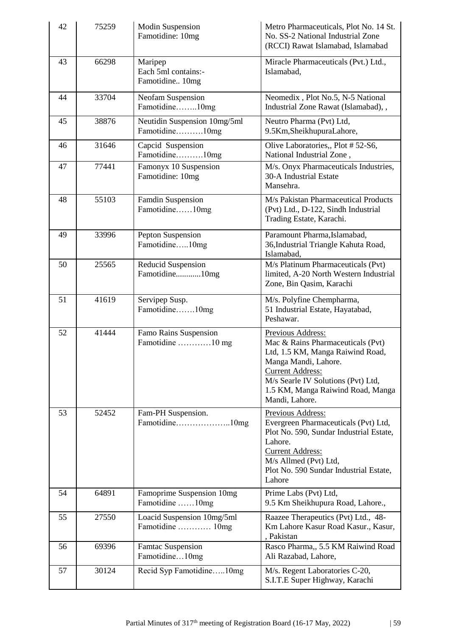| 42 | 75259 | <b>Modin Suspension</b><br>Famotidine: 10mg       | Metro Pharmaceuticals, Plot No. 14 St.<br>No. SS-2 National Industrial Zone<br>(RCCI) Rawat Islamabad, Islamabad                                                                                                                           |
|----|-------|---------------------------------------------------|--------------------------------------------------------------------------------------------------------------------------------------------------------------------------------------------------------------------------------------------|
| 43 | 66298 | Maripep<br>Each 5ml contains:-<br>Famotidine 10mg | Miracle Pharmaceuticals (Pvt.) Ltd.,<br>Islamabad,                                                                                                                                                                                         |
| 44 | 33704 | Neofam Suspension<br>Famotidine10mg               | Neomedix, Plot No.5, N-5 National<br>Industrial Zone Rawat (Islamabad), ,                                                                                                                                                                  |
| 45 | 38876 | Neutidin Suspension 10mg/5ml<br>Famotidine10mg    | Neutro Pharma (Pvt) Ltd,<br>9.5Km, SheikhupuraLahore,                                                                                                                                                                                      |
| 46 | 31646 | Capcid Suspension<br>Famotidine10mg               | Olive Laboratories,, Plot #52-S6,<br>National Industrial Zone,                                                                                                                                                                             |
| 47 | 77441 | Famonyx 10 Suspension<br>Famotidine: 10mg         | M/s. Onyx Pharmaceuticals Industries,<br>30-A Industrial Estate<br>Mansehra.                                                                                                                                                               |
| 48 | 55103 | <b>Famdin Suspension</b><br>Famotidine10mg        | M/s Pakistan Pharmaceutical Products<br>(Pvt) Ltd., D-122, Sindh Industrial<br>Trading Estate, Karachi.                                                                                                                                    |
| 49 | 33996 | Pepton Suspension<br>Famotidine10mg               | Paramount Pharma, Islamabad,<br>36, Industrial Triangle Kahuta Road,<br>Islamabad,                                                                                                                                                         |
| 50 | 25565 | Reducid Suspension<br>Famotidine10mg              | M/s Platinum Pharmaceuticals (Pvt)<br>limited, A-20 North Western Industrial<br>Zone, Bin Qasim, Karachi                                                                                                                                   |
| 51 | 41619 | Servipep Susp.<br>Famotidine10mg                  | M/s. Polyfine Chempharma,<br>51 Industrial Estate, Hayatabad,<br>Peshawar.                                                                                                                                                                 |
| 52 | 41444 | Famo Rains Suspension<br>Famotidine 10 mg         | Previous Address:<br>Mac & Rains Pharmaceuticals (Pvt)<br>Ltd, 1.5 KM, Manga Raiwind Road,<br>Manga Mandi, Lahore.<br><b>Current Address:</b><br>M/s Searle IV Solutions (Pvt) Ltd,<br>1.5 KM, Manga Raiwind Road, Manga<br>Mandi, Lahore. |
| 53 | 52452 | Fam-PH Suspension.<br>Famotidine10mg              | Previous Address:<br>Evergreen Pharmaceuticals (Pvt) Ltd,<br>Plot No. 590, Sundar Industrial Estate,<br>Lahore.<br><b>Current Address:</b><br>M/s Allmed (Pvt) Ltd,<br>Plot No. 590 Sundar Industrial Estate,<br>Lahore                    |
| 54 | 64891 | Famoprime Suspension 10mg<br>Famotidine 10mg      | Prime Labs (Pvt) Ltd,<br>9.5 Km Sheikhupura Road, Lahore.,                                                                                                                                                                                 |
| 55 | 27550 | Loacid Suspension 10mg/5ml<br>Famotidine  10mg    | Raazee Therapeutics (Pvt) Ltd., 48-<br>Km Lahore Kasur Road Kasur., Kasur,<br>, Pakistan                                                                                                                                                   |
| 56 | 69396 | <b>Famtac Suspension</b><br>Famotidine10mg        | Rasco Pharma,, 5.5 KM Raiwind Road<br>Ali Razabad, Lahore,                                                                                                                                                                                 |
| 57 | 30124 | Recid Syp Famotidine10mg                          | M/s. Regent Laboratories C-20,<br>S.I.T.E Super Highway, Karachi                                                                                                                                                                           |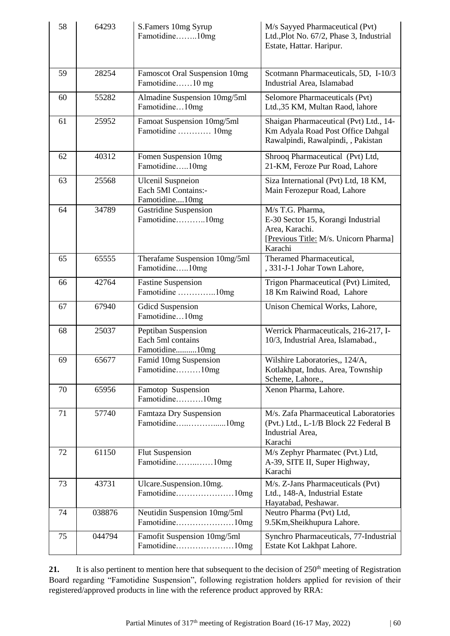| 58 | 64293  | S.Famers 10mg Syrup<br>Famotidine10mg                             | M/s Sayyed Pharmaceutical (Pvt)<br>Ltd., Plot No. 67/2, Phase 3, Industrial<br>Estate, Hattar. Haripur.                      |
|----|--------|-------------------------------------------------------------------|------------------------------------------------------------------------------------------------------------------------------|
| 59 | 28254  | Famoscot Oral Suspension 10mg<br>Famotidine10 mg                  | Scotmann Pharmaceuticals, 5D, I-10/3<br>Industrial Area, Islamabad                                                           |
| 60 | 55282  | Almadine Suspension 10mg/5ml<br>Famotidine10mg                    | Selomore Pharmaceuticals (Pvt)<br>Ltd., 35 KM, Multan Raod, lahore                                                           |
| 61 | 25952  | Famoat Suspension 10mg/5ml<br>Famotidine  10mg                    | Shaigan Pharmaceutical (Pvt) Ltd., 14-<br>Km Adyala Road Post Office Dahgal<br>Rawalpindi, Rawalpindi, , Pakistan            |
| 62 | 40312  | Fomen Suspension 10mg<br>Famotidine10mg                           | Shrooq Pharmaceutical (Pvt) Ltd,<br>21-KM, Feroze Pur Road, Lahore                                                           |
| 63 | 25568  | <b>Ulcenil Suspneion</b><br>Each 5Ml Contains:-<br>Famotidine10mg | Siza International (Pvt) Ltd, 18 KM,<br>Main Ferozepur Road, Lahore                                                          |
| 64 | 34789  | <b>Gastridine Suspension</b><br>Famotidine10mg                    | M/s T.G. Pharma,<br>E-30 Sector 15, Korangi Industrial<br>Area, Karachi.<br>[Previous Title: M/s. Unicorn Pharma]<br>Karachi |
| 65 | 65555  | Therafame Suspension 10mg/5ml<br>Famotidine10mg                   | Theramed Pharmaceutical,<br>, 331-J-1 Johar Town Lahore,                                                                     |
| 66 | 42764  | <b>Fastine Suspension</b><br>Famotidine 10mg                      | Trigon Pharmaceutical (Pvt) Limited,<br>18 Km Raiwind Road, Lahore                                                           |
| 67 | 67940  | <b>Gdicd Suspension</b><br>Famotidine10mg                         | Unison Chemical Works, Lahore,                                                                                               |
| 68 | 25037  | Peptiban Suspension<br>Each 5ml contains<br>Famotidine10mg        | Werrick Pharmaceuticals, 216-217, I-<br>10/3, Industrial Area, Islamabad.,                                                   |
| 69 | 65677  | Famid 10mg Suspension<br>Famotidine10mg                           | Wilshire Laboratories,, 124/A,<br>Kotlakhpat, Indus. Area, Township<br>Scheme, Lahore.,                                      |
| 70 | 65956  | Famotop Suspension<br>Famotidine10mg                              | Xenon Pharma, Lahore.                                                                                                        |
| 71 | 57740  | Famtaza Dry Suspension<br>Famotidine10mg                          | M/s. Zafa Pharmaceutical Laboratories<br>(Pvt.) Ltd., L-1/B Block 22 Federal B<br>Industrial Area,<br>Karachi                |
| 72 | 61150  | <b>Flut Suspension</b><br>Famotidine10mg                          | M/s Zephyr Pharmatec (Pvt.) Ltd,<br>A-39, SITE II, Super Highway,<br>Karachi                                                 |
| 73 | 43731  | Ulcare.Suspension.10mg.                                           | M/s. Z-Jans Pharmaceuticals (Pvt)<br>Ltd., 148-A, Industrial Estate<br>Hayatabad, Peshawar.                                  |
| 74 | 038876 | Neutidin Suspension 10mg/5ml<br>Famotidine10mg                    | Neutro Pharma (Pvt) Ltd,<br>9.5Km, Sheikhupura Lahore.                                                                       |
| 75 | 044794 | Famofit Suspension 10mg/5ml<br>Famotidine10mg                     | Synchro Pharmaceuticals, 77-Industrial<br>Estate Kot Lakhpat Lahore.                                                         |

21. It is also pertinent to mention here that subsequent to the decision of 250<sup>th</sup> meeting of Registration Board regarding "Famotidine Suspension", following registration holders applied for revision of their registered/approved products in line with the reference product approved by RRA: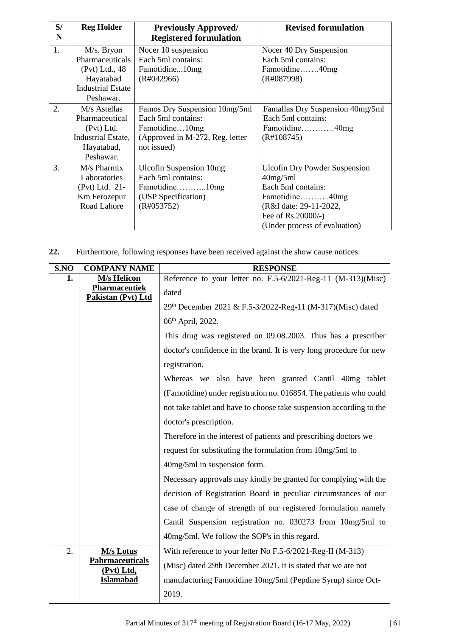| S/ | <b>Reg Holder</b>         | <b>Previously Approved/</b>     | <b>Revised formulation</b>           |  |
|----|---------------------------|---------------------------------|--------------------------------------|--|
| N  |                           | <b>Registered formulation</b>   |                                      |  |
| 1. | M/s. Bryon                | Nocer 10 suspension             | Nocer 40 Dry Suspension              |  |
|    | Pharmaceuticals           | Each 5ml contains:              | Each 5ml contains:                   |  |
|    | (Pvt) Ltd., 48            | Famotidine10mg                  | Famotidine40mg                       |  |
|    | Hayatabad                 | (R#042966)                      | (R#087998)                           |  |
|    | <b>Industrial Estate</b>  |                                 |                                      |  |
|    | Peshawar.                 |                                 |                                      |  |
| 2. | M/s Astellas              | Famos Dry Suspension 10mg/5ml   | Famallas Dry Suspension 40mg/5ml     |  |
|    | Pharmaceutical            | Each 5ml contains:              | Each 5ml contains:                   |  |
|    | (Pvt) Ltd.                | Famotidine10mg                  | Famotidine40mg                       |  |
|    | <b>Industrial Estate,</b> | (Approved in M-272, Reg. letter | (R#108745)                           |  |
|    | Hayatabad,                | not issued)                     |                                      |  |
|    | Peshawar.                 |                                 |                                      |  |
| 3. | $M/s$ Pharmix             | <b>Ulcofin Suspension 10mg</b>  | <b>Ulcofin Dry Powder Suspension</b> |  |
|    | Laboratories              | Each 5ml contains:              | 40mg/5ml                             |  |
|    | (Pvt) Ltd. 21-            | Famotidine10mg                  | Each 5ml contains:                   |  |
|    | Km Ferozepur              | (USP Specification)             | Famotidine40mg                       |  |
|    | Road Lahore               | (R#053752)                      | (R&I date: 29-11-2022,               |  |
|    |                           |                                 | Fee of Rs.20000/-)                   |  |
|    |                           |                                 | (Under process of evaluation)        |  |

**22.** Furthermore, following responses have been received against the show cause notices:

| S.NO                   | <b>COMPANY NAME</b>                  | <b>RESPONSE</b>                                                     |  |
|------------------------|--------------------------------------|---------------------------------------------------------------------|--|
| 1.                     | <b>M/s Helicon</b>                   | Reference to your letter no. F.5-6/2021-Reg-11 (M-313)(Misc)        |  |
|                        | Pharmaceutiek<br>Pakistan (Pvt) Ltd  | dated                                                               |  |
|                        |                                      | 29th December 2021 & F.5-3/2022-Reg-11 (M-317)(Misc) dated          |  |
|                        |                                      | 06 <sup>th</sup> April, 2022.                                       |  |
|                        |                                      | This drug was registered on 09.08.2003. Thus has a prescriber       |  |
|                        |                                      | doctor's confidence in the brand. It is very long procedure for new |  |
|                        |                                      | registration.                                                       |  |
|                        |                                      | Whereas we also have been granted Cantil 40mg tablet                |  |
|                        |                                      | (Famotidine) under registration no. 016854. The patients who could  |  |
|                        |                                      | not take tablet and have to choose take suspension according to the |  |
|                        |                                      | doctor's prescription.                                              |  |
|                        |                                      | Therefore in the interest of patients and prescribing doctors we    |  |
|                        |                                      | request for substituting the formulation from 10mg/5ml to           |  |
|                        |                                      | 40mg/5ml in suspension form.                                        |  |
|                        |                                      | Necessary approvals may kindly be granted for complying with the    |  |
|                        |                                      | decision of Registration Board in peculiar circumstances of our     |  |
|                        |                                      | case of change of strength of our registered formulation namely     |  |
|                        |                                      | Cantil Suspension registration no. 030273 from 10mg/5ml to          |  |
|                        |                                      | 40mg/5ml. We follow the SOP's in this regard.                       |  |
| 2.<br><b>M/s Lotus</b> |                                      | With reference to your letter No F.5-6/2021-Reg-II (M-313)          |  |
|                        | <b>Pahrmaceuticals</b><br>(Pvt) Ltd, | (Misc) dated 29th December 2021, it is stated that we are not       |  |
|                        | <b>Islamabad</b>                     | manufacturing Famotidine 10mg/5ml (Pepdine Syrup) since Oct-        |  |
|                        |                                      | 2019.                                                               |  |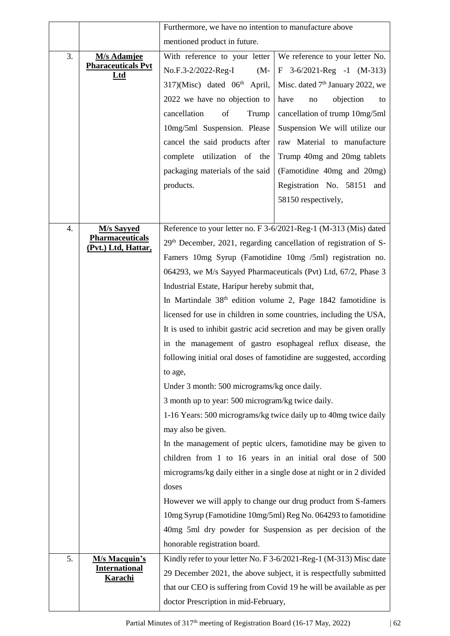|                  |                                               | Furthermore, we have no intention to manufacture above                                                      |                                                                     |  |
|------------------|-----------------------------------------------|-------------------------------------------------------------------------------------------------------------|---------------------------------------------------------------------|--|
|                  |                                               | mentioned product in future.                                                                                |                                                                     |  |
| 3.               | <b>M/s Adamjee</b>                            | With reference to your letter<br>We reference to your letter No.                                            |                                                                     |  |
|                  | <b>Pharaceuticals Pvt</b><br>Ltd              | No.F.3-2/2022-Reg-I<br>$(M -$                                                                               | $F$ 3-6/2021-Reg -1 (M-313)                                         |  |
|                  |                                               | $317)$ (Misc) dated $06th$ April,                                                                           | Misc. dated 7 <sup>th</sup> January 2022, we                        |  |
|                  |                                               | 2022 we have no objection to                                                                                | objection<br>have<br>no<br>to                                       |  |
|                  |                                               | cancellation<br>of<br>Trump                                                                                 | cancellation of trump 10mg/5ml                                      |  |
|                  |                                               | 10mg/5ml Suspension. Please                                                                                 | Suspension We will utilize our                                      |  |
|                  |                                               | cancel the said products after<br>raw Material to manufacture                                               |                                                                     |  |
|                  |                                               | Trump 40mg and 20mg tablets<br>complete<br>utilization of the                                               |                                                                     |  |
|                  |                                               | packaging materials of the said<br>(Famotidine 40mg and 20mg)                                               |                                                                     |  |
|                  |                                               | products.                                                                                                   | Registration No. 58151<br>and                                       |  |
|                  |                                               |                                                                                                             | 58150 respectively,                                                 |  |
|                  |                                               |                                                                                                             |                                                                     |  |
| $\overline{4}$ . | <b>M/s Sayyed</b>                             |                                                                                                             | Reference to your letter no. F 3-6/2021-Reg-1 (M-313 (Mis) dated    |  |
|                  | <b>Pharmaceuticals</b><br>(Pvt.) Ltd, Hattar, |                                                                                                             | $29th$ December, 2021, regarding cancellation of registration of S- |  |
|                  |                                               | Famers 10mg Syrup (Famotidine 10mg /5ml) registration no.                                                   |                                                                     |  |
|                  |                                               | 064293, we M/s Sayyed Pharmaceuticals (Pvt) Ltd, 67/2, Phase 3                                              |                                                                     |  |
|                  |                                               | Industrial Estate, Haripur hereby submit that,                                                              |                                                                     |  |
|                  |                                               | In Martindale $38th$ edition volume 2, Page 1842 famotidine is                                              |                                                                     |  |
|                  |                                               | licensed for use in children in some countries, including the USA,                                          |                                                                     |  |
|                  |                                               | It is used to inhibit gastric acid secretion and may be given orally                                        |                                                                     |  |
|                  |                                               | in the management of gastro esophageal reflux disease, the                                                  |                                                                     |  |
|                  |                                               | following initial oral doses of famotidine are suggested, according                                         |                                                                     |  |
|                  |                                               | to age,                                                                                                     |                                                                     |  |
|                  |                                               | Under 3 month: 500 micrograms/kg once daily.                                                                |                                                                     |  |
|                  |                                               | 3 month up to year: 500 microgram/kg twice daily.                                                           |                                                                     |  |
|                  |                                               | 1-16 Years: 500 micrograms/kg twice daily up to 40mg twice daily                                            |                                                                     |  |
|                  |                                               | may also be given.                                                                                          |                                                                     |  |
|                  |                                               | In the management of peptic ulcers, famotidine may be given to                                              |                                                                     |  |
|                  |                                               | children from 1 to 16 years in an initial oral dose of 500                                                  |                                                                     |  |
|                  |                                               | micrograms/kg daily either in a single dose at night or in 2 divided                                        |                                                                     |  |
|                  |                                               | doses                                                                                                       |                                                                     |  |
|                  |                                               | However we will apply to change our drug product from S-famers                                              |                                                                     |  |
|                  |                                               | 10mg Syrup (Famotidine 10mg/5ml) Reg No. 064293 to famotidine                                               |                                                                     |  |
|                  |                                               | 40mg 5ml dry powder for Suspension as per decision of the                                                   |                                                                     |  |
|                  |                                               | honorable registration board.                                                                               |                                                                     |  |
| 5.               | <b>M/s Macquin's</b>                          | Kindly refer to your letter No. F 3-6/2021-Reg-1 (M-313) Misc date                                          |                                                                     |  |
|                  | <b>International</b><br><b>Karachi</b>        | 29 December 2021, the above subject, it is respectfully submitted                                           |                                                                     |  |
|                  |                                               | that our CEO is suffering from Covid 19 he will be available as per<br>doctor Prescription in mid-February, |                                                                     |  |
|                  |                                               |                                                                                                             |                                                                     |  |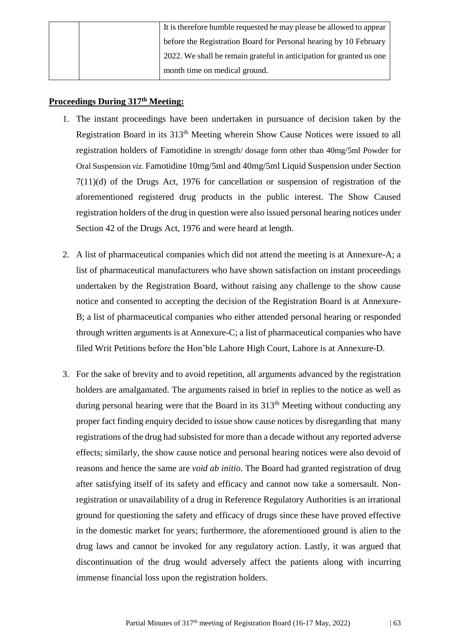|  | It is therefore humble requested he may please be allowed to appear  |  |
|--|----------------------------------------------------------------------|--|
|  | before the Registration Board for Personal hearing by 10 February    |  |
|  | 2022. We shall be remain grateful in anticipation for granted us one |  |
|  | month time on medical ground.                                        |  |

### **Proceedings During 317th Meeting:**

- 1. The instant proceedings have been undertaken in pursuance of decision taken by the Registration Board in its 313th Meeting wherein Show Cause Notices were issued to all registration holders of Famotidine in strength/ dosage form other than 40mg/5ml Powder for Oral Suspension *viz.* Famotidine 10mg/5ml and 40mg/5ml Liquid Suspension under Section 7(11)(d) of the Drugs Act, 1976 for cancellation or suspension of registration of the aforementioned registered drug products in the public interest. The Show Caused registration holders of the drug in question were also issued personal hearing notices under Section 42 of the Drugs Act, 1976 and were heard at length.
- 2. A list of pharmaceutical companies which did not attend the meeting is at Annexure-A; a list of pharmaceutical manufacturers who have shown satisfaction on instant proceedings undertaken by the Registration Board, without raising any challenge to the show cause notice and consented to accepting the decision of the Registration Board is at Annexure-B; a list of pharmaceutical companies who either attended personal hearing or responded through written arguments is at Annexure-C; a list of pharmaceutical companies who have filed Writ Petitions before the Hon'ble Lahore High Court, Lahore is at Annexure-D.
- 3. For the sake of brevity and to avoid repetition, all arguments advanced by the registration holders are amalgamated. The arguments raised in brief in replies to the notice as well as during personal hearing were that the Board in its 313<sup>th</sup> Meeting without conducting any proper fact finding enquiry decided to issue show cause notices by disregarding that many registrations of the drug had subsisted for more than a decade without any reported adverse effects; similarly, the show cause notice and personal hearing notices were also devoid of reasons and hence the same are *void ab initio*. The Board had granted registration of drug after satisfying itself of its safety and efficacy and cannot now take a somersault. Nonregistration or unavailability of a drug in Reference Regulatory Authorities is an irrational ground for questioning the safety and efficacy of drugs since these have proved effective in the domestic market for years; furthermore, the aforementioned ground is alien to the drug laws and cannot be invoked for any regulatory action. Lastly, it was argued that discontinuation of the drug would adversely affect the patients along with incurring immense financial loss upon the registration holders.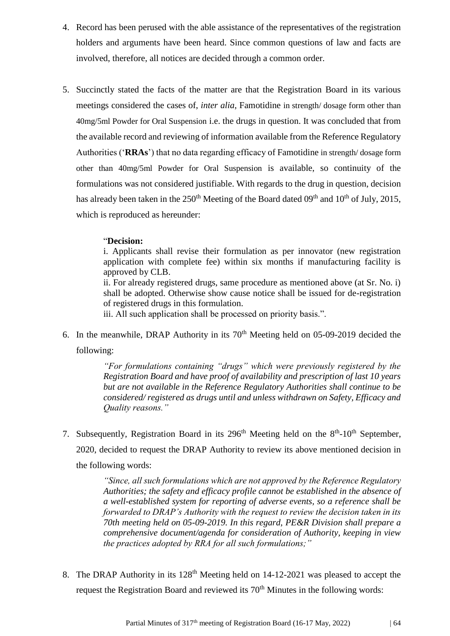- 4. Record has been perused with the able assistance of the representatives of the registration holders and arguments have been heard. Since common questions of law and facts are involved, therefore, all notices are decided through a common order.
- 5. Succinctly stated the facts of the matter are that the Registration Board in its various meetings considered the cases of, *inter alia*, Famotidine in strength/ dosage form other than 40mg/5ml Powder for Oral Suspension i.e. the drugs in question. It was concluded that from the available record and reviewing of information available from the Reference Regulatory Authorities ('**RRAs**') that no data regarding efficacy of Famotidine in strength/ dosage form other than 40mg/5ml Powder for Oral Suspension is available, so continuity of the formulations was not considered justifiable. With regards to the drug in question, decision has already been taken in the  $250<sup>th</sup>$  Meeting of the Board dated  $09<sup>th</sup>$  and  $10<sup>th</sup>$  of July, 2015, which is reproduced as hereunder:

#### "**Decision:**

i. Applicants shall revise their formulation as per innovator (new registration application with complete fee) within six months if manufacturing facility is approved by CLB.

ii. For already registered drugs, same procedure as mentioned above (at Sr. No. i) shall be adopted. Otherwise show cause notice shall be issued for de-registration of registered drugs in this formulation.

iii. All such application shall be processed on priority basis.".

6. In the meanwhile, DRAP Authority in its  $70<sup>th</sup>$  Meeting held on 05-09-2019 decided the following:

> *"For formulations containing "drugs" which were previously registered by the Registration Board and have proof of availability and prescription of last 10 years but are not available in the Reference Regulatory Authorities shall continue to be considered/ registered as drugs until and unless withdrawn on Safety, Efficacy and Quality reasons."*

7. Subsequently, Registration Board in its  $296<sup>th</sup>$  Meeting held on the  $8<sup>th</sup>$ -10<sup>th</sup> September, 2020, decided to request the DRAP Authority to review its above mentioned decision in the following words:

> *"Since, all such formulations which are not approved by the Reference Regulatory Authorities; the safety and efficacy profile cannot be established in the absence of a well-established system for reporting of adverse events, so a reference shall be forwarded to DRAP's Authority with the request to review the decision taken in its 70th meeting held on 05-09-2019. In this regard, PE&R Division shall prepare a comprehensive document/agenda for consideration of Authority, keeping in view the practices adopted by RRA for all such formulations;"*

8. The DRAP Authority in its 128<sup>th</sup> Meeting held on 14-12-2021 was pleased to accept the request the Registration Board and reviewed its  $70<sup>th</sup>$  Minutes in the following words: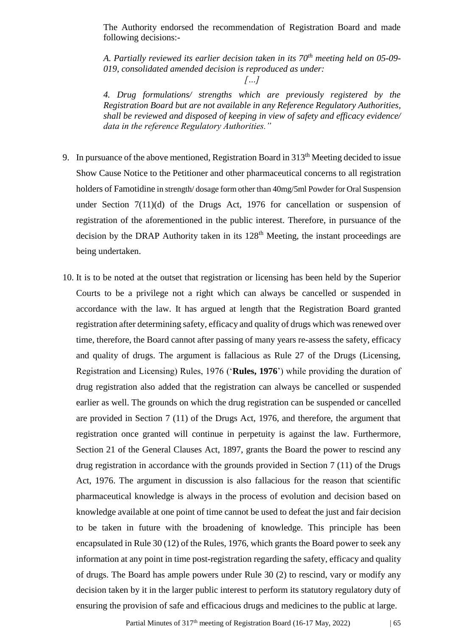The Authority endorsed the recommendation of Registration Board and made following decisions:-

*A. Partially reviewed its earlier decision taken in its 70th meeting held on 05-09- 019, consolidated amended decision is reproduced as under:*

*4. Drug formulations/ strengths which are previously registered by the Registration Board but are not available in any Reference Regulatory Authorities, shall be reviewed and disposed of keeping in view of safety and efficacy evidence/ data in the reference Regulatory Authorities."*

- 9. In pursuance of the above mentioned, Registration Board in 313<sup>th</sup> Meeting decided to issue Show Cause Notice to the Petitioner and other pharmaceutical concerns to all registration holders of Famotidine in strength/ dosage form other than 40mg/5ml Powder for Oral Suspension under Section 7(11)(d) of the Drugs Act, 1976 for cancellation or suspension of registration of the aforementioned in the public interest. Therefore, in pursuance of the decision by the DRAP Authority taken in its  $128<sup>th</sup>$  Meeting, the instant proceedings are being undertaken.
- 10. It is to be noted at the outset that registration or licensing has been held by the Superior Courts to be a privilege not a right which can always be cancelled or suspended in accordance with the law. It has argued at length that the Registration Board granted registration after determining safety, efficacy and quality of drugs which was renewed over time, therefore, the Board cannot after passing of many years re-assess the safety, efficacy and quality of drugs. The argument is fallacious as Rule 27 of the Drugs (Licensing, Registration and Licensing) Rules, 1976 ('**Rules, 1976**') while providing the duration of drug registration also added that the registration can always be cancelled or suspended earlier as well. The grounds on which the drug registration can be suspended or cancelled are provided in Section 7 (11) of the Drugs Act, 1976, and therefore, the argument that registration once granted will continue in perpetuity is against the law. Furthermore, Section 21 of the General Clauses Act, 1897, grants the Board the power to rescind any drug registration in accordance with the grounds provided in Section 7 (11) of the Drugs Act, 1976. The argument in discussion is also fallacious for the reason that scientific pharmaceutical knowledge is always in the process of evolution and decision based on knowledge available at one point of time cannot be used to defeat the just and fair decision to be taken in future with the broadening of knowledge. This principle has been encapsulated in Rule 30 (12) of the Rules, 1976, which grants the Board power to seek any information at any point in time post-registration regarding the safety, efficacy and quality of drugs. The Board has ample powers under Rule 30 (2) to rescind, vary or modify any decision taken by it in the larger public interest to perform its statutory regulatory duty of ensuring the provision of safe and efficacious drugs and medicines to the public at large.

*<sup>[…]</sup>*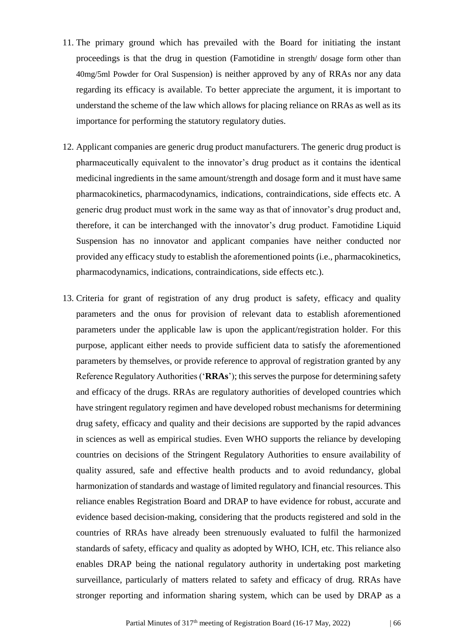- 11. The primary ground which has prevailed with the Board for initiating the instant proceedings is that the drug in question (Famotidine in strength/ dosage form other than 40mg/5ml Powder for Oral Suspension) is neither approved by any of RRAs nor any data regarding its efficacy is available. To better appreciate the argument, it is important to understand the scheme of the law which allows for placing reliance on RRAs as well as its importance for performing the statutory regulatory duties.
- 12. Applicant companies are generic drug product manufacturers. The generic drug product is pharmaceutically equivalent to the innovator's drug product as it contains the identical medicinal ingredients in the same amount/strength and dosage form and it must have same pharmacokinetics, pharmacodynamics, indications, contraindications, side effects etc. A generic drug product must work in the same way as that of innovator's drug product and, therefore, it can be interchanged with the innovator's drug product. Famotidine Liquid Suspension has no innovator and applicant companies have neither conducted nor provided any efficacy study to establish the aforementioned points (i.e., pharmacokinetics, pharmacodynamics, indications, contraindications, side effects etc.).
- 13. Criteria for grant of registration of any drug product is safety, efficacy and quality parameters and the onus for provision of relevant data to establish aforementioned parameters under the applicable law is upon the applicant/registration holder. For this purpose, applicant either needs to provide sufficient data to satisfy the aforementioned parameters by themselves, or provide reference to approval of registration granted by any Reference Regulatory Authorities ('**RRAs**'); this serves the purpose for determining safety and efficacy of the drugs. RRAs are regulatory authorities of developed countries which have stringent regulatory regimen and have developed robust mechanisms for determining drug safety, efficacy and quality and their decisions are supported by the rapid advances in sciences as well as empirical studies. Even WHO supports the reliance by developing countries on decisions of the Stringent Regulatory Authorities to ensure availability of quality assured, safe and effective health products and to avoid redundancy, global harmonization of standards and wastage of limited regulatory and financial resources. This reliance enables Registration Board and DRAP to have evidence for robust, accurate and evidence based decision-making, considering that the products registered and sold in the countries of RRAs have already been strenuously evaluated to fulfil the harmonized standards of safety, efficacy and quality as adopted by WHO, ICH, etc. This reliance also enables DRAP being the national regulatory authority in undertaking post marketing surveillance, particularly of matters related to safety and efficacy of drug. RRAs have stronger reporting and information sharing system, which can be used by DRAP as a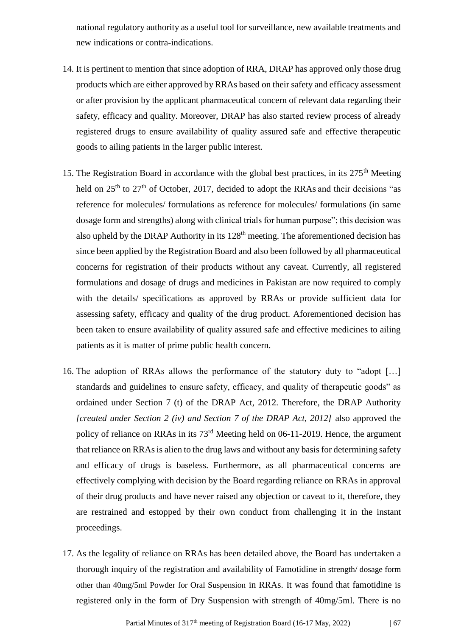national regulatory authority as a useful tool for surveillance, new available treatments and new indications or contra-indications.

- 14. It is pertinent to mention that since adoption of RRA, DRAP has approved only those drug products which are either approved by RRAs based on their safety and efficacy assessment or after provision by the applicant pharmaceutical concern of relevant data regarding their safety, efficacy and quality. Moreover, DRAP has also started review process of already registered drugs to ensure availability of quality assured safe and effective therapeutic goods to ailing patients in the larger public interest.
- 15. The Registration Board in accordance with the global best practices, in its 275<sup>th</sup> Meeting held on  $25<sup>th</sup>$  to  $27<sup>th</sup>$  of October, 2017, decided to adopt the RRAs and their decisions "as reference for molecules/ formulations as reference for molecules/ formulations (in same dosage form and strengths) along with clinical trials for human purpose"; this decision was also upheld by the DRAP Authority in its 128<sup>th</sup> meeting. The aforementioned decision has since been applied by the Registration Board and also been followed by all pharmaceutical concerns for registration of their products without any caveat. Currently, all registered formulations and dosage of drugs and medicines in Pakistan are now required to comply with the details/ specifications as approved by RRAs or provide sufficient data for assessing safety, efficacy and quality of the drug product. Aforementioned decision has been taken to ensure availability of quality assured safe and effective medicines to ailing patients as it is matter of prime public health concern.
- 16. The adoption of RRAs allows the performance of the statutory duty to "adopt […] standards and guidelines to ensure safety, efficacy, and quality of therapeutic goods" as ordained under Section 7 (t) of the DRAP Act, 2012. Therefore, the DRAP Authority *[created under Section 2 (iv) and Section 7 of the DRAP Act, 2012]* also approved the policy of reliance on RRAs in its 73rd Meeting held on 06-11-2019. Hence, the argument that reliance on RRAs is alien to the drug laws and without any basis for determining safety and efficacy of drugs is baseless. Furthermore, as all pharmaceutical concerns are effectively complying with decision by the Board regarding reliance on RRAs in approval of their drug products and have never raised any objection or caveat to it, therefore, they are restrained and estopped by their own conduct from challenging it in the instant proceedings.
- 17. As the legality of reliance on RRAs has been detailed above, the Board has undertaken a thorough inquiry of the registration and availability of Famotidine in strength/ dosage form other than 40mg/5ml Powder for Oral Suspension in RRAs. It was found that famotidine is registered only in the form of Dry Suspension with strength of 40mg/5ml. There is no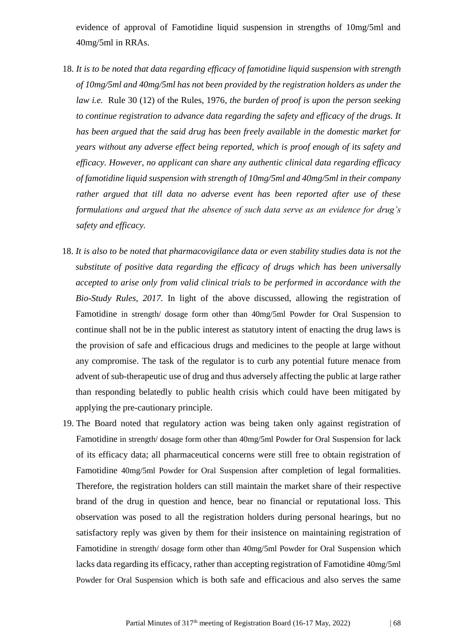evidence of approval of Famotidine liquid suspension in strengths of 10mg/5ml and 40mg/5ml in RRAs.

- 18. *It is to be noted that data regarding efficacy of famotidine liquid suspension with strength of 10mg/5ml and 40mg/5ml has not been provided by the registration holders as under the law i.e.* Rule 30 (12) of the Rules, 1976, *the burden of proof is upon the person seeking to continue registration to advance data regarding the safety and efficacy of the drugs. It has been argued that the said drug has been freely available in the domestic market for years without any adverse effect being reported, which is proof enough of its safety and efficacy. However, no applicant can share any authentic clinical data regarding efficacy of famotidine liquid suspension with strength of 10mg/5ml and 40mg/5ml in their company rather argued that till data no adverse event has been reported after use of these formulations and argued that the absence of such data serve as an evidence for drug's safety and efficacy.*
- 18. *It is also to be noted that pharmacovigilance data or even stability studies data is not the substitute of positive data regarding the efficacy of drugs which has been universally accepted to arise only from valid clinical trials to be performed in accordance with the Bio-Study Rules, 2017.* In light of the above discussed, allowing the registration of Famotidine in strength/ dosage form other than 40mg/5ml Powder for Oral Suspension to continue shall not be in the public interest as statutory intent of enacting the drug laws is the provision of safe and efficacious drugs and medicines to the people at large without any compromise. The task of the regulator is to curb any potential future menace from advent of sub-therapeutic use of drug and thus adversely affecting the public at large rather than responding belatedly to public health crisis which could have been mitigated by applying the pre-cautionary principle.
- 19. The Board noted that regulatory action was being taken only against registration of Famotidine in strength/ dosage form other than 40mg/5ml Powder for Oral Suspension for lack of its efficacy data; all pharmaceutical concerns were still free to obtain registration of Famotidine 40mg/5ml Powder for Oral Suspension after completion of legal formalities. Therefore, the registration holders can still maintain the market share of their respective brand of the drug in question and hence, bear no financial or reputational loss. This observation was posed to all the registration holders during personal hearings, but no satisfactory reply was given by them for their insistence on maintaining registration of Famotidine in strength/ dosage form other than 40mg/5ml Powder for Oral Suspension which lacks data regarding its efficacy, rather than accepting registration of Famotidine 40mg/5ml Powder for Oral Suspension which is both safe and efficacious and also serves the same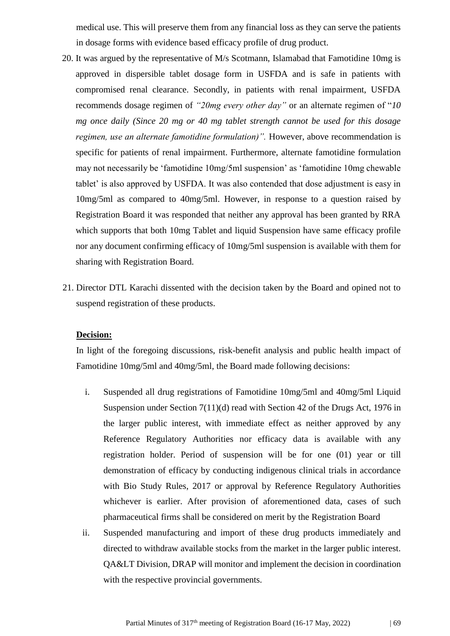medical use. This will preserve them from any financial loss as they can serve the patients in dosage forms with evidence based efficacy profile of drug product.

- 20. It was argued by the representative of M/s Scotmann, Islamabad that Famotidine 10mg is approved in dispersible tablet dosage form in USFDA and is safe in patients with compromised renal clearance. Secondly, in patients with renal impairment, USFDA recommends dosage regimen of *"20mg every other day"* or an alternate regimen of "*10 mg once daily (Since 20 mg or 40 mg tablet strength cannot be used for this dosage regimen, use an alternate famotidine formulation)".* However, above recommendation is specific for patients of renal impairment. Furthermore, alternate famotidine formulation may not necessarily be 'famotidine 10mg/5ml suspension' as 'famotidine 10mg chewable tablet' is also approved by USFDA. It was also contended that dose adjustment is easy in 10mg/5ml as compared to 40mg/5ml. However, in response to a question raised by Registration Board it was responded that neither any approval has been granted by RRA which supports that both 10mg Tablet and liquid Suspension have same efficacy profile nor any document confirming efficacy of 10mg/5ml suspension is available with them for sharing with Registration Board.
- 21. Director DTL Karachi dissented with the decision taken by the Board and opined not to suspend registration of these products.

#### **Decision:**

In light of the foregoing discussions, risk-benefit analysis and public health impact of Famotidine 10mg/5ml and 40mg/5ml, the Board made following decisions:

- i. Suspended all drug registrations of Famotidine 10mg/5ml and 40mg/5ml Liquid Suspension under Section 7(11)(d) read with Section 42 of the Drugs Act, 1976 in the larger public interest, with immediate effect as neither approved by any Reference Regulatory Authorities nor efficacy data is available with any registration holder. Period of suspension will be for one (01) year or till demonstration of efficacy by conducting indigenous clinical trials in accordance with Bio Study Rules, 2017 or approval by Reference Regulatory Authorities whichever is earlier. After provision of aforementioned data, cases of such pharmaceutical firms shall be considered on merit by the Registration Board
- ii. Suspended manufacturing and import of these drug products immediately and directed to withdraw available stocks from the market in the larger public interest. QA&LT Division, DRAP will monitor and implement the decision in coordination with the respective provincial governments.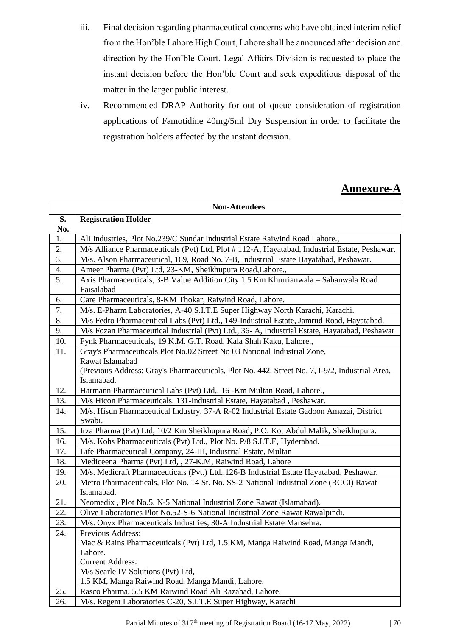- iii. Final decision regarding pharmaceutical concerns who have obtained interim relief from the Hon'ble Lahore High Court, Lahore shall be announced after decision and direction by the Hon'ble Court. Legal Affairs Division is requested to place the instant decision before the Hon'ble Court and seek expeditious disposal of the matter in the larger public interest.
- iv. Recommended DRAP Authority for out of queue consideration of registration applications of Famotidine 40mg/5ml Dry Suspension in order to facilitate the registration holders affected by the instant decision.

## **Annexure-A**

| <b>Non-Attendees</b> |                                                                                                |  |  |
|----------------------|------------------------------------------------------------------------------------------------|--|--|
| S.                   | <b>Registration Holder</b>                                                                     |  |  |
| No.                  |                                                                                                |  |  |
| 1.                   | Ali Industries, Plot No.239/C Sundar Industrial Estate Raiwind Road Lahore.,                   |  |  |
| 2.                   | M/s Alliance Pharmaceuticals (Pvt) Ltd, Plot #112-A, Hayatabad, Industrial Estate, Peshawar.   |  |  |
| 3.                   | M/s. Alson Pharmaceutical, 169, Road No. 7-B, Industrial Estate Hayatabad, Peshawar.           |  |  |
| 4.                   | Ameer Pharma (Pvt) Ltd, 23-KM, Sheikhupura Road, Lahore.,                                      |  |  |
| 5.                   | Axis Pharmaceuticals, 3-B Value Addition City 1.5 Km Khurrianwala - Sahanwala Road             |  |  |
|                      | Faisalabad                                                                                     |  |  |
| 6.                   | Care Pharmaceuticals, 8-KM Thokar, Raiwind Road, Lahore.                                       |  |  |
| 7.                   | M/s. E-Pharm Laboratories, A-40 S.I.T.E Super Highway North Karachi, Karachi.                  |  |  |
| 8.                   | M/s Fedro Pharmaceutical Labs (Pvt) Ltd., 149-Industrial Estate, Jamrud Road, Hayatabad.       |  |  |
| 9.                   | M/s Fozan Pharmaceutical Industrial (Pvt) Ltd., 36-A, Industrial Estate, Hayatabad, Peshawar   |  |  |
| 10.                  | Fynk Pharmaceuticals, 19 K.M. G.T. Road, Kala Shah Kaku, Lahore.,                              |  |  |
| 11.                  | Gray's Pharmaceuticals Plot No.02 Street No 03 National Industrial Zone,                       |  |  |
|                      | Rawat Islamabad                                                                                |  |  |
|                      | (Previous Address: Gray's Pharmaceuticals, Plot No. 442, Street No. 7, I-9/2, Industrial Area, |  |  |
|                      | Islamabad.                                                                                     |  |  |
| 12.                  | Harmann Pharmaceutical Labs (Pvt) Ltd,, 16 - Km Multan Road, Lahore.,                          |  |  |
| 13.                  | M/s Hicon Pharmaceuticals. 131-Industrial Estate, Hayatabad, Peshawar.                         |  |  |
| 14.                  | M/s. Hisun Pharmaceutical Industry, 37-A R-02 Industrial Estate Gadoon Amazai, District        |  |  |
|                      | Swabi.                                                                                         |  |  |
| 15.                  | Irza Pharma (Pvt) Ltd, 10/2 Km Sheikhupura Road, P.O. Kot Abdul Malik, Sheikhupura.            |  |  |
| 16.                  | M/s. Kohs Pharmaceuticals (Pvt) Ltd., Plot No. P/8 S.I.T.E, Hyderabad.                         |  |  |
| 17.                  | Life Pharmaceutical Company, 24-III, Industrial Estate, Multan                                 |  |  |
| 18.                  | Mediceena Pharma (Pvt) Ltd, , 27-K.M, Raiwind Road, Lahore                                     |  |  |
| 19.                  | M/s. Medicraft Pharmaceuticals (Pvt.) Ltd., 126-B Industrial Estate Hayatabad, Peshawar.       |  |  |
| 20.                  | Metro Pharmaceuticals, Plot No. 14 St. No. SS-2 National Industrial Zone (RCCI) Rawat          |  |  |
|                      | Islamabad.                                                                                     |  |  |
| 21.                  | Neomedix, Plot No.5, N-5 National Industrial Zone Rawat (Islamabad).                           |  |  |
| 22.                  | Olive Laboratories Plot No.52-S-6 National Industrial Zone Rawat Rawalpindi.                   |  |  |
| 23.                  | M/s. Onyx Pharmaceuticals Industries, 30-A Industrial Estate Mansehra.                         |  |  |
| 24.                  | Previous Address:                                                                              |  |  |
|                      | Mac & Rains Pharmaceuticals (Pvt) Ltd, 1.5 KM, Manga Raiwind Road, Manga Mandi,                |  |  |
|                      | Lahore.                                                                                        |  |  |
|                      | <b>Current Address:</b>                                                                        |  |  |
|                      | M/s Searle IV Solutions (Pvt) Ltd,                                                             |  |  |
|                      | 1.5 KM, Manga Raiwind Road, Manga Mandi, Lahore.                                               |  |  |
| 25.                  | Rasco Pharma, 5.5 KM Raiwind Road Ali Razabad, Lahore,                                         |  |  |
| 26.                  | M/s. Regent Laboratories C-20, S.I.T.E Super Highway, Karachi                                  |  |  |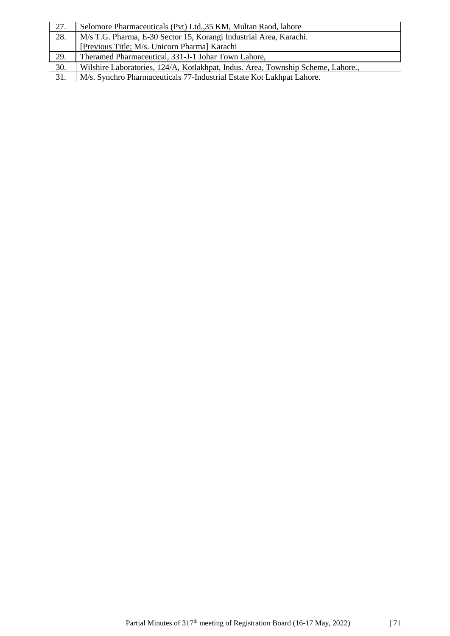| 27. | Selomore Pharmaceuticals (Pvt) Ltd., 35 KM, Multan Raod, lahore                  |  |
|-----|----------------------------------------------------------------------------------|--|
| 28. | M/s T.G. Pharma, E-30 Sector 15, Korangi Industrial Area, Karachi.               |  |
|     | [Previous Title: M/s. Unicorn Pharma] Karachi                                    |  |
| 29. | Theramed Pharmaceutical, 331-J-1 Johar Town Lahore,                              |  |
| 30. | Wilshire Laboratories, 124/A, Kotlakhpat, Indus. Area, Township Scheme, Lahore., |  |
| 31. | M/s. Synchro Pharmaceuticals 77-Industrial Estate Kot Lakhpat Lahore.            |  |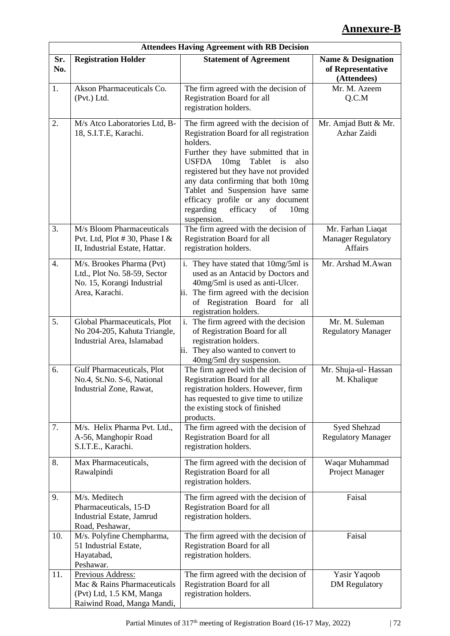# **Annexure-B**

| <b>Attendees Having Agreement with RB Decision</b> |                                                                                                            |                                                                                                                                                                                                                                                                                                                                                                                                |                                                           |
|----------------------------------------------------|------------------------------------------------------------------------------------------------------------|------------------------------------------------------------------------------------------------------------------------------------------------------------------------------------------------------------------------------------------------------------------------------------------------------------------------------------------------------------------------------------------------|-----------------------------------------------------------|
| Sr.<br>No.                                         | <b>Registration Holder</b>                                                                                 | <b>Statement of Agreement</b>                                                                                                                                                                                                                                                                                                                                                                  | Name & Designation<br>of Representative<br>(Attendees)    |
| 1.                                                 | Akson Pharmaceuticals Co.<br>(Pvt.) Ltd.                                                                   | The firm agreed with the decision of<br>Registration Board for all<br>registration holders.                                                                                                                                                                                                                                                                                                    | Mr. M. Azeem<br>Q.C.M                                     |
| 2.                                                 | M/s Atco Laboratories Ltd, B-<br>18, S.I.T.E, Karachi.                                                     | The firm agreed with the decision of<br>Registration Board for all registration<br>holders.<br>Further they have submitted that in<br><b>USFDA</b><br>10mg<br>Tablet<br>is<br>also<br>registered but they have not provided<br>any data confirming that both 10mg<br>Tablet and Suspension have same<br>efficacy profile or any document<br>regarding<br>efficacy<br>of<br>10mg<br>suspension. | Mr. Amjad Butt & Mr.<br>Azhar Zaidi                       |
| 3.                                                 | M/s Bloom Pharmaceuticals<br>Pvt. Ltd, Plot #30, Phase I $&$<br>II, Industrial Estate, Hattar.             | The firm agreed with the decision of<br><b>Registration Board for all</b><br>registration holders.                                                                                                                                                                                                                                                                                             | Mr. Farhan Liaqat<br><b>Manager Regulatory</b><br>Affairs |
| 4.                                                 | M/s. Brookes Pharma (Pvt)<br>Ltd., Plot No. 58-59, Sector<br>No. 15, Korangi Industrial<br>Area, Karachi.  | i. They have stated that 10mg/5ml is<br>used as an Antacid by Doctors and<br>40mg/5ml is used as anti-Ulcer.<br>The firm agreed with the decision<br>11.<br>of Registration Board for all<br>registration holders.                                                                                                                                                                             | Mr. Arshad M.Awan                                         |
| 5.                                                 | Global Pharmaceuticals, Plot<br>No 204-205, Kahuta Triangle,<br>Industrial Area, Islamabad                 | i.<br>The firm agreed with the decision<br>of Registration Board for all<br>registration holders.<br>ii. They also wanted to convert to<br>40mg/5ml dry suspension.                                                                                                                                                                                                                            | Mr. M. Suleman<br><b>Regulatory Manager</b>               |
| 6.                                                 | Gulf Pharmaceuticals, Plot<br>No.4, St.No. S-6, National<br>Industrial Zone, Rawat,                        | The firm agreed with the decision of<br><b>Registration Board for all</b><br>registration holders. However, firm<br>has requested to give time to utilize<br>the existing stock of finished<br>products.                                                                                                                                                                                       | Mr. Shuja-ul- Hassan<br>M. Khalique                       |
| 7.                                                 | M/s. Helix Pharma Pvt. Ltd.,<br>A-56, Manghopir Road<br>S.I.T.E., Karachi.                                 | The firm agreed with the decision of<br>Registration Board for all<br>registration holders.                                                                                                                                                                                                                                                                                                    | Syed Shehzad<br><b>Regulatory Manager</b>                 |
| 8.                                                 | Max Pharmaceuticals,<br>Rawalpindi                                                                         | The firm agreed with the decision of<br>Registration Board for all<br>registration holders.                                                                                                                                                                                                                                                                                                    | Waqar Muhammad<br>Project Manager                         |
| 9.                                                 | M/s. Meditech<br>Pharmaceuticals, 15-D<br>Industrial Estate, Jamrud<br>Road, Peshawar,                     | The firm agreed with the decision of<br>Registration Board for all<br>registration holders.                                                                                                                                                                                                                                                                                                    | Faisal                                                    |
| 10.                                                | M/s. Polyfine Chempharma,<br>51 Industrial Estate,<br>Hayatabad,<br>Peshawar.                              | The firm agreed with the decision of<br>Registration Board for all<br>registration holders.                                                                                                                                                                                                                                                                                                    | Faisal                                                    |
| 11.                                                | Previous Address:<br>Mac & Rains Pharmaceuticals<br>(Pvt) Ltd, 1.5 KM, Manga<br>Raiwind Road, Manga Mandi, | The firm agreed with the decision of<br>Registration Board for all<br>registration holders.                                                                                                                                                                                                                                                                                                    | Yasir Yaqoob<br><b>DM</b> Regulatory                      |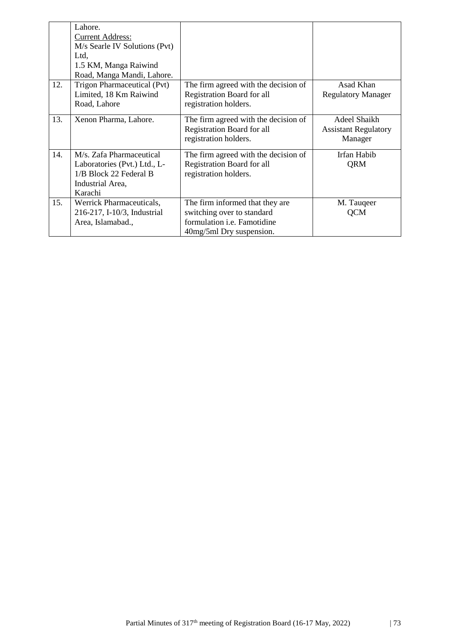|     | Lahore.                                                                                                           |                                                                                                                                 |                                                        |
|-----|-------------------------------------------------------------------------------------------------------------------|---------------------------------------------------------------------------------------------------------------------------------|--------------------------------------------------------|
|     | <b>Current Address:</b>                                                                                           |                                                                                                                                 |                                                        |
|     | M/s Searle IV Solutions (Pvt)                                                                                     |                                                                                                                                 |                                                        |
|     | Ltd,                                                                                                              |                                                                                                                                 |                                                        |
|     | 1.5 KM, Manga Raiwind                                                                                             |                                                                                                                                 |                                                        |
|     | Road, Manga Mandi, Lahore.                                                                                        |                                                                                                                                 |                                                        |
| 12. | Trigon Pharmaceutical (Pvt)                                                                                       | The firm agreed with the decision of                                                                                            | Asad Khan                                              |
|     | Limited, 18 Km Raiwind                                                                                            | Registration Board for all                                                                                                      | <b>Regulatory Manager</b>                              |
|     | Road, Lahore                                                                                                      | registration holders.                                                                                                           |                                                        |
| 13. | Xenon Pharma, Lahore.                                                                                             | The firm agreed with the decision of<br>Registration Board for all<br>registration holders.                                     | Adeel Shaikh<br><b>Assistant Regulatory</b><br>Manager |
| 14. | M/s. Zafa Pharmaceutical<br>Laboratories (Pvt.) Ltd., L-<br>1/B Block 22 Federal B<br>Industrial Area,<br>Karachi | The firm agreed with the decision of<br>Registration Board for all<br>registration holders.                                     | Irfan Habib<br>QRM                                     |
| 15. | Werrick Pharmaceuticals,<br>216-217, I-10/3, Industrial<br>Area, Islamabad.,                                      | The firm informed that they are<br>switching over to standard<br>formulation <i>i.e.</i> Famotidine<br>40mg/5ml Dry suspension. | M. Taugeer<br>QCM                                      |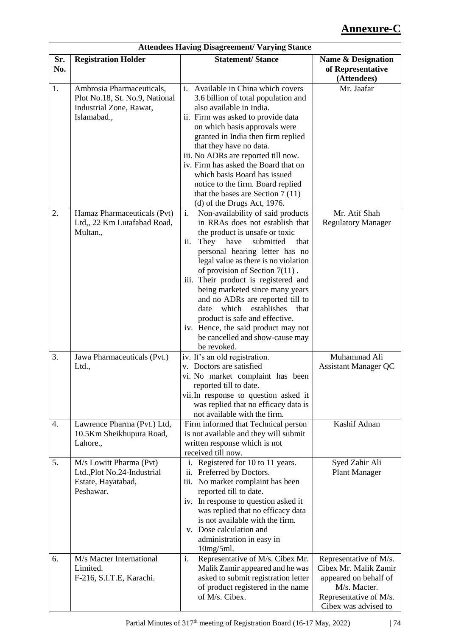# **Annexure-C**

|            |                                                                                                       | <b>Attendees Having Disagreement/ Varying Stance</b>                                                                                                                                                                                                                                                                                                                                                                                                                                                                                                      |                                                                                                                                            |
|------------|-------------------------------------------------------------------------------------------------------|-----------------------------------------------------------------------------------------------------------------------------------------------------------------------------------------------------------------------------------------------------------------------------------------------------------------------------------------------------------------------------------------------------------------------------------------------------------------------------------------------------------------------------------------------------------|--------------------------------------------------------------------------------------------------------------------------------------------|
| Sr.<br>No. | <b>Registration Holder</b>                                                                            | <b>Statement/Stance</b>                                                                                                                                                                                                                                                                                                                                                                                                                                                                                                                                   | Name & Designation<br>of Representative<br>(Attendees)                                                                                     |
| 1.         | Ambrosia Pharmaceuticals,<br>Plot No.18, St. No.9, National<br>Industrial Zone, Rawat,<br>Islamabad., | Available in China which covers<br>$\mathbf{i}$ .<br>3.6 billion of total population and<br>also available in India.<br>ii. Firm was asked to provide data<br>on which basis approvals were<br>granted in India then firm replied<br>that they have no data.<br>iii. No ADRs are reported till now.<br>iv. Firm has asked the Board that on<br>which basis Board has issued<br>notice to the firm. Board replied<br>that the bases are Section $7(11)$<br>$(d)$ of the Drugs Act, 1976.                                                                   | Mr. Jaafar                                                                                                                                 |
| 2.         | Hamaz Pharmaceuticals (Pvt)<br>Ltd., 22 Km Lutafabad Road,<br>Multan.,                                | Non-availability of said products<br>i.<br>in RRAs does not establish that<br>the product is unsafe or toxic<br>They<br>have<br>ii.<br>submitted<br>that<br>personal hearing letter has no<br>legal value as there is no violation<br>of provision of Section $7(11)$ .<br>iii. Their product is registered and<br>being marketed since many years<br>and no ADRs are reported till to<br>which<br>establishes<br>date<br>that<br>product is safe and effective.<br>iv. Hence, the said product may not<br>be cancelled and show-cause may<br>be revoked. | Mr. Atif Shah<br><b>Regulatory Manager</b>                                                                                                 |
| 3.         | Jawa Pharmaceuticals (Pvt.)<br>Ltd.,                                                                  | iv. It's an old registration.<br>v. Doctors are satisfied<br>vi. No market complaint has been<br>reported till to date.<br>vii. In response to question asked it<br>was replied that no efficacy data is<br>not available with the firm.                                                                                                                                                                                                                                                                                                                  | Muhammad Ali<br><b>Assistant Manager QC</b>                                                                                                |
| 4.         | Lawrence Pharma (Pvt.) Ltd,<br>10.5Km Sheikhupura Road,<br>Lahore.,                                   | Firm informed that Technical person<br>is not available and they will submit<br>written response which is not<br>received till now.                                                                                                                                                                                                                                                                                                                                                                                                                       | Kashif Adnan                                                                                                                               |
| 5.         | M/s Lowitt Pharma (Pvt)<br>Ltd., Plot No.24-Industrial<br>Estate, Hayatabad,<br>Peshawar.             | i. Registered for 10 to 11 years.<br>ii. Preferred by Doctors.<br>iii. No market complaint has been<br>reported till to date.<br>iv. In response to question asked it<br>was replied that no efficacy data<br>is not available with the firm.<br>v. Dose calculation and<br>administration in easy in<br>$10mg/5ml$ .                                                                                                                                                                                                                                     | Syed Zahir Ali<br><b>Plant Manager</b>                                                                                                     |
| 6.         | M/s Macter International<br>Limited.<br>F-216, S.I.T.E, Karachi.                                      | i.<br>Representative of M/s. Cibex Mr.<br>Malik Zamir appeared and he was<br>asked to submit registration letter<br>of product registered in the name<br>of M/s. Cibex.                                                                                                                                                                                                                                                                                                                                                                                   | Representative of M/s.<br>Cibex Mr. Malik Zamir<br>appeared on behalf of<br>M/s. Macter.<br>Representative of M/s.<br>Cibex was advised to |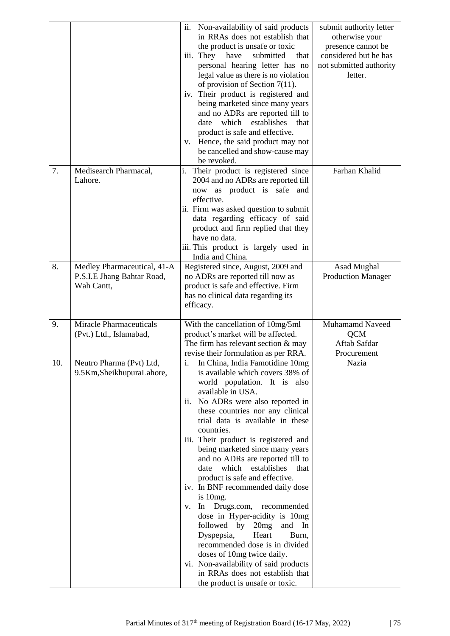|     |                                                                         | ii.<br>Non-availability of said products<br>in RRAs does not establish that<br>the product is unsafe or toxic<br>have<br>submitted<br>iii. They<br>that<br>personal hearing letter has no<br>legal value as there is no violation<br>of provision of Section $7(11)$ .<br>iv. Their product is registered and<br>being marketed since many years<br>and no ADRs are reported till to<br>which<br>establishes<br>date<br>that<br>product is safe and effective.<br>Hence, the said product may not<br>V.<br>be cancelled and show-cause may<br>be revoked.                                                                                                                                                                                                                                                            | submit authority letter<br>otherwise your<br>presence cannot be<br>considered but he has<br>not submitted authority<br>letter. |
|-----|-------------------------------------------------------------------------|----------------------------------------------------------------------------------------------------------------------------------------------------------------------------------------------------------------------------------------------------------------------------------------------------------------------------------------------------------------------------------------------------------------------------------------------------------------------------------------------------------------------------------------------------------------------------------------------------------------------------------------------------------------------------------------------------------------------------------------------------------------------------------------------------------------------|--------------------------------------------------------------------------------------------------------------------------------|
| 7.  | Medisearch Pharmacal,<br>Lahore.                                        | Their product is registered since<br>i.<br>2004 and no ADRs are reported till<br>now as product is safe<br>and<br>effective.<br>ii. Firm was asked question to submit<br>data regarding efficacy of said<br>product and firm replied that they<br>have no data.<br>iii. This product is largely used in<br>India and China.                                                                                                                                                                                                                                                                                                                                                                                                                                                                                          | Farhan Khalid                                                                                                                  |
| 8.  | Medley Pharmaceutical, 41-A<br>P.S.I.E Jhang Bahtar Road,<br>Wah Cantt, | Registered since, August, 2009 and<br>no ADRs are reported till now as<br>product is safe and effective. Firm<br>has no clinical data regarding its<br>efficacy.                                                                                                                                                                                                                                                                                                                                                                                                                                                                                                                                                                                                                                                     | Asad Mughal<br><b>Production Manager</b>                                                                                       |
| 9.  | <b>Miracle Pharmaceuticals</b><br>(Pvt.) Ltd., Islamabad,               | With the cancellation of 10mg/5ml<br>product's market will be affected.<br>The firm has relevant section $&$ may<br>revise their formulation as per RRA.                                                                                                                                                                                                                                                                                                                                                                                                                                                                                                                                                                                                                                                             | <b>Muhamamd Naveed</b><br><b>QCM</b><br>Aftab Safdar<br>Procurement                                                            |
| 10. | Neutro Pharma (Pvt) Ltd,<br>9.5Km, SheikhupuraLahore,                   | In China, India Famotidine 10mg<br>1.<br>is available which covers 38% of<br>world population. It is also<br>available in USA.<br>ii. No ADRs were also reported in<br>these countries nor any clinical<br>trial data is available in these<br>countries.<br>iii. Their product is registered and<br>being marketed since many years<br>and no ADRs are reported till to<br>which establishes<br>date<br>that<br>product is safe and effective.<br>iv. In BNF recommended daily dose<br>is 10mg.<br>v. In Drugs.com, recommended<br>dose in Hyper-acidity is 10mg<br>followed by<br>20mg<br>and<br>In<br>Dyspepsia,<br>Heart<br>Burn,<br>recommended dose is in divided<br>doses of 10mg twice daily.<br>vi. Non-availability of said products<br>in RRAs does not establish that<br>the product is unsafe or toxic. | Nazia                                                                                                                          |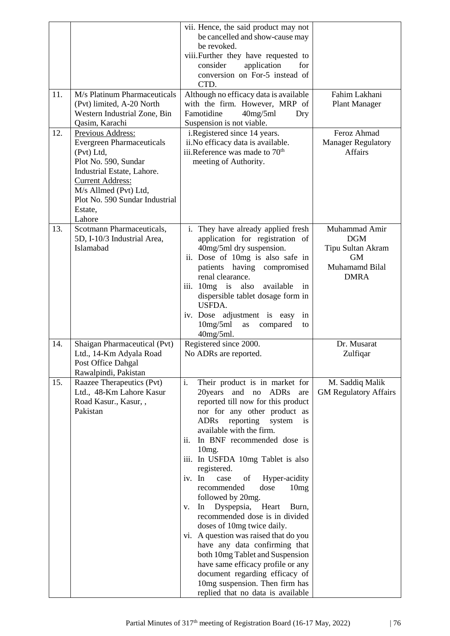|     |                                                                                                                                                                                                                                      | vii. Hence, the said product may not<br>be cancelled and show-cause may<br>be revoked.<br>viii. Further they have requested to<br>application<br>consider<br>for<br>conversion on For-5 instead of<br>CTD.                                                                                                                                                                                                                                                                                                                                                                                                                                                                                                                                                                             |                                                                                                |
|-----|--------------------------------------------------------------------------------------------------------------------------------------------------------------------------------------------------------------------------------------|----------------------------------------------------------------------------------------------------------------------------------------------------------------------------------------------------------------------------------------------------------------------------------------------------------------------------------------------------------------------------------------------------------------------------------------------------------------------------------------------------------------------------------------------------------------------------------------------------------------------------------------------------------------------------------------------------------------------------------------------------------------------------------------|------------------------------------------------------------------------------------------------|
| 11. | M/s Platinum Pharmaceuticals<br>(Pvt) limited, A-20 North<br>Western Industrial Zone, Bin<br>Qasim, Karachi                                                                                                                          | Although no efficacy data is available<br>with the firm. However, MRP of<br>Famotidine<br>40mg/5ml<br>Dry<br>Suspension is not viable.                                                                                                                                                                                                                                                                                                                                                                                                                                                                                                                                                                                                                                                 | Fahim Lakhani<br><b>Plant Manager</b>                                                          |
| 12. | Previous Address:<br><b>Evergreen Pharmaceuticals</b><br>(Pvt) Ltd,<br>Plot No. 590, Sundar<br>Industrial Estate, Lahore.<br><b>Current Address:</b><br>M/s Allmed (Pvt) Ltd,<br>Plot No. 590 Sundar Industrial<br>Estate,<br>Lahore | i.Registered since 14 years.<br>ii. No efficacy data is available.<br>iii.Reference was made to 70 <sup>th</sup><br>meeting of Authority.                                                                                                                                                                                                                                                                                                                                                                                                                                                                                                                                                                                                                                              | Feroz Ahmad<br><b>Manager Regulatory</b><br><b>Affairs</b>                                     |
| 13. | Scotmann Pharmaceuticals,<br>5D, I-10/3 Industrial Area,<br>Islamabad                                                                                                                                                                | i. They have already applied fresh<br>application for registration of<br>40mg/5ml dry suspension.<br>ii. Dose of 10mg is also safe in<br>patients having<br>compromised<br>renal clearance.<br>also<br>available<br>iii. $10mg$ is<br>in<br>dispersible tablet dosage form in<br>USFDA.<br>iv. Dose adjustment is easy<br>in<br>10mg/5ml<br>as<br>compared<br>to<br>40mg/5ml.                                                                                                                                                                                                                                                                                                                                                                                                          | Muhammad Amir<br><b>DGM</b><br>Tipu Sultan Akram<br><b>GM</b><br>Muhamamd Bilal<br><b>DMRA</b> |
| 14. | Shaigan Pharmaceutical (Pvt)<br>Ltd., 14-Km Adyala Road<br>Post Office Dahgal<br>Rawalpindi, Pakistan                                                                                                                                | Registered since 2000.<br>No ADRs are reported.                                                                                                                                                                                                                                                                                                                                                                                                                                                                                                                                                                                                                                                                                                                                        | Dr. Musarat<br>Zulfiqar                                                                        |
| 15. | Raazee Therapeutics (Pvt)<br>Ltd., 48-Km Lahore Kasur<br>Road Kasur., Kasur, ,<br>Pakistan                                                                                                                                           | i.<br>Their product is in market for<br>20years and no ADRs<br>are<br>reported till now for this product<br>nor for any other product as<br><b>ADRs</b><br>reporting system<br>is<br>available with the firm.<br>In BNF recommended dose is<br>11.<br>$10mg$ .<br>iii. In USFDA 10mg Tablet is also<br>registered.<br>Hyper-acidity<br>iv. In<br>case<br>of<br>dose<br>recommended<br>10mg<br>followed by 20mg.<br>Dyspepsia,<br>Heart<br>In<br>Burn,<br>V.<br>recommended dose is in divided<br>doses of 10mg twice daily.<br>vi. A question was raised that do you<br>have any data confirming that<br>both 10mg Tablet and Suspension<br>have same efficacy profile or any<br>document regarding efficacy of<br>10mg suspension. Then firm has<br>replied that no data is available | M. Saddiq Malik<br><b>GM Regulatory Affairs</b>                                                |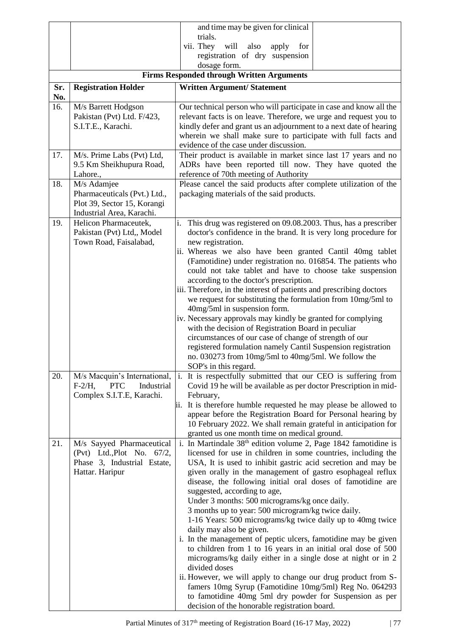|     |                                                                       | and time may be given for clinical                                                                                                 |  |  |  |
|-----|-----------------------------------------------------------------------|------------------------------------------------------------------------------------------------------------------------------------|--|--|--|
|     |                                                                       | trials.                                                                                                                            |  |  |  |
|     |                                                                       | vii. They<br>will<br>also apply<br>for                                                                                             |  |  |  |
|     |                                                                       | registration of dry suspension<br>dosage form.                                                                                     |  |  |  |
|     |                                                                       | <b>Firms Responded through Written Arguments</b>                                                                                   |  |  |  |
| Sr. | <b>Registration Holder</b>                                            | <b>Written Argument/ Statement</b>                                                                                                 |  |  |  |
| No. |                                                                       |                                                                                                                                    |  |  |  |
| 16. | M/s Barrett Hodgson                                                   | Our technical person who will participate in case and know all the                                                                 |  |  |  |
|     | Pakistan (Pvt) Ltd. F/423,                                            | relevant facts is on leave. Therefore, we urge and request you to                                                                  |  |  |  |
|     | S.I.T.E., Karachi.                                                    | kindly defer and grant us an adjournment to a next date of hearing                                                                 |  |  |  |
|     |                                                                       | wherein we shall make sure to participate with full facts and<br>evidence of the case under discussion.                            |  |  |  |
| 17. | M/s. Prime Labs (Pvt) Ltd,                                            | Their product is available in market since last 17 years and no                                                                    |  |  |  |
|     | 9.5 Km Sheikhupura Road,                                              | ADRs have been reported till now. They have quoted the                                                                             |  |  |  |
|     | Lahore.,                                                              | reference of 70th meeting of Authority                                                                                             |  |  |  |
| 18. | M/s Adamjee                                                           | Please cancel the said products after complete utilization of the                                                                  |  |  |  |
|     | Pharmaceuticals (Pvt.) Ltd.,                                          | packaging materials of the said products.                                                                                          |  |  |  |
|     | Plot 39, Sector 15, Korangi<br>Industrial Area, Karachi.              |                                                                                                                                    |  |  |  |
| 19. | Helicon Pharmaceutek,                                                 | This drug was registered on 09.08.2003. Thus, has a prescriber<br>i.                                                               |  |  |  |
|     | Pakistan (Pvt) Ltd., Model                                            | doctor's confidence in the brand. It is very long procedure for                                                                    |  |  |  |
|     | Town Road, Faisalabad,                                                | new registration.                                                                                                                  |  |  |  |
|     |                                                                       | ii. Whereas we also have been granted Cantil 40mg tablet                                                                           |  |  |  |
|     |                                                                       | (Famotidine) under registration no. 016854. The patients who<br>could not take tablet and have to choose take suspension           |  |  |  |
|     |                                                                       | according to the doctor's prescription.                                                                                            |  |  |  |
|     |                                                                       | iii. Therefore, in the interest of patients and prescribing doctors                                                                |  |  |  |
|     |                                                                       | we request for substituting the formulation from 10mg/5ml to                                                                       |  |  |  |
|     |                                                                       | 40mg/5ml in suspension form.                                                                                                       |  |  |  |
|     |                                                                       | iv. Necessary approvals may kindly be granted for complying<br>with the decision of Registration Board in peculiar                 |  |  |  |
|     |                                                                       | circumstances of our case of change of strength of our                                                                             |  |  |  |
|     |                                                                       | registered formulation namely Cantil Suspension registration                                                                       |  |  |  |
|     |                                                                       | no. 030273 from 10mg/5ml to 40mg/5ml. We follow the                                                                                |  |  |  |
|     |                                                                       | SOP's in this regard.                                                                                                              |  |  |  |
| 20. | M/s Macquin's International,<br><b>PTC</b><br>Industrial<br>$F-2/H$ , | i. It is respectfully submitted that our CEO is suffering from<br>Covid 19 he will be available as per doctor Prescription in mid- |  |  |  |
|     | Complex S.I.T.E, Karachi.                                             | February,                                                                                                                          |  |  |  |
|     |                                                                       | ii. It is therefore humble requested he may please be allowed to                                                                   |  |  |  |
|     |                                                                       | appear before the Registration Board for Personal hearing by                                                                       |  |  |  |
|     |                                                                       | 10 February 2022. We shall remain grateful in anticipation for                                                                     |  |  |  |
| 21. |                                                                       | granted us one month time on medical ground.<br>i. In Martindale 38 <sup>th</sup> edition volume 2, Page 1842 famotidine is        |  |  |  |
|     | M/s Sayyed Pharmaceutical<br>(Pvt) Ltd., Plot No. 67/2,               | licensed for use in children in some countries, including the                                                                      |  |  |  |
|     | Phase 3, Industrial Estate,                                           | USA, It is used to inhibit gastric acid secretion and may be                                                                       |  |  |  |
|     | Hattar. Haripur                                                       | given orally in the management of gastro esophageal reflux                                                                         |  |  |  |
|     |                                                                       | disease, the following initial oral doses of famotidine are                                                                        |  |  |  |
|     |                                                                       | suggested, according to age,<br>Under 3 months: 500 micrograms/kg once daily.                                                      |  |  |  |
|     |                                                                       | 3 months up to year: 500 microgram/kg twice daily.                                                                                 |  |  |  |
|     |                                                                       | 1-16 Years: 500 micrograms/kg twice daily up to 40mg twice                                                                         |  |  |  |
|     |                                                                       | daily may also be given.                                                                                                           |  |  |  |
|     |                                                                       | i. In the management of peptic ulcers, famotidine may be given                                                                     |  |  |  |
|     |                                                                       | to children from 1 to 16 years in an initial oral dose of 500                                                                      |  |  |  |
|     |                                                                       | micrograms/kg daily either in a single dose at night or in 2<br>divided doses                                                      |  |  |  |
|     |                                                                       | ii. However, we will apply to change our drug product from S-                                                                      |  |  |  |
|     |                                                                       | famers 10mg Syrup (Famotidine 10mg/5ml) Reg No. 064293                                                                             |  |  |  |
|     |                                                                       | to famotidine 40mg 5ml dry powder for Suspension as per                                                                            |  |  |  |
|     |                                                                       | decision of the honorable registration board.                                                                                      |  |  |  |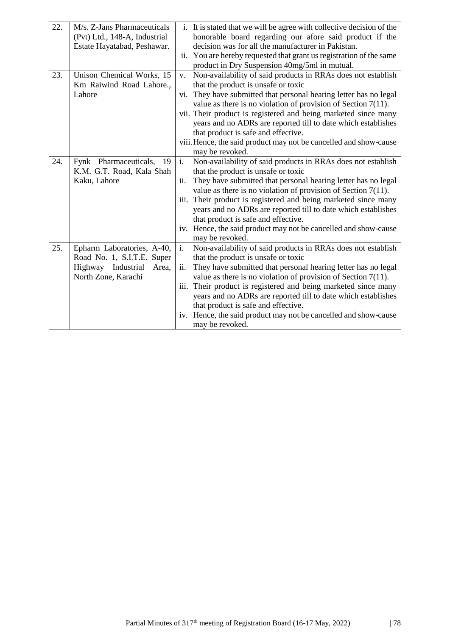| 22. | M/s. Z-Jans Pharmaceuticals<br>(Pvt) Ltd., 148-A, Industrial<br>Estate Hayatabad, Peshawar. | i. It is stated that we will be agree with collective decision of the<br>honorable board regarding our afore said product if the<br>decision was for all the manufacturer in Pakistan.<br>ii. You are hereby requested that grant us registration of the same |
|-----|---------------------------------------------------------------------------------------------|---------------------------------------------------------------------------------------------------------------------------------------------------------------------------------------------------------------------------------------------------------------|
|     |                                                                                             | product in Dry Suspension 40mg/5ml in mutual.                                                                                                                                                                                                                 |
| 23. | Unison Chemical Works, 15                                                                   | Non-availability of said products in RRAs does not establish<br>V.                                                                                                                                                                                            |
|     | Km Raiwind Road Lahore.,                                                                    | that the product is unsafe or toxic                                                                                                                                                                                                                           |
|     | Lahore                                                                                      | vi. They have submitted that personal hearing letter has no legal                                                                                                                                                                                             |
|     |                                                                                             | value as there is no violation of provision of Section $7(11)$ .                                                                                                                                                                                              |
|     |                                                                                             | vii. Their product is registered and being marketed since many                                                                                                                                                                                                |
|     |                                                                                             | years and no ADRs are reported till to date which establishes                                                                                                                                                                                                 |
|     |                                                                                             | that product is safe and effective.                                                                                                                                                                                                                           |
|     |                                                                                             | viii. Hence, the said product may not be cancelled and show-cause                                                                                                                                                                                             |
| 24. | Fynk Pharmaceuticals,<br>19                                                                 | may be revoked.<br>$\overline{i}$ .                                                                                                                                                                                                                           |
|     | K.M. G.T. Road, Kala Shah                                                                   | Non-availability of said products in RRAs does not establish<br>that the product is unsafe or toxic                                                                                                                                                           |
|     | Kaku, Lahore                                                                                | They have submitted that personal hearing letter has no legal<br>ii.                                                                                                                                                                                          |
|     |                                                                                             | value as there is no violation of provision of Section $7(11)$ .                                                                                                                                                                                              |
|     |                                                                                             | Their product is registered and being marketed since many<br>iii.                                                                                                                                                                                             |
|     |                                                                                             | years and no ADRs are reported till to date which establishes                                                                                                                                                                                                 |
|     |                                                                                             | that product is safe and effective.                                                                                                                                                                                                                           |
|     |                                                                                             | iv. Hence, the said product may not be cancelled and show-cause                                                                                                                                                                                               |
|     |                                                                                             | may be revoked.                                                                                                                                                                                                                                               |
| 25. | Epharm Laboratories, A-40,                                                                  | i.<br>Non-availability of said products in RRAs does not establish                                                                                                                                                                                            |
|     | Road No. 1, S.I.T.E. Super                                                                  | that the product is unsafe or toxic                                                                                                                                                                                                                           |
|     | Highway Industrial<br>Area,                                                                 | They have submitted that personal hearing letter has no legal<br>ii.                                                                                                                                                                                          |
|     | North Zone, Karachi                                                                         | value as there is no violation of provision of Section $7(11)$ .                                                                                                                                                                                              |
|     |                                                                                             | iii. Their product is registered and being marketed since many                                                                                                                                                                                                |
|     |                                                                                             | years and no ADRs are reported till to date which establishes                                                                                                                                                                                                 |
|     |                                                                                             | that product is safe and effective.                                                                                                                                                                                                                           |
|     |                                                                                             | iv. Hence, the said product may not be cancelled and show-cause                                                                                                                                                                                               |
|     |                                                                                             | may be revoked.                                                                                                                                                                                                                                               |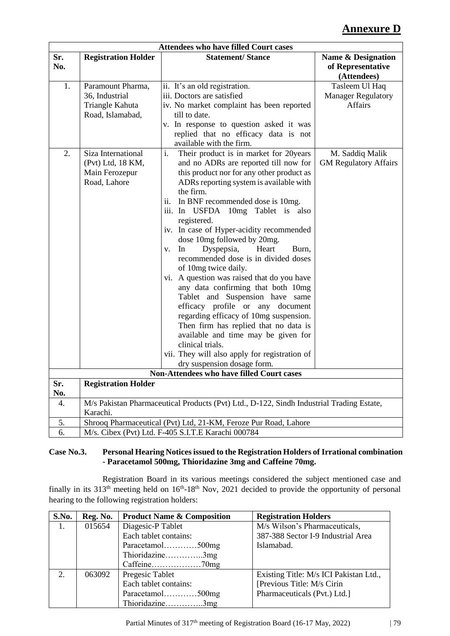# **Annexure D**

|            |                                                                            | <b>Attendees who have filled Court cases</b>                                                                                                                                                                                                                                                                                                                                                                                                                                                                                                                                                                                                                                                                                                                                                                                                                              |                                                                   |
|------------|----------------------------------------------------------------------------|---------------------------------------------------------------------------------------------------------------------------------------------------------------------------------------------------------------------------------------------------------------------------------------------------------------------------------------------------------------------------------------------------------------------------------------------------------------------------------------------------------------------------------------------------------------------------------------------------------------------------------------------------------------------------------------------------------------------------------------------------------------------------------------------------------------------------------------------------------------------------|-------------------------------------------------------------------|
| Sr.<br>No. | <b>Registration Holder</b>                                                 | <b>Statement/Stance</b>                                                                                                                                                                                                                                                                                                                                                                                                                                                                                                                                                                                                                                                                                                                                                                                                                                                   | <b>Name &amp; Designation</b><br>of Representative<br>(Attendees) |
| 1.         | Paramount Pharma,<br>36, Industrial<br>Triangle Kahuta<br>Road, Islamabad, | ii. It's an old registration.<br>iii. Doctors are satisfied<br>iv. No market complaint has been reported<br>till to date.<br>v. In response to question asked it was<br>replied that no efficacy data is not<br>available with the firm.                                                                                                                                                                                                                                                                                                                                                                                                                                                                                                                                                                                                                                  | Tasleem Ul Haq<br><b>Manager Regulatory</b><br><b>Affairs</b>     |
| 2.         | Siza International<br>(Pvt) Ltd, 18 KM,<br>Main Ferozepur<br>Road, Lahore  | Their product is in market for 20years<br>i.<br>and no ADRs are reported till now for<br>this product nor for any other product as<br>ADRs reporting system is available with<br>the firm.<br>ii.<br>In BNF recommended dose is 10mg.<br>iii. In USFDA 10mg Tablet is also<br>registered.<br>iv. In case of Hyper-acidity recommended<br>dose 10mg followed by 20mg.<br>Dyspepsia,<br>In<br>Heart<br>Burn,<br>V.<br>recommended dose is in divided doses<br>of 10mg twice daily.<br>vi. A question was raised that do you have<br>any data confirming that both 10mg<br>Tablet and Suspension have same<br>efficacy profile or any document<br>regarding efficacy of 10mg suspension.<br>Then firm has replied that no data is<br>available and time may be given for<br>clinical trials.<br>vii. They will also apply for registration of<br>dry suspension dosage form. | M. Saddiq Malik<br><b>GM Regulatory Affairs</b>                   |
|            |                                                                            | Non-Attendees who have filled Court cases                                                                                                                                                                                                                                                                                                                                                                                                                                                                                                                                                                                                                                                                                                                                                                                                                                 |                                                                   |
| Sr.<br>No. | <b>Registration Holder</b>                                                 |                                                                                                                                                                                                                                                                                                                                                                                                                                                                                                                                                                                                                                                                                                                                                                                                                                                                           |                                                                   |
| 4.         | Karachi.                                                                   | M/s Pakistan Pharmaceutical Products (Pvt) Ltd., D-122, Sindh Industrial Trading Estate,                                                                                                                                                                                                                                                                                                                                                                                                                                                                                                                                                                                                                                                                                                                                                                                  |                                                                   |
| 5.         |                                                                            | Shrooq Pharmaceutical (Pvt) Ltd, 21-KM, Feroze Pur Road, Lahore                                                                                                                                                                                                                                                                                                                                                                                                                                                                                                                                                                                                                                                                                                                                                                                                           |                                                                   |
| 6.         |                                                                            | M/s. Cibex (Pvt) Ltd. F-405 S.I.T.E Karachi 000784                                                                                                                                                                                                                                                                                                                                                                                                                                                                                                                                                                                                                                                                                                                                                                                                                        |                                                                   |

#### **Case No.3. Personal Hearing Notices issued to the Registration Holders of Irrational combination - Paracetamol 500mg, Thioridazine 3mg and Caffeine 70mg.**

Registration Board in its various meetings considered the subject mentioned case and finally in its  $313<sup>th</sup>$  meeting held on  $16<sup>th</sup>$ -18<sup>th</sup> Nov, 2021 decided to provide the opportunity of personal hearing to the following registration holders:

| S.No.                       | Reg. No. | <b>Product Name &amp; Composition</b> | <b>Registration Holders</b>            |
|-----------------------------|----------|---------------------------------------|----------------------------------------|
| 1.                          | 015654   | Diagesic-P Tablet                     | M/s Wilson's Pharmaceuticals,          |
|                             |          | Each tablet contains:                 | 387-388 Sector I-9 Industrial Area     |
|                             |          | Paracetamol500mg                      | Islamabad.                             |
|                             |          | Thioridazine3mg                       |                                        |
|                             |          |                                       |                                        |
| $\mathcal{D}_{\mathcal{L}}$ | 063092   | Pregesic Tablet                       | Existing Title: M/s ICI Pakistan Ltd., |
|                             |          | Each tablet contains:                 | [Previous Title: M/s Cirin]            |
|                             |          | Paracetamol500mg                      | Pharmaceuticals (Pvt.) Ltd.]           |
|                             |          | Thioridazine3mg                       |                                        |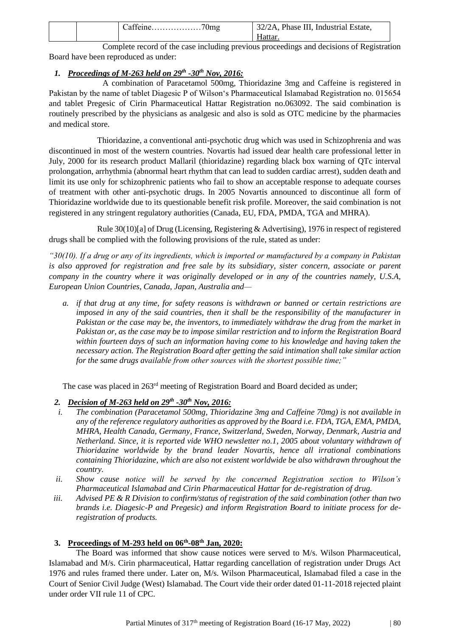|  | Catteine/0mg | 32/2A, Phase III, Industrial Estate, |
|--|--------------|--------------------------------------|
|  |              | Hattar                               |

Complete record of the case including previous proceedings and decisions of Registration Board have been reproduced as under:

### *1. Proceedings of M-263 held on 29th -30th Nov, 2016:*

A combination of Paracetamol 500mg, Thioridazine 3mg and Caffeine is registered in Pakistan by the name of tablet Diagesic P of Wilson's Pharmaceutical Islamabad Registration no. 015654 and tablet Pregesic of Cirin Pharmaceutical Hattar Registration no.063092. The said combination is routinely prescribed by the physicians as analgesic and also is sold as OTC medicine by the pharmacies and medical store.

Thioridazine, a conventional anti-psychotic drug which was used in Schizophrenia and was discontinued in most of the western countries. Novartis had issued dear health care professional letter in July, 2000 for its research product Mallaril (thioridazine) regarding black box warning of QTc interval prolongation, arrhythmia (abnormal heart rhythm that can lead to sudden cardiac arrest), sudden death and limit its use only for schizophrenic patients who fail to show an acceptable response to adequate courses of treatment with other anti-psychotic drugs. In 2005 Novartis announced to discontinue all form of Thioridazine worldwide due to its questionable benefit risk profile. Moreover, the said combination is not registered in any stringent regulatory authorities (Canada, EU, FDA, PMDA, TGA and MHRA).

Rule 30(10)[a] of Drug (Licensing, Registering & Advertising), 1976 in respect of registered drugs shall be complied with the following provisions of the rule, stated as under:

*"30(10). If a drug or any of its ingredients, which is imported or manufactured by a company in Pakistan is also approved for registration and free sale by its subsidiary, sister concern, associate or parent company in the country where it was originally developed or in any of the countries namely, U.S.A, European Union Countries, Canada, Japan, Australia and—*

*a. if that drug at any time, for safety reasons is withdrawn or banned or certain restrictions are imposed in any of the said countries, then it shall be the responsibility of the manufacturer in Pakistan or the case may be, the inventors, to immediately withdraw the drug from the market in Pakistan or, as the case may be to impose similar restriction and to inform the Registration Board within fourteen days of such an information having come to his knowledge and having taken the necessary action. The Registration Board after getting the said intimation shall take similar action for the same drugs available from other sources with the shortest possible time;"*

The case was placed in 263<sup>rd</sup> meeting of Registration Board and Board decided as under;

#### *2. Decision of M-263 held on 29th -30th Nov, 2016:*

- *i. The combination (Paracetamol 500mg, Thioridazine 3mg and Caffeine 70mg) is not available in any of the reference regulatory authorities as approved by the Board i.e. FDA, TGA, EMA, PMDA, MHRA, Health Canada, Germany, France, Switzerland, Sweden, Norway, Denmark, Austria and Netherland. Since, it is reported vide WHO newsletter no.1, 2005 about voluntary withdrawn of Thioridazine worldwide by the brand leader Novartis, hence all irrational combinations containing Thioridazine, which are also not existent worldwide be also withdrawn throughout the country.*
- *ii. Show cause notice will be served by the concerned Registration section to Wilson's Pharmaceutical Islamabad and Cirin Pharmaceutical Hattar for de-registration of drug.*
- *iii. Advised PE & R Division to confirm/status of registration of the said combination (other than two brands i.e. Diagesic-P and Pregesic) and inform Registration Board to initiate process for deregistration of products.*

#### **3. Proceedings of M-293 held on 06th -08th Jan, 2020:**

The Board was informed that show cause notices were served to M/s. Wilson Pharmaceutical, Islamabad and M/s. Cirin pharmaceutical, Hattar regarding cancellation of registration under Drugs Act 1976 and rules framed there under. Later on, M/s. Wilson Pharmaceutical, Islamabad filed a case in the Court of Senior Civil Judge (West) Islamabad. The Court vide their order dated 01-11-2018 rejected plaint under order VII rule 11 of CPC.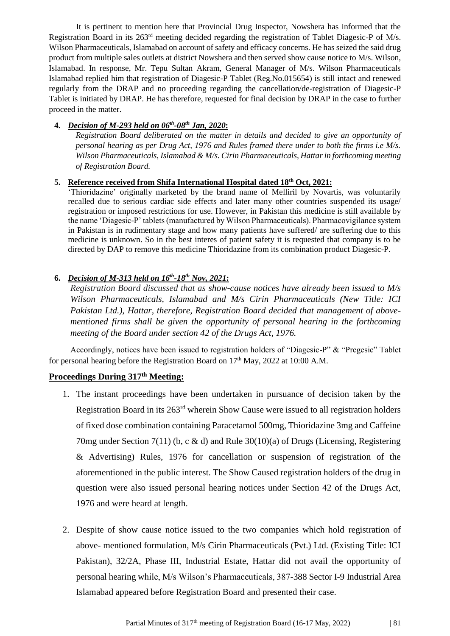It is pertinent to mention here that Provincial Drug Inspector, Nowshera has informed that the Registration Board in its 263rd meeting decided regarding the registration of Tablet Diagesic-P of M/s. Wilson Pharmaceuticals, Islamabad on account of safety and efficacy concerns. He has seized the said drug product from multiple sales outlets at district Nowshera and then served show cause notice to M/s. Wilson, Islamabad. In response, Mr. Tepu Sultan Akram, General Manager of M/s. Wilson Pharmaceuticals Islamabad replied him that registration of Diagesic-P Tablet (Reg.No.015654) is still intact and renewed regularly from the DRAP and no proceeding regarding the cancellation/de-registration of Diagesic-P Tablet is initiated by DRAP. He has therefore, requested for final decision by DRAP in the case to further proceed in the matter.

#### **4.** *Decision of M-293 held on 06th -08th Jan, 2020***:**

*Registration Board deliberated on the matter in details and decided to give an opportunity of personal hearing as per Drug Act, 1976 and Rules framed there under to both the firms i.e M/s. Wilson Pharmaceuticals, Islamabad & M/s. Cirin Pharmaceuticals, Hattar in forthcoming meeting of Registration Board.*

#### **5. Reference received from Shifa International Hospital dated 18th Oct, 2021:**

'Thioridazine' originally marketed by the brand name of Melliril by Novartis, was voluntarily recalled due to serious cardiac side effects and later many other countries suspended its usage/ registration or imposed restrictions for use. However, in Pakistan this medicine is still available by the name 'Diagesic-P' tablets (manufactured by Wilson Pharmaceuticals). Pharmacovigilance system in Pakistan is in rudimentary stage and how many patients have suffered/ are suffering due to this medicine is unknown. So in the best interes of patient safety it is requested that company is to be directed by DAP to remove this medicine Thioridazine from its combination product Diagesic-P.

#### **6.** *Decision of M-313 held on 16th -18th Nov, 2021***:**

*Registration Board discussed that as show-cause notices have already been issued to M/s Wilson Pharmaceuticals, Islamabad and M/s Cirin Pharmaceuticals (New Title: ICI Pakistan Ltd.), Hattar, therefore, Registration Board decided that management of abovementioned firms shall be given the opportunity of personal hearing in the forthcoming meeting of the Board under section 42 of the Drugs Act, 1976.*

Accordingly, notices have been issued to registration holders of "Diagesic-P" & "Pregesic" Tablet for personal hearing before the Registration Board on  $17<sup>th</sup>$  May, 2022 at 10:00 A.M.

### **Proceedings During 317th Meeting:**

- 1. The instant proceedings have been undertaken in pursuance of decision taken by the Registration Board in its 263rd wherein Show Cause were issued to all registration holders of fixed dose combination containing Paracetamol 500mg, Thioridazine 3mg and Caffeine 70mg under Section 7(11) (b, c & d) and Rule 30(10)(a) of Drugs (Licensing, Registering & Advertising) Rules, 1976 for cancellation or suspension of registration of the aforementioned in the public interest. The Show Caused registration holders of the drug in question were also issued personal hearing notices under Section 42 of the Drugs Act, 1976 and were heard at length.
- 2. Despite of show cause notice issued to the two companies which hold registration of above- mentioned formulation, M/s Cirin Pharmaceuticals (Pvt.) Ltd. (Existing Title: ICI Pakistan), 32/2A, Phase III, Industrial Estate, Hattar did not avail the opportunity of personal hearing while, M/s Wilson's Pharmaceuticals, 387-388 Sector I-9 Industrial Area Islamabad appeared before Registration Board and presented their case.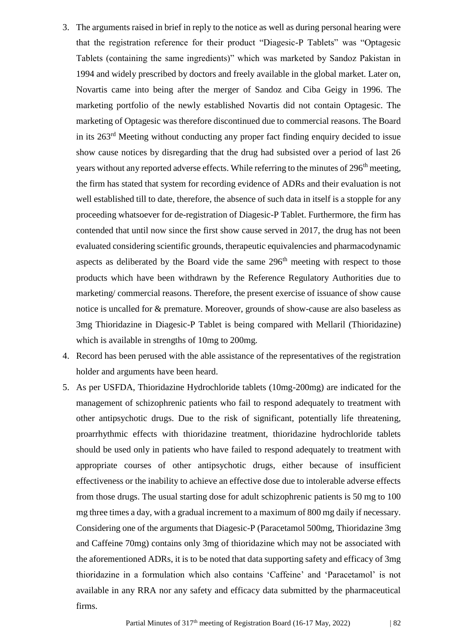- 3. The arguments raised in brief in reply to the notice as well as during personal hearing were that the registration reference for their product "Diagesic-P Tablets" was "Optagesic Tablets (containing the same ingredients)" which was marketed by Sandoz Pakistan in 1994 and widely prescribed by doctors and freely available in the global market. Later on, Novartis came into being after the merger of Sandoz and Ciba Geigy in 1996. The marketing portfolio of the newly established Novartis did not contain Optagesic. The marketing of Optagesic was therefore discontinued due to commercial reasons. The Board in its 263rd Meeting without conducting any proper fact finding enquiry decided to issue show cause notices by disregarding that the drug had subsisted over a period of last 26 years without any reported adverse effects. While referring to the minutes of 296<sup>th</sup> meeting, the firm has stated that system for recording evidence of ADRs and their evaluation is not well established till to date, therefore, the absence of such data in itself is a stopple for any proceeding whatsoever for de-registration of Diagesic-P Tablet. Furthermore, the firm has contended that until now since the first show cause served in 2017, the drug has not been evaluated considering scientific grounds, therapeutic equivalencies and pharmacodynamic aspects as deliberated by the Board vide the same  $296<sup>th</sup>$  meeting with respect to those products which have been withdrawn by the Reference Regulatory Authorities due to marketing/ commercial reasons. Therefore, the present exercise of issuance of show cause notice is uncalled for & premature. Moreover, grounds of show-cause are also baseless as 3mg Thioridazine in Diagesic-P Tablet is being compared with Mellaril (Thioridazine) which is available in strengths of 10mg to 200mg.
- 4. Record has been perused with the able assistance of the representatives of the registration holder and arguments have been heard.
- 5. As per USFDA, Thioridazine Hydrochloride tablets (10mg-200mg) are indicated for the management of schizophrenic patients who fail to respond adequately to treatment with other antipsychotic drugs. Due to the risk of significant, potentially life threatening, proarrhythmic effects with thioridazine treatment, thioridazine hydrochloride tablets should be used only in patients who have failed to respond adequately to treatment with appropriate courses of other antipsychotic drugs, either because of insufficient effectiveness or the inability to achieve an effective dose due to intolerable adverse effects from those drugs. The usual starting dose for adult schizophrenic patients is 50 mg to 100 mg three times a day, with a gradual increment to a maximum of 800 mg daily if necessary. Considering one of the arguments that Diagesic-P (Paracetamol 500mg, Thioridazine 3mg and Caffeine 70mg) contains only 3mg of thioridazine which may not be associated with the aforementioned ADRs, it is to be noted that data supporting safety and efficacy of 3mg thioridazine in a formulation which also contains 'Caffeine' and 'Paracetamol' is not available in any RRA nor any safety and efficacy data submitted by the pharmaceutical firms.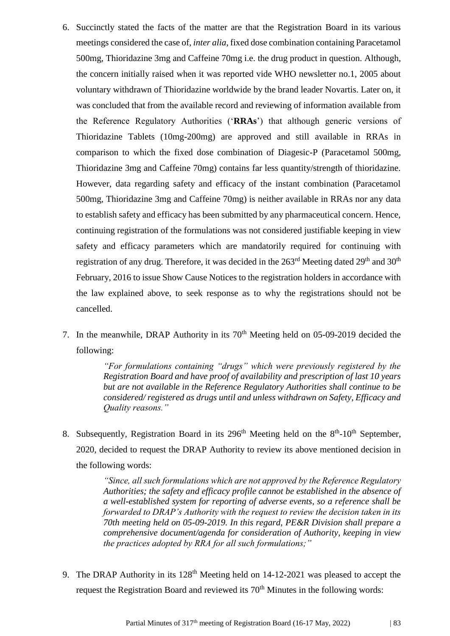- 6. Succinctly stated the facts of the matter are that the Registration Board in its various meetings considered the case of, *inter alia*, fixed dose combination containing Paracetamol 500mg, Thioridazine 3mg and Caffeine 70mg i.e. the drug product in question. Although, the concern initially raised when it was reported vide WHO newsletter no.1, 2005 about voluntary withdrawn of Thioridazine worldwide by the brand leader Novartis. Later on, it was concluded that from the available record and reviewing of information available from the Reference Regulatory Authorities ('**RRAs**') that although generic versions of Thioridazine Tablets (10mg-200mg) are approved and still available in RRAs in comparison to which the fixed dose combination of Diagesic-P (Paracetamol 500mg, Thioridazine 3mg and Caffeine 70mg) contains far less quantity/strength of thioridazine. However, data regarding safety and efficacy of the instant combination (Paracetamol 500mg, Thioridazine 3mg and Caffeine 70mg) is neither available in RRAs nor any data to establish safety and efficacy has been submitted by any pharmaceutical concern. Hence, continuing registration of the formulations was not considered justifiable keeping in view safety and efficacy parameters which are mandatorily required for continuing with registration of any drug. Therefore, it was decided in the 263<sup>rd</sup> Meeting dated 29<sup>th</sup> and 30<sup>th</sup> February, 2016 to issue Show Cause Notices to the registration holders in accordance with the law explained above, to seek response as to why the registrations should not be cancelled.
- 7. In the meanwhile, DRAP Authority in its  $70<sup>th</sup>$  Meeting held on 05-09-2019 decided the following:

*"For formulations containing "drugs" which were previously registered by the Registration Board and have proof of availability and prescription of last 10 years but are not available in the Reference Regulatory Authorities shall continue to be considered/ registered as drugs until and unless withdrawn on Safety, Efficacy and Quality reasons."*

8. Subsequently, Registration Board in its  $296<sup>th</sup>$  Meeting held on the  $8<sup>th</sup>$ -10<sup>th</sup> September, 2020, decided to request the DRAP Authority to review its above mentioned decision in the following words:

> *"Since, all such formulations which are not approved by the Reference Regulatory Authorities; the safety and efficacy profile cannot be established in the absence of a well-established system for reporting of adverse events, so a reference shall be forwarded to DRAP's Authority with the request to review the decision taken in its 70th meeting held on 05-09-2019. In this regard, PE&R Division shall prepare a comprehensive document/agenda for consideration of Authority, keeping in view the practices adopted by RRA for all such formulations;"*

9. The DRAP Authority in its  $128<sup>th</sup>$  Meeting held on 14-12-2021 was pleased to accept the request the Registration Board and reviewed its  $70<sup>th</sup>$  Minutes in the following words: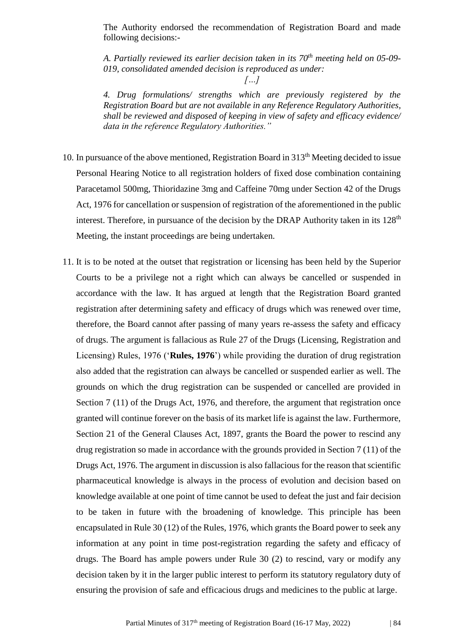The Authority endorsed the recommendation of Registration Board and made following decisions:-

*A. Partially reviewed its earlier decision taken in its 70th meeting held on 05-09- 019, consolidated amended decision is reproduced as under:*

*4. Drug formulations/ strengths which are previously registered by the Registration Board but are not available in any Reference Regulatory Authorities, shall be reviewed and disposed of keeping in view of safety and efficacy evidence/ data in the reference Regulatory Authorities."*

- 10. In pursuance of the above mentioned, Registration Board in  $313<sup>th</sup>$  Meeting decided to issue Personal Hearing Notice to all registration holders of fixed dose combination containing Paracetamol 500mg, Thioridazine 3mg and Caffeine 70mg under Section 42 of the Drugs Act, 1976 for cancellation or suspension of registration of the aforementioned in the public interest. Therefore, in pursuance of the decision by the DRAP Authority taken in its  $128<sup>th</sup>$ Meeting, the instant proceedings are being undertaken.
- 11. It is to be noted at the outset that registration or licensing has been held by the Superior Courts to be a privilege not a right which can always be cancelled or suspended in accordance with the law. It has argued at length that the Registration Board granted registration after determining safety and efficacy of drugs which was renewed over time, therefore, the Board cannot after passing of many years re-assess the safety and efficacy of drugs. The argument is fallacious as Rule 27 of the Drugs (Licensing, Registration and Licensing) Rules, 1976 ('**Rules, 1976**') while providing the duration of drug registration also added that the registration can always be cancelled or suspended earlier as well. The grounds on which the drug registration can be suspended or cancelled are provided in Section 7 (11) of the Drugs Act, 1976, and therefore, the argument that registration once granted will continue forever on the basis of its market life is against the law. Furthermore, Section 21 of the General Clauses Act, 1897, grants the Board the power to rescind any drug registration so made in accordance with the grounds provided in Section 7 (11) of the Drugs Act, 1976. The argument in discussion is also fallacious for the reason that scientific pharmaceutical knowledge is always in the process of evolution and decision based on knowledge available at one point of time cannot be used to defeat the just and fair decision to be taken in future with the broadening of knowledge. This principle has been encapsulated in Rule 30 (12) of the Rules, 1976, which grants the Board power to seek any information at any point in time post-registration regarding the safety and efficacy of drugs. The Board has ample powers under Rule 30 (2) to rescind, vary or modify any decision taken by it in the larger public interest to perform its statutory regulatory duty of ensuring the provision of safe and efficacious drugs and medicines to the public at large.

*<sup>[…]</sup>*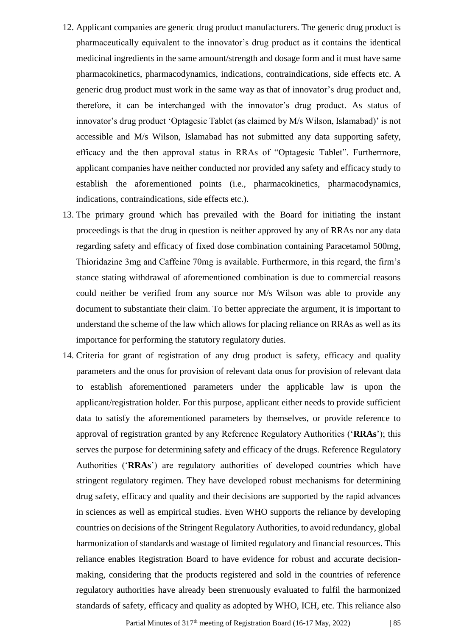- 12. Applicant companies are generic drug product manufacturers. The generic drug product is pharmaceutically equivalent to the innovator's drug product as it contains the identical medicinal ingredients in the same amount/strength and dosage form and it must have same pharmacokinetics, pharmacodynamics, indications, contraindications, side effects etc. A generic drug product must work in the same way as that of innovator's drug product and, therefore, it can be interchanged with the innovator's drug product. As status of innovator's drug product 'Optagesic Tablet (as claimed by M/s Wilson, Islamabad)' is not accessible and M/s Wilson, Islamabad has not submitted any data supporting safety, efficacy and the then approval status in RRAs of "Optagesic Tablet". Furthermore, applicant companies have neither conducted nor provided any safety and efficacy study to establish the aforementioned points (i.e., pharmacokinetics, pharmacodynamics, indications, contraindications, side effects etc.).
- 13. The primary ground which has prevailed with the Board for initiating the instant proceedings is that the drug in question is neither approved by any of RRAs nor any data regarding safety and efficacy of fixed dose combination containing Paracetamol 500mg, Thioridazine 3mg and Caffeine 70mg is available. Furthermore, in this regard, the firm's stance stating withdrawal of aforementioned combination is due to commercial reasons could neither be verified from any source nor M/s Wilson was able to provide any document to substantiate their claim. To better appreciate the argument, it is important to understand the scheme of the law which allows for placing reliance on RRAs as well as its importance for performing the statutory regulatory duties.
- 14. Criteria for grant of registration of any drug product is safety, efficacy and quality parameters and the onus for provision of relevant data onus for provision of relevant data to establish aforementioned parameters under the applicable law is upon the applicant/registration holder. For this purpose, applicant either needs to provide sufficient data to satisfy the aforementioned parameters by themselves, or provide reference to approval of registration granted by any Reference Regulatory Authorities ('**RRAs**'); this serves the purpose for determining safety and efficacy of the drugs. Reference Regulatory Authorities ('**RRAs**') are regulatory authorities of developed countries which have stringent regulatory regimen. They have developed robust mechanisms for determining drug safety, efficacy and quality and their decisions are supported by the rapid advances in sciences as well as empirical studies. Even WHO supports the reliance by developing countries on decisions of the Stringent Regulatory Authorities, to avoid redundancy, global harmonization of standards and wastage of limited regulatory and financial resources. This reliance enables Registration Board to have evidence for robust and accurate decisionmaking, considering that the products registered and sold in the countries of reference regulatory authorities have already been strenuously evaluated to fulfil the harmonized standards of safety, efficacy and quality as adopted by WHO, ICH, etc. This reliance also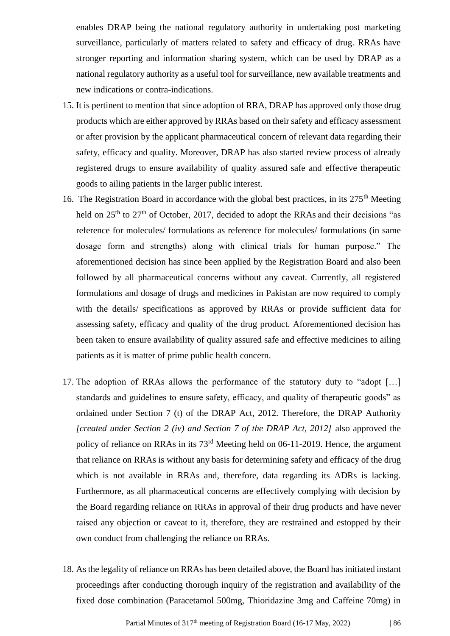enables DRAP being the national regulatory authority in undertaking post marketing surveillance, particularly of matters related to safety and efficacy of drug. RRAs have stronger reporting and information sharing system, which can be used by DRAP as a national regulatory authority as a useful tool for surveillance, new available treatments and new indications or contra-indications.

- 15. It is pertinent to mention that since adoption of RRA, DRAP has approved only those drug products which are either approved by RRAs based on their safety and efficacy assessment or after provision by the applicant pharmaceutical concern of relevant data regarding their safety, efficacy and quality. Moreover, DRAP has also started review process of already registered drugs to ensure availability of quality assured safe and effective therapeutic goods to ailing patients in the larger public interest.
- 16. The Registration Board in accordance with the global best practices, in its  $275<sup>th</sup>$  Meeting held on  $25<sup>th</sup>$  to  $27<sup>th</sup>$  of October, 2017, decided to adopt the RRAs and their decisions "as reference for molecules/ formulations as reference for molecules/ formulations (in same dosage form and strengths) along with clinical trials for human purpose." The aforementioned decision has since been applied by the Registration Board and also been followed by all pharmaceutical concerns without any caveat. Currently, all registered formulations and dosage of drugs and medicines in Pakistan are now required to comply with the details/ specifications as approved by RRAs or provide sufficient data for assessing safety, efficacy and quality of the drug product. Aforementioned decision has been taken to ensure availability of quality assured safe and effective medicines to ailing patients as it is matter of prime public health concern.
- 17. The adoption of RRAs allows the performance of the statutory duty to "adopt […] standards and guidelines to ensure safety, efficacy, and quality of therapeutic goods" as ordained under Section 7 (t) of the DRAP Act, 2012. Therefore, the DRAP Authority *[created under Section 2 (iv) and Section 7 of the DRAP Act, 2012]* also approved the policy of reliance on RRAs in its 73rd Meeting held on 06-11-2019. Hence, the argument that reliance on RRAs is without any basis for determining safety and efficacy of the drug which is not available in RRAs and, therefore, data regarding its ADRs is lacking. Furthermore, as all pharmaceutical concerns are effectively complying with decision by the Board regarding reliance on RRAs in approval of their drug products and have never raised any objection or caveat to it, therefore, they are restrained and estopped by their own conduct from challenging the reliance on RRAs.
- 18. As the legality of reliance on RRAs has been detailed above, the Board has initiated instant proceedings after conducting thorough inquiry of the registration and availability of the fixed dose combination (Paracetamol 500mg, Thioridazine 3mg and Caffeine 70mg) in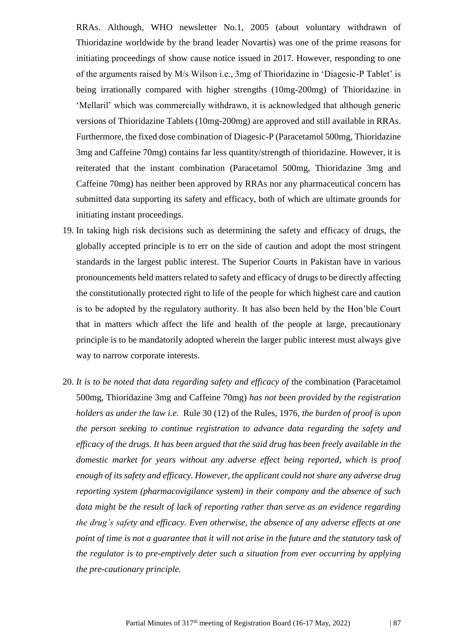RRAs. Although, WHO newsletter No.1, 2005 (about voluntary withdrawn of Thioridazine worldwide by the brand leader Novartis) was one of the prime reasons for initiating proceedings of show cause notice issued in 2017. However, responding to one of the arguments raised by M/s Wilson i.e., 3mg of Thioridazine in 'Diagesic-P Tablet' is being irrationally compared with higher strengths (10mg-200mg) of Thioridazine in 'Mellaril' which was commercially withdrawn, it is acknowledged that although generic versions of Thioridazine Tablets (10mg-200mg) are approved and still available in RRAs. Furthermore, the fixed dose combination of Diagesic-P (Paracetamol 500mg, Thioridazine 3mg and Caffeine 70mg) contains far less quantity/strength of thioridazine. However, it is reiterated that the instant combination (Paracetamol 500mg, Thioridazine 3mg and Caffeine 70mg) has neither been approved by RRAs nor any pharmaceutical concern has submitted data supporting its safety and efficacy, both of which are ultimate grounds for initiating instant proceedings.

- 19. In taking high risk decisions such as determining the safety and efficacy of drugs, the globally accepted principle is to err on the side of caution and adopt the most stringent standards in the largest public interest. The Superior Courts in Pakistan have in various pronouncements held matters related to safety and efficacy of drugs to be directly affecting the constitutionally protected right to life of the people for which highest care and caution is to be adopted by the regulatory authority. It has also been held by the Hon'ble Court that in matters which affect the life and health of the people at large, precautionary principle is to be mandatorily adopted wherein the larger public interest must always give way to narrow corporate interests.
- 20. It is to be noted that data regarding safety and efficacy of the combination (Paracetamol 500mg, Thioridazine 3mg and Caffeine 70mg) *has not been provided by the registration holders as under the law i.e.* Rule 30 (12) of the Rules, 1976, *the burden of proof is upon the person seeking to continue registration to advance data regarding the safety and efficacy of the drugs. It has been argued that the said drug has been freely available in the domestic market for years without any adverse effect being reported, which is proof enough of its safety and efficacy. However, the applicant could not share any adverse drug reporting system (pharmacovigilance system) in their company and the absence of such data might be the result of lack of reporting rather than serve as an evidence regarding the drug's safety and efficacy. Even otherwise, the absence of any adverse effects at one point of time is not a guarantee that it will not arise in the future and the statutory task of the regulator is to pre-emptively deter such a situation from ever occurring by applying the pre-cautionary principle.*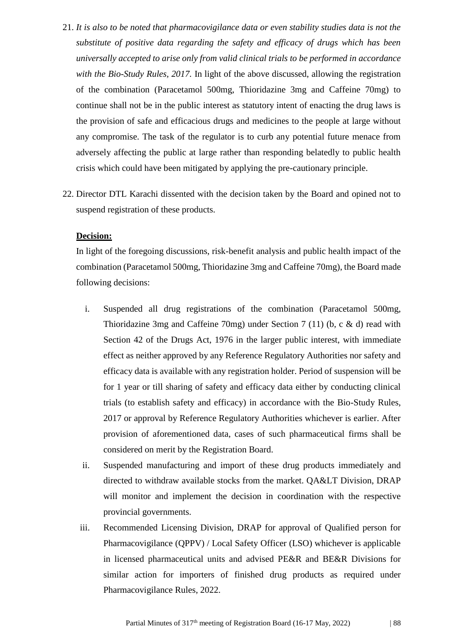- 21. *It is also to be noted that pharmacovigilance data or even stability studies data is not the substitute of positive data regarding the safety and efficacy of drugs which has been universally accepted to arise only from valid clinical trials to be performed in accordance with the Bio-Study Rules, 2017.* In light of the above discussed, allowing the registration of the combination (Paracetamol 500mg, Thioridazine 3mg and Caffeine 70mg) to continue shall not be in the public interest as statutory intent of enacting the drug laws is the provision of safe and efficacious drugs and medicines to the people at large without any compromise. The task of the regulator is to curb any potential future menace from adversely affecting the public at large rather than responding belatedly to public health crisis which could have been mitigated by applying the pre-cautionary principle.
- 22. Director DTL Karachi dissented with the decision taken by the Board and opined not to suspend registration of these products.

#### **Decision:**

In light of the foregoing discussions, risk-benefit analysis and public health impact of the combination (Paracetamol 500mg, Thioridazine 3mg and Caffeine 70mg), the Board made following decisions:

- i. Suspended all drug registrations of the combination (Paracetamol 500mg, Thioridazine 3mg and Caffeine 70mg) under Section 7 (11) (b, c & d) read with Section 42 of the Drugs Act, 1976 in the larger public interest, with immediate effect as neither approved by any Reference Regulatory Authorities nor safety and efficacy data is available with any registration holder. Period of suspension will be for 1 year or till sharing of safety and efficacy data either by conducting clinical trials (to establish safety and efficacy) in accordance with the Bio-Study Rules, 2017 or approval by Reference Regulatory Authorities whichever is earlier. After provision of aforementioned data, cases of such pharmaceutical firms shall be considered on merit by the Registration Board.
- ii. Suspended manufacturing and import of these drug products immediately and directed to withdraw available stocks from the market. QA&LT Division, DRAP will monitor and implement the decision in coordination with the respective provincial governments.
- iii. Recommended Licensing Division, DRAP for approval of Qualified person for Pharmacovigilance (QPPV) / Local Safety Officer (LSO) whichever is applicable in licensed pharmaceutical units and advised PE&R and BE&R Divisions for similar action for importers of finished drug products as required under Pharmacovigilance Rules, 2022.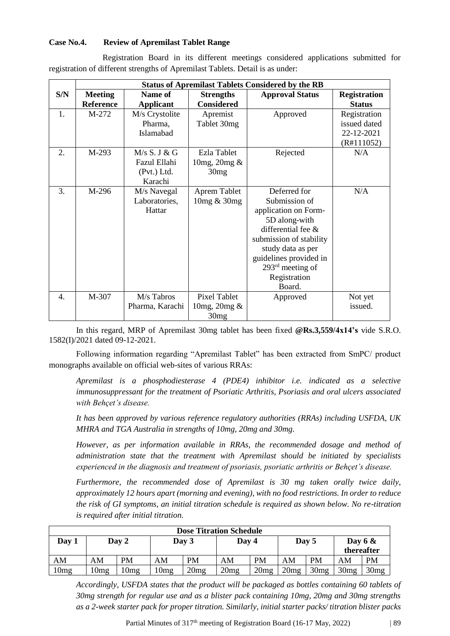#### **Case No.4. Review of Apremilast Tablet Range**

Registration Board in its different meetings considered applications submitted for registration of different strengths of Apremilast Tablets. Detail is as under:

|                  |                  |                  |                     | <b>Status of Apremilast Tablets Considered by the RB</b> |                     |
|------------------|------------------|------------------|---------------------|----------------------------------------------------------|---------------------|
| S/N              | <b>Meeting</b>   | Name of          | <b>Strengths</b>    | <b>Approval Status</b>                                   | <b>Registration</b> |
|                  | <b>Reference</b> | <b>Applicant</b> | <b>Considered</b>   |                                                          | <b>Status</b>       |
| 1.               | M-272            | M/s Crystolite   | Apremist            | Approved                                                 | Registration        |
|                  |                  | Pharma,          | Tablet 30mg         |                                                          | issued dated        |
|                  |                  | Islamabad        |                     |                                                          | 22-12-2021          |
|                  |                  |                  |                     |                                                          | (R#111052)          |
| 2.               | M-293            | M/s S. J & G     | Ezla Tablet         | Rejected                                                 | N/A                 |
|                  |                  | Fazul Ellahi     | 10mg, 20mg &        |                                                          |                     |
|                  |                  | (Pvt.) Ltd.      | 30mg                |                                                          |                     |
|                  |                  | Karachi          |                     |                                                          |                     |
| 3.               | M-296            | M/s Navegal      | Aprem Tablet        | Deferred for                                             | N/A                 |
|                  |                  | Laboratories,    | 10mg & 30mg         | Submission of                                            |                     |
|                  |                  | Hattar           |                     | application on Form-                                     |                     |
|                  |                  |                  |                     | 5D along-with                                            |                     |
|                  |                  |                  |                     | differential fee &                                       |                     |
|                  |                  |                  |                     | submission of stability                                  |                     |
|                  |                  |                  |                     | study data as per                                        |                     |
|                  |                  |                  |                     | guidelines provided in                                   |                     |
|                  |                  |                  |                     | 293 <sup>rd</sup> meeting of                             |                     |
|                  |                  |                  |                     | Registration                                             |                     |
|                  |                  |                  |                     | Board.                                                   |                     |
| $\overline{4}$ . | M-307            | M/s Tabros       | <b>Pixel Tablet</b> | Approved                                                 | Not yet             |
|                  |                  | Pharma, Karachi  | 10 mg, 20 mg $\&$   |                                                          | issued.             |
|                  |                  |                  | 30mg                |                                                          |                     |

In this regard, MRP of Apremilast 30mg tablet has been fixed **@Rs.3,559/4x14's** vide S.R.O. 1582(I)/2021 dated 09-12-2021.

Following information regarding "Apremilast Tablet" has been extracted from SmPC/ product monographs available on official web-sites of various RRAs:

*Apremilast is a phosphodiesterase 4 (PDE4) inhibitor i.e. indicated as a selective immunosuppressant for the treatment of Psoriatic Arthritis, Psoriasis and oral ulcers associated with Behçet's disease.* 

*It has been approved by various reference regulatory authorities (RRAs) including USFDA, UK MHRA and TGA Australia in strengths of 10mg, 20mg and 30mg.*

*However, as per information available in RRAs, the recommended dosage and method of administration state that the treatment with Apremilast should be initiated by specialists experienced in the diagnosis and treatment of psoriasis, psoriatic arthritis or Behçet's disease.* 

*Furthermore, the recommended dose of Apremilast is 30 mg taken orally twice daily, approximately 12 hours apart (morning and evening), with no food restrictions. In order to reduce the risk of GI symptoms, an initial titration schedule is required as shown below. No re-titration is required after initial titration.* 

|       |                  |           |      | <b>Dose Titration Schedule</b> |       |           |      |           |      |                         |
|-------|------------------|-----------|------|--------------------------------|-------|-----------|------|-----------|------|-------------------------|
| Day 1 |                  | Day 2     |      | Day 3                          | Day 4 |           |      | Day 5     |      | Day $6 &$<br>thereafter |
| AM    | AM               | <b>PM</b> | AM   | <b>PM</b>                      | AM    | <b>PM</b> | AM   | <b>PM</b> | AM   | <b>PM</b>               |
| 10mg  | 10 <sub>mg</sub> | 10mg      | 10mg | 20mg                           | 20mg  | 20mg      | 20mg | 30mg      | 30mg | 30mg                    |

*Accordingly, USFDA states that the product will be packaged as bottles containing 60 tablets of 30mg strength for regular use and as a blister pack containing 10mg, 20mg and 30mg strengths as a 2-week starter pack for proper titration. Similarly, initial starter packs/ titration blister packs*